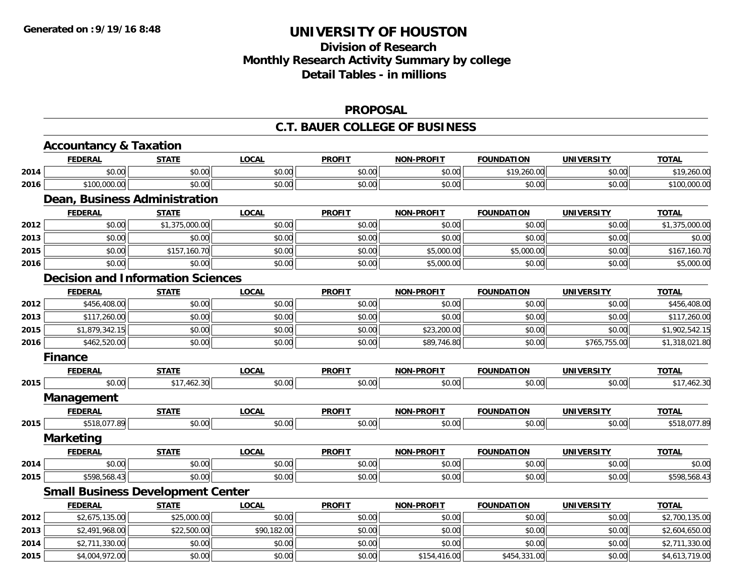# **Division of ResearchMonthly Research Activity Summary by college Detail Tables - in millions**

#### **PROPOSAL**

#### **C.T. BAUER COLLEGE OF BUSINESS**

|      | <b>Accountancy &amp; Taxation</b>        |                |              |               |                   |                   |                   |                |
|------|------------------------------------------|----------------|--------------|---------------|-------------------|-------------------|-------------------|----------------|
|      | <b>FEDERAL</b>                           | <b>STATE</b>   | <b>LOCAL</b> | <b>PROFIT</b> | <b>NON-PROFIT</b> | <b>FOUNDATION</b> | <b>UNIVERSITY</b> | <b>TOTAL</b>   |
| 2014 | \$0.00                                   | \$0.00         | \$0.00       | \$0.00        | \$0.00            | \$19,260.00       | \$0.00            | \$19,260.00    |
| 2016 | \$100,000.00                             | \$0.00         | \$0.00       | \$0.00        | \$0.00            | \$0.00            | \$0.00            | \$100,000.00   |
|      | Dean, Business Administration            |                |              |               |                   |                   |                   |                |
|      | <b>FEDERAL</b>                           | <b>STATE</b>   | <b>LOCAL</b> | <b>PROFIT</b> | <b>NON-PROFIT</b> | <b>FOUNDATION</b> | <b>UNIVERSITY</b> | <b>TOTAL</b>   |
| 2012 | \$0.00                                   | \$1,375,000.00 | \$0.00       | \$0.00        | \$0.00            | \$0.00            | \$0.00            | \$1,375,000.00 |
| 2013 | \$0.00                                   | \$0.00         | \$0.00       | \$0.00        | \$0.00            | \$0.00            | \$0.00            | \$0.00         |
| 2015 | \$0.00                                   | \$157,160.70   | \$0.00       | \$0.00        | \$5,000.00        | \$5,000.00        | \$0.00            | \$167,160.70   |
| 2016 | \$0.00                                   | \$0.00         | \$0.00       | \$0.00        | \$5,000.00        | \$0.00            | \$0.00            | \$5,000.00     |
|      | <b>Decision and Information Sciences</b> |                |              |               |                   |                   |                   |                |
|      | <b>FEDERAL</b>                           | <b>STATE</b>   | <b>LOCAL</b> | <b>PROFIT</b> | <b>NON-PROFIT</b> | <b>FOUNDATION</b> | <b>UNIVERSITY</b> | <b>TOTAL</b>   |
| 2012 | \$456,408.00                             | \$0.00         | \$0.00       | \$0.00        | \$0.00            | \$0.00            | \$0.00            | \$456,408.00   |
| 2013 | \$117,260.00                             | \$0.00         | \$0.00       | \$0.00        | \$0.00            | \$0.00            | \$0.00            | \$117,260.00   |
| 2015 | \$1,879,342.15                           | \$0.00         | \$0.00       | \$0.00        | \$23,200.00       | \$0.00            | \$0.00            | \$1,902,542.15 |
| 2016 | \$462,520.00                             | \$0.00         | \$0.00       | \$0.00        | \$89,746.80       | \$0.00            | \$765,755.00      | \$1,318,021.80 |
|      | <b>Finance</b>                           |                |              |               |                   |                   |                   |                |
|      | <b>FEDERAL</b>                           | <b>STATE</b>   | <b>LOCAL</b> | <b>PROFIT</b> | <b>NON-PROFIT</b> | <b>FOUNDATION</b> | <b>UNIVERSITY</b> | <b>TOTAL</b>   |
| 2015 | \$0.00                                   | \$17,462.30    | \$0.00       | \$0.00        | \$0.00            | \$0.00            | \$0.00            | \$17,462.30    |
|      | Management                               |                |              |               |                   |                   |                   |                |
|      | <b>FEDERAL</b>                           | <b>STATE</b>   | <b>LOCAL</b> | <b>PROFIT</b> | <b>NON-PROFIT</b> | <b>FOUNDATION</b> | <b>UNIVERSITY</b> | <b>TOTAL</b>   |
| 2015 | \$518,077.89                             | \$0.00         | \$0.00       | \$0.00        | \$0.00            | \$0.00            | \$0.00            | \$518,077.89   |
|      | <b>Marketing</b>                         |                |              |               |                   |                   |                   |                |
|      | <b>FEDERAL</b>                           | <b>STATE</b>   | <b>LOCAL</b> | <b>PROFIT</b> | <b>NON-PROFIT</b> | <b>FOUNDATION</b> | <b>UNIVERSITY</b> | <b>TOTAL</b>   |
| 2014 | \$0.00                                   | \$0.00         | \$0.00       | \$0.00        | \$0.00            | \$0.00            | \$0.00            | \$0.00         |
| 2015 | \$598,568.43                             | \$0.00         | \$0.00       | \$0.00        | \$0.00            | \$0.00            | \$0.00            | \$598,568.43   |
|      | <b>Small Business Development Center</b> |                |              |               |                   |                   |                   |                |
|      | <b>FEDERAL</b>                           | <b>STATE</b>   | <b>LOCAL</b> | <b>PROFIT</b> | <b>NON-PROFIT</b> | <b>FOUNDATION</b> | <b>UNIVERSITY</b> | <b>TOTAL</b>   |
| 2012 | \$2,675,135.00                           | \$25,000.00    | \$0.00       | \$0.00        | \$0.00            | \$0.00            | \$0.00            | \$2,700,135.00 |
| 2013 | \$2,491,968.00                           | \$22,500.00    | \$90,182.00  | \$0.00        | \$0.00            | \$0.00            | \$0.00            | \$2,604,650.00 |
| 2014 | \$2,711,330.00                           | \$0.00         | \$0.00       | \$0.00        | \$0.00            | \$0.00            | \$0.00            | \$2,711,330.00 |
| 2015 | \$4,004,972.00                           | \$0.00         | \$0.00       | \$0.00        | \$154,416.00      | \$454,331.00      | \$0.00            | \$4,613,719.00 |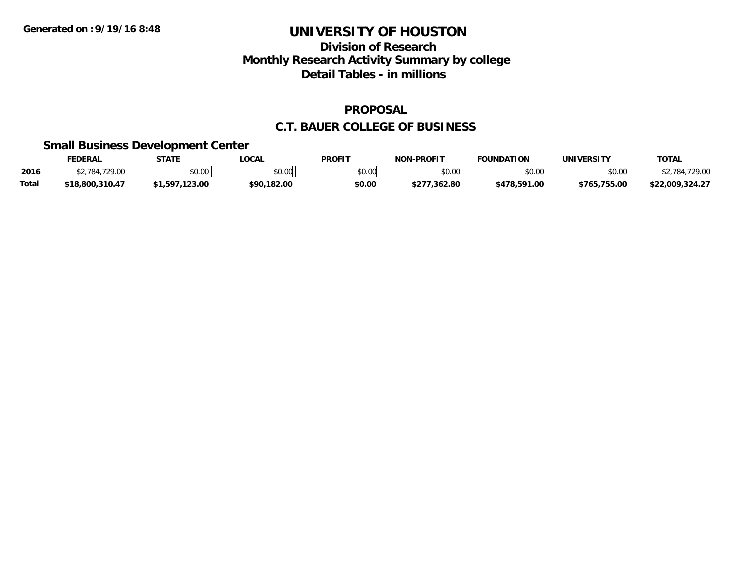## **Division of Research Monthly Research Activity Summary by college Detail Tables - in millions**

#### **PROPOSAL**

#### **C.T. BAUER COLLEGE OF BUSINESS**

#### **Small Business Development Center**

|              | FEDERAL          | <b>STATE</b>         | <b>_OCAL</b> | <b>PROFIT</b>  | <b>NON-PROFIT</b> | <b>FOUNDATION</b> | UNIVERSITY   | <b>TOTAL</b>                          |
|--------------|------------------|----------------------|--------------|----------------|-------------------|-------------------|--------------|---------------------------------------|
| 2016         | 1.720.00<br>784. | 0000<br><b>JU.UU</b> | \$0.00       | 40.00<br>JU.UU | \$0.00            | \$0.00            | \$0.00       | .729.00<br>$^{\circ}$ 784 $^{\prime}$ |
| <b>Total</b> | \$18,800,310.47  | .123.00<br>.1,597.   | \$90,182.00  | \$0.00         | .362.80           | \$478,591.00      | \$765,755.00 | \$22,009,324.27                       |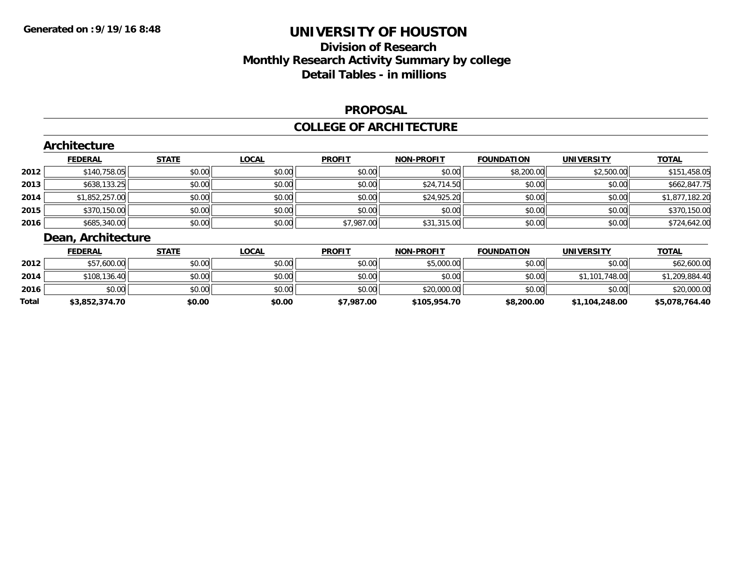# **Division of Research Monthly Research Activity Summary by college Detail Tables - in millions**

#### **PROPOSAL**

#### **COLLEGE OF ARCHITECTURE**

|        | Architecture       |              |              |               |                   |                                  |                   |                                                                                         |
|--------|--------------------|--------------|--------------|---------------|-------------------|----------------------------------|-------------------|-----------------------------------------------------------------------------------------|
|        | <b>FEDERAL</b>     | <b>STATE</b> | <b>LOCAL</b> | <b>PROFIT</b> | <b>NON-PROFIT</b> | <b>FOUNDATION</b>                | <b>UNIVERSITY</b> | <b>TOTAL</b>                                                                            |
| 2012   | \$140,758.05       | \$0.00       | \$0.00       | \$0.00        | \$0.00            | \$8,200.00                       | \$2,500.00        | \$151,458.05                                                                            |
| 2013   | \$638,133.25       | \$0.00       | \$0.00       | \$0.00        | \$24,714.50       | \$0.00                           | \$0.00            | \$662,847.75                                                                            |
| 2014   | \$1,852,257.00     | \$0.00       | \$0.00       | \$0.00        | \$24,925.20       | \$0.00                           | \$0.00            | \$1,877,182.20                                                                          |
| 2015   | \$370,150.00       | \$0.00       | \$0.00       | \$0.00        | \$0.00            | \$0.00                           | \$0.00            | \$370,150.00                                                                            |
| 2016   | \$685,340.00       | \$0.00       | \$0.00       | \$7,987.00    | \$31,315.00       | \$0.00                           | \$0.00            | \$724,642.00                                                                            |
|        | Dean, Architecture |              |              |               |                   |                                  |                   |                                                                                         |
|        | <b>FEDERAL</b>     | <b>STATE</b> | <b>LOCAL</b> | <b>PROFIT</b> | <b>NON-PROFIT</b> | <b>FOUNDATION</b>                | <b>UNIVERSITY</b> | <b>TOTAL</b>                                                                            |
| nnen l | ATZ/OO             | 0.00         | 0.00         | 0.00          | $AT$ $00000$      | $\uparrow$ $\uparrow$ $\uparrow$ | 0.00              | $\uparrow$ $\uparrow$ $\uparrow$ $\uparrow$ $\uparrow$ $\uparrow$ $\uparrow$ $\uparrow$ |

| <b>Total</b> | \$3,852,374.70 | \$0.00 | \$0.00 | \$7,987.00 | \$105,954.70 | \$8,200.00 | \$1,104,248.00 | \$5,078,764.40 |
|--------------|----------------|--------|--------|------------|--------------|------------|----------------|----------------|
| 2016         | \$0.00         | \$0.00 | \$0.00 | \$0.00     | \$20,000.00  | \$0.00     | \$0.00         | \$20,000.00    |
| 2014         | \$108,136.40   | \$0.00 | \$0.00 | \$0.00     | \$0.00       | \$0.00     | \$1,101,748.00 | \$1,209,884.40 |
| 2012         | \$57,600.00    | \$0.00 | \$0.00 | \$0.00     | \$5,000.00   | \$0.00     | \$0.00         | \$62,600.00    |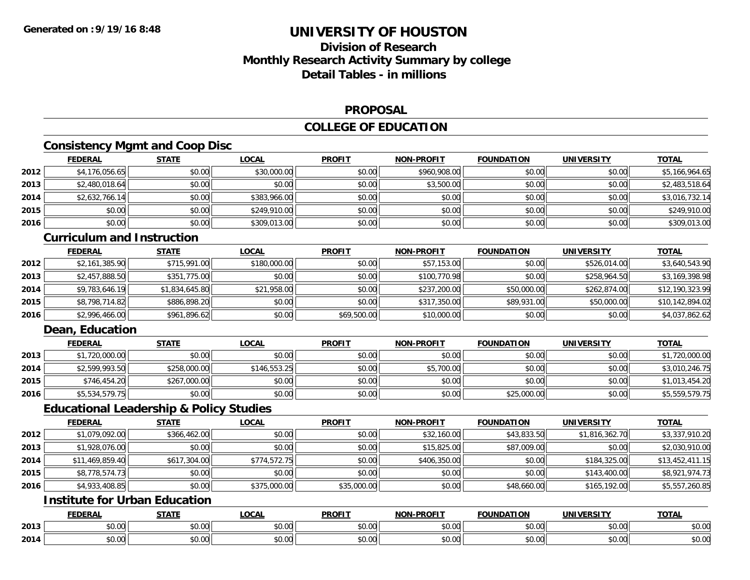# **Division of ResearchMonthly Research Activity Summary by college Detail Tables - in millions**

#### **PROPOSAL**

### **COLLEGE OF EDUCATION**

### **Consistency Mgmt and Coop Disc**

|      | <b>FEDERAL</b> | <b>STATE</b> | <b>LOCAL</b> | <b>PROFIT</b> | <b>NON-PROFIT</b> | <b>FOUNDATION</b> | <b>UNIVERSITY</b> | <b>TOTAL</b>   |
|------|----------------|--------------|--------------|---------------|-------------------|-------------------|-------------------|----------------|
| 2012 | \$4,176,056.65 | \$0.00       | \$30,000.00  | \$0.00        | \$960,908.00      | \$0.00            | \$0.00            | \$5,166,964.65 |
| 2013 | \$2,480,018.64 | \$0.00       | \$0.00       | \$0.00        | \$3,500.00        | \$0.00            | \$0.00            | \$2,483,518.64 |
| 2014 | \$2,632,766.14 | \$0.00       | \$383,966.00 | \$0.00        | \$0.00            | \$0.00            | \$0.00            | \$3,016,732.14 |
| 2015 | \$0.00         | \$0.00       | \$249,910.00 | \$0.00        | \$0.00            | \$0.00            | \$0.00            | \$249,910.00   |
| 2016 | \$0.00         | \$0.00       | \$309,013.00 | \$0.00        | \$0.00            | \$0.00            | \$0.00            | \$309,013.00   |
|      | $\sim$         | .            |              |               |                   |                   |                   |                |

#### **Curriculum and Instruction**

|      | <b>FEDERAL</b> | <u>STATE</u>   | <u>LOCAL</u> | <b>PROFIT</b> | <b>NON-PROFIT</b> | <b>FOUNDATION</b> | <b>UNIVERSITY</b> | <b>TOTAL</b>    |
|------|----------------|----------------|--------------|---------------|-------------------|-------------------|-------------------|-----------------|
| 2012 | \$2,161,385.90 | \$715,991.00   | \$180,000.00 | \$0.00        | \$57,153.00       | \$0.00            | \$526,014.00      | \$3,640,543.90  |
| 2013 | \$2,457,888.50 | \$351,775.00   | \$0.00       | \$0.00        | \$100.770.98      | \$0.00            | \$258,964.50      | \$3,169,398.98  |
| 2014 | \$9,783,646.19 | \$1,834,645.80 | \$21,958.00  | \$0.00        | \$237,200.00      | \$50,000.00       | \$262,874.00      | \$12,190,323.99 |
| 2015 | \$8,798,714.82 | \$886,898.20   | \$0.00       | \$0.00        | \$317,350.00      | \$89,931.00       | \$50,000.00       | \$10,142,894.02 |
| 2016 | \$2,996,466.00 | \$961,896.62   | \$0.00       | \$69,500.00   | \$10,000.00       | \$0.00            | \$0.00            | \$4,037,862.62  |

### **Dean, Education**

|      | <b>FEDERAL</b> | <b>STATE</b> | <u>LOCAL</u> | <b>PROFIT</b> | <b>NON-PROFIT</b> | <b>FOUNDATION</b> | UNIVERSITY | <b>TOTAL</b>   |
|------|----------------|--------------|--------------|---------------|-------------------|-------------------|------------|----------------|
| 2013 | \$1,720,000.00 | \$0.00       | \$0.00       | \$0.00        | \$0.00            | \$0.00            | \$0.00     | \$1,720,000.00 |
| 2014 | \$2,599,993.50 | \$258,000.00 | \$146.553.25 | \$0.00        | \$5,700.00        | \$0.00            | \$0.00     | \$3,010,246.75 |
| 2015 | \$746,454.20   | \$267,000.00 | \$0.00       | \$0.00        | \$0.00            | \$0.00            | \$0.00     | \$1,013,454.20 |
| 2016 | \$5,534,579.75 | \$0.00       | \$0.00       | \$0.00        | \$0.00            | \$25,000.00       | \$0.00     | \$5,559,579.75 |

#### **Educational Leadership & Policy Studies**

|      | <b>FEDERAL</b>  | <b>STATE</b> | <u>LOCAL</u> | <b>PROFIT</b> | <b>NON-PROFIT</b> | <b>FOUNDATION</b> | <b>UNIVERSITY</b> | <b>TOTAL</b>    |
|------|-----------------|--------------|--------------|---------------|-------------------|-------------------|-------------------|-----------------|
| 2012 | \$1,079,092.00  | \$366,462.00 | \$0.00       | \$0.00        | \$32,160.00       | \$43,833.50       | \$1,816,362.70    | \$3,337,910.20  |
| 2013 | \$1,928,076.00  | \$0.00       | \$0.00       | \$0.00        | \$15,825.00       | \$87,009.00       | \$0.00            | \$2,030,910.00  |
| 2014 | \$11,469,859.40 | \$617,304.00 | \$774.572.75 | \$0.00        | \$406,350.00      | \$0.00            | \$184,325,00      | \$13,452,411.15 |
| 2015 | \$8,778,574.73  | \$0.00       | \$0.00       | \$0.00        | \$0.00            | \$0.00            | \$143,400.00      | \$8,921,974.73  |
| 2016 | \$4,933,408.85  | \$0.00       | \$375,000.00 | \$35,000.00   | \$0.00            | \$48,660.00       | \$165,192.00      | \$5,557,260.85  |

### **Institute for Urban Education**

|      | <b>FEDERAI</b> | CTATI<br>.                   | $\bigcap_{n=1}^{\infty}$<br>.UUA | <b>PROFIT</b> | <b>DDAFIT</b><br><b>AIAB</b> | <b>COUNIDATION</b><br>I OP<br>. 1 IV * | UNIVERSITY | <b>TOTAL</b> |
|------|----------------|------------------------------|----------------------------------|---------------|------------------------------|----------------------------------------|------------|--------------|
| 2013 | \$0.00         | 0000<br>JU.UU                | 0000<br>vv.vv                    | 0000<br>PO.OO | $\sim$ 00<br>vv.vv           | $n \cap \Omega$<br>JU.UU               | \$0.00     | \$0.00       |
| 2014 | \$0.00         | $\sim$<br><b>↑∩</b><br>JU.UU | 0000<br>vv.vv                    | \$0.00        | vu.vu                        | \$0.00                                 | \$0.00     | \$0.00       |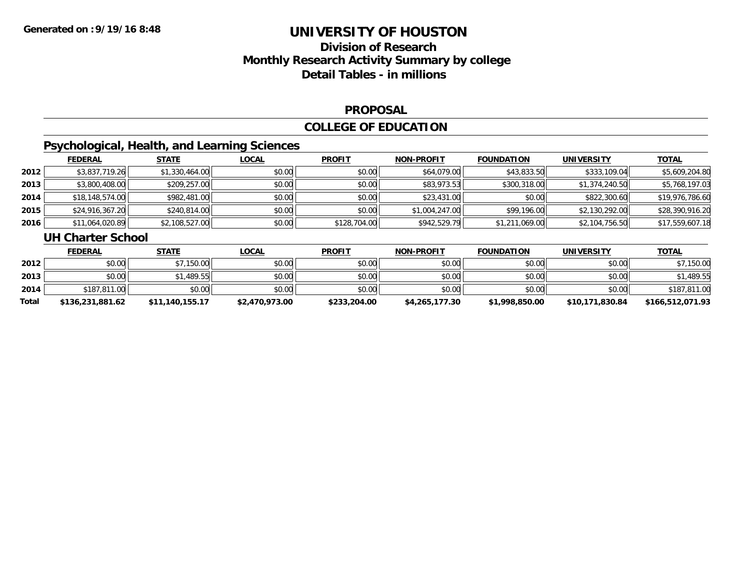# **Division of ResearchMonthly Research Activity Summary by college Detail Tables - in millions**

#### **PROPOSAL**

### **COLLEGE OF EDUCATION**

# **Psychological, Health, and Learning Sciences**

|      | <b>FEDERAL</b>  | <u>STATE</u>   | <b>LOCAL</b> | <b>PROFIT</b> | <b>NON-PROFIT</b> | <b>FOUNDATION</b> | UNIVERSITY     | <b>TOTAL</b>    |
|------|-----------------|----------------|--------------|---------------|-------------------|-------------------|----------------|-----------------|
| 2012 | \$3,837,719.26  | \$1,330,464.00 | \$0.00       | \$0.00        | \$64,079.00       | \$43,833.50       | \$333,109.04   | \$5,609,204.80  |
| 2013 | \$3,800,408.00  | \$209,257.00   | \$0.00       | \$0.00        | \$83,973.53       | \$300,318.00      | \$1,374,240.50 | \$5,768,197.03  |
| 2014 | \$18,148,574.00 | \$982,481.00   | \$0.00       | \$0.00        | \$23,431.00       | \$0.00            | \$822,300.60   | \$19,976,786.60 |
| 2015 | \$24,916,367.20 | \$240,814.00   | \$0.00       | \$0.00        | \$1,004,247.00    | \$99,196.00       | \$2,130,292.00 | \$28,390,916.20 |
| 2016 | \$11,064,020.89 | \$2,108,527.00 | \$0.00       | \$128,704.00  | \$942,529.79      | \$1,211,069.00    | \$2,104,756.50 | \$17,559,607.18 |

#### **UH Charter School**

|       | <b>FEDERAL</b>   | <u>STATE</u>    | <u>LOCAL</u>   | <b>PROFIT</b> | <b>NON-PROFIT</b> | <b>FOUNDATION</b> | <b>UNIVERSITY</b> | <b>TOTAL</b>     |
|-------|------------------|-----------------|----------------|---------------|-------------------|-------------------|-------------------|------------------|
| 2012  | \$0.00           | \$7,150.00      | \$0.00         | \$0.00        | \$0.00            | \$0.00            | \$0.00            | \$7,150.00       |
| 2013  | \$0.00           | \$1,489.55      | \$0.00         | \$0.00        | \$0.00            | \$0.00            | \$0.00            | \$1,489.55       |
| 2014  | \$187,811,00     | \$0.00          | \$0.00         | \$0.00        | \$0.00            | \$0.00            | \$0.00            | \$187,811.00     |
| Total | \$136,231,881.62 | \$11,140,155.17 | \$2,470,973.00 | \$233,204.00  | \$4,265,177.30    | \$1,998,850.00    | \$10,171,830.84   | \$166,512,071.93 |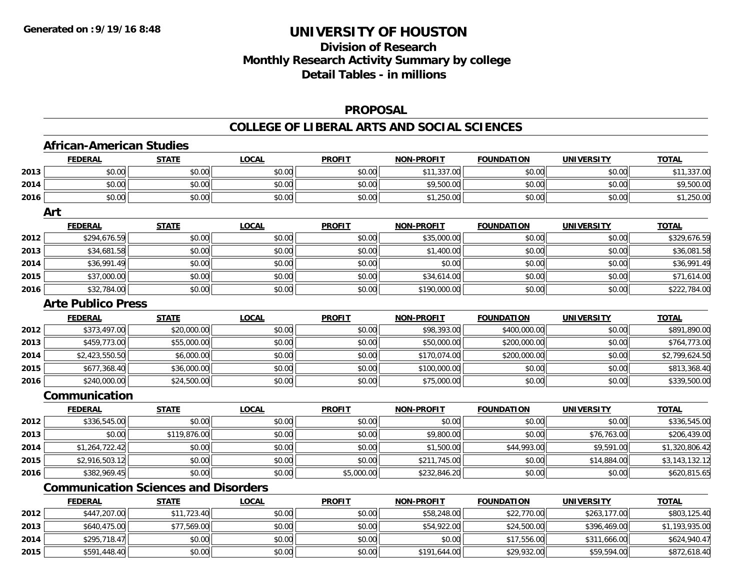**2015**

## **UNIVERSITY OF HOUSTON**

# **Division of ResearchMonthly Research Activity Summary by college Detail Tables - in millions**

#### **PROPOSAL**

#### **COLLEGE OF LIBERAL ARTS AND SOCIAL SCIENCES**

|      | <b>FEDERAL</b>                              | <b>STATE</b> | <b>LOCAL</b> | <b>PROFIT</b> | <b>NON-PROFIT</b> | <b>FOUNDATION</b> | <b>UNIVERSITY</b> | <b>TOTAL</b>   |
|------|---------------------------------------------|--------------|--------------|---------------|-------------------|-------------------|-------------------|----------------|
| 2013 | \$0.00                                      | \$0.00       | \$0.00       | \$0.00        | \$11,337.00       | \$0.00            | \$0.00            | \$11,337.00    |
| 2014 | \$0.00                                      | \$0.00       | \$0.00       | \$0.00        | \$9,500.00        | \$0.00            | \$0.00            | \$9,500.00     |
| 2016 | \$0.00                                      | \$0.00       | \$0.00       | \$0.00        | \$1,250.00        | \$0.00            | \$0.00            | \$1,250.00     |
|      | Art                                         |              |              |               |                   |                   |                   |                |
|      | <b>FEDERAL</b>                              | <b>STATE</b> | <b>LOCAL</b> | <b>PROFIT</b> | <b>NON-PROFIT</b> | <b>FOUNDATION</b> | <b>UNIVERSITY</b> | <b>TOTAL</b>   |
| 2012 | \$294,676.59                                | \$0.00       | \$0.00       | \$0.00        | \$35,000.00       | \$0.00            | \$0.00            | \$329,676.59   |
| 2013 | \$34,681.58                                 | \$0.00       | \$0.00       | \$0.00        | \$1,400.00        | \$0.00            | \$0.00            | \$36,081.58    |
| 2014 | \$36,991.49                                 | \$0.00       | \$0.00       | \$0.00        | \$0.00            | \$0.00            | \$0.00            | \$36,991.49    |
| 2015 | \$37,000.00                                 | \$0.00       | \$0.00       | \$0.00        | \$34,614.00       | \$0.00            | \$0.00            | \$71,614.00    |
| 2016 | \$32,784.00                                 | \$0.00       | \$0.00       | \$0.00        | \$190,000.00      | \$0.00            | \$0.00            | \$222,784.00   |
|      | <b>Arte Publico Press</b>                   |              |              |               |                   |                   |                   |                |
|      | <b>FEDERAL</b>                              | <b>STATE</b> | <b>LOCAL</b> | <b>PROFIT</b> | <b>NON-PROFIT</b> | <b>FOUNDATION</b> | <b>UNIVERSITY</b> | <b>TOTAL</b>   |
| 2012 | \$373,497.00                                | \$20,000.00  | \$0.00       | \$0.00        | \$98,393.00       | \$400,000.00      | \$0.00            | \$891,890.00   |
| 2013 | \$459,773.00                                | \$55,000.00  | \$0.00       | \$0.00        | \$50,000.00       | \$200,000.00      | \$0.00            | \$764,773.00   |
| 2014 | \$2,423,550.50                              | \$6,000.00   | \$0.00       | \$0.00        | \$170,074.00      | \$200,000.00      | \$0.00            | \$2,799,624.50 |
| 2015 | \$677,368.40                                | \$36,000.00  | \$0.00       | \$0.00        | \$100,000.00      | \$0.00            | \$0.00            | \$813,368.40   |
| 2016 | \$240,000.00                                | \$24,500.00  | \$0.00       | \$0.00        | \$75,000.00       | \$0.00            | \$0.00            | \$339,500.00   |
|      | Communication                               |              |              |               |                   |                   |                   |                |
|      | <b>FEDERAL</b>                              | <b>STATE</b> | <b>LOCAL</b> | <b>PROFIT</b> | <b>NON-PROFIT</b> | <b>FOUNDATION</b> | <b>UNIVERSITY</b> | <b>TOTAL</b>   |
| 2012 | \$336,545.00                                | \$0.00       | \$0.00       | \$0.00        | \$0.00            | \$0.00            | \$0.00            | \$336,545.00   |
| 2013 | \$0.00                                      | \$119,876.00 | \$0.00       | \$0.00        | \$9,800.00        | \$0.00            | \$76,763.00       | \$206,439.00   |
| 2014 | \$1,264,722.42                              | \$0.00       | \$0.00       | \$0.00        | \$1,500.00        | \$44,993.00       | \$9,591.00        | \$1,320,806.42 |
| 2015 | \$2,916,503.12                              | \$0.00       | \$0.00       | \$0.00        | \$211,745.00      | \$0.00            | \$14,884.00       | \$3,143,132.12 |
| 2016 | \$382,969.45                                | \$0.00       | \$0.00       | \$5,000.00    | \$232,846.20      | \$0.00            | \$0.00            | \$620,815.65   |
|      | <b>Communication Sciences and Disorders</b> |              |              |               |                   |                   |                   |                |
|      | <b>FEDERAL</b>                              | <b>STATE</b> | <b>LOCAL</b> | <b>PROFIT</b> | <b>NON-PROFIT</b> | <b>FOUNDATION</b> | <b>UNIVERSITY</b> | <b>TOTAL</b>   |
| 2012 | \$447,207.00                                | \$11,723.40  | \$0.00       | \$0.00        | \$58,248.00       | \$22,770.00       | \$263,177.00      | \$803,125.40   |
| 2013 | \$640,475.00                                | \$77,569.00  | \$0.00       | \$0.00        | \$54,922.00       | \$24,500.00       | \$396,469.00      | \$1,193,935.00 |
| 2014 | \$295,718.47                                | \$0.00       | \$0.00       | \$0.00        | \$0.00            | \$17,556.00       | \$311,666.00      | \$624,940.47   |

\$591,448.40 \$0.00 \$0.00 \$0.00 \$191,644.00 \$29,932.00 \$59,594.00 \$872,618.40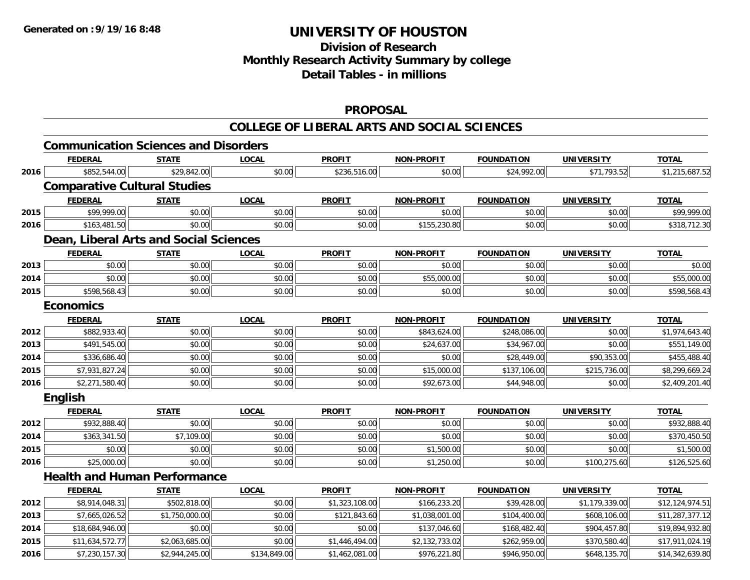# **Division of Research Monthly Research Activity Summary by college Detail Tables - in millions**

#### **PROPOSAL**

#### **COLLEGE OF LIBERAL ARTS AND SOCIAL SCIENCES**

|      | <b>Communication Sciences and Disorders</b> |                |              |                |                   |                   |                   |                 |
|------|---------------------------------------------|----------------|--------------|----------------|-------------------|-------------------|-------------------|-----------------|
|      | <b>FEDERAL</b>                              | <b>STATE</b>   | <b>LOCAL</b> | <b>PROFIT</b>  | <b>NON-PROFIT</b> | <b>FOUNDATION</b> | <b>UNIVERSITY</b> | <b>TOTAL</b>    |
| 2016 | \$852,544.00                                | \$29,842.00    | \$0.00       | \$236,516.00   | \$0.00            | \$24,992.00       | \$71,793.52       | \$1,215,687.52  |
|      | <b>Comparative Cultural Studies</b>         |                |              |                |                   |                   |                   |                 |
|      | <b>FEDERAL</b>                              | <b>STATE</b>   | <b>LOCAL</b> | <b>PROFIT</b>  | <b>NON-PROFIT</b> | <b>FOUNDATION</b> | <b>UNIVERSITY</b> | <b>TOTAL</b>    |
| 2015 | \$99,999.00                                 | \$0.00         | \$0.00       | \$0.00         | \$0.00            | \$0.00            | \$0.00            | \$99,999.00     |
| 2016 | \$163,481.50                                | \$0.00         | \$0.00       | \$0.00         | \$155,230.80      | \$0.00            | \$0.00            | \$318,712.30    |
|      | Dean, Liberal Arts and Social Sciences      |                |              |                |                   |                   |                   |                 |
|      | <b>FEDERAL</b>                              | <b>STATE</b>   | <b>LOCAL</b> | <b>PROFIT</b>  | <b>NON-PROFIT</b> | <b>FOUNDATION</b> | <b>UNIVERSITY</b> | <b>TOTAL</b>    |
| 2013 | \$0.00                                      | \$0.00         | \$0.00       | \$0.00         | \$0.00            | \$0.00            | \$0.00            | \$0.00          |
| 2014 | \$0.00                                      | \$0.00         | \$0.00       | \$0.00         | \$55,000.00       | \$0.00            | \$0.00            | \$55,000.00     |
| 2015 | \$598,568.43                                | \$0.00         | \$0.00       | \$0.00         | \$0.00            | \$0.00            | \$0.00            | \$598,568.43    |
|      | <b>Economics</b>                            |                |              |                |                   |                   |                   |                 |
|      | <b>FEDERAL</b>                              | <b>STATE</b>   | <b>LOCAL</b> | <b>PROFIT</b>  | <b>NON-PROFIT</b> | <b>FOUNDATION</b> | <b>UNIVERSITY</b> | <b>TOTAL</b>    |
| 2012 | \$882,933.40                                | \$0.00         | \$0.00       | \$0.00         | \$843,624.00      | \$248,086.00      | \$0.00            | \$1,974,643.40  |
| 2013 | \$491,545.00                                | \$0.00         | \$0.00       | \$0.00         | \$24,637.00       | \$34,967.00       | \$0.00            | \$551,149.00    |
| 2014 | \$336,686.40                                | \$0.00         | \$0.00       | \$0.00         | \$0.00            | \$28,449.00       | \$90,353.00       | \$455,488.40    |
| 2015 | \$7,931,827.24                              | \$0.00         | \$0.00       | \$0.00         | \$15,000.00       | \$137,106.00      | \$215,736.00      | \$8,299,669.24  |
| 2016 | \$2,271,580.40                              | \$0.00         | \$0.00       | \$0.00         | \$92,673.00       | \$44,948.00       | \$0.00            | \$2,409,201.40  |
|      | English                                     |                |              |                |                   |                   |                   |                 |
|      | <b>FEDERAL</b>                              | <b>STATE</b>   | LOCAL        | <b>PROFIT</b>  | <b>NON-PROFIT</b> | <b>FOUNDATION</b> | <b>UNIVERSITY</b> | <b>TOTAL</b>    |
| 2012 | \$932,888.40                                | \$0.00         | \$0.00       | \$0.00         | \$0.00            | \$0.00            | \$0.00            | \$932,888.40    |
| 2014 | \$363,341.50                                | \$7,109.00     | \$0.00       | \$0.00         | \$0.00            | \$0.00            | \$0.00            | \$370,450.50    |
| 2015 | \$0.00                                      | \$0.00         | \$0.00       | \$0.00         | \$1,500.00        | \$0.00            | \$0.00            | \$1,500.00      |
| 2016 | \$25,000.00                                 | \$0.00         | \$0.00       | \$0.00         | \$1,250.00        | \$0.00            | \$100,275.60      | \$126,525.60    |
|      | <b>Health and Human Performance</b>         |                |              |                |                   |                   |                   |                 |
|      | <b>FEDERAL</b>                              | <b>STATE</b>   | <b>LOCAL</b> | <b>PROFIT</b>  | <b>NON-PROFIT</b> | <b>FOUNDATION</b> | <b>UNIVERSITY</b> | <b>TOTAL</b>    |
| 2012 | \$8,914,048.31                              | \$502,818.00   | \$0.00       | \$1,323,108.00 | \$166,233.20      | \$39,428.00       | \$1,179,339.00    | \$12,124,974.51 |
| 2013 | \$7,665,026.52                              | \$1,750,000.00 | \$0.00       | \$121,843.60   | \$1,038,001.00    | \$104,400.00      | \$608,106.00      | \$11,287,377.12 |
| 2014 | \$18,684,946.00                             | \$0.00         | \$0.00       | \$0.00         | \$137,046.60      | \$168,482.40      | \$904,457.80      | \$19,894,932.80 |
| 2015 | \$11,634,572.77                             | \$2,063,685.00 | \$0.00       | \$1,446,494.00 | \$2,132,733.02    | \$262,959.00      | \$370,580.40      | \$17,911,024.19 |
| 2016 | \$7,230,157.30                              | \$2,944,245.00 | \$134,849.00 | \$1,462,081.00 | \$976,221.80      | \$946,950.00      | \$648,135.70      | \$14,342,639.80 |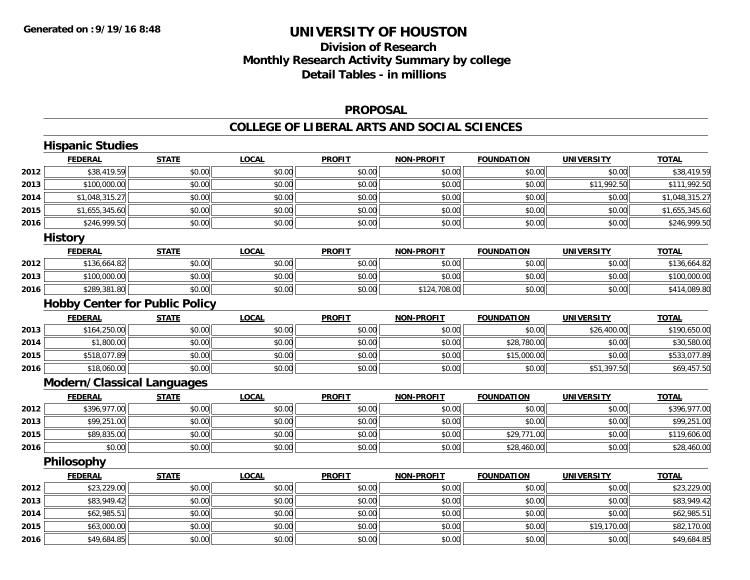# **Division of ResearchMonthly Research Activity Summary by college Detail Tables - in millions**

#### **PROPOSAL**

#### **COLLEGE OF LIBERAL ARTS AND SOCIAL SCIENCES**

|      | <b>Hispanic Studies</b>               |              |              |               |                   |                   |                   |                |
|------|---------------------------------------|--------------|--------------|---------------|-------------------|-------------------|-------------------|----------------|
|      | <b>FEDERAL</b>                        | <b>STATE</b> | <b>LOCAL</b> | <b>PROFIT</b> | <b>NON-PROFIT</b> | <b>FOUNDATION</b> | <b>UNIVERSITY</b> | <b>TOTAL</b>   |
| 2012 | \$38,419.59                           | \$0.00       | \$0.00       | \$0.00        | \$0.00            | \$0.00            | \$0.00            | \$38,419.59    |
| 2013 | \$100,000.00                          | \$0.00       | \$0.00       | \$0.00        | \$0.00            | \$0.00            | \$11,992.50       | \$111,992.50   |
| 2014 | \$1,048,315.27                        | \$0.00       | \$0.00       | \$0.00        | \$0.00            | \$0.00            | \$0.00            | \$1,048,315.27 |
| 2015 | \$1,655,345.60                        | \$0.00       | \$0.00       | \$0.00        | \$0.00            | \$0.00            | \$0.00            | \$1,655,345.60 |
| 2016 | \$246,999.50                          | \$0.00       | \$0.00       | \$0.00        | \$0.00            | \$0.00            | \$0.00            | \$246,999.50   |
|      | <b>History</b>                        |              |              |               |                   |                   |                   |                |
|      | <b>FEDERAL</b>                        | <b>STATE</b> | <b>LOCAL</b> | <b>PROFIT</b> | <b>NON-PROFIT</b> | <b>FOUNDATION</b> | <b>UNIVERSITY</b> | <b>TOTAL</b>   |
| 2012 | \$136,664.82                          | \$0.00       | \$0.00       | \$0.00        | \$0.00            | \$0.00            | \$0.00            | \$136,664.82   |
| 2013 | \$100,000.00                          | \$0.00       | \$0.00       | \$0.00        | \$0.00            | \$0.00            | \$0.00            | \$100,000.00   |
| 2016 | \$289,381.80                          | \$0.00       | \$0.00       | \$0.00        | \$124,708.00      | \$0.00            | \$0.00            | \$414,089.80   |
|      | <b>Hobby Center for Public Policy</b> |              |              |               |                   |                   |                   |                |
|      | <b>FEDERAL</b>                        | <b>STATE</b> | <b>LOCAL</b> | <b>PROFIT</b> | <b>NON-PROFIT</b> | <b>FOUNDATION</b> | <b>UNIVERSITY</b> | <b>TOTAL</b>   |
| 2013 | \$164,250.00                          | \$0.00       | \$0.00       | \$0.00        | \$0.00            | \$0.00            | \$26,400.00       | \$190,650.00   |
| 2014 | \$1,800.00                            | \$0.00       | \$0.00       | \$0.00        | \$0.00            | \$28,780.00       | \$0.00            | \$30,580.00    |
| 2015 | \$518,077.89                          | \$0.00       | \$0.00       | \$0.00        | \$0.00            | \$15,000.00       | \$0.00            | \$533,077.89   |
| 2016 | \$18,060.00                           | \$0.00       | \$0.00       | \$0.00        | \$0.00            | \$0.00            | \$51,397.50       | \$69,457.50    |
|      | <b>Modern/Classical Languages</b>     |              |              |               |                   |                   |                   |                |
|      | <b>FEDERAL</b>                        | <b>STATE</b> | <b>LOCAL</b> | <b>PROFIT</b> | <b>NON-PROFIT</b> | <b>FOUNDATION</b> | <b>UNIVERSITY</b> | <b>TOTAL</b>   |
| 2012 | \$396,977.00                          | \$0.00       | \$0.00       | \$0.00        | \$0.00            | \$0.00            | \$0.00            | \$396,977.00   |
| 2013 | \$99,251.00                           | \$0.00       | \$0.00       | \$0.00        | \$0.00            | \$0.00            | \$0.00            | \$99,251.00    |
| 2015 | \$89,835.00                           | \$0.00       | \$0.00       | \$0.00        | \$0.00            | \$29,771.00       | \$0.00            | \$119,606.00   |
| 2016 | \$0.00                                | \$0.00       | \$0.00       | \$0.00        | \$0.00            | \$28,460.00       | \$0.00            | \$28,460.00    |
|      | Philosophy                            |              |              |               |                   |                   |                   |                |
|      | <b>FEDERAL</b>                        | <b>STATE</b> | <b>LOCAL</b> | <b>PROFIT</b> | <b>NON-PROFIT</b> | <b>FOUNDATION</b> | <b>UNIVERSITY</b> | <b>TOTAL</b>   |
| 2012 | \$23,229.00                           | \$0.00       | \$0.00       | \$0.00        | \$0.00            | \$0.00            | \$0.00            | \$23,229.00    |
| 2013 | \$83,949.42                           | \$0.00       | \$0.00       | \$0.00        | \$0.00            | \$0.00            | \$0.00            | \$83,949.42    |
| 2014 | \$62,985.51                           | \$0.00       | \$0.00       | \$0.00        | \$0.00            | \$0.00            | \$0.00            | \$62,985.51    |
| 2015 | \$63,000.00                           | \$0.00       | \$0.00       | \$0.00        | \$0.00            | \$0.00            | \$19,170.00       | \$82,170.00    |
| 2016 | \$49,684.85                           | \$0.00       | \$0.00       | \$0.00        | \$0.00            | \$0.00            | \$0.00            | \$49,684.85    |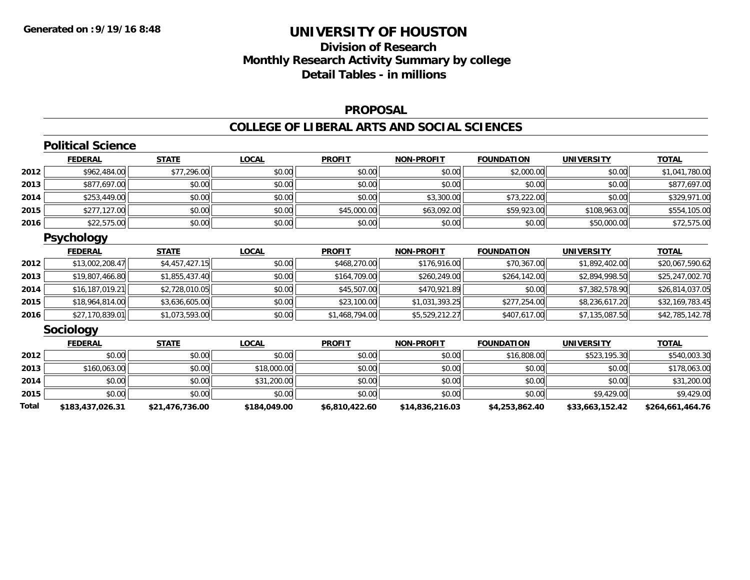# **Division of Research Monthly Research Activity Summary by college Detail Tables - in millions**

#### **PROPOSAL**

#### **COLLEGE OF LIBERAL ARTS AND SOCIAL SCIENCES**

|       | <b>Political Science</b> |                 |              |                |                   |                   |                   |                  |
|-------|--------------------------|-----------------|--------------|----------------|-------------------|-------------------|-------------------|------------------|
|       | <b>FEDERAL</b>           | <b>STATE</b>    | <b>LOCAL</b> | <b>PROFIT</b>  | <b>NON-PROFIT</b> | <b>FOUNDATION</b> | <b>UNIVERSITY</b> | <b>TOTAL</b>     |
| 2012  | \$962,484.00             | \$77,296.00     | \$0.00       | \$0.00         | \$0.00            | \$2,000.00        | \$0.00            | \$1,041,780.00   |
| 2013  | \$877,697.00             | \$0.00          | \$0.00       | \$0.00         | \$0.00            | \$0.00            | \$0.00            | \$877,697.00     |
| 2014  | \$253,449.00             | \$0.00          | \$0.00       | \$0.00         | \$3,300.00        | \$73,222.00       | \$0.00            | \$329,971.00     |
| 2015  | \$277,127.00             | \$0.00          | \$0.00       | \$45,000.00    | \$63,092.00       | \$59,923.00       | \$108,963.00      | \$554,105.00     |
| 2016  | \$22,575.00              | \$0.00          | \$0.00       | \$0.00         | \$0.00            | \$0.00            | \$50,000.00       | \$72,575.00      |
|       | <b>Psychology</b>        |                 |              |                |                   |                   |                   |                  |
|       | <b>FEDERAL</b>           | <b>STATE</b>    | <b>LOCAL</b> | <b>PROFIT</b>  | <b>NON-PROFIT</b> | <b>FOUNDATION</b> | <b>UNIVERSITY</b> | <b>TOTAL</b>     |
| 2012  | \$13,002,208.47          | \$4,457,427.15  | \$0.00       | \$468,270.00   | \$176,916.00      | \$70,367.00       | \$1,892,402.00    | \$20,067,590.62  |
| 2013  | \$19,807,466.80          | \$1,855,437.40  | \$0.00       | \$164,709.00   | \$260,249.00      | \$264,142.00      | \$2,894,998.50    | \$25,247,002.70  |
| 2014  | \$16,187,019.21          | \$2,728,010.05  | \$0.00       | \$45,507.00    | \$470,921.89      | \$0.00            | \$7,382,578.90    | \$26,814,037.05  |
| 2015  | \$18,964,814.00          | \$3,636,605.00  | \$0.00       | \$23,100.00    | \$1,031,393.25    | \$277,254.00      | \$8,236,617.20    | \$32,169,783.45  |
| 2016  | \$27,170,839.01          | \$1,073,593.00  | \$0.00       | \$1,468,794.00 | \$5,529,212.27    | \$407,617.00      | \$7,135,087.50    | \$42,785,142.78  |
|       | <b>Sociology</b>         |                 |              |                |                   |                   |                   |                  |
|       | <b>FEDERAL</b>           | <b>STATE</b>    | <b>LOCAL</b> | <b>PROFIT</b>  | <b>NON-PROFIT</b> | <b>FOUNDATION</b> | <b>UNIVERSITY</b> | <b>TOTAL</b>     |
| 2012  | \$0.00                   | \$0.00          | \$0.00       | \$0.00         | \$0.00            | \$16,808.00       | \$523,195.30      | \$540,003.30     |
| 2013  | \$160,063.00             | \$0.00          | \$18,000.00  | \$0.00         | \$0.00            | \$0.00            | \$0.00            | \$178,063.00     |
| 2014  | \$0.00                   | \$0.00          | \$31,200.00  | \$0.00         | \$0.00            | \$0.00            | \$0.00            | \$31,200.00      |
| 2015  | \$0.00                   | \$0.00          | \$0.00       | \$0.00         | \$0.00            | \$0.00            | \$9,429.00        | \$9,429.00       |
| Total | \$183,437,026.31         | \$21,476,736.00 | \$184,049.00 | \$6,810,422.60 | \$14,836,216.03   | \$4,253,862.40    | \$33,663,152.42   | \$264,661,464.76 |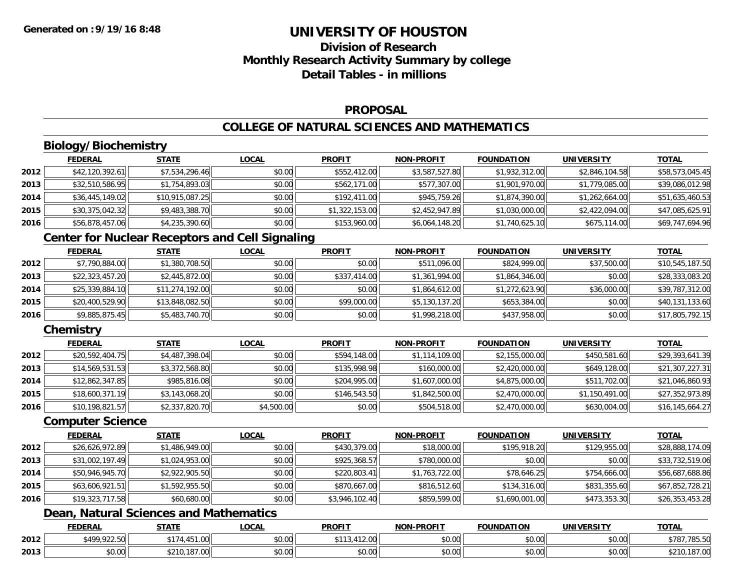# **Division of ResearchMonthly Research Activity Summary by college Detail Tables - in millions**

#### **PROPOSAL**

### **COLLEGE OF NATURAL SCIENCES AND MATHEMATICS**

# **Biology/Biochemistry**

|      | <b>FEDERAL</b>  | <u>STATE</u>    | <u>LOCAL</u> | <b>PROFIT</b>  | <b>NON-PROFIT</b> | <b>FOUNDATION</b> | <b>UNIVERSITY</b> | <b>TOTAL</b>    |
|------|-----------------|-----------------|--------------|----------------|-------------------|-------------------|-------------------|-----------------|
| 2012 | \$42,120,392.61 | \$7,534,296.46  | \$0.00       | \$552,412.00   | \$3,587,527.80    | \$1,932,312.00    | \$2,846,104.58    | \$58,573,045.45 |
| 2013 | \$32,510,586.95 | \$1,754,893.03  | \$0.00       | \$562,171,00   | \$577,307.00      | \$1,901,970.00    | \$1,779,085.00    | \$39,086,012.98 |
| 2014 | \$36,445,149.02 | \$10,915,087.25 | \$0.00       | \$192,411.00   | \$945,759.26      | \$1,874,390.00    | \$1,262,664.00    | \$51,635,460.53 |
| 2015 | \$30,375,042.32 | \$9,483,388.70  | \$0.00       | \$1,322,153.00 | \$2,452,947.89    | \$1,030,000.00    | \$2,422,094.00    | \$47,085,625.91 |
| 2016 | \$56,878,457.06 | \$4,235,390.60  | \$0.00       | \$153,960.00   | \$6,064,148.20    | \$1,740,625.10    | \$675,114.00      | \$69,747,694.96 |

### **Center for Nuclear Receptors and Cell Signaling**

|      | <b>FEDERAL</b>  | <b>STATE</b>    | <b>LOCAL</b> | <b>PROFIT</b> | <b>NON-PROFIT</b> | <b>FOUNDATION</b> | <b>UNIVERSITY</b> | <b>TOTAL</b>    |
|------|-----------------|-----------------|--------------|---------------|-------------------|-------------------|-------------------|-----------------|
| 2012 | \$7,790,884.00  | \$1,380,708.50  | \$0.00       | \$0.00        | \$511,096.00      | \$824,999.00      | \$37,500.00       | \$10,545,187.50 |
| 2013 | \$22,323,457.20 | \$2,445,872.00  | \$0.00       | \$337,414.00  | \$1,361,994.00    | \$1,864,346.00    | \$0.00            | \$28,333,083.20 |
| 2014 | \$25,339,884.10 | \$11,274,192.00 | \$0.00       | \$0.00        | \$1,864,612.00    | \$1,272,623.90    | \$36,000.00       | \$39,787,312.00 |
| 2015 | \$20,400,529.90 | \$13,848,082.50 | \$0.00       | \$99,000.00   | \$5,130,137.20    | \$653,384.00      | \$0.00            | \$40,131,133.60 |
| 2016 | \$9,885,875.45  | \$5,483,740.70  | \$0.00       | \$0.00        | \$1,998,218.00    | \$437,958.00      | \$0.00            | \$17,805,792.15 |

### **Chemistry**

|      | <b>FEDERAL</b>  | <b>STATE</b>   | <b>LOCAL</b> | <b>PROFIT</b> | <b>NON-PROFIT</b> | <b>FOUNDATION</b> | UNIVERSITY     | <b>TOTAL</b>    |
|------|-----------------|----------------|--------------|---------------|-------------------|-------------------|----------------|-----------------|
| 2012 | \$20,592,404.75 | \$4,487,398.04 | \$0.00       | \$594,148.00  | \$1,114,109.00    | \$2,155,000.00    | \$450,581.60   | \$29,393,641.39 |
| 2013 | \$14,569,531.53 | \$3,372,568.80 | \$0.00       | \$135,998.98  | \$160,000.00      | \$2,420,000.00    | \$649,128.00   | \$21,307,227.31 |
| 2014 | \$12,862,347.85 | \$985,816.08   | \$0.00       | \$204,995.00  | \$1,607,000.00    | \$4,875,000.00    | \$511,702.00   | \$21,046,860.93 |
| 2015 | \$18,600,371.19 | \$3,143,068.20 | \$0.00       | \$146,543.50  | \$1,842,500.00    | \$2,470,000.00    | \$1,150,491.00 | \$27,352,973.89 |
| 2016 | \$10,198,821.57 | \$2,337,820.70 | \$4,500.00   | \$0.00        | \$504,518.00      | \$2,470,000.00    | \$630,004.00   | \$16,145,664.27 |

#### **Computer Science**

|      | <b>FEDERAL</b>  | <u>STATE</u>   | <b>LOCAL</b> | <b>PROFIT</b>  | <b>NON-PROFIT</b> | <b>FOUNDATION</b> | <b>UNIVERSITY</b> | <b>TOTAL</b>    |
|------|-----------------|----------------|--------------|----------------|-------------------|-------------------|-------------------|-----------------|
| 2012 | \$26,626,972.89 | \$1,486,949.00 | \$0.00       | \$430,379.00   | \$18,000.00       | \$195,918.20      | \$129,955.00      | \$28,888,174.09 |
| 2013 | \$31,002,197.49 | \$1,024,953.00 | \$0.00       | \$925,368.57   | \$780,000.00      | \$0.00            | \$0.00            | \$33,732,519.06 |
| 2014 | \$50,946,945.70 | \$2,922,905.50 | \$0.00       | \$220,803.41   | \$1,763,722.00    | \$78,646.25       | \$754,666.00      | \$56,687,688.86 |
| 2015 | \$63,606,921.51 | \$1,592,955.50 | \$0.00       | \$870,667.00   | \$816,512.60      | \$134,316.00      | \$831,355.60      | \$67,852,728.21 |
| 2016 | \$19,323,717.58 | \$60,680.00    | \$0.00       | \$3,946,102.40 | \$859,599.00      | \$1,690,001.00    | \$473,353.30      | \$26,353,453.28 |

### **Dean, Natural Sciences and Mathematics**

|      | <b>FEDERAL</b> | <b>STATE</b>                   | _OCAL              | <b>PROFIT</b>  | <b>L-PROFIT</b><br><b>AION'</b> | FOUNDATION | <b>UNIVERSITY</b> | <b>TOTAI</b>                            |
|------|----------------|--------------------------------|--------------------|----------------|---------------------------------|------------|-------------------|-----------------------------------------|
| 2012 | \$499,922.50   | $\sim$                         | $\sim$ 00<br>,,,,, | ***<br>11000   | 0000<br>PU.UU                   | \$0.00     | 0.00<br>\$0.00    | \$78<br>705.52<br>, 765.50              |
| 2013 | 0000<br>DU.UU  | 107.00<br>. 107. VOL<br>24 I V | 0.00<br>JU.UU      | ሐሴ ሰሰ<br>JU.UU | 0000<br>PO.OO                   | \$0.00     | 0.00<br>\$0.00    | 107.00<br>*^ <i>**</i><br>DZ IU. 187.UU |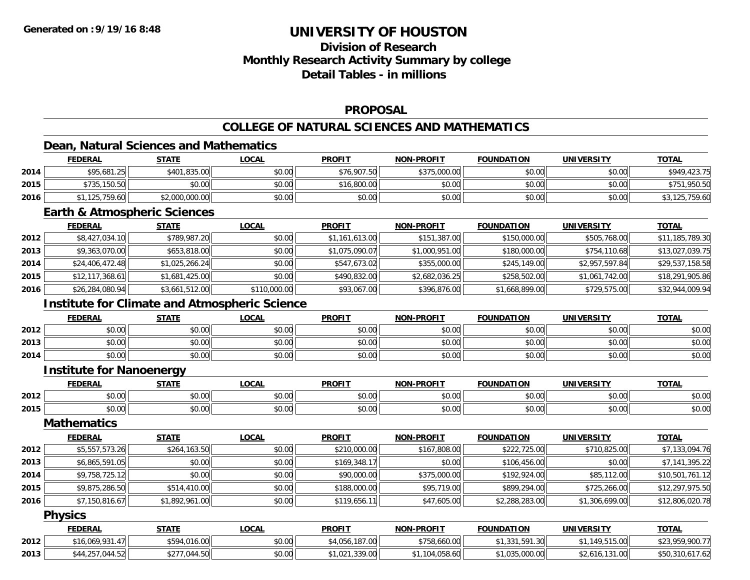## **Division of ResearchMonthly Research Activity Summary by college Detail Tables - in millions**

#### **PROPOSAL**

### **COLLEGE OF NATURAL SCIENCES AND MATHEMATICS**

## **Dean, Natural Sciences and Mathematics**

|      | <u>FEDERAL</u> | <u>STATE</u>   | <u>_OCAL</u> | <b>PROFIT</b> | <b>NON-PROFIT</b> | <b>FOUNDATION</b> | <b>UNIVERSITY</b> | <b>TOTAL</b>   |
|------|----------------|----------------|--------------|---------------|-------------------|-------------------|-------------------|----------------|
| 2014 | \$95,681.25    | \$401,835.00   | \$0.00       | \$76,907.50   | \$375,000.00      | \$0.00            | \$0.00            | \$949,423.75   |
| 2015 | \$735,150.50   | \$0.00         | \$0.00       | \$16,800.00   | \$0.00            | \$0.00            | \$0.00            | \$751,950.50   |
| 2016 | 125,759.60     | \$2,000,000.00 | \$0.00       | \$0.00        | \$0.00            | \$0.00            | \$0.00            | \$3,125,759.60 |

#### **Earth & Atmospheric Sciences**

|      | <b>FEDERAL</b>  | <b>STATE</b>   | <b>LOCAL</b> | <b>PROFIT</b>  | <b>NON-PROFIT</b> | <b>FOUNDATION</b> | <b>UNIVERSITY</b> | <u>TOTAL</u>    |
|------|-----------------|----------------|--------------|----------------|-------------------|-------------------|-------------------|-----------------|
| 2012 | \$8,427,034.10  | \$789,987.20   | \$0.00       | \$1,161,613.00 | \$151,387.00      | \$150,000.00      | \$505,768.00      | \$11,185,789.30 |
| 2013 | \$9,363,070.00  | \$653,818.00   | \$0.00       | \$1,075,090.07 | \$1,000,951.00    | \$180,000.00      | \$754,110.68      | \$13,027,039.75 |
| 2014 | \$24,406,472.48 | \$1,025,266.24 | \$0.00       | \$547,673.02   | \$355,000.00      | \$245,149.00      | \$2,957,597.84    | \$29,537,158.58 |
| 2015 | \$12,117,368.61 | \$1,681,425.00 | \$0.00       | \$490,832.00   | \$2,682,036.25    | \$258,502.00      | \$1,061,742.00    | \$18,291,905.86 |
| 2016 | \$26,284,080.94 | \$3,661,512.00 | \$110,000.00 | \$93,067.00    | \$396,876.00      | \$1,668,899.00    | \$729,575.00      | \$32,944,009.94 |

### **Institute for Climate and Atmospheric Science**

|      | <b>FEDERAL</b> | <b>STATE</b> | LOCAL  | <b>PROFIT</b> | <b>NON-PROFIT</b> | <b>FOUNDATION</b> | UNIVERSITY | <b>TOTAL</b> |
|------|----------------|--------------|--------|---------------|-------------------|-------------------|------------|--------------|
| 2012 | \$0.00         | \$0.00       | \$0.00 | \$0.00        | \$0.00            | \$0.00            | \$0.00     | \$0.00       |
| 2013 | \$0.00         | \$0.00       | \$0.00 | \$0.00        | \$0.00            | \$0.00            | \$0.00     | \$0.00       |
| 2014 | \$0.00         | \$0.00       | \$0.00 | \$0.00        | \$0.00            | \$0.00            | \$0.00     | \$0.00       |

### **Institute for Nanoenergy**

|      |           | -----                                                                          | 001                                          | <b>DDAEIT</b>                                   | <b>DDOFIT</b><br><b>NIONI</b>                                                                                                                                                                                                                                                                                                                                                                                                                                       | .              | $I = R$<br><b>INII</b> | $-0.7$                 |
|------|-----------|--------------------------------------------------------------------------------|----------------------------------------------|-------------------------------------------------|---------------------------------------------------------------------------------------------------------------------------------------------------------------------------------------------------------------------------------------------------------------------------------------------------------------------------------------------------------------------------------------------------------------------------------------------------------------------|----------------|------------------------|------------------------|
| 2012 | .<br>ט. ט | $\begin{array}{c} \hline \text{A} & \text{A} & \text{A} \\ \hline \end{array}$ | $\mathsf{A} \cap \mathsf{A} \cap \mathsf{A}$ |                                                 | $\mathsf{A}\cap\mathsf{A}\cap\mathsf{A}\cap\mathsf{A}\cap\mathsf{A}\cap\mathsf{A}\cap\mathsf{A}\cap\mathsf{A}\cap\mathsf{A}\cap\mathsf{A}\cap\mathsf{A}\cap\mathsf{A}\cap\mathsf{A}\cap\mathsf{A}\cap\mathsf{A}\cap\mathsf{A}\cap\mathsf{A}\cap\mathsf{A}\cap\mathsf{A}\cap\mathsf{A}\cap\mathsf{A}\cap\mathsf{A}\cap\mathsf{A}\cap\mathsf{A}\cap\mathsf{A}\cap\mathsf{A}\cap\mathsf{A}\cap\mathsf{A}\cap\mathsf{A}\cap\mathsf{A}\cap\mathsf{A}\cap\mathsf$<br>ט.טי | $\overline{a}$ | امہ مہ                 | $\sim$ $\sim$<br>,u.uv |
| 2015 | vv.vv     | $\sim$ $\sim$<br>vv.vv                                                         | $\sim$<br>vu.vu                              | $\mathsf{v} \mathsf{v} \mathsf{v} \mathsf{v}$ . | $\cdots$<br>vv.vv                                                                                                                                                                                                                                                                                                                                                                                                                                                   | .<br>pv.uu     | $\sim$ 00<br>PU.UU     | $\sim$ $\sim$<br>PU.UU |

#### **Mathematics**

|      | <b>FEDERAL</b> | <b>STATE</b>   | <u>LOCAL</u> | <b>PROFIT</b> | <b>NON-PROFIT</b> | <b>FOUNDATION</b> | UNIVERSITY     | <u>TOTAL</u>    |
|------|----------------|----------------|--------------|---------------|-------------------|-------------------|----------------|-----------------|
| 2012 | \$5,557,573.26 | \$264,163.50   | \$0.00       | \$210,000.00  | \$167,808.00      | \$222,725.00      | \$710,825,00   | \$7,133,094.76  |
| 2013 | \$6,865,591.05 | \$0.00         | \$0.00       | \$169,348.17  | \$0.00            | \$106,456.00      | \$0.00         | \$7,141,395.22  |
| 2014 | \$9,758,725.12 | \$0.00         | \$0.00       | \$90,000.00   | \$375,000.00      | \$192,924.00      | \$85,112.00    | \$10,501,761.12 |
| 2015 | \$9,875,286.50 | \$514,410.00   | \$0.00       | \$188,000.00  | \$95,719.00       | \$899,294.00      | \$725,266.00   | \$12,297,975.50 |
| 2016 | \$7,150,816.67 | \$1,892,961.00 | \$0.00       | \$119,656.11  | \$47,605.00       | \$2,288,283.00    | \$1,306,699.00 | \$12,806,020.78 |

#### **Physics**

|      | <b>FEDERAL</b>      | STATE                      | LOCAL  | <b>PROFIT</b>               | <b>NON-PROFIT</b>                  | <b>FOUNDATION</b>     | <b>UNIVERSITY</b>            | <b>TOTAL</b>    |
|------|---------------------|----------------------------|--------|-----------------------------|------------------------------------|-----------------------|------------------------------|-----------------|
| 2012 | .069.931<br>16      | 16.00<br>$\bigcap$<br>5501 | \$0.00 | 107.00<br>.187.00<br>.ocu.+ | <b>¢750</b><br>.660.00<br>,758.660 | 331 591<br>.30        | 149.515.00                   | \$23.959.900.77 |
| 2013 | $\sim$<br>$\bigcap$ | .044.50<br>4.5U<br>921     | \$0.00 | .339.00                     | 104.058.60                         | 025 000 00<br>,uuu.uu | $\sim$<br>.616<br>ıэ<br>1.UU | \$50,310,617.62 |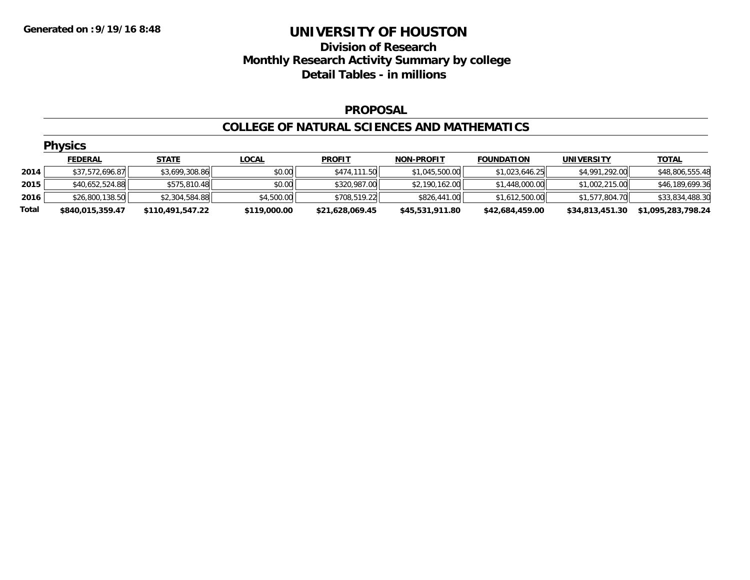# **Division of Research Monthly Research Activity Summary by college Detail Tables - in millions**

#### **PROPOSAL**

#### **COLLEGE OF NATURAL SCIENCES AND MATHEMATICS**

|       | <b>Physics</b>   |                  |              |                 |                   |                   |                 |                    |  |  |  |
|-------|------------------|------------------|--------------|-----------------|-------------------|-------------------|-----------------|--------------------|--|--|--|
|       | <b>FEDERAL</b>   | <b>STATE</b>     | <b>LOCAL</b> | <b>PROFIT</b>   | <b>NON-PROFIT</b> | <b>FOUNDATION</b> | UNIVERSITY      | <b>TOTAL</b>       |  |  |  |
| 2014  | \$37,572,696.87  | \$3,699,308.86   | \$0.00       | \$474,111.50    | \$1,045,500.00    | \$1,023,646.25    | \$4,991,292.00  | \$48,806,555.48    |  |  |  |
| 2015  | \$40,652,524.88  | \$575,810.48     | \$0.00       | \$320,987.00    | \$2,190,162.00    | \$1,448,000.00    | \$1,002,215.00  | \$46,189,699.36    |  |  |  |
| 2016  | \$26,800,138.50  | \$2,304,584.88   | \$4,500.00   | \$708,519.22    | \$826,441.00      | \$1,612,500.00    | \$1,577,804.70  | \$33,834,488.30    |  |  |  |
| Total | \$840,015,359.47 | \$110,491,547.22 | \$119,000.00 | \$21,628,069.45 | \$45,531,911.80   | \$42,684,459.00   | \$34,813,451.30 | \$1,095,283,798.24 |  |  |  |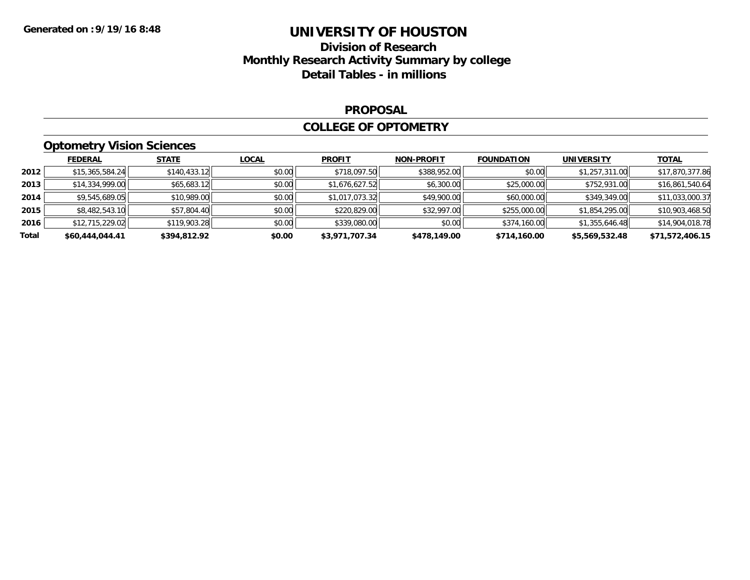# **Division of Research Monthly Research Activity Summary by college Detail Tables - in millions**

#### **PROPOSAL**

#### **COLLEGE OF OPTOMETRY**

## **Optometry Vision Sciences**

|       | <b>FEDERAL</b>  | <b>STATE</b> | <b>LOCAL</b> | <b>PROFIT</b>  | <b>NON-PROFIT</b> | <b>FOUNDATION</b> | <b>UNIVERSITY</b> | <u>TOTAL</u>    |
|-------|-----------------|--------------|--------------|----------------|-------------------|-------------------|-------------------|-----------------|
| 2012  | \$15,365,584.24 | \$140,433.12 | \$0.00       | \$718,097.50   | \$388,952.00      | \$0.00            | \$1,257,311.00    | \$17,870,377.86 |
| 2013  | \$14,334,999.00 | \$65,683.12  | \$0.00       | \$1,676,627.52 | \$6,300.00        | \$25,000.00       | \$752,931.00      | \$16,861,540.64 |
| 2014  | \$9,545,689.05  | \$10,989.00  | \$0.00       | \$1,017,073.32 | \$49,900.00       | \$60,000.00       | \$349,349.00      | \$11,033,000.37 |
| 2015  | \$8,482,543.10  | \$57,804.40  | \$0.00       | \$220,829.00   | \$32,997.00       | \$255,000.00      | \$1,854,295.00    | \$10,903,468.50 |
| 2016  | \$12,715,229.02 | \$119,903.28 | \$0.00       | \$339,080.00   | \$0.00            | \$374,160.00      | \$1,355,646.48    | \$14,904,018.78 |
| Total | \$60,444,044.41 | \$394,812.92 | \$0.00       | \$3,971,707.34 | \$478,149.00      | \$714,160.00      | \$5,569,532.48    | \$71,572,406.15 |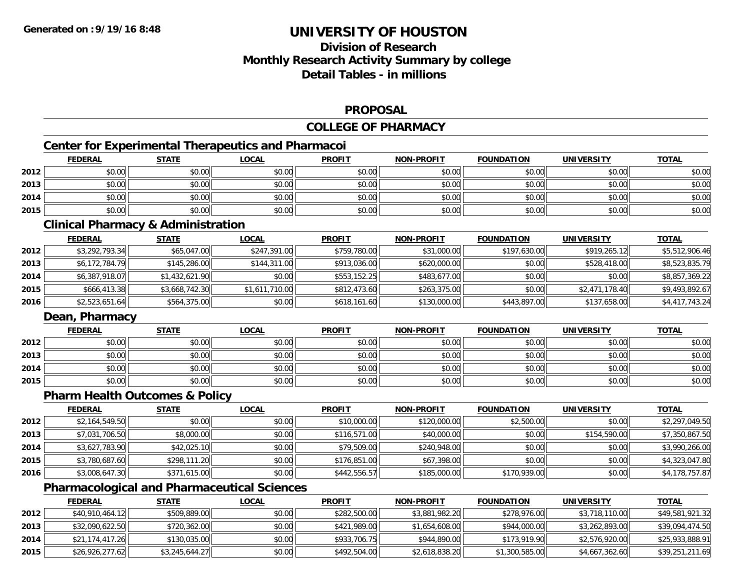# **Division of ResearchMonthly Research Activity Summary by college Detail Tables - in millions**

#### **PROPOSAL**

#### **COLLEGE OF PHARMACY**

## **Center for Experimental Therapeutics and Pharmacoi**

|      | <b>FEDERAL</b> | <b>STATE</b> | <u>LOCAL</u> | <b>PROFIT</b> | <b>NON-PROFIT</b> | <b>FOUNDATION</b> | <b>UNIVERSITY</b> | <b>TOTAL</b> |
|------|----------------|--------------|--------------|---------------|-------------------|-------------------|-------------------|--------------|
| 2012 | \$0.00         | \$0.00       | \$0.00       | \$0.00        | \$0.00            | \$0.00            | \$0.00            | \$0.00       |
| 2013 | \$0.00         | \$0.00       | \$0.00       | \$0.00        | \$0.00            | \$0.00            | \$0.00            | \$0.00       |
| 2014 | \$0.00         | \$0.00       | \$0.00       | \$0.00        | \$0.00            | \$0.00            | \$0.00            | \$0.00       |
| 2015 | \$0.00         | \$0.00       | \$0.00       | \$0.00        | \$0.00            | \$0.00            | \$0.00            | \$0.00       |

#### **Clinical Pharmacy & Administration**

|      | <b>FEDERAL</b> | <b>STATE</b>   | <u>LOCAL</u>   | <b>PROFIT</b> | <b>NON-PROFIT</b> | <b>FOUNDATION</b> | <b>UNIVERSITY</b> | <u>TOTAL</u>   |
|------|----------------|----------------|----------------|---------------|-------------------|-------------------|-------------------|----------------|
| 2012 | \$3,292,793.34 | \$65,047.00    | \$247,391.00   | \$759,780.00  | \$31,000.00       | \$197,630.00      | \$919,265.12      | \$5,512,906.46 |
| 2013 | \$6,172,784.79 | \$145,286.00   | \$144,311,00   | \$913,036.00  | \$620,000.00      | \$0.00            | \$528,418,00      | \$8,523,835.79 |
| 2014 | \$6,387,918.07 | \$1,432,621.90 | \$0.00         | \$553,152.25  | \$483,677,00      | \$0.00            | \$0.00            | \$8,857,369.22 |
| 2015 | \$666,413.38   | \$3,668,742.30 | \$1,611,710.00 | \$812,473.60  | \$263,375,00      | \$0.00            | \$2,471,178,40    | \$9,493,892.67 |
| 2016 | \$2,523,651.64 | \$564,375.00   | \$0.00         | \$618,161.60  | \$130,000.00      | \$443,897.00      | \$137,658.00      | \$4,417,743.24 |

### **Dean, Pharmacy**

|      | <b>FEDERAL</b> | <b>STATE</b> | <u>LOCAL</u> | <b>PROFIT</b> | <b>NON-PROFIT</b> | <b>FOUNDATION</b> | <b>UNIVERSITY</b> | <b>TOTAL</b> |
|------|----------------|--------------|--------------|---------------|-------------------|-------------------|-------------------|--------------|
| 2012 | \$0.00         | \$0.00       | \$0.00       | \$0.00        | \$0.00            | \$0.00            | \$0.00            | \$0.00       |
| 2013 | \$0.00         | \$0.00       | \$0.00       | \$0.00        | \$0.00            | \$0.00            | \$0.00            | \$0.00       |
| 2014 | \$0.00         | \$0.00       | \$0.00       | \$0.00        | \$0.00            | \$0.00            | \$0.00            | \$0.00       |
| 2015 | \$0.00         | \$0.00       | \$0.00       | \$0.00        | \$0.00            | \$0.00            | \$0.00            | \$0.00       |

#### **Pharm Health Outcomes & Policy**

|      | <u>FEDERAL</u> | <b>STATE</b> | <b>LOCAL</b> | <b>PROFIT</b> | <b>NON-PROFIT</b> | <b>FOUNDATION</b> | <b>UNIVERSITY</b> | <u>TOTAL</u>   |
|------|----------------|--------------|--------------|---------------|-------------------|-------------------|-------------------|----------------|
| 2012 | \$2,164,549.50 | \$0.00       | \$0.00       | \$10,000.00   | \$120,000.00      | \$2,500.00        | \$0.00            | \$2,297,049.50 |
| 2013 | \$7,031,706.50 | \$8,000.00   | \$0.00       | \$116,571,00  | \$40,000.00       | \$0.00            | \$154,590.00      | \$7,350,867.50 |
| 2014 | \$3,627,783.90 | \$42,025.10  | \$0.00       | \$79,509.00   | \$240,948.00      | \$0.00            | \$0.00            | \$3,990,266.00 |
| 2015 | \$3,780,687.60 | \$298,111.20 | \$0.00       | \$176,851.00  | \$67,398.00       | \$0.00            | \$0.00            | \$4,323,047.80 |
| 2016 | \$3,008,647.30 | \$371,615.00 | \$0.00       | \$442,556.57  | \$185,000.00      | \$170,939.00      | \$0.00            | \$4,178,757.87 |

### **Pharmacological and Pharmaceutical Sciences**

|      | <b>FEDERAL</b>  | <b>STATE</b>   | <u>LOCAL</u> | <b>PROFIT</b> | <b>NON-PROFIT</b> | <b>FOUNDATION</b> | UNIVERSITY     | <b>TOTAL</b>    |
|------|-----------------|----------------|--------------|---------------|-------------------|-------------------|----------------|-----------------|
| 2012 | \$40,910,464.12 | \$509,889.00   | \$0.00       | \$282,500.00  | \$3,881,982.20    | \$278,976.00      | \$3,718,110.00 | \$49,581,921.32 |
| 2013 | \$32,090,622.50 | \$720,362.00   | \$0.00       | \$421,989.00  | \$1,654,608.00    | \$944,000.00      | \$3,262,893.00 | \$39,094,474.50 |
| 2014 | \$21,174,417.26 | \$130,035.00   | \$0.00       | \$933,706.75  | \$944,890.00      | \$173,919.90      | \$2,576,920.00 | \$25,933,888.91 |
| 2015 | \$26,926,277.62 | \$3,245,644.27 | \$0.00       | \$492,504.00  | \$2,618,838.20    | \$1,300,585.00    | \$4,667,362.60 | \$39,251,211.69 |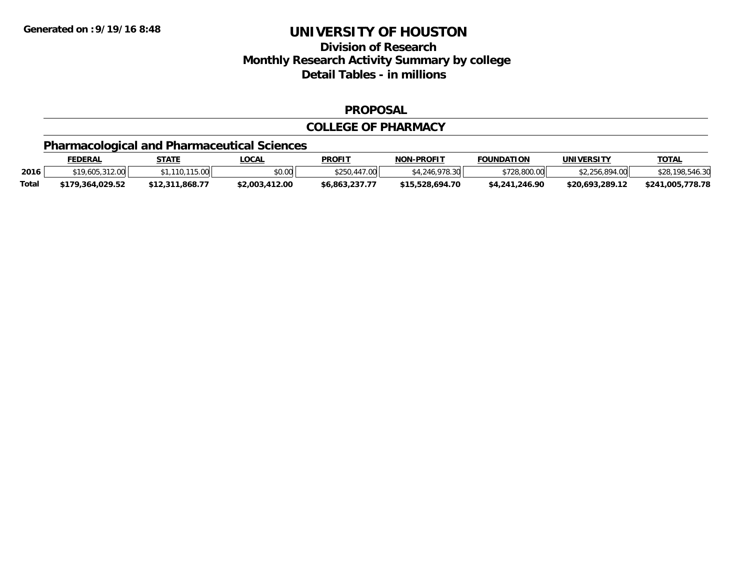## **Division of Research Monthly Research Activity Summary by college Detail Tables - in millions**

#### **PROPOSAL**

#### **COLLEGE OF PHARMACY**

## **Pharmacological and Pharmaceutical Sciences**

|              | <b>FEDERAL</b>   | STATE           | LOCAL          | <b>PROFI</b>   | <b>NON-PROFIT</b> | <b>FOUNDATION</b> | UNIVERSITY      | <u>TOTAL</u>     |
|--------------|------------------|-----------------|----------------|----------------|-------------------|-------------------|-----------------|------------------|
| 2016         | \$19,605,312.00  | 110,115,00      | \$0.00         | \$250,447.00   | \$4,246,978.30    | \$728,800.00      | \$2,256,894.00  | \$28,198,546.30  |
| <b>Total</b> | \$179.364.029.52 | \$12,311,868.77 | \$2,003,412.00 | \$6.863.237.77 | \$15.528.694.70   | \$4,241,246.90    | \$20.693.289.12 | \$241,005,778.78 |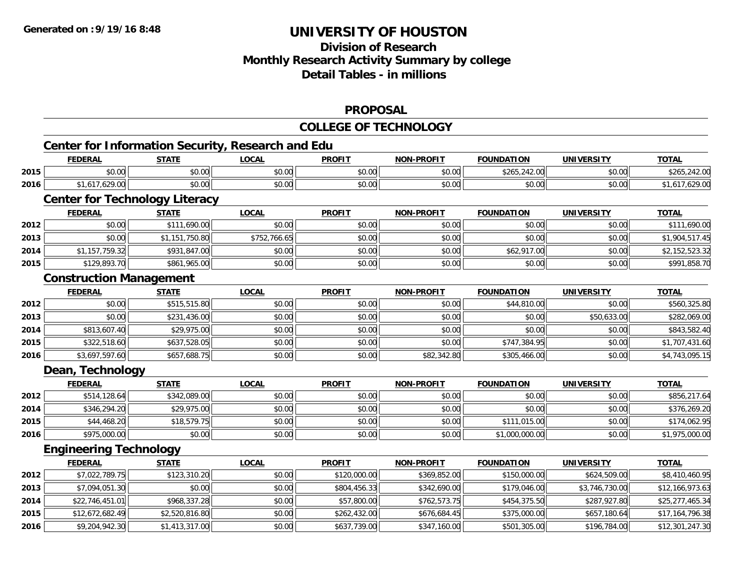# **Division of Research Monthly Research Activity Summary by college Detail Tables - in millions**

#### **PROPOSAL**

#### **COLLEGE OF TECHNOLOGY**

|      | <b>Center for Information Security, Research and Edu</b><br><b>FEDERAL</b> | <b>STATE</b>   | <b>LOCAL</b> | <b>PROFIT</b> | <b>NON-PROFIT</b> | <b>FOUNDATION</b> | <b>UNIVERSITY</b> | <b>TOTAL</b>    |
|------|----------------------------------------------------------------------------|----------------|--------------|---------------|-------------------|-------------------|-------------------|-----------------|
| 2015 | \$0.00                                                                     | \$0.00         | \$0.00       | \$0.00        | \$0.00            | \$265,242.00      | \$0.00            | \$265,242.00    |
| 2016 | \$1,617,629.00                                                             | \$0.00         | \$0.00       | \$0.00        | \$0.00            | \$0.00            | \$0.00            | \$1,617,629.00  |
|      | <b>Center for Technology Literacy</b>                                      |                |              |               |                   |                   |                   |                 |
|      | <b>FEDERAL</b>                                                             | <b>STATE</b>   | <b>LOCAL</b> | <b>PROFIT</b> | <b>NON-PROFIT</b> | <b>FOUNDATION</b> | <b>UNIVERSITY</b> | <b>TOTAL</b>    |
| 2012 | \$0.00                                                                     | \$111,690.00   | \$0.00       | \$0.00        | \$0.00            | \$0.00            | \$0.00            | \$111,690.00    |
| 2013 | \$0.00                                                                     | \$1,151,750.80 | \$752,766.65 | \$0.00        | \$0.00            | \$0.00            | \$0.00            | \$1,904,517.45  |
| 2014 | \$1,157,759.32                                                             | \$931,847.00   | \$0.00       | \$0.00        | \$0.00            | \$62,917.00       | \$0.00            | \$2,152,523.32  |
| 2015 | \$129,893.70                                                               | \$861,965.00   | \$0.00       | \$0.00        | \$0.00            | \$0.00            | \$0.00            | \$991,858.70    |
|      | <b>Construction Management</b>                                             |                |              |               |                   |                   |                   |                 |
|      | <b>FEDERAL</b>                                                             | <b>STATE</b>   | <b>LOCAL</b> | <b>PROFIT</b> | <b>NON-PROFIT</b> | <b>FOUNDATION</b> | <b>UNIVERSITY</b> | <b>TOTAL</b>    |
| 2012 | \$0.00                                                                     | \$515,515.80   | \$0.00       | \$0.00        | \$0.00            | \$44,810.00       | \$0.00            | \$560,325.80    |
| 2013 | \$0.00                                                                     | \$231,436.00   | \$0.00       | \$0.00        | \$0.00            | \$0.00            | \$50,633.00       | \$282,069.00    |
| 2014 | \$813,607.40                                                               | \$29,975.00    | \$0.00       | \$0.00        | \$0.00            | \$0.00            | \$0.00            | \$843,582.40    |
| 2015 | \$322,518.60                                                               | \$637,528.05   | \$0.00       | \$0.00        | \$0.00            | \$747,384.95      | \$0.00            | \$1,707,431.60  |
| 2016 | \$3,697,597.60                                                             | \$657,688.75   | \$0.00       | \$0.00        | \$82,342.80       | \$305,466.00      | \$0.00            | \$4,743,095.15  |
|      | Dean, Technology                                                           |                |              |               |                   |                   |                   |                 |
|      | <b>FEDERAL</b>                                                             | <b>STATE</b>   | <b>LOCAL</b> | <b>PROFIT</b> | <b>NON-PROFIT</b> | <b>FOUNDATION</b> | <b>UNIVERSITY</b> | <b>TOTAL</b>    |
| 2012 | \$514,128.64                                                               | \$342,089.00   | \$0.00       | \$0.00        | \$0.00            | \$0.00            | \$0.00            | \$856,217.64    |
| 2014 | \$346,294.20                                                               | \$29,975.00    | \$0.00       | \$0.00        | \$0.00            | \$0.00            | \$0.00            | \$376,269.20    |
| 2015 | \$44,468.20                                                                | \$18,579.75    | \$0.00       | \$0.00        | \$0.00            | \$111,015.00      | \$0.00            | \$174,062.95    |
| 2016 | \$975,000.00                                                               | \$0.00         | \$0.00       | \$0.00        | \$0.00            | \$1,000,000.00    | \$0.00            | \$1,975,000.00  |
|      | <b>Engineering Technology</b>                                              |                |              |               |                   |                   |                   |                 |
|      | <b>FEDERAL</b>                                                             | <b>STATE</b>   | <b>LOCAL</b> | <b>PROFIT</b> | <b>NON-PROFIT</b> | <b>FOUNDATION</b> | <b>UNIVERSITY</b> | <b>TOTAL</b>    |
| 2012 | \$7,022,789.75                                                             | \$123,310.20   | \$0.00       | \$120,000.00  | \$369,852.00      | \$150,000.00      | \$624,509.00      | \$8,410,460.95  |
| 2013 | \$7,094,051.30                                                             | \$0.00         | \$0.00       | \$804,456.33  | \$342,690.00      | \$179,046.00      | \$3,746,730.00    | \$12,166,973.63 |
| 2014 | \$22,746,451.01                                                            | \$968,337.28   | \$0.00       | \$57,800.00   | \$762,573.75      | \$454,375.50      | \$287,927.80      | \$25,277,465.34 |
| 2015 | \$12,672,682.49                                                            | \$2,520,816.80 | \$0.00       | \$262,432.00  | \$676,684.45      | \$375,000.00      | \$657,180.64      | \$17,164,796.38 |
| 2016 | \$9,204,942.30                                                             | \$1,413,317.00 | \$0.00       | \$637,739.00  | \$347,160.00      | \$501,305.00      | \$196,784.00      | \$12,301,247.30 |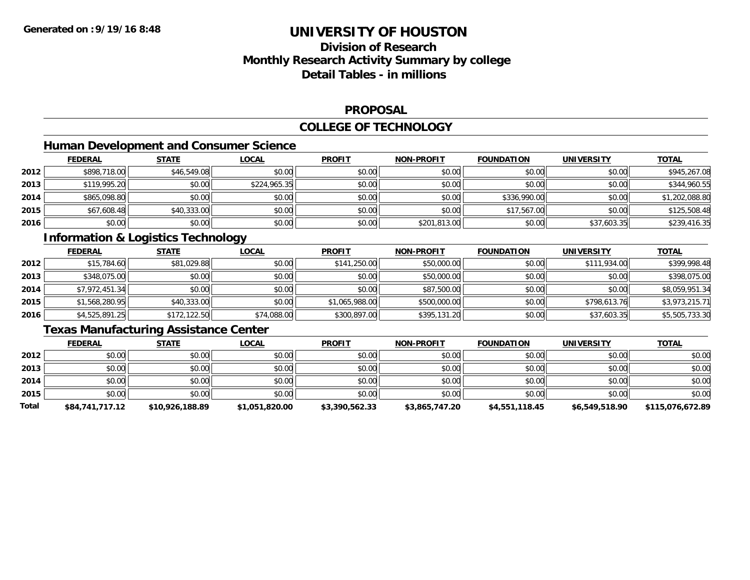# **Division of ResearchMonthly Research Activity Summary by college Detail Tables - in millions**

#### **PROPOSAL**

#### **COLLEGE OF TECHNOLOGY**

### **Human Development and Consumer Science**

|      | <b>FEDERAL</b> | <b>STATE</b> | <b>LOCAL</b> | <b>PROFIT</b> | <b>NON-PROFIT</b> | <b>FOUNDATION</b> | <b>UNIVERSITY</b> | <b>TOTAL</b>   |
|------|----------------|--------------|--------------|---------------|-------------------|-------------------|-------------------|----------------|
| 2012 | \$898,718.00   | \$46,549.08  | \$0.00       | \$0.00        | \$0.00            | \$0.00            | \$0.00            | \$945,267.08   |
| 2013 | \$119,995.20   | \$0.00       | \$224,965.35 | \$0.00        | \$0.00            | \$0.00            | \$0.00            | \$344,960.55   |
| 2014 | \$865,098.80   | \$0.00       | \$0.00       | \$0.00        | \$0.00            | \$336,990.00      | \$0.00            | \$1,202,088.80 |
| 2015 | \$67,608.48    | \$40,333.00  | \$0.00       | \$0.00        | \$0.00            | \$17,567.00       | \$0.00            | \$125,508.48   |
| 2016 | \$0.00         | \$0.00       | \$0.00       | \$0.00        | \$201,813.00      | \$0.00            | \$37,603.35       | \$239,416.35   |

# **Information & Logistics Technology**

|      | <b>FEDERAL</b> | <u>STATE</u> | <b>LOCAL</b> | <b>PROFIT</b>  | <b>NON-PROFIT</b> | <b>FOUNDATION</b> | <b>UNIVERSITY</b> | <b>TOTAL</b>   |
|------|----------------|--------------|--------------|----------------|-------------------|-------------------|-------------------|----------------|
| 2012 | \$15,784.60    | \$81,029.88  | \$0.00       | \$141,250.00   | \$50,000.00       | \$0.00            | \$111,934.00      | \$399,998.48   |
| 2013 | \$348,075.00   | \$0.00       | \$0.00       | \$0.00         | \$50,000.00       | \$0.00            | \$0.00            | \$398,075.00   |
| 2014 | \$7,972,451.34 | \$0.00       | \$0.00       | \$0.00         | \$87,500.00       | \$0.00            | \$0.00            | \$8,059,951.34 |
| 2015 | \$1,568,280.95 | \$40,333.00  | \$0.00       | \$1,065,988.00 | \$500,000.00      | \$0.00            | \$798,613.76      | \$3,973,215.71 |
| 2016 | \$4,525,891.25 | \$172,122.50 | \$74,088.00  | \$300,897.00   | \$395,131.20      | \$0.00            | \$37,603.35       | \$5,505,733.30 |

## **Texas Manufacturing Assistance Center**

|       | <b>FEDERAL</b>  | <u>STATE</u>    | <b>LOCAL</b>   | <b>PROFIT</b>  | <b>NON-PROFIT</b> | <b>FOUNDATION</b> | <b>UNIVERSITY</b> | <b>TOTAL</b>     |
|-------|-----------------|-----------------|----------------|----------------|-------------------|-------------------|-------------------|------------------|
| 2012  | \$0.00          | \$0.00          | \$0.00         | \$0.00         | \$0.00            | \$0.00            | \$0.00            | \$0.00           |
| 2013  | \$0.00          | \$0.00          | \$0.00         | \$0.00         | \$0.00            | \$0.00            | \$0.00            | \$0.00           |
| 2014  | \$0.00          | \$0.00          | \$0.00         | \$0.00         | \$0.00            | \$0.00            | \$0.00            | \$0.00           |
| 2015  | \$0.00          | \$0.00          | \$0.00         | \$0.00         | \$0.00            | \$0.00            | \$0.00            | \$0.00           |
| Total | \$84,741,717.12 | \$10,926,188.89 | \$1,051,820.00 | \$3,390,562.33 | \$3,865,747.20    | \$4,551,118.45    | \$6,549,518.90    | \$115,076,672.89 |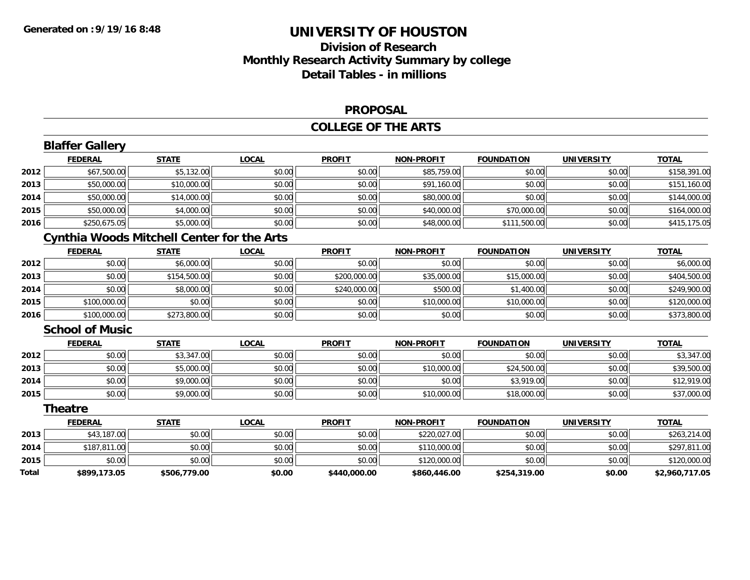# **Division of ResearchMonthly Research Activity Summary by college Detail Tables - in millions**

#### **PROPOSAL**

#### **COLLEGE OF THE ARTS**

|       | <b>Blaffer Gallery</b>                            |              |              |               |                   |                   |                   |                |
|-------|---------------------------------------------------|--------------|--------------|---------------|-------------------|-------------------|-------------------|----------------|
|       | <b>FEDERAL</b>                                    | <b>STATE</b> | <b>LOCAL</b> | <b>PROFIT</b> | <b>NON-PROFIT</b> | <b>FOUNDATION</b> | <b>UNIVERSITY</b> | <b>TOTAL</b>   |
| 2012  | \$67,500.00                                       | \$5,132.00   | \$0.00       | \$0.00        | \$85,759.00       | \$0.00            | \$0.00            | \$158,391.00   |
| 2013  | \$50,000.00                                       | \$10,000.00  | \$0.00       | \$0.00        | \$91,160.00       | \$0.00            | \$0.00            | \$151,160.00   |
| 2014  | \$50,000.00                                       | \$14,000.00  | \$0.00       | \$0.00        | \$80,000.00       | \$0.00            | \$0.00            | \$144,000.00   |
| 2015  | \$50,000.00                                       | \$4,000.00   | \$0.00       | \$0.00        | \$40,000.00       | \$70,000.00       | \$0.00            | \$164,000.00   |
| 2016  | \$250,675.05                                      | \$5,000.00   | \$0.00       | \$0.00        | \$48,000.00       | \$111,500.00      | \$0.00            | \$415,175.05   |
|       | <b>Cynthia Woods Mitchell Center for the Arts</b> |              |              |               |                   |                   |                   |                |
|       | <b>FEDERAL</b>                                    | <b>STATE</b> | <b>LOCAL</b> | <b>PROFIT</b> | <b>NON-PROFIT</b> | <b>FOUNDATION</b> | <b>UNIVERSITY</b> | <b>TOTAL</b>   |
| 2012  | \$0.00                                            | \$6,000.00   | \$0.00       | \$0.00        | \$0.00            | \$0.00            | \$0.00            | \$6,000.00     |
| 2013  | \$0.00                                            | \$154,500.00 | \$0.00       | \$200,000.00  | \$35,000.00       | \$15,000.00       | \$0.00            | \$404,500.00   |
| 2014  | \$0.00                                            | \$8,000.00   | \$0.00       | \$240,000.00  | \$500.00          | \$1,400.00        | \$0.00            | \$249,900.00   |
| 2015  | \$100,000.00                                      | \$0.00       | \$0.00       | \$0.00        | \$10,000.00       | \$10,000.00       | \$0.00            | \$120,000.00   |
| 2016  | \$100,000.00                                      | \$273,800.00 | \$0.00       | \$0.00        | \$0.00            | \$0.00            | \$0.00            | \$373,800.00   |
|       | <b>School of Music</b>                            |              |              |               |                   |                   |                   |                |
|       | <b>FEDERAL</b>                                    | <b>STATE</b> | <b>LOCAL</b> | <b>PROFIT</b> | <b>NON-PROFIT</b> | <b>FOUNDATION</b> | <b>UNIVERSITY</b> | <b>TOTAL</b>   |
| 2012  | \$0.00                                            | \$3,347.00   | \$0.00       | \$0.00        | \$0.00            | \$0.00            | \$0.00            | \$3,347.00     |
| 2013  | \$0.00                                            | \$5,000.00   | \$0.00       | \$0.00        | \$10,000.00       | \$24,500.00       | \$0.00            | \$39,500.00    |
| 2014  | \$0.00                                            | \$9,000.00   | \$0.00       | \$0.00        | \$0.00            | \$3,919.00        | \$0.00            | \$12,919.00    |
| 2015  | \$0.00                                            | \$9,000.00   | \$0.00       | \$0.00        | \$10,000.00       | \$18,000.00       | \$0.00            | \$37,000.00    |
|       | <b>Theatre</b>                                    |              |              |               |                   |                   |                   |                |
|       | <b>FEDERAL</b>                                    | <b>STATE</b> | <b>LOCAL</b> | <b>PROFIT</b> | <b>NON-PROFIT</b> | <b>FOUNDATION</b> | <b>UNIVERSITY</b> | <b>TOTAL</b>   |
| 2013  | \$43,187.00                                       | \$0.00       | \$0.00       | \$0.00        | \$220,027.00      | \$0.00            | \$0.00            | \$263,214.00   |
| 2014  | \$187,811.00                                      | \$0.00       | \$0.00       | \$0.00        | \$110,000.00      | \$0.00            | \$0.00            | \$297,811.00   |
| 2015  | \$0.00                                            | \$0.00       | \$0.00       | \$0.00        | \$120,000.00      | \$0.00            | \$0.00            | \$120,000.00   |
| Total | \$899,173.05                                      | \$506,779.00 | \$0.00       | \$440,000.00  | \$860,446.00      | \$254,319.00      | \$0.00            | \$2,960,717.05 |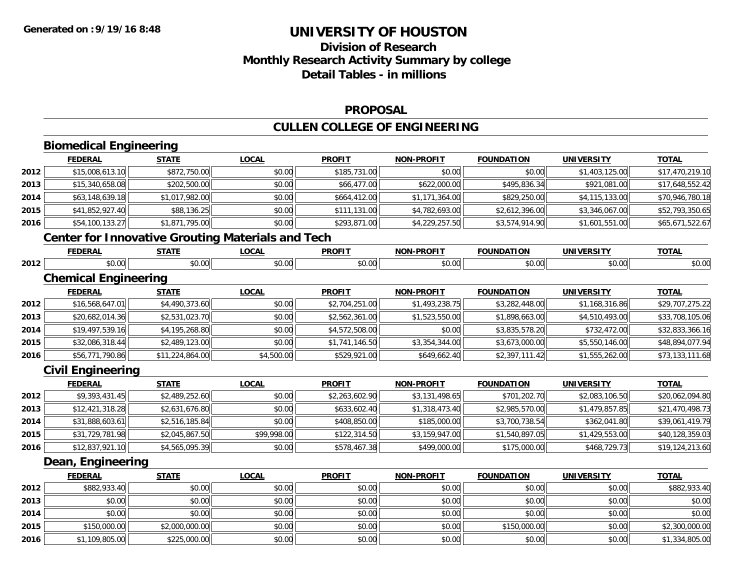# **Division of ResearchMonthly Research Activity Summary by college Detail Tables - in millions**

#### **PROPOSAL**

# **CULLEN COLLEGE OF ENGINEERING**

|      | <b>Biomedical Engineering</b>                            |                 |              |                |                   |                   |                   |                 |
|------|----------------------------------------------------------|-----------------|--------------|----------------|-------------------|-------------------|-------------------|-----------------|
|      | <b>FEDERAL</b>                                           | <b>STATE</b>    | <b>LOCAL</b> | <b>PROFIT</b>  | <b>NON-PROFIT</b> | <b>FOUNDATION</b> | <b>UNIVERSITY</b> | <b>TOTAL</b>    |
| 2012 | \$15,008,613.10                                          | \$872,750.00    | \$0.00       | \$185,731.00   | \$0.00            | \$0.00            | \$1,403,125.00    | \$17,470,219.10 |
| 2013 | \$15,340,658.08                                          | \$202,500.00    | \$0.00       | \$66,477.00    | \$622,000.00      | \$495,836.34      | \$921,081.00      | \$17,648,552.42 |
| 2014 | \$63,148,639.18                                          | \$1,017,982.00  | \$0.00       | \$664,412.00   | \$1,171,364.00    | \$829,250.00      | \$4,115,133.00    | \$70,946,780.18 |
| 2015 | \$41,852,927.40                                          | \$88,136.25     | \$0.00       | \$111,131.00   | \$4,782,693.00    | \$2,612,396.00    | \$3,346,067.00    | \$52,793,350.65 |
| 2016 | \$54,100,133.27                                          | \$1,871,795.00  | \$0.00       | \$293,871.00   | \$4,229,257.50    | \$3,574,914.90    | \$1,601,551.00    | \$65,671,522.67 |
|      | <b>Center for Innovative Grouting Materials and Tech</b> |                 |              |                |                   |                   |                   |                 |
|      | <b>FEDERAL</b>                                           | <b>STATE</b>    | <b>LOCAL</b> | <b>PROFIT</b>  | <b>NON-PROFIT</b> | <b>FOUNDATION</b> | <b>UNIVERSITY</b> | <b>TOTAL</b>    |
| 2012 | \$0.00                                                   | \$0.00          | \$0.00       | \$0.00         | \$0.00            | \$0.00            | \$0.00            | \$0.00          |
|      | <b>Chemical Engineering</b>                              |                 |              |                |                   |                   |                   |                 |
|      | <b>FEDERAL</b>                                           | <b>STATE</b>    | <b>LOCAL</b> | <b>PROFIT</b>  | <b>NON-PROFIT</b> | <b>FOUNDATION</b> | <b>UNIVERSITY</b> | <b>TOTAL</b>    |
| 2012 | \$16,568,647.01                                          | \$4,490,373.60  | \$0.00       | \$2,704,251.00 | \$1,493,238.75    | \$3,282,448.00    | \$1,168,316.86    | \$29,707,275.22 |
| 2013 | \$20,682,014.36                                          | \$2,531,023.70  | \$0.00       | \$2,562,361.00 | \$1,523,550.00    | \$1,898,663.00    | \$4,510,493.00    | \$33,708,105.06 |
| 2014 | \$19,497,539.16                                          | \$4,195,268.80  | \$0.00       | \$4,572,508.00 | \$0.00            | \$3,835,578.20    | \$732,472.00      | \$32,833,366.16 |
| 2015 | \$32,086,318.44                                          | \$2,489,123.00  | \$0.00       | \$1,741,146.50 | \$3,354,344.00    | \$3,673,000.00    | \$5,550,146.00    | \$48,894,077.94 |
| 2016 | \$56,771,790.86                                          | \$11,224,864.00 | \$4,500.00   | \$529,921.00   | \$649,662.40      | \$2,397,111.42    | \$1,555,262.00    | \$73,133,111.68 |
|      | <b>Civil Engineering</b>                                 |                 |              |                |                   |                   |                   |                 |
|      | <b>FEDERAL</b>                                           | <b>STATE</b>    | <b>LOCAL</b> | <b>PROFIT</b>  | <b>NON-PROFIT</b> | <b>FOUNDATION</b> | <b>UNIVERSITY</b> | <b>TOTAL</b>    |
| 2012 | \$9,393,431.45                                           | \$2,489,252.60  | \$0.00       | \$2,263,602.90 | \$3,131,498.65    | \$701,202.70      | \$2,083,106.50    | \$20,062,094.80 |
| 2013 | \$12,421,318.28                                          | \$2,631,676.80  | \$0.00       | \$633,602.40   | \$1,318,473.40    | \$2,985,570.00    | \$1,479,857.85    | \$21,470,498.73 |
| 2014 | \$31,888,603.61                                          | \$2,516,185.84  | \$0.00       | \$408,850.00   | \$185,000.00      | \$3,700,738.54    | \$362,041.80      | \$39,061,419.79 |
| 2015 | \$31,729,781.98                                          | \$2,045,867.50  | \$99,998.00  | \$122,314.50   | \$3,159,947.00    | \$1,540,897.05    | \$1,429,553.00    | \$40,128,359.03 |
| 2016 | \$12,837,921.10                                          | \$4,565,095.39  | \$0.00       | \$578,467.38   | \$499,000.00      | \$175,000.00      | \$468,729.73      | \$19,124,213.60 |
|      | Dean, Engineering                                        |                 |              |                |                   |                   |                   |                 |
|      | <b>FEDERAL</b>                                           | <b>STATE</b>    | <b>LOCAL</b> | <b>PROFIT</b>  | <b>NON-PROFIT</b> | <b>FOUNDATION</b> | <b>UNIVERSITY</b> | <b>TOTAL</b>    |
| 2012 | \$882,933.40                                             | \$0.00          | \$0.00       | \$0.00         | \$0.00            | \$0.00            | \$0.00            | \$882,933.40    |
| 2013 | \$0.00                                                   | \$0.00          | \$0.00       | \$0.00         | \$0.00            | \$0.00            | \$0.00            | \$0.00          |
| 2014 | \$0.00                                                   | \$0.00          | \$0.00       | \$0.00         | \$0.00            | \$0.00            | \$0.00            | \$0.00          |
| 2015 | \$150,000.00                                             | \$2,000,000.00  | \$0.00       | \$0.00         | \$0.00            | \$150,000.00      | \$0.00            | \$2,300,000.00  |
| 2016 | \$1,109,805.00                                           | \$225,000.00    | \$0.00       | \$0.00         | \$0.00            | \$0.00            | \$0.00            | \$1,334,805.00  |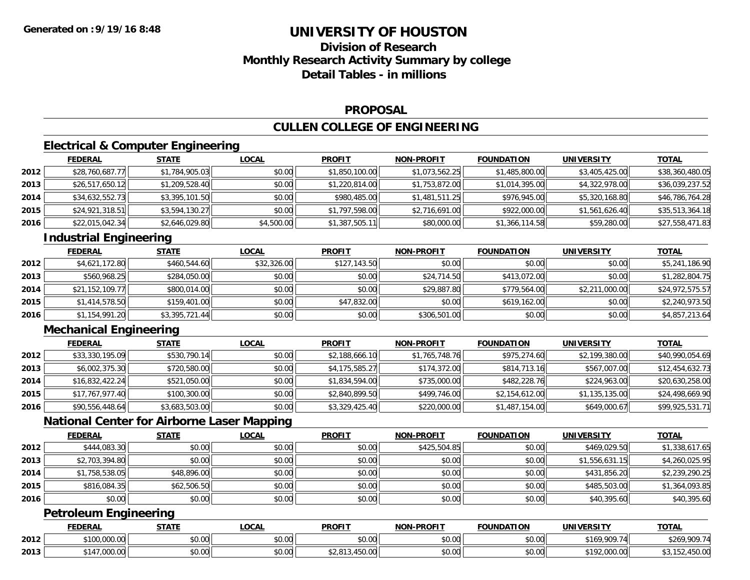# **Division of ResearchMonthly Research Activity Summary by college Detail Tables - in millions**

#### **PROPOSAL**

### **CULLEN COLLEGE OF ENGINEERING**

## **Electrical & Computer Engineering**

|      | <b>FEDERAL</b>  | <b>STATE</b>   | <b>LOCAL</b> | <b>PROFIT</b>  | <b>NON-PROFIT</b> | <b>FOUNDATION</b> | UNIVERSITY     | <b>TOTAL</b>    |
|------|-----------------|----------------|--------------|----------------|-------------------|-------------------|----------------|-----------------|
| 2012 | \$28,760,687.77 | \$1,784,905.03 | \$0.00       | \$1,850,100.00 | \$1,073,562.25    | \$1,485,800.00    | \$3,405,425.00 | \$38,360,480.05 |
| 2013 | \$26,517,650.12 | \$1,209,528.40 | \$0.00       | \$1,220,814.00 | \$1,753,872.00    | \$1,014,395.00    | \$4,322,978.00 | \$36,039,237.52 |
| 2014 | \$34,632,552.73 | \$3,395,101.50 | \$0.00       | \$980,485.00   | \$1,481,511.25    | \$976,945.00      | \$5,320,168.80 | \$46,786,764.28 |
| 2015 | \$24,921,318.51 | \$3,594,130.27 | \$0.00       | \$1,797,598.00 | \$2,716,691.00    | \$922,000.00      | \$1,561,626.40 | \$35,513,364.18 |
| 2016 | \$22,015,042.34 | \$2,646,029.80 | \$4,500.00   | \$1,387,505.11 | \$80,000.00       | \$1,366,114.58    | \$59,280.00    | \$27,558,471.83 |

### **Industrial Engineering**

|      | <b>FEDERAL</b>  | <b>STATE</b>   | <u>LOCAL</u> | <b>PROFIT</b> | <b>NON-PROFIT</b> | <b>FOUNDATION</b> | <b>UNIVERSITY</b> | <b>TOTAL</b>    |
|------|-----------------|----------------|--------------|---------------|-------------------|-------------------|-------------------|-----------------|
| 2012 | \$4,621,172.80  | \$460,544.60   | \$32,326.00  | \$127,143.50  | \$0.00            | \$0.00            | \$0.00            | \$5,241,186.90  |
| 2013 | \$560,968.25    | \$284,050,00   | \$0.00       | \$0.00        | \$24,714.50       | \$413,072,00      | \$0.00            | \$1,282,804.75  |
| 2014 | \$21,152,109.77 | \$800,014.00   | \$0.00       | \$0.00        | \$29,887.80       | \$779,564,00      | \$2,211,000.00    | \$24,972,575.57 |
| 2015 | \$1,414,578.50  | \$159,401.00   | \$0.00       | \$47,832.00   | \$0.00            | \$619,162.00      | \$0.00            | \$2,240,973.50  |
| 2016 | \$1,154,991.20  | \$3,395,721.44 | \$0.00       | \$0.00        | \$306,501.00      | \$0.00            | \$0.00            | \$4,857,213.64  |

### **Mechanical Engineering**

|      | <b>FEDERAL</b>  | <b>STATE</b>   | <b>LOCAL</b> | <b>PROFIT</b>  | <b>NON-PROFIT</b> | <b>FOUNDATION</b> | UNIVERSITY     | <u>TOTAL</u>    |
|------|-----------------|----------------|--------------|----------------|-------------------|-------------------|----------------|-----------------|
| 2012 | \$33,330,195.09 | \$530,790.14   | \$0.00       | \$2,188,666.10 | \$1,765,748.76    | \$975,274.60      | \$2,199,380.00 | \$40,990,054.69 |
| 2013 | \$6,002,375.30  | \$720,580.00   | \$0.00       | \$4,175,585.27 | \$174,372.00      | \$814,713.16      | \$567,007.00   | \$12,454,632.73 |
| 2014 | \$16,832,422.24 | \$521,050.00   | \$0.00       | \$1,834,594.00 | \$735,000.00      | \$482,228.76      | \$224,963.00   | \$20,630,258.00 |
| 2015 | \$17,767,977.40 | \$100,300.00   | \$0.00       | \$2,840,899.50 | \$499,746.00      | \$2,154,612.00    | \$1,135,135.00 | \$24,498,669.90 |
| 2016 | \$90,556,448.64 | \$3,683,503.00 | \$0.00       | \$3,329,425.40 | \$220,000.00      | \$1,487,154.00    | \$649,000.67   | \$99,925,531.71 |

### **National Center for Airborne Laser Mapping**

|      | <b>FEDERAL</b> | <b>STATE</b> | <b>LOCAL</b> | <b>PROFIT</b> | <b>NON-PROFIT</b> | <b>FOUNDATION</b> | <b>UNIVERSITY</b> | <b>TOTAL</b>   |
|------|----------------|--------------|--------------|---------------|-------------------|-------------------|-------------------|----------------|
| 2012 | \$444,083.30   | \$0.00       | \$0.00       | \$0.00        | \$425,504.85      | \$0.00            | \$469,029.50      | \$1,338,617.65 |
| 2013 | \$2,703,394.80 | \$0.00       | \$0.00       | \$0.00        | \$0.00            | \$0.00            | \$1,556,631.15    | \$4,260,025.95 |
| 2014 | \$1,758,538.05 | \$48,896.00  | \$0.00       | \$0.00        | \$0.00            | \$0.00            | \$431,856.20      | \$2,239,290.25 |
| 2015 | \$816,084.35   | \$62,506.50  | \$0.00       | \$0.00        | \$0.00            | \$0.00            | \$485,503.00      | \$1,364,093.85 |
| 2016 | \$0.00         | \$0.00       | \$0.00       | \$0.00        | \$0.00            | \$0.00            | \$40,395.60       | \$40,395.60    |

### **Petroleum Engineering**

|      | <b>FEDERAL</b>            | STATE  | _OCAL              | <b>PROFIT</b>      | <b>J-PROFIT</b><br><b>MON</b> | <b>FOUNDATION</b> | <b>UNIVERSITY</b>                | <b>TOTAL</b>                 |
|------|---------------------------|--------|--------------------|--------------------|-------------------------------|-------------------|----------------------------------|------------------------------|
| 2012 | 0.100,000,00<br>TUU.UUU.U | \$0.00 | ሶስ ሰሰ<br>JU.UU     | $\sim$ 00<br>JU.UU | $\sim$ $\sim$<br>vv.vv        | \$0.00            | 00074<br>\$169.                  | <b>¢ንራዐ</b><br>000.71<br>ט∠ש |
| 2013 | $\sim$<br>4 ا د<br>UUU.UU | \$0.00 | $\sim$ 00<br>PU.UU | $\sim$<br>.430.00  | 0000<br>JU.UU                 | \$0.00            | 0.101<br>00000<br>- 172,000.0011 | $\sim$ $\sim$<br>132,430.00  |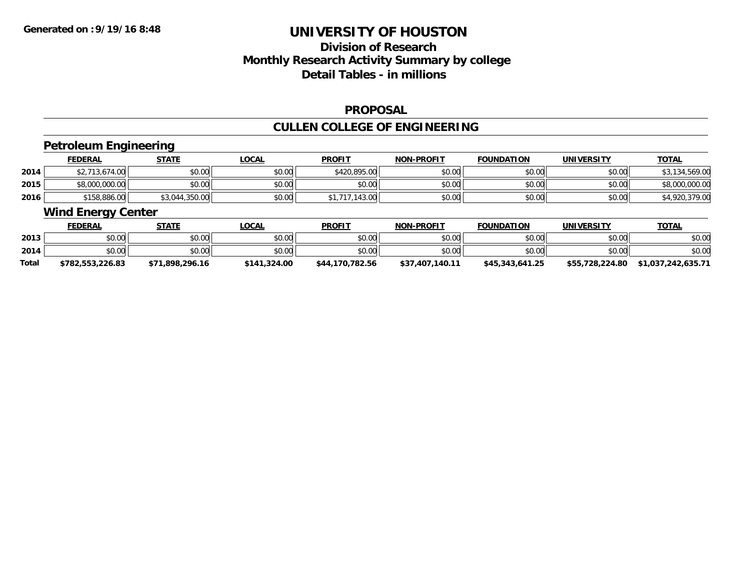# **Division of ResearchMonthly Research Activity Summary by college Detail Tables - in millions**

#### **PROPOSAL**

# **CULLEN COLLEGE OF ENGINEERING**

### **Petroleum Engineering**

|      | <u>FEDERAL</u> | <b>STATE</b>   | LOCAL  | <b>PROFIT</b> | <b>NON-PROFIT</b> | <b>FOUNDATION</b> | <b>UNIVERSITY</b> | <b>TOTAL</b>    |
|------|----------------|----------------|--------|---------------|-------------------|-------------------|-------------------|-----------------|
| 2014 | 713.674.00     | \$0.00         | \$0.00 | \$420,895.00  | \$0.00            | \$0.00            | \$0.00            | \$3,134,569.00  |
| 2015 | \$8,000,000.00 | \$0.00         | \$0.00 | \$0.00        | \$0.00            | \$0.00            | \$0.00            | \$8,000,000.00  |
| 2016 | \$158,886.00   | \$3,044,350.00 | \$0.00 | .143.00       | \$0.00            | \$0.00            | \$0.00            | .379.00<br>7.UU |

#### **Wind Energy Center**

|       | <u>FEDERAL</u>   | <u>STATE</u>    | <u>LOCAL</u> | <b>PROFIT</b>   | <b>NON-PROFIT</b> | <b>FOUNDATION</b> | <b>UNIVERSITY</b> | <b>TOTAL</b>       |
|-------|------------------|-----------------|--------------|-----------------|-------------------|-------------------|-------------------|--------------------|
| 2013  | \$0.00           | \$0.00          | \$0.00       | \$0.00          | \$0.00            | \$0.00            | \$0.00            | \$0.00             |
| 2014  | \$0.00           | \$0.00          | \$0.00       | \$0.00          | \$0.00            | \$0.00            | \$0.00            | \$0.00             |
| Total | \$782,553,226.83 | \$71,898,296.16 | \$141.324.00 | \$44,170,782.56 | \$37,407,140.11   | \$45,343,641.25   | \$55,728,224.80   | \$1,037,242,635.71 |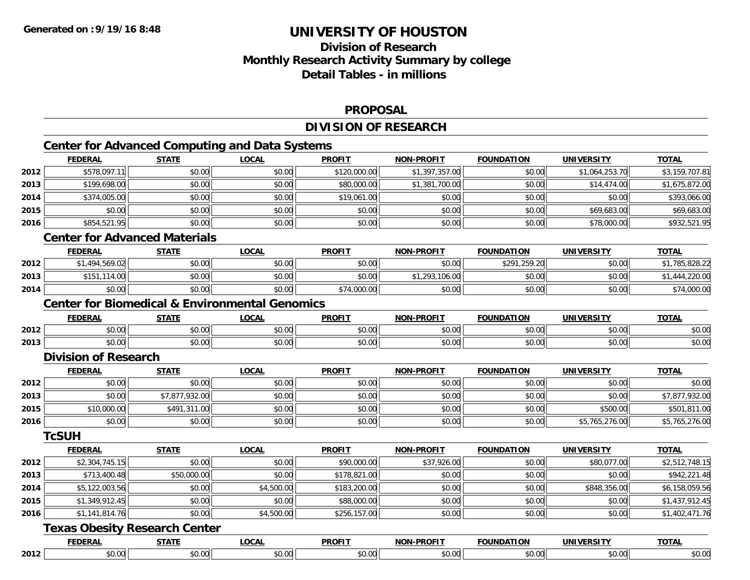# **Division of ResearchMonthly Research Activity Summary by college Detail Tables - in millions**

#### **PROPOSAL**

### **DIVISION OF RESEARCH**

# **Center for Advanced Computing and Data Systems**

|      | <b>FEDERAL</b>                                            | <b>STATE</b>   | <b>LOCAL</b> | <b>PROFIT</b> | <b>NON-PROFIT</b> | <b>FOUNDATION</b> | <b>UNIVERSITY</b> | <b>TOTAL</b>   |
|------|-----------------------------------------------------------|----------------|--------------|---------------|-------------------|-------------------|-------------------|----------------|
| 2012 | \$578,097.11                                              | \$0.00         | \$0.00       | \$120,000.00  | \$1,397,357.00    | \$0.00            | \$1,064,253.70    | \$3,159,707.81 |
| 2013 | \$199,698.00                                              | \$0.00         | \$0.00       | \$80,000.00   | \$1,381,700.00    | \$0.00            | \$14,474.00       | \$1,675,872.00 |
| 2014 | \$374,005.00                                              | \$0.00         | \$0.00       | \$19,061.00   | \$0.00            | \$0.00            | \$0.00            | \$393,066.00   |
| 2015 | \$0.00                                                    | \$0.00         | \$0.00       | \$0.00        | \$0.00            | \$0.00            | \$69,683.00       | \$69,683.00    |
| 2016 | \$854,521.95                                              | \$0.00         | \$0.00       | \$0.00        | \$0.00            | \$0.00            | \$78,000.00       | \$932,521.95   |
|      | <b>Center for Advanced Materials</b>                      |                |              |               |                   |                   |                   |                |
|      | <b>FEDERAL</b>                                            | <b>STATE</b>   | <b>LOCAL</b> | <b>PROFIT</b> | <b>NON-PROFIT</b> | <b>FOUNDATION</b> | <b>UNIVERSITY</b> | <b>TOTAL</b>   |
| 2012 | \$1,494,569.02                                            | \$0.00         | \$0.00       | \$0.00        | \$0.00            | \$291,259.20      | \$0.00            | \$1,785,828.22 |
| 2013 | \$151,114.00                                              | \$0.00         | \$0.00       | \$0.00        | \$1,293,106.00    | \$0.00            | \$0.00            | \$1,444,220.00 |
| 2014 | \$0.00                                                    | \$0.00         | \$0.00       | \$74,000.00   | \$0.00            | \$0.00            | \$0.00            | \$74,000.00    |
|      | <b>Center for Biomedical &amp; Environmental Genomics</b> |                |              |               |                   |                   |                   |                |
|      | <b>FEDERAL</b>                                            | <b>STATE</b>   | <b>LOCAL</b> | <b>PROFIT</b> | <b>NON-PROFIT</b> | <b>FOUNDATION</b> | <b>UNIVERSITY</b> | <b>TOTAL</b>   |
| 2012 | \$0.00                                                    | \$0.00         | \$0.00       | \$0.00        | \$0.00            | \$0.00            | \$0.00            | \$0.00         |
| 2013 | \$0.00                                                    | \$0.00         | \$0.00       | \$0.00        | \$0.00            | \$0.00            | \$0.00            | \$0.00         |
|      | <b>Division of Research</b>                               |                |              |               |                   |                   |                   |                |
|      | <b>FEDERAL</b>                                            | <b>STATE</b>   | <b>LOCAL</b> | <b>PROFIT</b> | <b>NON-PROFIT</b> | <b>FOUNDATION</b> | <b>UNIVERSITY</b> | <b>TOTAL</b>   |
| 2012 | \$0.00                                                    | \$0.00         | \$0.00       | \$0.00        | \$0.00            | \$0.00            | \$0.00            | \$0.00         |
| 2013 | \$0.00                                                    | \$7,877,932.00 | \$0.00       | \$0.00        | \$0.00            | \$0.00            | \$0.00            | \$7,877,932.00 |
| 2015 | \$10,000.00                                               | \$491,311.00   | \$0.00       | \$0.00        | \$0.00            | \$0.00            | \$500.00          | \$501,811.00   |
| 2016 | \$0.00                                                    | \$0.00         | \$0.00       | \$0.00        | \$0.00            | \$0.00            | \$5,765,276.00    | \$5,765,276.00 |
|      | <b>TcSUH</b>                                              |                |              |               |                   |                   |                   |                |
|      | <b>FEDERAL</b>                                            | <b>STATE</b>   | <b>LOCAL</b> | <b>PROFIT</b> | NON-PROFIT        | <b>FOUNDATION</b> | <b>UNIVERSITY</b> | <b>TOTAL</b>   |
| 2012 | \$2,304,745.15                                            | \$0.00         | \$0.00       | \$90,000.00   | \$37,926.00       | \$0.00            | \$80,077.00       | \$2,512,748.15 |
| 2013 | \$713,400.48                                              | \$50,000.00    | \$0.00       | \$178,821.00  | \$0.00            | \$0.00            | \$0.00            | \$942,221.48   |
| 2014 | \$5,122,003.56                                            | \$0.00         | \$4,500.00   | \$183,200.00  | \$0.00            | \$0.00            | \$848,356.00      | \$6,158,059.56 |
| 2015 | \$1,349,912.45                                            | \$0.00         | \$0.00       | \$88,000.00   | \$0.00            | \$0.00            | \$0.00            | \$1,437,912.45 |
| 2016 | \$1,141,814.76                                            | \$0.00         | \$4,500.00   | \$256,157.00  | \$0.00            | \$0.00            | \$0.00            | \$1,402,471.76 |
|      | <b>Texas Obesity Research Center</b>                      |                |              |               |                   |                   |                   |                |
|      | <b>FEDERAL</b>                                            | <b>STATE</b>   | <b>LOCAL</b> | <b>PROFIT</b> | <b>NON-PROFIT</b> | <b>FOUNDATION</b> | <b>UNIVERSITY</b> | <b>TOTAL</b>   |
| 2012 | \$0.00                                                    | \$0.00         | \$0.00       | \$0.00        | \$0.00            | \$0.00            | \$0.00            | \$0.00         |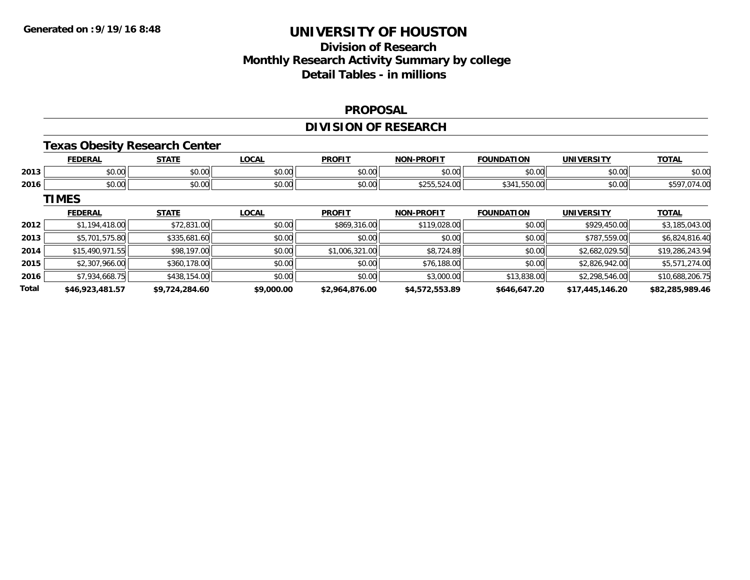# **Division of ResearchMonthly Research Activity Summary by college Detail Tables - in millions**

#### **PROPOSAL**

### **DIVISION OF RESEARCH**

#### **Texas Obesity Research Center**

|      | <b>FEDERAL</b> | <b>STATE</b>       | 0 <sub>n</sub><br>.UUAI | <b>PROFIT</b>           | <b>-PROFIT</b><br><b>NON</b> | <b>FOUNDATION</b> | UNIVERSITY     | <b>TOTAL</b> |
|------|----------------|--------------------|-------------------------|-------------------------|------------------------------|-------------------|----------------|--------------|
| 2013 | 0.00<br>pu.uu  | 0000<br>vu.uu      | 0.00<br>J∪.∪u           | $\mathbb{R}^n$<br>vv.vv | nn nn<br>PU.UU               | nn nn<br>JU.UU    | \$0.00         | \$0.00       |
| 2016 | 0000<br>DU.UG  | $\sim$ 00<br>JU.UU | 0.00<br>JU.UU           | 0000<br><b>DU.UU</b>    | $- - - -$<br>DU.PSC.CCS      | UU.UCC. I<br>∽د.د | 0.00<br>\$U.UU | . UV         |

### **TIMES**

|       | <b>FEDERAL</b>  | <b>STATE</b>   | <b>LOCAL</b> | <b>PROFIT</b>  | <b>NON-PROFIT</b> | <b>FOUNDATION</b> | <b>UNIVERSITY</b> | <b>TOTAL</b>    |
|-------|-----------------|----------------|--------------|----------------|-------------------|-------------------|-------------------|-----------------|
| 2012  | \$1,194,418.00  | \$72,831.00    | \$0.00       | \$869,316.00   | \$119,028.00      | \$0.00            | \$929,450.00      | \$3,185,043.00  |
| 2013  | \$5,701,575.80  | \$335,681.60   | \$0.00       | \$0.00         | \$0.00            | \$0.00            | \$787,559.00      | \$6,824,816.40  |
| 2014  | \$15,490,971.55 | \$98,197.00    | \$0.00       | \$1,006,321.00 | \$8,724.89        | \$0.00            | \$2,682,029.50    | \$19,286,243.94 |
| 2015  | \$2,307,966.00  | \$360,178,00   | \$0.00       | \$0.00         | \$76,188.00       | \$0.00            | \$2,826,942.00    | \$5,571,274.00  |
| 2016  | \$7,934,668.75  | \$438,154.00   | \$0.00       | \$0.00         | \$3,000.00        | \$13,838.00       | \$2,298,546.00    | \$10,688,206.75 |
| Total | \$46,923,481.57 | \$9,724,284.60 | \$9,000.00   | \$2,964,876.00 | \$4,572,553.89    | \$646,647.20      | \$17,445,146.20   | \$82,285,989.46 |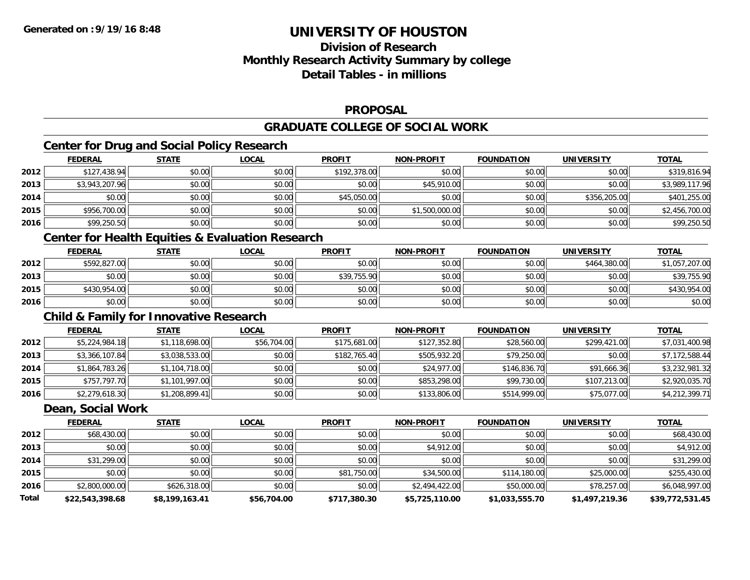# **Division of ResearchMonthly Research Activity Summary by college Detail Tables - in millions**

#### **PROPOSAL**

### **GRADUATE COLLEGE OF SOCIAL WORK**

### **Center for Drug and Social Policy Research**

|      | <b>FEDERAL</b> | <b>STATE</b> | <u>LOCAL</u> | <b>PROFIT</b> | <b>NON-PROFIT</b> | <b>FOUNDATION</b> | <b>UNIVERSITY</b> | <b>TOTAL</b>   |
|------|----------------|--------------|--------------|---------------|-------------------|-------------------|-------------------|----------------|
| 2012 | \$127,438.94   | \$0.00       | \$0.00       | \$192,378.00  | \$0.00            | \$0.00            | \$0.00            | \$319,816.94   |
| 2013 | \$3,943,207.96 | \$0.00       | \$0.00       | \$0.00        | \$45,910.00       | \$0.00            | \$0.00            | \$3,989,117.96 |
| 2014 | \$0.00         | \$0.00       | \$0.00       | \$45,050.00   | \$0.00            | \$0.00            | \$356,205.00      | \$401,255.00   |
| 2015 | \$956,700.00   | \$0.00       | \$0.00       | \$0.00        | \$1,500,000.00    | \$0.00            | \$0.00            | \$2,456,700.00 |
| 2016 | \$99,250.50    | \$0.00       | \$0.00       | \$0.00        | \$0.00            | \$0.00            | \$0.00            | \$99,250.50    |

### **Center for Health Equities & Evaluation Research**

|      | <b>FEDERAL</b> | <u>STATE</u> | <u>LOCAL</u> | <b>PROFIT</b> | <b>NON-PROFIT</b> | <b>FOUNDATION</b> | <b>UNIVERSITY</b> | <b>TOTAL</b>   |
|------|----------------|--------------|--------------|---------------|-------------------|-------------------|-------------------|----------------|
| 2012 | \$592,827.00   | \$0.00       | \$0.00       | \$0.00        | \$0.00            | \$0.00            | \$464,380,00      | \$1,057,207.00 |
| 2013 | \$0.00         | \$0.00       | \$0.00       | \$39,755.90   | \$0.00            | \$0.00            | \$0.00            | \$39,755.90    |
| 2015 | \$430,954.00   | \$0.00       | \$0.00       | \$0.00        | \$0.00            | \$0.00            | \$0.00            | \$430,954.00   |
| 2016 | \$0.00         | \$0.00       | \$0.00       | \$0.00        | \$0.00            | \$0.00            | \$0.00            | \$0.00         |

## **Child & Family for Innovative Research**

|      | <b>FEDERAL</b> | <u>STATE</u>   | <u>LOCAL</u> | <b>PROFIT</b> | <b>NON-PROFIT</b> | <b>FOUNDATION</b> | <b>UNIVERSITY</b> | <b>TOTAL</b>   |
|------|----------------|----------------|--------------|---------------|-------------------|-------------------|-------------------|----------------|
| 2012 | \$5,224,984.18 | \$1,118,698.00 | \$56,704.00  | \$175,681.00  | \$127,352.80      | \$28,560.00       | \$299,421.00      | \$7,031,400.98 |
| 2013 | \$3,366,107.84 | \$3,038,533.00 | \$0.00       | \$182,765.40  | \$505,932.20      | \$79,250.00       | \$0.00            | \$7,172,588.44 |
| 2014 | \$1,864,783.26 | \$1,104,718.00 | \$0.00       | \$0.00        | \$24,977.00       | \$146,836.70      | \$91,666.36       | \$3,232,981.32 |
| 2015 | \$757,797.70   | \$1,101,997.00 | \$0.00       | \$0.00        | \$853,298.00      | \$99,730.00       | \$107,213.00      | \$2,920,035.70 |
| 2016 | \$2,279,618.30 | \$1,208,899.41 | \$0.00       | \$0.00        | \$133,806.00      | \$514,999.00      | \$75,077.00       | \$4,212,399.71 |

#### **Dean, Social Work**

|              | <b>FEDERAL</b>  | <b>STATE</b>   | <b>LOCAL</b> | <b>PROFIT</b> | <b>NON-PROFIT</b> | <b>FOUNDATION</b> | <b>UNIVERSITY</b> | <u>TOTAL</u>    |
|--------------|-----------------|----------------|--------------|---------------|-------------------|-------------------|-------------------|-----------------|
| 2012         | \$68,430.00     | \$0.00         | \$0.00       | \$0.00        | \$0.00            | \$0.00            | \$0.00            | \$68,430.00     |
| 2013         | \$0.00          | \$0.00         | \$0.00       | \$0.00        | \$4,912.00        | \$0.00            | \$0.00            | \$4,912.00      |
| 2014         | \$31,299.00     | \$0.00         | \$0.00       | \$0.00        | \$0.00            | \$0.00            | \$0.00            | \$31,299.00     |
| 2015         | \$0.00          | \$0.00         | \$0.00       | \$81,750.00   | \$34,500.00       | \$114,180.00      | \$25,000.00       | \$255,430.00    |
| 2016         | \$2,800,000.00  | \$626,318.00   | \$0.00       | \$0.00        | \$2,494,422.00    | \$50,000.00       | \$78,257.00       | \$6,048,997.00  |
| <b>Total</b> | \$22,543,398.68 | \$8,199,163.41 | \$56,704.00  | \$717,380.30  | \$5,725,110.00    | \$1,033,555.70    | \$1,497,219.36    | \$39,772,531.45 |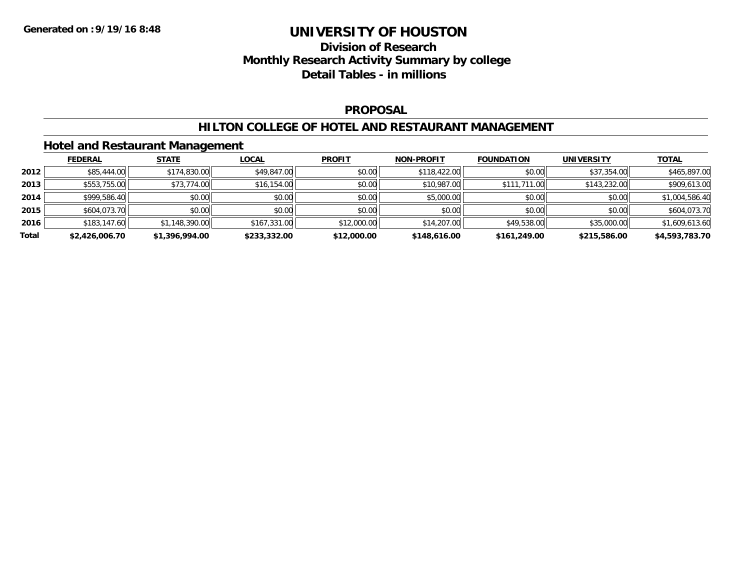## **Division of Research Monthly Research Activity Summary by college Detail Tables - in millions**

#### **PROPOSAL**

#### **HILTON COLLEGE OF HOTEL AND RESTAURANT MANAGEMENT**

#### **Hotel and Restaurant Management**

|       | <b>FEDERAL</b> | <b>STATE</b>   | <b>LOCAL</b> | <b>PROFIT</b> | <b>NON-PROFIT</b> | <b>FOUNDATION</b> | <b>UNIVERSITY</b> | <b>TOTAL</b>   |
|-------|----------------|----------------|--------------|---------------|-------------------|-------------------|-------------------|----------------|
| 2012  | \$85,444.00    | \$174,830.00   | \$49,847.00  | \$0.00        | \$118,422.00      | \$0.00            | \$37,354.00       | \$465,897.00   |
| 2013  | \$553,755.00   | \$73,774.00    | \$16,154.00  | \$0.00        | \$10,987.00       | \$111,711.00      | \$143,232.00      | \$909,613.00   |
| 2014  | \$999,586.40   | \$0.00         | \$0.00       | \$0.00        | \$5,000.00        | \$0.00            | \$0.00            | \$1,004,586.40 |
| 2015  | \$604,073.70   | \$0.00         | \$0.00       | \$0.00        | \$0.00            | \$0.00            | \$0.00            | \$604,073.70   |
| 2016  | \$183,147.60   | \$1,148,390.00 | \$167,331.00 | \$12,000.00   | \$14,207.00       | \$49,538.00       | \$35,000.00       | \$1,609,613.60 |
| Total | \$2,426,006.70 | \$1,396,994.00 | \$233,332.00 | \$12,000.00   | \$148,616.00      | \$161,249.00      | \$215,586.00      | \$4,593,783.70 |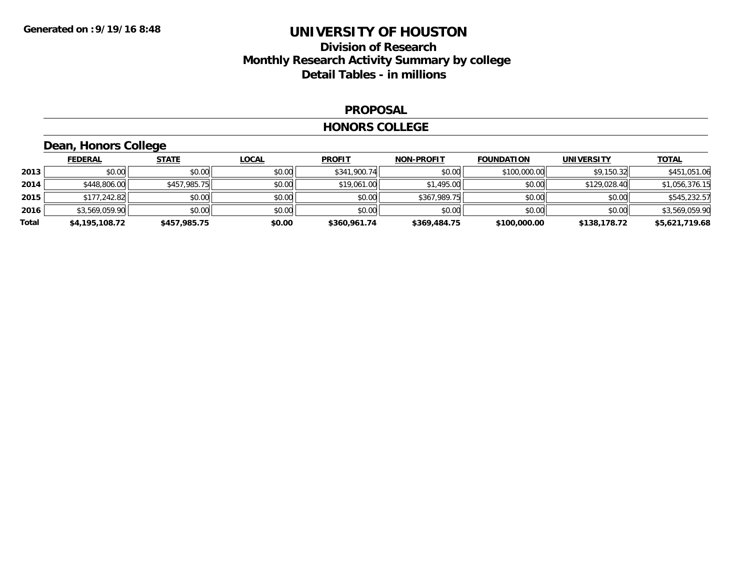## **Division of Research Monthly Research Activity Summary by college Detail Tables - in millions**

#### **PROPOSAL**

#### **HONORS COLLEGE**

# **Dean, Honors College**

|       | <b>FEDERAL</b> | <b>STATE</b> | <b>LOCAL</b> | <b>PROFIT</b> | <b>NON-PROFIT</b> | <b>FOUNDATION</b> | <b>UNIVERSITY</b> | <b>TOTAL</b>   |
|-------|----------------|--------------|--------------|---------------|-------------------|-------------------|-------------------|----------------|
| 2013  | \$0.00         | \$0.00       | \$0.00       | \$341,900.74  | \$0.00            | \$100,000.00      | \$9,150.32        | \$451,051.06   |
| 2014  | \$448,806.00   | \$457,985.75 | \$0.00       | \$19,061.00   | \$1,495.00        | \$0.00            | \$129,028.40      | \$1,056,376.15 |
| 2015  | \$177,242.82   | \$0.00       | \$0.00       | \$0.00        | \$367,989.75      | \$0.00            | \$0.00            | \$545,232.57   |
| 2016  | \$3,569,059.90 | \$0.00       | \$0.00       | \$0.00        | \$0.00            | \$0.00            | \$0.00            | \$3,569,059.90 |
| Total | \$4,195,108.72 | \$457,985.75 | \$0.00       | \$360,961.74  | \$369,484.75      | \$100,000.00      | \$138,178.72      | \$5,621,719.68 |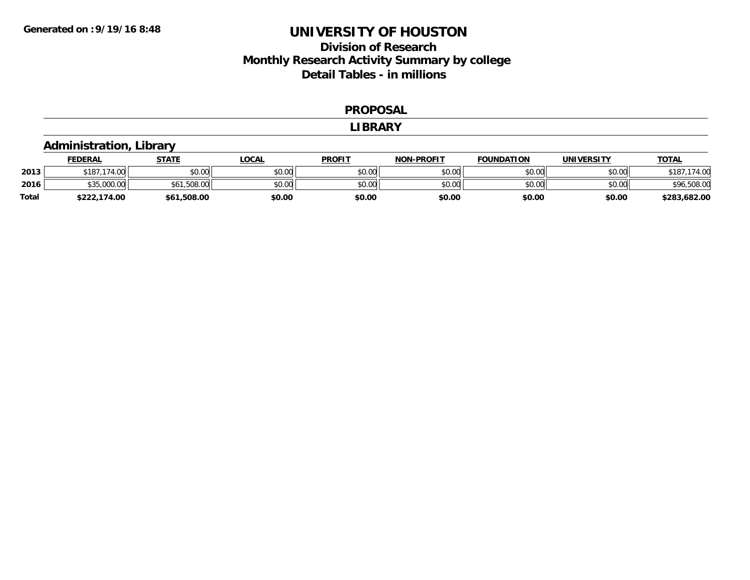# **Division of Research Monthly Research Activity Summary by college Detail Tables - in millions**

#### **PROPOSAL**

#### **LIBRARY**

#### **Administration, Library**

|       | <b>FEDERAL</b>                | STATE       | LOCAL  | <b>PROFIT</b> | <b>NON-PROFIT</b> | <b>FOUNDATION</b> | <b>UNIVERSITY</b> | <u>TOTAL</u>   |
|-------|-------------------------------|-------------|--------|---------------|-------------------|-------------------|-------------------|----------------|
| 2013  | \$187<br>17100<br>ີ * 174.∪ພ. | \$0.00      | \$0.00 | \$0.00        | \$0.00            | \$0.00            | \$0.00            | .174.00<br>ነ18 |
| 2016  | \$35,000.00                   | .508.00     | \$0.00 | \$0.00        | \$0.00            | \$0.00            | \$0.00            | \$96,508.00    |
| Total | \$222,174.00                  | \$61,508.00 | \$0.00 | \$0.00        | \$0.00            | \$0.00            | \$0.00            | \$283,682.00   |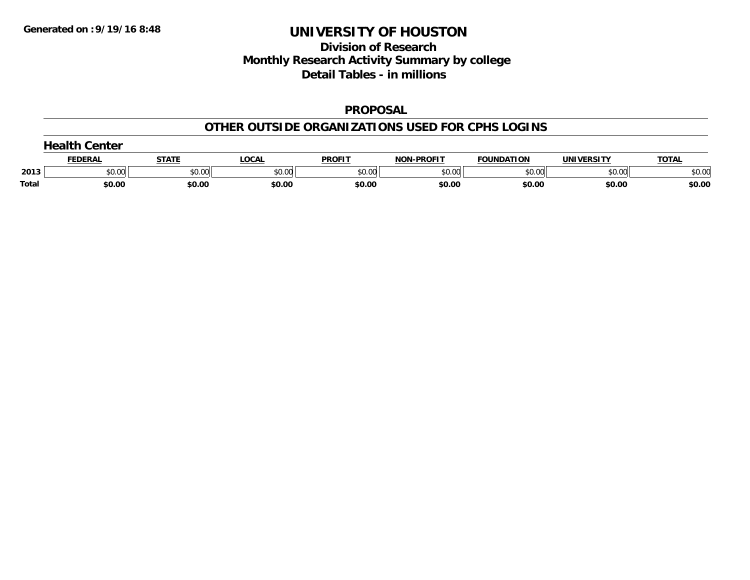# **Division of Research Monthly Research Activity Summary by college Detail Tables - in millions**

#### **PROPOSAL**

#### **OTHER OUTSIDE ORGANIZATIONS USED FOR CPHS LOGINS**

|              | $J$ oolth.<br>Center |              |        |               |                   |                   |            |              |  |  |  |
|--------------|----------------------|--------------|--------|---------------|-------------------|-------------------|------------|--------------|--|--|--|
|              | <b>FEDERAL</b>       | <u>STATI</u> | _OCAI  | <b>PROFIT</b> | <b>NON-PROFIT</b> | <b>FOUNDATION</b> | UNIVERSITY | <b>TOTAL</b> |  |  |  |
| 2013         | \$0.00               | \$0.00       | \$0.00 | \$0.00        | \$0.00            | \$0.00            | \$0.00     | \$0.00       |  |  |  |
| <b>Total</b> | \$0.00               | \$0.00       | \$0.00 | \$0.00        | \$0.00            | \$0.00            | \$0.00     | \$0.00       |  |  |  |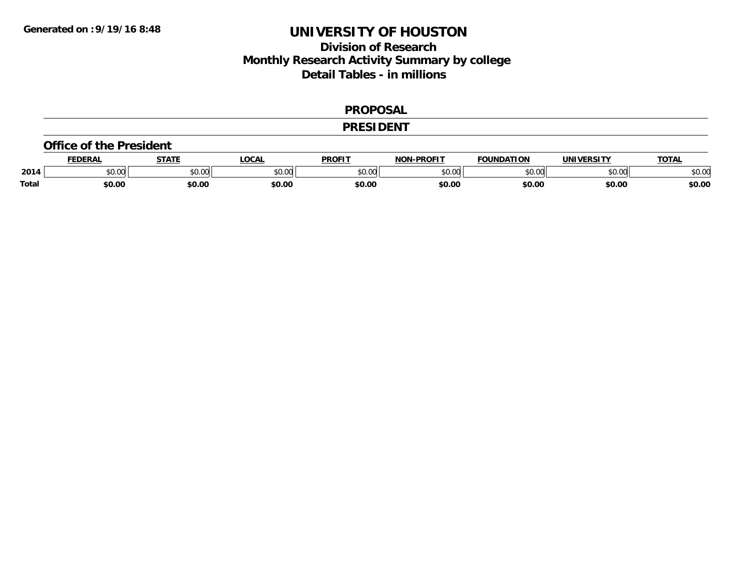# **Division of Research Monthly Research Activity Summary by college Detail Tables - in millions**

#### **PROPOSAL**

#### **PRESIDENT**

#### **Office of the President**

|              | <b>FEDERA</b>  | CTATE         | .OCAL          | <b>PROFIT</b>          | -PROFIT<br><b>NON</b> | ומחווווה-<br>חסו־ | <b>IINIVERSIT\</b> | <b>TOTA</b>   |
|--------------|----------------|---------------|----------------|------------------------|-----------------------|-------------------|--------------------|---------------|
| 2014         | ტი იი<br>JU.UU | 0000<br>JU.UU | 0.00<br>DU.UU. | 0 <sub>n</sub><br>JU.U | 0000<br>JU.UU         | 0000<br>w         | ልስ ባህ<br>DU.UU     | 0000<br>JU.UU |
| <b>Total</b> | \$0.00         | \$0.00        | \$0.00         | \$0.00                 | \$0.00                | \$0.00            | \$0.00             | \$0.00        |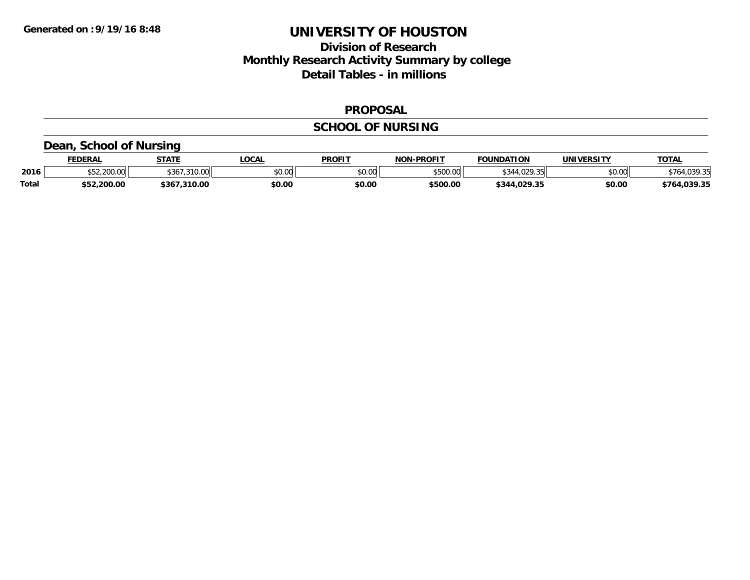# **Division of Research Monthly Research Activity Summary by college Detail Tables - in millions**

#### **PROPOSAL**

### **SCHOOL OF NURSING**

### **Dean, School of Nursing**

|              | <b>FEDERAL</b>           | <b>СТАТЕ</b>    | LOCAL  | <b>PROFIT</b> | <b>NON-PROFIT</b> | <b>FOUNDATION</b> | UNIVERSITY | <b>TOTAL</b>  |
|--------------|--------------------------|-----------------|--------|---------------|-------------------|-------------------|------------|---------------|
| 2016         | $,$ ann an<br>DU.UUL.ZCC | 21000<br>0.02   | \$0.00 | \$0.00        | \$500.00          | 4.0202<br>.UZY.35 | \$0.00     | <b>U30 31</b> |
| <b>Total</b> | \$52,200.00              | .310.00<br>5367 | \$0.00 | \$0.00        | \$500.00          | \$344,029.35      | \$0.00     | \$764.039.35  |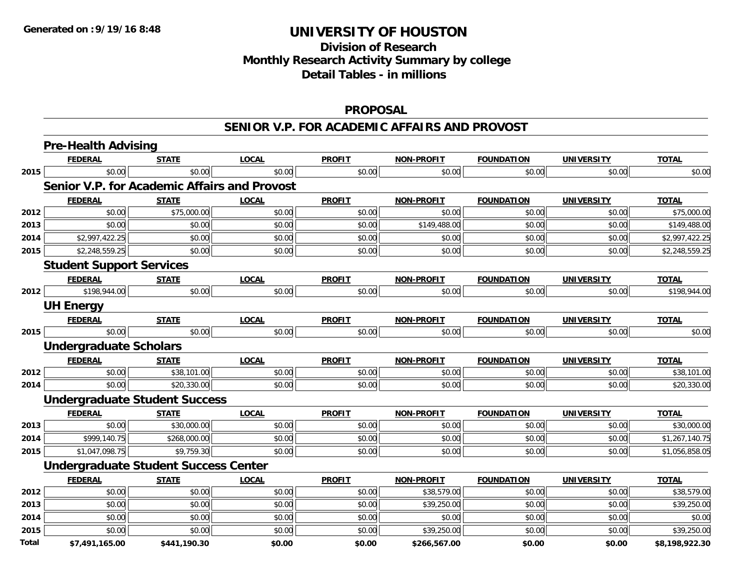# **Division of ResearchMonthly Research Activity Summary by college Detail Tables - in millions**

### **PROPOSAL**

#### **SENIOR V.P. FOR ACADEMIC AFFAIRS AND PROVOST**

|              | <b>Pre-Health Advising</b>                          |              |              |               |                   |                   |                   |                |
|--------------|-----------------------------------------------------|--------------|--------------|---------------|-------------------|-------------------|-------------------|----------------|
|              | <b>FEDERAL</b>                                      | <b>STATE</b> | <b>LOCAL</b> | <b>PROFIT</b> | <b>NON-PROFIT</b> | <b>FOUNDATION</b> | <b>UNIVERSITY</b> | <b>TOTAL</b>   |
| 2015         | \$0.00                                              | \$0.00       | \$0.00       | \$0.00        | \$0.00            | \$0.00            | \$0.00            | \$0.00         |
|              | <b>Senior V.P. for Academic Affairs and Provost</b> |              |              |               |                   |                   |                   |                |
|              | <b>FEDERAL</b>                                      | <b>STATE</b> | <b>LOCAL</b> | <b>PROFIT</b> | <b>NON-PROFIT</b> | <b>FOUNDATION</b> | <b>UNIVERSITY</b> | <b>TOTAL</b>   |
| 2012         | \$0.00                                              | \$75,000.00  | \$0.00       | \$0.00        | \$0.00            | \$0.00            | \$0.00            | \$75,000.00    |
| 2013         | \$0.00                                              | \$0.00       | \$0.00       | \$0.00        | \$149,488.00      | \$0.00            | \$0.00            | \$149,488.00   |
| 2014         | \$2,997,422.25                                      | \$0.00       | \$0.00       | \$0.00        | \$0.00            | \$0.00            | \$0.00            | \$2,997,422.25 |
| 2015         | \$2,248,559.25                                      | \$0.00       | \$0.00       | \$0.00        | \$0.00            | \$0.00            | \$0.00            | \$2,248,559.25 |
|              | <b>Student Support Services</b>                     |              |              |               |                   |                   |                   |                |
|              | <b>FEDERAL</b>                                      | <b>STATE</b> | <b>LOCAL</b> | <b>PROFIT</b> | <b>NON-PROFIT</b> | <b>FOUNDATION</b> | <b>UNIVERSITY</b> | <b>TOTAL</b>   |
| 2012         | \$198,944.00                                        | \$0.00       | \$0.00       | \$0.00        | \$0.00            | \$0.00            | \$0.00            | \$198,944.00   |
|              | <b>UH Energy</b>                                    |              |              |               |                   |                   |                   |                |
|              | <b>FEDERAL</b>                                      | <b>STATE</b> | <b>LOCAL</b> | <b>PROFIT</b> | <b>NON-PROFIT</b> | <b>FOUNDATION</b> | <b>UNIVERSITY</b> | <b>TOTAL</b>   |
| 2015         | \$0.00                                              | \$0.00       | \$0.00       | \$0.00        | \$0.00            | \$0.00            | \$0.00            | \$0.00         |
|              | <b>Undergraduate Scholars</b>                       |              |              |               |                   |                   |                   |                |
|              | <b>FEDERAL</b>                                      | <b>STATE</b> | <b>LOCAL</b> | <b>PROFIT</b> | <b>NON-PROFIT</b> | <b>FOUNDATION</b> | <b>UNIVERSITY</b> | <b>TOTAL</b>   |
| 2012         | \$0.00                                              | \$38,101.00  | \$0.00       | \$0.00        | \$0.00            | \$0.00            | \$0.00            | \$38,101.00    |
| 2014         | \$0.00                                              | \$20,330.00  | \$0.00       | \$0.00        | \$0.00            | \$0.00            | \$0.00            | \$20,330.00    |
|              | <b>Undergraduate Student Success</b>                |              |              |               |                   |                   |                   |                |
|              | <b>FEDERAL</b>                                      | <b>STATE</b> | <b>LOCAL</b> | <b>PROFIT</b> | <b>NON-PROFIT</b> | <b>FOUNDATION</b> | <b>UNIVERSITY</b> | <b>TOTAL</b>   |
| 2013         | \$0.00                                              | \$30,000.00  | \$0.00       | \$0.00        | \$0.00            | \$0.00            | \$0.00            | \$30,000.00    |
| 2014         | \$999,140.75                                        | \$268,000.00 | \$0.00       | \$0.00        | \$0.00            | \$0.00            | \$0.00            | \$1,267,140.75 |
| 2015         | \$1,047,098.75                                      | \$9,759.30   | \$0.00       | \$0.00        | \$0.00            | \$0.00            | \$0.00            | \$1,056,858.05 |
|              | <b>Undergraduate Student Success Center</b>         |              |              |               |                   |                   |                   |                |
|              | <b>FEDERAL</b>                                      | <b>STATE</b> | <b>LOCAL</b> | <b>PROFIT</b> | <b>NON-PROFIT</b> | <b>FOUNDATION</b> | <b>UNIVERSITY</b> | <b>TOTAL</b>   |
| 2012         | \$0.00                                              | \$0.00       | \$0.00       | \$0.00        | \$38,579.00       | \$0.00            | \$0.00            | \$38,579.00    |
| 2013         | \$0.00                                              | \$0.00       | \$0.00       | \$0.00        | \$39,250.00       | \$0.00            | \$0.00            | \$39,250.00    |
| 2014         | \$0.00                                              | \$0.00       | \$0.00       | \$0.00        | \$0.00            | \$0.00            | \$0.00            | \$0.00         |
| 2015         | \$0.00                                              | \$0.00       | \$0.00       | \$0.00        | \$39,250.00       | \$0.00            | \$0.00            | \$39,250.00    |
| <b>Total</b> | \$7,491,165.00                                      | \$441,190.30 | \$0.00       | \$0.00        | \$266,567.00      | \$0.00            | \$0.00            | \$8,198,922.30 |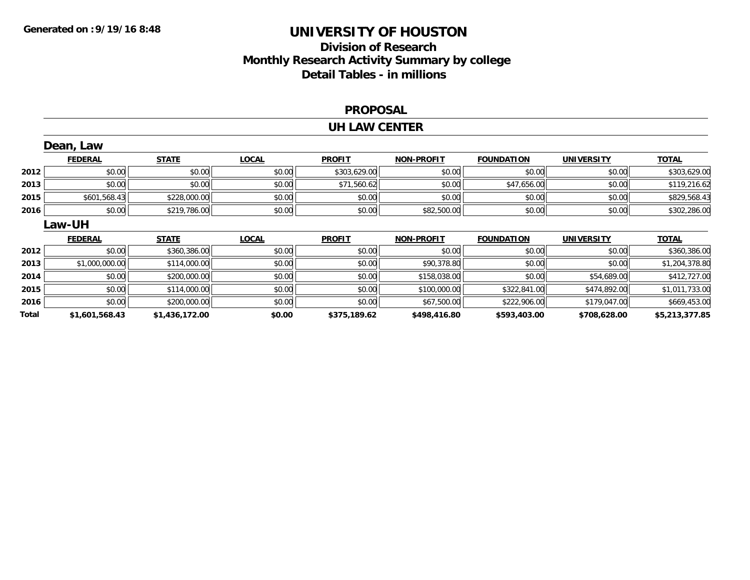# **Division of Research Monthly Research Activity Summary by college Detail Tables - in millions**

#### **PROPOSAL**

#### **UH LAW CENTER**

|      | Dean, Law      |              |              |               |                   |                   |                   |                |
|------|----------------|--------------|--------------|---------------|-------------------|-------------------|-------------------|----------------|
|      | <b>FEDERAL</b> | <b>STATE</b> | <b>LOCAL</b> | <b>PROFIT</b> | <b>NON-PROFIT</b> | <b>FOUNDATION</b> | <b>UNIVERSITY</b> | <b>TOTAL</b>   |
| 2012 | \$0.00         | \$0.00       | \$0.00       | \$303,629.00  | \$0.00            | \$0.00            | \$0.00            | \$303,629.00   |
| 2013 | \$0.00         | \$0.00       | \$0.00       | \$71,560.62   | \$0.00            | \$47,656.00       | \$0.00            | \$119,216.62   |
| 2015 | \$601,568.43   | \$228,000.00 | \$0.00       | \$0.00        | \$0.00            | \$0.00            | \$0.00            | \$829,568.43   |
| 2016 | \$0.00         | \$219,786.00 | \$0.00       | \$0.00        | \$82,500.00       | \$0.00            | \$0.00            | \$302,286.00   |
|      | Law-UH         |              |              |               |                   |                   |                   |                |
|      |                |              |              |               |                   |                   |                   |                |
|      | <b>FEDERAL</b> | <b>STATE</b> | <b>LOCAL</b> | <b>PROFIT</b> | <b>NON-PROFIT</b> | <b>FOUNDATION</b> | <b>UNIVERSITY</b> | <b>TOTAL</b>   |
| 2012 | \$0.00         | \$360,386.00 | \$0.00       | \$0.00        | \$0.00            | \$0.00            | \$0.00            | \$360,386.00   |
| 2013 | \$1,000,000.00 | \$114,000.00 | \$0.00       | \$0.00        | \$90,378.80       | \$0.00            | \$0.00            | \$1,204,378.80 |
| 2014 | \$0.00         | \$200,000.00 | \$0.00       | \$0.00        | \$158,038.00      | \$0.00            | \$54,689.00       | \$412,727.00   |
| 2015 | \$0.00         | \$114,000.00 | \$0.00       | \$0.00        | \$100,000.00      | \$322,841.00      | \$474,892.00      | \$1,011,733.00 |
| 2016 | \$0.00         | \$200,000.00 | \$0.00       | \$0.00        | \$67,500.00       | \$222,906.00      | \$179,047.00      | \$669,453.00   |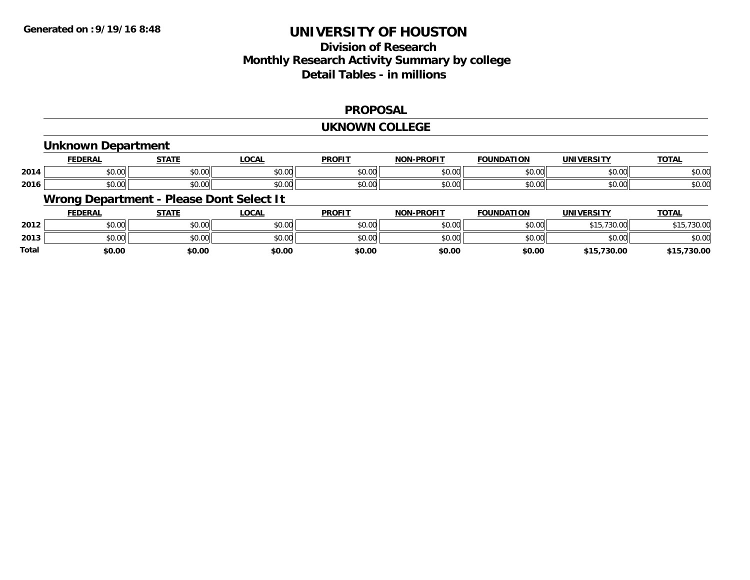## **Division of ResearchMonthly Research Activity Summary by college Detail Tables - in millions**

#### **PROPOSAL**

#### **UKNOWN COLLEGE**

#### **Unknown Department**

|      | -nr                                          | $- - - - -$            | 0 <sup>n</sup><br>איט                     | <b>PROFIT</b>                | <b>DDAEIT</b><br><b>NON</b> | rion<br>חוחומ         | 'ININ<br>-neitu | <b>TOTAL</b> |
|------|----------------------------------------------|------------------------|-------------------------------------------|------------------------------|-----------------------------|-----------------------|-----------------|--------------|
| 2014 | $\triangle$ $\triangle$ $\triangle$<br>שט.טע | $\sim$ 00<br>, U . U J | $\sim$ $\sim$<br>pu.uu                    | $\sim$ $\sim$ $\sim$<br>J∪ J | 0000<br>vu.vu               | $\sim$ $\sim$<br>u.uu | \$0.00          | \$0.00       |
| 2016 | ง∪.∪บ                                        | 0.00<br>00.UC          | $\uparrow$ $\uparrow$ $\uparrow$<br>pu.uu | JU.                          | 0000<br>PO.OO               | 0000<br>∪.∪∪          | \$0.00          | \$0.00       |

### **Wrong Department - Please Dont Select It**

|              | <b>FEDERAL</b> | <b>STATE</b> | <b>LOCAL</b> | <b>PROFIT</b> | <b>NON-PROFIT</b> | <b>FOUNDATION</b> | UNIVERSITY     | <b>TOTAL</b> |
|--------------|----------------|--------------|--------------|---------------|-------------------|-------------------|----------------|--------------|
| 2012         | 0.00<br>งบ.บบ  | \$0.00       | \$0.00       | \$0.00        | \$0.00            | \$0.00            | ぐっに<br>.730.00 | .15,730.00   |
| 2013         | 0000<br>JU.UU  | \$0.00       | \$0.00       | \$0.00        | \$0.00            | \$0.00            | \$0.00         | \$0.00       |
| <b>Total</b> | \$0.00         | \$0.00       | \$0.00       | \$0.00        | \$0.00            | \$0.00            | \$15,730.00    | 730.00<br>¢1 |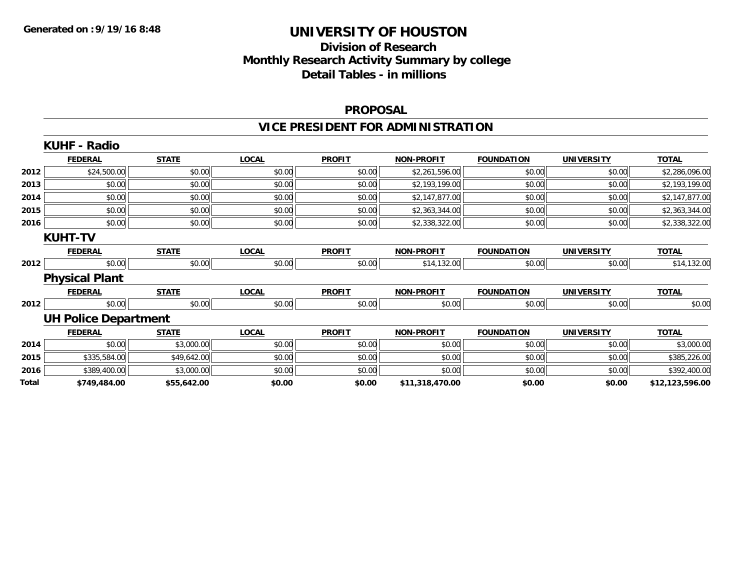# **Division of Research Monthly Research Activity Summary by college Detail Tables - in millions**

#### **PROPOSAL**

# **VICE PRESIDENT FOR ADMINISTRATION**

|       | <b>KUHF - Radio</b>         |              |              |               |                   |                   |                   |                 |
|-------|-----------------------------|--------------|--------------|---------------|-------------------|-------------------|-------------------|-----------------|
|       | <b>FEDERAL</b>              | <b>STATE</b> | <b>LOCAL</b> | <b>PROFIT</b> | <b>NON-PROFIT</b> | <b>FOUNDATION</b> | <b>UNIVERSITY</b> | <b>TOTAL</b>    |
| 2012  | \$24,500.00                 | \$0.00       | \$0.00       | \$0.00        | \$2,261,596.00    | \$0.00            | \$0.00            | \$2,286,096.00  |
| 2013  | \$0.00                      | \$0.00       | \$0.00       | \$0.00        | \$2,193,199.00    | \$0.00            | \$0.00            | \$2,193,199.00  |
| 2014  | \$0.00                      | \$0.00       | \$0.00       | \$0.00        | \$2,147,877.00    | \$0.00            | \$0.00            | \$2,147,877.00  |
| 2015  | \$0.00                      | \$0.00       | \$0.00       | \$0.00        | \$2,363,344.00    | \$0.00            | \$0.00            | \$2,363,344.00  |
| 2016  | \$0.00                      | \$0.00       | \$0.00       | \$0.00        | \$2,338,322.00    | \$0.00            | \$0.00            | \$2,338,322.00  |
|       | <b>KUHT-TV</b>              |              |              |               |                   |                   |                   |                 |
|       | <b>FEDERAL</b>              | <b>STATE</b> | <b>LOCAL</b> | <b>PROFIT</b> | <b>NON-PROFIT</b> | <b>FOUNDATION</b> | <b>UNIVERSITY</b> | <b>TOTAL</b>    |
| 2012  | \$0.00                      | \$0.00       | \$0.00       | \$0.00        | \$14,132.00       | \$0.00            | \$0.00            | \$14,132.00     |
|       | <b>Physical Plant</b>       |              |              |               |                   |                   |                   |                 |
|       | <b>FEDERAL</b>              | <b>STATE</b> | <b>LOCAL</b> | <b>PROFIT</b> | <b>NON-PROFIT</b> | <b>FOUNDATION</b> | <b>UNIVERSITY</b> | <b>TOTAL</b>    |
| 2012  | \$0.00                      | \$0.00       | \$0.00       | \$0.00        | \$0.00            | \$0.00            | \$0.00            | \$0.00          |
|       | <b>UH Police Department</b> |              |              |               |                   |                   |                   |                 |
|       | <b>FEDERAL</b>              | <b>STATE</b> | <b>LOCAL</b> | <b>PROFIT</b> | <b>NON-PROFIT</b> | <b>FOUNDATION</b> | <b>UNIVERSITY</b> | <b>TOTAL</b>    |
| 2014  | \$0.00                      | \$3,000.00   | \$0.00       | \$0.00        | \$0.00            | \$0.00            | \$0.00            | \$3,000.00      |
| 2015  | \$335,584.00                | \$49,642.00  | \$0.00       | \$0.00        | \$0.00            | \$0.00            | \$0.00            | \$385,226.00    |
| 2016  | \$389,400.00                | \$3,000.00   | \$0.00       | \$0.00        | \$0.00            | \$0.00            | \$0.00            | \$392,400.00    |
| Total | \$749,484.00                | \$55,642.00  | \$0.00       | \$0.00        | \$11,318,470.00   | \$0.00            | \$0.00            | \$12,123,596.00 |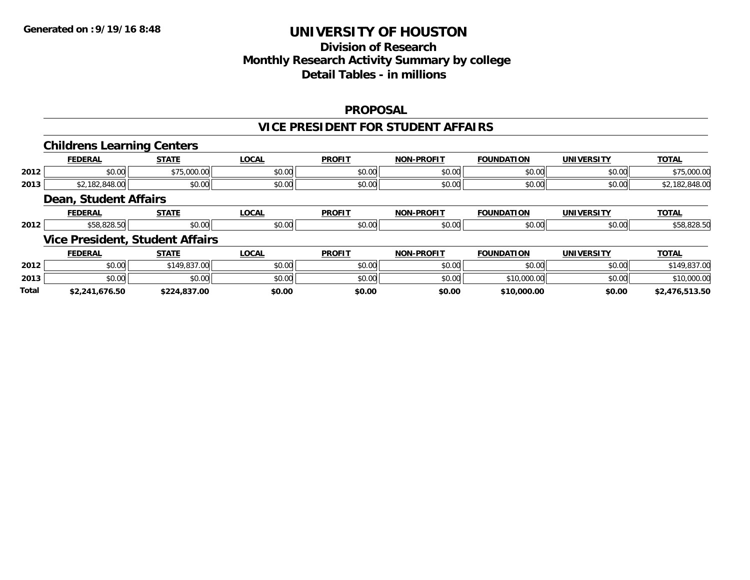# **Division of ResearchMonthly Research Activity Summary by college Detail Tables - in millions**

#### **PROPOSAL**

#### **VICE PRESIDENT FOR STUDENT AFFAIRS**

|              | <b>Childrens Learning Centers</b>      |              |              |               |                   |                   |                   |                |
|--------------|----------------------------------------|--------------|--------------|---------------|-------------------|-------------------|-------------------|----------------|
|              | <b>FEDERAL</b>                         | <b>STATE</b> | <b>LOCAL</b> | <b>PROFIT</b> | <b>NON-PROFIT</b> | <b>FOUNDATION</b> | <b>UNIVERSITY</b> | <b>TOTAL</b>   |
| 2012         | \$0.00                                 | \$75,000.00  | \$0.00       | \$0.00        | \$0.00            | \$0.00            | \$0.00            | \$75,000.00    |
| 2013         | \$2,182,848.00                         | \$0.00       | \$0.00       | \$0.00        | \$0.00            | \$0.00            | \$0.00            | \$2,182,848.00 |
|              | <b>Dean, Student Affairs</b>           |              |              |               |                   |                   |                   |                |
|              | <b>FEDERAL</b>                         | <b>STATE</b> | <b>LOCAL</b> | <b>PROFIT</b> | <b>NON-PROFIT</b> | <b>FOUNDATION</b> | <b>UNIVERSITY</b> | <b>TOTAL</b>   |
| 2012         | \$58,828.50                            | \$0.00       | \$0.00       | \$0.00        | \$0.00            | \$0.00            | \$0.00            | \$58,828.50    |
|              | <b>Vice President, Student Affairs</b> |              |              |               |                   |                   |                   |                |
|              | <b>FEDERAL</b>                         | <b>STATE</b> | <b>LOCAL</b> | <b>PROFIT</b> | <b>NON-PROFIT</b> | <b>FOUNDATION</b> | <b>UNIVERSITY</b> | <b>TOTAL</b>   |
| 2012         | \$0.00                                 | \$149,837.00 | \$0.00       | \$0.00        | \$0.00            | \$0.00            | \$0.00            | \$149,837.00   |
| 2013         | \$0.00                                 | \$0.00       | \$0.00       | \$0.00        | \$0.00            | \$10,000.00       | \$0.00            | \$10,000.00    |
| <b>Total</b> | \$2,241,676.50                         | \$224.837.00 | \$0.00       | \$0.00        | \$0.00            | \$10,000.00       | \$0.00            | \$2,476,513.50 |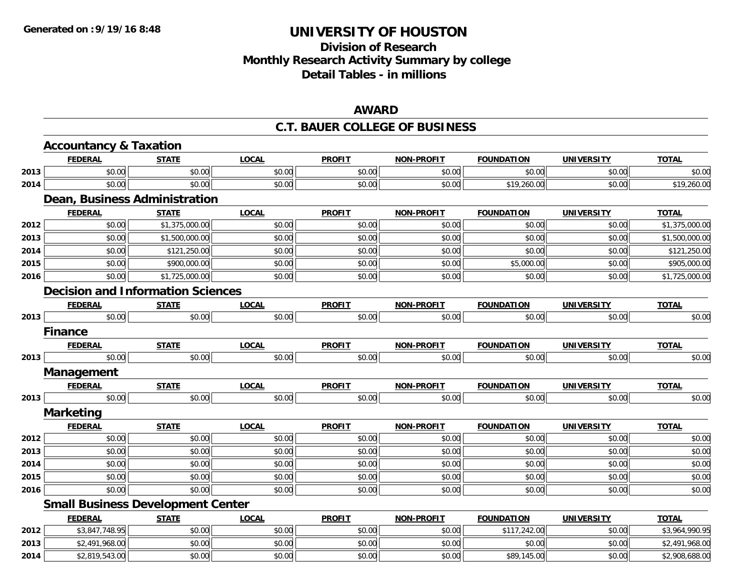# **Division of ResearchMonthly Research Activity Summary by college Detail Tables - in millions**

#### **AWARD**

#### **C.T. BAUER COLLEGE OF BUSINESS**

|      | <b>Accountancy &amp; Taxation</b> |                                          |              |               |                   |                   |                   |                |
|------|-----------------------------------|------------------------------------------|--------------|---------------|-------------------|-------------------|-------------------|----------------|
|      | <b>FEDERAL</b>                    | <b>STATE</b>                             | <b>LOCAL</b> | <b>PROFIT</b> | NON-PROFIT        | <b>FOUNDATION</b> | <b>UNIVERSITY</b> | <b>TOTAL</b>   |
| 2013 | \$0.00                            | \$0.00                                   | \$0.00       | \$0.00        | \$0.00            | \$0.00            | \$0.00            | \$0.00         |
| 2014 | \$0.00                            | \$0.00                                   | \$0.00       | \$0.00        | \$0.00            | \$19,260.00       | \$0.00            | \$19,260.00    |
|      |                                   | Dean, Business Administration            |              |               |                   |                   |                   |                |
|      | <b>FEDERAL</b>                    | <b>STATE</b>                             | <b>LOCAL</b> | <b>PROFIT</b> | <b>NON-PROFIT</b> | <b>FOUNDATION</b> | <b>UNIVERSITY</b> | <b>TOTAL</b>   |
| 2012 | \$0.00                            | \$1,375,000.00                           | \$0.00       | \$0.00        | \$0.00            | \$0.00            | \$0.00            | \$1,375,000.00 |
| 2013 | \$0.00                            | \$1,500,000.00                           | \$0.00       | \$0.00        | \$0.00            | \$0.00            | \$0.00            | \$1,500,000.00 |
| 2014 | \$0.00                            | \$121,250.00                             | \$0.00       | \$0.00        | \$0.00            | \$0.00            | \$0.00            | \$121,250.00   |
| 2015 | \$0.00                            | \$900,000.00                             | \$0.00       | \$0.00        | \$0.00            | \$5,000.00        | \$0.00            | \$905,000.00   |
| 2016 | \$0.00                            | \$1,725,000.00                           | \$0.00       | \$0.00        | \$0.00            | \$0.00            | \$0.00            | \$1,725,000.00 |
|      |                                   | <b>Decision and Information Sciences</b> |              |               |                   |                   |                   |                |
|      | <b>FEDERAL</b>                    | <b>STATE</b>                             | <b>LOCAL</b> | <b>PROFIT</b> | <b>NON-PROFIT</b> | <b>FOUNDATION</b> | <b>UNIVERSITY</b> | <b>TOTAL</b>   |
| 2013 | \$0.00                            | \$0.00                                   | \$0.00       | \$0.00        | \$0.00            | \$0.00            | \$0.00            | \$0.00         |
|      | <b>Finance</b>                    |                                          |              |               |                   |                   |                   |                |
|      | <b>FEDERAL</b>                    | <b>STATE</b>                             | <b>LOCAL</b> | <b>PROFIT</b> | <b>NON-PROFIT</b> | <b>FOUNDATION</b> | <b>UNIVERSITY</b> | <b>TOTAL</b>   |
| 2013 | \$0.00                            | \$0.00                                   | \$0.00       | \$0.00        | \$0.00            | \$0.00            | \$0.00            | \$0.00         |
|      | Management                        |                                          |              |               |                   |                   |                   |                |
|      | <b>FEDERAL</b>                    | <b>STATE</b>                             | <b>LOCAL</b> | <b>PROFIT</b> | <b>NON-PROFIT</b> | <b>FOUNDATION</b> | <b>UNIVERSITY</b> | <b>TOTAL</b>   |
| 2013 | \$0.00                            | \$0.00                                   | \$0.00       | \$0.00        | \$0.00            | \$0.00            | \$0.00            | \$0.00         |
|      | <b>Marketing</b>                  |                                          |              |               |                   |                   |                   |                |
|      | <b>FEDERAL</b>                    | <b>STATE</b>                             | <b>LOCAL</b> | <b>PROFIT</b> | <b>NON-PROFIT</b> | <b>FOUNDATION</b> | <b>UNIVERSITY</b> | <b>TOTAL</b>   |
| 2012 | \$0.00                            | \$0.00                                   | \$0.00       | \$0.00        | \$0.00            | \$0.00            | \$0.00            | \$0.00         |
| 2013 | \$0.00                            | \$0.00                                   | \$0.00       | \$0.00        | \$0.00            | \$0.00            | \$0.00            | \$0.00         |
| 2014 | \$0.00                            | \$0.00                                   | \$0.00       | \$0.00        | \$0.00            | \$0.00            | \$0.00            | \$0.00         |
| 2015 | \$0.00                            | \$0.00                                   | \$0.00       | \$0.00        | \$0.00            | \$0.00            | \$0.00            | \$0.00         |
| 2016 | \$0.00                            | \$0.00                                   | \$0.00       | \$0.00        | \$0.00            | \$0.00            | \$0.00            | \$0.00         |
|      |                                   | <b>Small Business Development Center</b> |              |               |                   |                   |                   |                |
|      | <b>FEDERAL</b>                    | <b>STATE</b>                             | <b>LOCAL</b> | <b>PROFIT</b> | <b>NON-PROFIT</b> | <b>FOUNDATION</b> | <b>UNIVERSITY</b> | <b>TOTAL</b>   |
| 2012 | \$3,847,748.95                    | \$0.00                                   | \$0.00       | \$0.00        | \$0.00            | \$117,242.00      | \$0.00            | \$3,964,990.95 |
| 2013 | \$2,491,968.00                    | \$0.00                                   | \$0.00       | \$0.00        | \$0.00            | \$0.00            | \$0.00            | \$2,491,968.00 |
| 2014 | \$2,819,543.00                    | \$0.00                                   | \$0.00       | \$0.00        | \$0.00            | \$89,145.00       | \$0.00            | \$2,908,688.00 |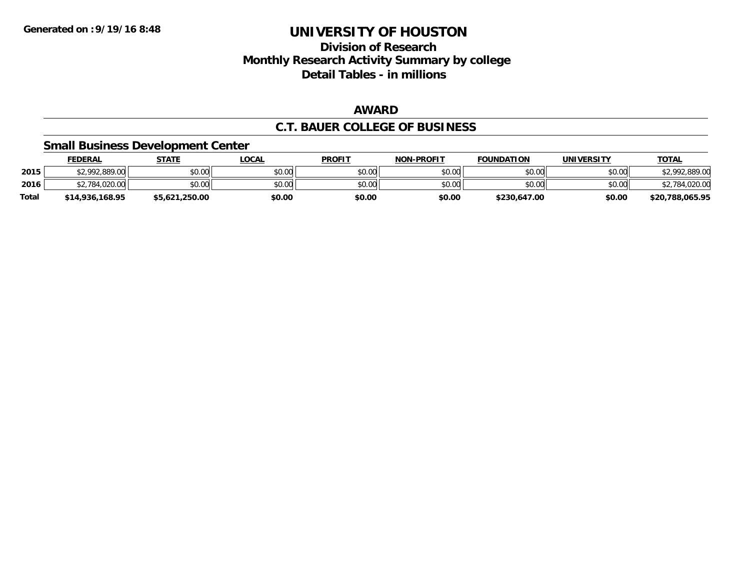### **Division of Research Monthly Research Activity Summary by college Detail Tables - in millions**

### **AWARD**

### **C.T. BAUER COLLEGE OF BUSINESS**

### **Small Business Development Center**

|              | <b>FEDERAL</b>  | <b>STATE</b>   | _OCAL  | <b>PROFIT</b> | <b>NON-PROFIT</b> | <b>FOUNDATION</b> | UNIVERSITY | <b>TOTAL</b>    |
|--------------|-----------------|----------------|--------|---------------|-------------------|-------------------|------------|-----------------|
| 2015         | \$2,992,889.00  | \$0.00         | \$0.00 | \$0.00        | \$0.00            | \$0.00            | \$0.00     | \$2,992,889.00  |
| 2016         | .020.00<br>784  | \$0.00         | \$0.00 | \$0.00        | \$0.00            | \$0.00            | \$0.00     | 1.020.00        |
| <b>Total</b> | \$14,936,168,95 | \$5,621,250.00 | \$0.00 | \$0.00        | \$0.00            | \$230,647.00      | \$0.00     | \$20,788,065.95 |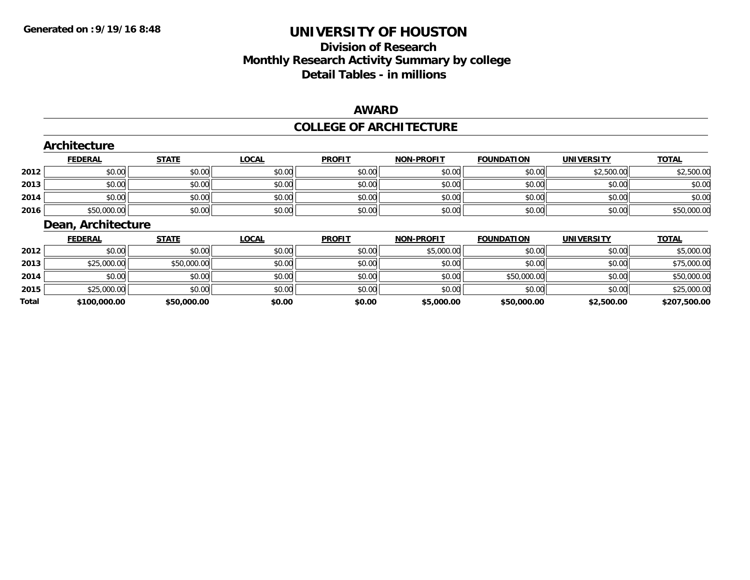**Total**

# **UNIVERSITY OF HOUSTON**

# **Division of ResearchMonthly Research Activity Summary by college Detail Tables - in millions**

### **AWARD**

### **COLLEGE OF ARCHITECTURE**

|      | Architecture       |              |              |               |                   |                   |                   |              |  |  |  |  |
|------|--------------------|--------------|--------------|---------------|-------------------|-------------------|-------------------|--------------|--|--|--|--|
|      | <b>FEDERAL</b>     | <b>STATE</b> | <b>LOCAL</b> | <b>PROFIT</b> | <b>NON-PROFIT</b> | <b>FOUNDATION</b> | <b>UNIVERSITY</b> | <b>TOTAL</b> |  |  |  |  |
| 2012 | \$0.00             | \$0.00       | \$0.00       | \$0.00        | \$0.00            | \$0.00            | \$2,500.00        | \$2,500.00   |  |  |  |  |
| 2013 | \$0.00             | \$0.00       | \$0.00       | \$0.00        | \$0.00            | \$0.00            | \$0.00            | \$0.00       |  |  |  |  |
| 2014 | \$0.00             | \$0.00       | \$0.00       | \$0.00        | \$0.00            | \$0.00            | \$0.00            | \$0.00       |  |  |  |  |
| 2016 | \$50,000.00        | \$0.00       | \$0.00       | \$0.00        | \$0.00            | \$0.00            | \$0.00            | \$50,000.00  |  |  |  |  |
|      | Dean, Architecture |              |              |               |                   |                   |                   |              |  |  |  |  |
|      | <b>FEDERAL</b>     | <b>STATE</b> | <b>LOCAL</b> | <b>PROFIT</b> | <b>NON-PROFIT</b> | <b>FOUNDATION</b> | <b>UNIVERSITY</b> | <b>TOTAL</b> |  |  |  |  |
| 2012 | \$0.00             | \$0.00       | \$0.00       | \$0.00        | \$5,000.00        | \$0.00            | \$0.00            | \$5,000.00   |  |  |  |  |
| 2013 | \$25,000.00        | \$50,000.00  | \$0.00       | \$0.00        | \$0.00            | \$0.00            | \$0.00            | \$75,000.00  |  |  |  |  |
| 2014 | \$0.00             |              |              | \$0.00        | \$0.00            | \$50,000.00       | \$0.00            | \$50,000.00  |  |  |  |  |
|      |                    | \$0.00       | \$0.00       |               |                   |                   |                   |              |  |  |  |  |

**\$100,000.00 \$50,000.00 \$0.00 \$0.00 \$5,000.00 \$50,000.00 \$2,500.00 \$207,500.00**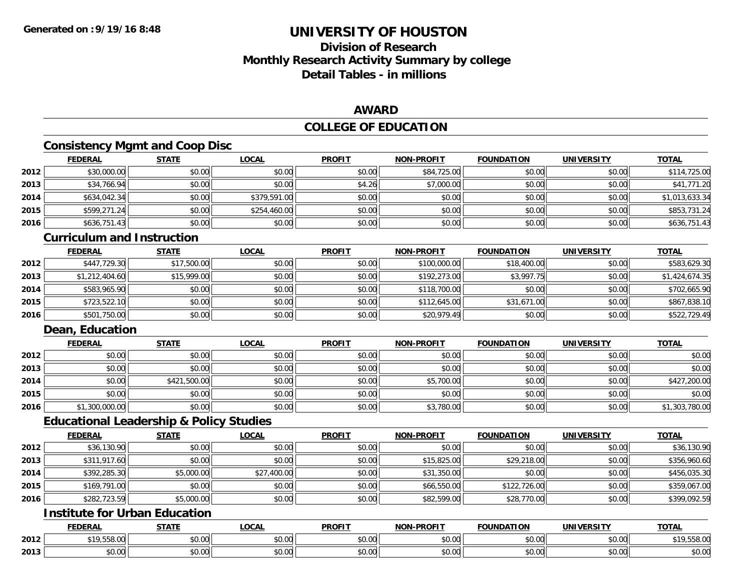# **Division of ResearchMonthly Research Activity Summary by college Detail Tables - in millions**

### **AWARD**

### **COLLEGE OF EDUCATION**

### **Consistency Mgmt and Coop Disc**

|      | <b>FEDERAL</b> | <b>STATE</b> | <b>LOCAL</b> | <b>PROFIT</b> | <b>NON-PROFIT</b> | <b>FOUNDATION</b> | <b>UNIVERSITY</b> | <b>TOTAL</b>   |
|------|----------------|--------------|--------------|---------------|-------------------|-------------------|-------------------|----------------|
| 2012 | \$30,000.00    | \$0.00       | \$0.00       | \$0.00        | \$84,725.00       | \$0.00            | \$0.00            | \$114,725.00   |
| 2013 | \$34,766.94    | \$0.00       | \$0.00       | \$4.26        | \$7,000.00        | \$0.00            | \$0.00            | \$41,771.20    |
| 2014 | \$634,042.34   | \$0.00       | \$379,591.00 | \$0.00        | \$0.00            | \$0.00            | \$0.00            | \$1,013,633.34 |
| 2015 | \$599,271.24   | \$0.00       | \$254,460.00 | \$0.00        | \$0.00            | \$0.00            | \$0.00            | \$853,731.24   |
| 2016 | \$636,751.43   | \$0.00       | \$0.00       | \$0.00        | \$0.00            | \$0.00            | \$0.00            | \$636,751.43   |

#### **Curriculum and Instruction**

|      | <b>FEDERAL</b> | <b>STATE</b> | <b>LOCAL</b> | <b>PROFIT</b> | <b>NON-PROFIT</b> | <b>FOUNDATION</b> | <b>UNIVERSITY</b> | <b>TOTAL</b>   |
|------|----------------|--------------|--------------|---------------|-------------------|-------------------|-------------------|----------------|
| 2012 | \$447,729.30   | \$17,500.00  | \$0.00       | \$0.00        | \$100,000.00      | \$18,400.00       | \$0.00            | \$583,629.30   |
| 2013 | \$1,212,404.60 | \$15,999.00  | \$0.00       | \$0.00        | \$192,273,00      | \$3,997.75        | \$0.00            | \$1,424,674.35 |
| 2014 | \$583,965.90   | \$0.00       | \$0.00       | \$0.00        | \$118,700.00      | \$0.00            | \$0.00            | \$702,665.90   |
| 2015 | \$723,522.10   | \$0.00       | \$0.00       | \$0.00        | \$112,645.00      | \$31,671.00       | \$0.00            | \$867,838.10   |
| 2016 | \$501,750.00   | \$0.00       | \$0.00       | \$0.00        | \$20,979.49       | \$0.00            | \$0.00            | \$522,729.49   |

### **Dean, Education**

|      | <b>FEDERAL</b> | <u>STATE</u> | <u>LOCAL</u> | <b>PROFIT</b> | <b>NON-PROFIT</b> | <b>FOUNDATION</b> | <b>UNIVERSITY</b> | <b>TOTAL</b>   |
|------|----------------|--------------|--------------|---------------|-------------------|-------------------|-------------------|----------------|
| 2012 | \$0.00         | \$0.00       | \$0.00       | \$0.00        | \$0.00            | \$0.00            | \$0.00            | \$0.00         |
| 2013 | \$0.00         | \$0.00       | \$0.00       | \$0.00        | \$0.00            | \$0.00            | \$0.00            | \$0.00         |
| 2014 | \$0.00         | \$421,500.00 | \$0.00       | \$0.00        | \$5,700.00        | \$0.00            | \$0.00            | \$427,200.00   |
| 2015 | \$0.00         | \$0.00       | \$0.00       | \$0.00        | \$0.00            | \$0.00            | \$0.00            | \$0.00         |
| 2016 | \$1,300,000.00 | \$0.00       | \$0.00       | \$0.00        | \$3,780.00        | \$0.00            | \$0.00            | \$1,303,780.00 |

### **Educational Leadership & Policy Studies**

|      | <b>FEDERAL</b> | <b>STATE</b> | <u>LOCAL</u> | <b>PROFIT</b> | <b>NON-PROFIT</b> | <b>FOUNDATION</b> | <b>UNIVERSITY</b> | <b>TOTAL</b> |
|------|----------------|--------------|--------------|---------------|-------------------|-------------------|-------------------|--------------|
| 2012 | \$36,130.90    | \$0.00       | \$0.00       | \$0.00        | \$0.00            | \$0.00            | \$0.00            | \$36,130.90  |
| 2013 | \$311,917.60   | \$0.00       | \$0.00       | \$0.00        | \$15,825.00       | \$29,218.00       | \$0.00            | \$356,960.60 |
| 2014 | \$392,285.30   | \$5,000.00   | \$27,400.00  | \$0.00        | \$31,350.00       | \$0.00            | \$0.00            | \$456,035.30 |
| 2015 | \$169,791.00   | \$0.00       | \$0.00       | \$0.00        | \$66,550.00       | \$122,726.00      | \$0.00            | \$359,067.00 |
| 2016 | \$282,723.59   | \$5,000.00   | \$0.00       | \$0.00        | \$82,599.00       | \$28,770.00       | \$0.00            | \$399,092.59 |

# **Institute for Urban Education**

|      | <b>FEDERAL</b>            | <b>CTATE</b><br>. .<br>. | LOCAL         | <b>PROFIT</b>                       | J-PROFIT<br>NON- | <b>FOUNDATION</b> | <b>UNIVERSITY</b>         | <b>TOTAL</b> |
|------|---------------------------|--------------------------|---------------|-------------------------------------|------------------|-------------------|---------------------------|--------------|
| 2012 | $*1055800$<br>,,,,,,,,,,, | 0000<br>JU.UU            | 0000<br>DU.UU | ሖጣ<br>JU.UU                         | 0.00<br>JU.UU    | 0000<br>DU.UU     | $\sim$ 00<br><b>JU.UU</b> | 19,558.00    |
| 2013 | 0000<br>JU.UU             | 0000<br>PO.OO            | \$0.00        | <b>↑∩</b><br>$\sim$ $\sim$<br>vu.uu | 0000<br>JU.UU    | 0000<br>JU.UU     | 0000<br><b>JU.UU</b>      | \$0.00       |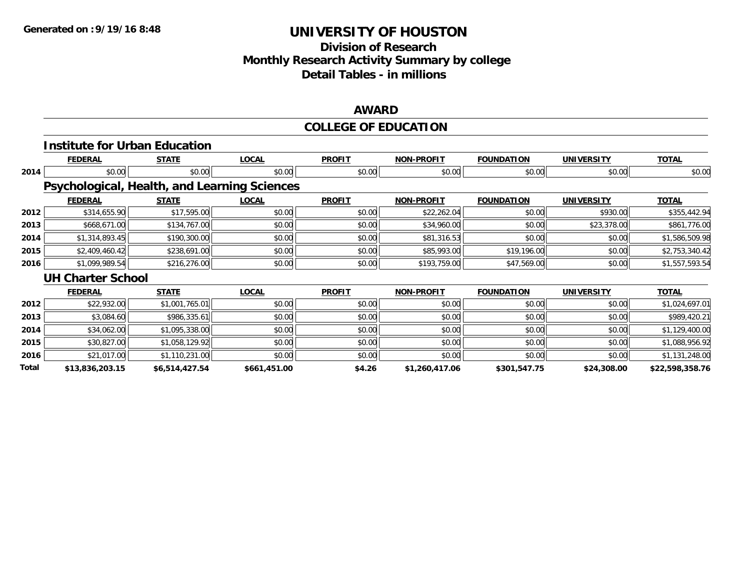# **Division of ResearchMonthly Research Activity Summary by college Detail Tables - in millions**

### **AWARD**

### **COLLEGE OF EDUCATION**

|       | <b>Institute for Urban Education</b>         |                |              |               |                   |                   |                   |                 |
|-------|----------------------------------------------|----------------|--------------|---------------|-------------------|-------------------|-------------------|-----------------|
|       | <b>FEDERAL</b>                               | <b>STATE</b>   | <b>LOCAL</b> | <b>PROFIT</b> | <b>NON-PROFIT</b> | <b>FOUNDATION</b> | <b>UNIVERSITY</b> | <b>TOTAL</b>    |
| 2014  | \$0.00                                       | \$0.00         | \$0.00       | \$0.00        | \$0.00            | \$0.00            | \$0.00            | \$0.00          |
|       | Psychological, Health, and Learning Sciences |                |              |               |                   |                   |                   |                 |
|       | <b>FEDERAL</b>                               | <b>STATE</b>   | <b>LOCAL</b> | <b>PROFIT</b> | NON-PROFIT        | <b>FOUNDATION</b> | <b>UNIVERSITY</b> | <b>TOTAL</b>    |
| 2012  | \$314,655.90                                 | \$17,595.00    | \$0.00       | \$0.00        | \$22,262.04       | \$0.00            | \$930.00          | \$355,442.94    |
| 2013  | \$668,671.00                                 | \$134,767.00   | \$0.00       | \$0.00        | \$34,960.00       | \$0.00            | \$23,378.00       | \$861,776.00    |
| 2014  | \$1,314,893.45                               | \$190,300.00   | \$0.00       | \$0.00        | \$81,316.53       | \$0.00            | \$0.00            | \$1,586,509.98  |
| 2015  | \$2,409,460.42                               | \$238,691.00   | \$0.00       | \$0.00        | \$85,993.00       | \$19,196.00       | \$0.00            | \$2,753,340.42  |
| 2016  | \$1,099,989.54                               | \$216,276.00   | \$0.00       | \$0.00        | \$193,759.00      | \$47,569.00       | \$0.00            | \$1,557,593.54  |
|       | <b>UH Charter School</b>                     |                |              |               |                   |                   |                   |                 |
|       | <b>FEDERAL</b>                               | <b>STATE</b>   | <b>LOCAL</b> | <b>PROFIT</b> | <b>NON-PROFIT</b> | <b>FOUNDATION</b> | <b>UNIVERSITY</b> | <b>TOTAL</b>    |
| 2012  | \$22,932.00                                  | \$1,001,765.01 | \$0.00       | \$0.00        | \$0.00            | \$0.00            | \$0.00            | \$1,024,697.01  |
| 2013  | \$3,084.60                                   | \$986,335.61   | \$0.00       | \$0.00        | \$0.00            | \$0.00            | \$0.00            | \$989,420.21    |
| 2014  | \$34,062.00                                  | \$1,095,338.00 | \$0.00       | \$0.00        | \$0.00            | \$0.00            | \$0.00            | \$1,129,400.00  |
| 2015  | \$30,827.00                                  | \$1,058,129.92 | \$0.00       | \$0.00        | \$0.00            | \$0.00            | \$0.00            | \$1,088,956.92  |
| 2016  | \$21,017.00                                  | \$1,110,231.00 | \$0.00       | \$0.00        | \$0.00            | \$0.00            | \$0.00            | \$1,131,248.00  |
| Total | \$13,836,203.15                              | \$6,514,427.54 | \$661,451.00 | \$4.26        | \$1,260,417.06    | \$301,547.75      | \$24,308.00       | \$22,598,358.76 |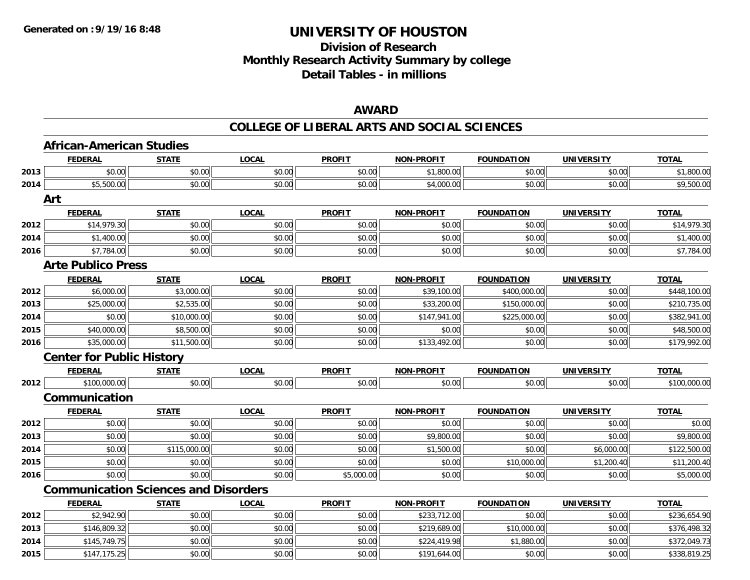# **Division of ResearchMonthly Research Activity Summary by college Detail Tables - in millions**

### **AWARD**

|      | <b>African-American Studies</b>             |              |              |               |                   |                   |                   |              |
|------|---------------------------------------------|--------------|--------------|---------------|-------------------|-------------------|-------------------|--------------|
|      | <b>FEDERAL</b>                              | <b>STATE</b> | <b>LOCAL</b> | <b>PROFIT</b> | <b>NON-PROFIT</b> | <b>FOUNDATION</b> | <b>UNIVERSITY</b> | <b>TOTAL</b> |
| 2013 | \$0.00                                      | \$0.00       | \$0.00       | \$0.00        | \$1,800.00        | \$0.00            | \$0.00            | \$1,800.00   |
| 2014 | \$5,500.00                                  | \$0.00       | \$0.00       | \$0.00        | \$4,000.00        | \$0.00            | \$0.00            | \$9,500.00   |
|      | Art                                         |              |              |               |                   |                   |                   |              |
|      | <b>FEDERAL</b>                              | <b>STATE</b> | <b>LOCAL</b> | <b>PROFIT</b> | <b>NON-PROFIT</b> | <b>FOUNDATION</b> | <b>UNIVERSITY</b> | <b>TOTAL</b> |
| 2012 | \$14,979.30                                 | \$0.00       | \$0.00       | \$0.00        | \$0.00            | \$0.00            | \$0.00            | \$14,979.30  |
| 2014 | \$1,400.00                                  | \$0.00       | \$0.00       | \$0.00        | \$0.00            | \$0.00            | \$0.00            | \$1,400.00   |
| 2016 | \$7,784.00                                  | \$0.00       | \$0.00       | \$0.00        | \$0.00            | \$0.00            | \$0.00            | \$7,784.00   |
|      | <b>Arte Publico Press</b>                   |              |              |               |                   |                   |                   |              |
|      | <b>FEDERAL</b>                              | <b>STATE</b> | <b>LOCAL</b> | <b>PROFIT</b> | <b>NON-PROFIT</b> | <b>FOUNDATION</b> | <b>UNIVERSITY</b> | <b>TOTAL</b> |
| 2012 | \$6,000.00                                  | \$3,000.00   | \$0.00       | \$0.00        | \$39,100.00       | \$400,000.00      | \$0.00            | \$448,100.00 |
| 2013 | \$25,000.00                                 | \$2,535.00   | \$0.00       | \$0.00        | \$33,200.00       | \$150,000.00      | \$0.00            | \$210,735.00 |
| 2014 | \$0.00                                      | \$10,000.00  | \$0.00       | \$0.00        | \$147,941.00      | \$225,000.00      | \$0.00            | \$382,941.00 |
| 2015 | \$40,000.00                                 | \$8,500.00   | \$0.00       | \$0.00        | \$0.00            | \$0.00            | \$0.00            | \$48,500.00  |
| 2016 | \$35,000.00                                 | \$11,500.00  | \$0.00       | \$0.00        | \$133,492.00      | \$0.00            | \$0.00            | \$179,992.00 |
|      | <b>Center for Public History</b>            |              |              |               |                   |                   |                   |              |
|      | <b>FEDERAL</b>                              | <b>STATE</b> | <b>LOCAL</b> | <b>PROFIT</b> | <b>NON-PROFIT</b> | <b>FOUNDATION</b> | <b>UNIVERSITY</b> | <b>TOTAL</b> |
| 2012 | \$100,000.00                                | \$0.00       | \$0.00       | \$0.00        | \$0.00            | \$0.00            | \$0.00            | \$100,000.00 |
|      | Communication                               |              |              |               |                   |                   |                   |              |
|      | <b>FEDERAL</b>                              | <b>STATE</b> | <b>LOCAL</b> | <b>PROFIT</b> | <b>NON-PROFIT</b> | <b>FOUNDATION</b> | <b>UNIVERSITY</b> | <b>TOTAL</b> |
| 2012 | \$0.00                                      | \$0.00       | \$0.00       | \$0.00        | \$0.00            | \$0.00            | \$0.00            | \$0.00       |
| 2013 | \$0.00                                      | \$0.00       | \$0.00       | \$0.00        | \$9,800.00        | \$0.00            | \$0.00            | \$9,800.00   |
| 2014 | \$0.00                                      | \$115,000.00 | \$0.00       | \$0.00        | \$1,500.00        | \$0.00            | \$6,000.00        | \$122,500.00 |
| 2015 | \$0.00                                      | \$0.00       | \$0.00       | \$0.00        | \$0.00            | \$10,000.00       | \$1,200.40        | \$11,200.40  |
| 2016 | \$0.00                                      | \$0.00       | \$0.00       | \$5,000.00    | \$0.00            | \$0.00            | \$0.00            | \$5,000.00   |
|      | <b>Communication Sciences and Disorders</b> |              |              |               |                   |                   |                   |              |
|      | <b>FEDERAL</b>                              | <b>STATE</b> | LOCAL        | <b>PROFIT</b> | <b>NON-PROFIT</b> | <b>FOUNDATION</b> | <b>UNIVERSITY</b> | <b>TOTAL</b> |
| 2012 | \$2,942.90                                  | \$0.00       | \$0.00       | \$0.00        | \$233,712.00      | \$0.00            | \$0.00            | \$236,654.90 |
| 2013 | \$146,809.32                                | \$0.00       | \$0.00       | \$0.00        | \$219,689.00      | \$10,000.00       | \$0.00            | \$376,498.32 |
| 2014 | \$145,749.75                                | \$0.00       | \$0.00       | \$0.00        | \$224,419.98      | \$1,880.00        | \$0.00            | \$372,049.73 |
| 2015 | \$147,175.25                                | \$0.00       | \$0.00       | \$0.00        | \$191,644.00      | \$0.00            | \$0.00            | \$338,819.25 |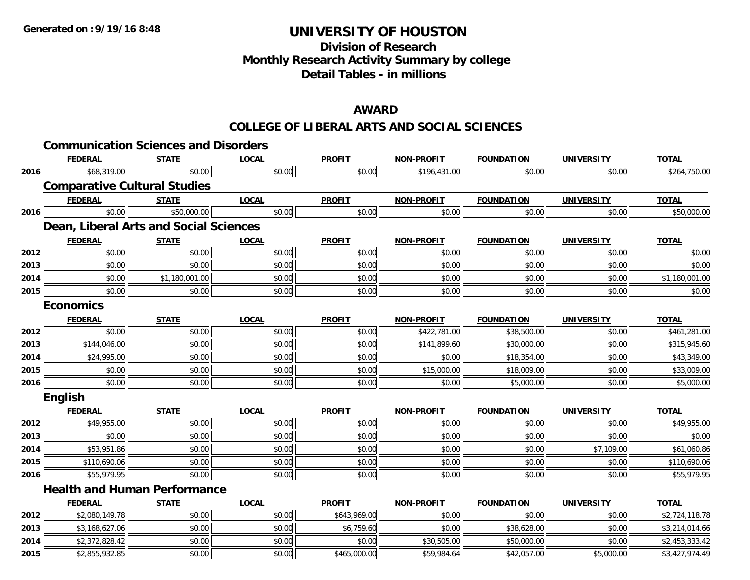# **Division of ResearchMonthly Research Activity Summary by college Detail Tables - in millions**

### **AWARD**

|      | <b>Communication Sciences and Disorders</b> |                |              |               |                   |                   |                   |                |
|------|---------------------------------------------|----------------|--------------|---------------|-------------------|-------------------|-------------------|----------------|
|      | <b>FEDERAL</b>                              | <b>STATE</b>   | <b>LOCAL</b> | <b>PROFIT</b> | <b>NON-PROFIT</b> | <b>FOUNDATION</b> | <b>UNIVERSITY</b> | <b>TOTAL</b>   |
| 2016 | \$68,319.00                                 | \$0.00         | \$0.00       | \$0.00        | \$196,431.00      | \$0.00            | \$0.00            | \$264,750.00   |
|      | <b>Comparative Cultural Studies</b>         |                |              |               |                   |                   |                   |                |
|      | <b>FEDERAL</b>                              | <b>STATE</b>   | <b>LOCAL</b> | <b>PROFIT</b> | <b>NON-PROFIT</b> | <b>FOUNDATION</b> | <b>UNIVERSITY</b> | <b>TOTAL</b>   |
| 2016 | \$0.00                                      | \$50,000.00    | \$0.00       | \$0.00        | \$0.00            | \$0.00            | \$0.00            | \$50,000.00    |
|      | Dean, Liberal Arts and Social Sciences      |                |              |               |                   |                   |                   |                |
|      | <b>FEDERAL</b>                              | <b>STATE</b>   | <b>LOCAL</b> | <b>PROFIT</b> | <b>NON-PROFIT</b> | <b>FOUNDATION</b> | <b>UNIVERSITY</b> | <b>TOTAL</b>   |
| 2012 | \$0.00                                      | \$0.00         | \$0.00       | \$0.00        | \$0.00            | \$0.00            | \$0.00            | \$0.00         |
| 2013 | \$0.00                                      | \$0.00         | \$0.00       | \$0.00        | \$0.00            | \$0.00            | \$0.00            | \$0.00         |
| 2014 | \$0.00                                      | \$1,180,001.00 | \$0.00       | \$0.00        | \$0.00            | \$0.00            | \$0.00            | \$1,180,001.00 |
| 2015 | \$0.00                                      | \$0.00         | \$0.00       | \$0.00        | \$0.00            | \$0.00            | \$0.00            | \$0.00         |
|      | <b>Economics</b>                            |                |              |               |                   |                   |                   |                |
|      | <b>FEDERAL</b>                              | <b>STATE</b>   | <b>LOCAL</b> | <b>PROFIT</b> | <b>NON-PROFIT</b> | <b>FOUNDATION</b> | <b>UNIVERSITY</b> | <b>TOTAL</b>   |
| 2012 | \$0.00                                      | \$0.00         | \$0.00       | \$0.00        | \$422,781.00      | \$38,500.00       | \$0.00            | \$461,281.00   |
| 2013 | \$144,046.00                                | \$0.00         | \$0.00       | \$0.00        | \$141,899.60      | \$30,000.00       | \$0.00            | \$315,945.60   |
| 2014 | \$24,995.00                                 | \$0.00         | \$0.00       | \$0.00        | \$0.00            | \$18,354.00       | \$0.00            | \$43,349.00    |
| 2015 | \$0.00                                      | \$0.00         | \$0.00       | \$0.00        | \$15,000.00       | \$18,009.00       | \$0.00            | \$33,009.00    |
| 2016 | \$0.00                                      | \$0.00         | \$0.00       | \$0.00        | \$0.00            | \$5,000.00        | \$0.00            | \$5,000.00     |
|      | <b>English</b>                              |                |              |               |                   |                   |                   |                |
|      | <b>FEDERAL</b>                              | <b>STATE</b>   | <b>LOCAL</b> | <b>PROFIT</b> | <b>NON-PROFIT</b> | <b>FOUNDATION</b> | <b>UNIVERSITY</b> | <b>TOTAL</b>   |
| 2012 | \$49,955.00                                 | \$0.00         | \$0.00       | \$0.00        | \$0.00            | \$0.00            | \$0.00            | \$49,955.00    |
| 2013 | \$0.00                                      | \$0.00         | \$0.00       | \$0.00        | \$0.00            | \$0.00            | \$0.00            | \$0.00         |
| 2014 | \$53,951.86                                 | \$0.00         | \$0.00       | \$0.00        | \$0.00            | \$0.00            | \$7,109.00        | \$61,060.86    |
| 2015 | \$110,690.06                                | \$0.00         | \$0.00       | \$0.00        | \$0.00            | \$0.00            | \$0.00            | \$110,690.06   |
| 2016 | \$55,979.95                                 | \$0.00         | \$0.00       | \$0.00        | \$0.00            | \$0.00            | \$0.00            | \$55,979.95    |
|      | <b>Health and Human Performance</b>         |                |              |               |                   |                   |                   |                |
|      | <b>FEDERAL</b>                              | <b>STATE</b>   | <b>LOCAL</b> | <b>PROFIT</b> | <b>NON-PROFIT</b> | <b>FOUNDATION</b> | <b>UNIVERSITY</b> | <b>TOTAL</b>   |
| 2012 | \$2,080,149.78                              | \$0.00         | \$0.00       | \$643,969.00  | \$0.00            | \$0.00            | \$0.00            | \$2,724,118.78 |
| 2013 | \$3,168,627.06                              | \$0.00         | \$0.00       | \$6,759.60    | \$0.00            | \$38,628.00       | \$0.00            | \$3,214,014.66 |
| 2014 | \$2,372,828.42                              | \$0.00         | \$0.00       | \$0.00        | \$30,505.00       | \$50,000.00       | \$0.00            | \$2,453,333.42 |
| 2015 | \$2,855,932.85                              | \$0.00         | \$0.00       | \$465,000.00  | \$59,984.64       | \$42,057.00       | \$5,000.00        | \$3,427,974.49 |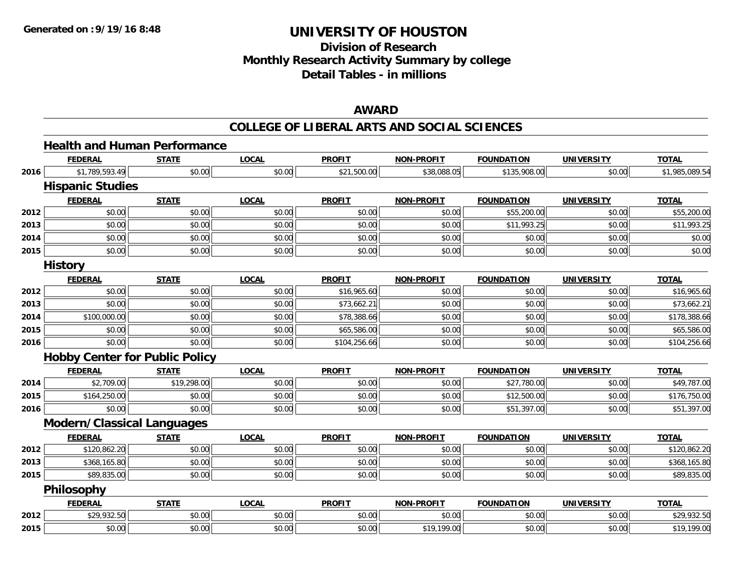# **Division of ResearchMonthly Research Activity Summary by college Detail Tables - in millions**

### **AWARD**

|      | <b>Health and Human Performance</b>   |              |              |               |                   |                   |                   |                |
|------|---------------------------------------|--------------|--------------|---------------|-------------------|-------------------|-------------------|----------------|
|      | <b>FEDERAL</b>                        | <b>STATE</b> | <b>LOCAL</b> | <b>PROFIT</b> | <b>NON-PROFIT</b> | <b>FOUNDATION</b> | <b>UNIVERSITY</b> | <b>TOTAL</b>   |
| 2016 | \$1,789,593.49                        | \$0.00       | \$0.00       | \$21,500.00   | \$38,088.05       | \$135,908.00      | \$0.00            | \$1,985,089.54 |
|      | <b>Hispanic Studies</b>               |              |              |               |                   |                   |                   |                |
|      | <b>FEDERAL</b>                        | <b>STATE</b> | <b>LOCAL</b> | <b>PROFIT</b> | <b>NON-PROFIT</b> | <b>FOUNDATION</b> | <b>UNIVERSITY</b> | <b>TOTAL</b>   |
| 2012 | \$0.00                                | \$0.00       | \$0.00       | \$0.00        | \$0.00            | \$55,200.00       | \$0.00            | \$55,200.00    |
| 2013 | \$0.00                                | \$0.00       | \$0.00       | \$0.00        | \$0.00            | \$11,993.25       | \$0.00            | \$11,993.25    |
| 2014 | \$0.00                                | \$0.00       | \$0.00       | \$0.00        | \$0.00            | \$0.00            | \$0.00            | \$0.00         |
| 2015 | \$0.00                                | \$0.00       | \$0.00       | \$0.00        | \$0.00            | \$0.00            | \$0.00            | \$0.00         |
|      | <b>History</b>                        |              |              |               |                   |                   |                   |                |
|      | <b>FEDERAL</b>                        | <b>STATE</b> | <b>LOCAL</b> | <b>PROFIT</b> | <b>NON-PROFIT</b> | <b>FOUNDATION</b> | <b>UNIVERSITY</b> | <b>TOTAL</b>   |
| 2012 | \$0.00                                | \$0.00       | \$0.00       | \$16,965.60   | \$0.00            | \$0.00            | \$0.00            | \$16,965.60    |
| 2013 | \$0.00                                | \$0.00       | \$0.00       | \$73,662.21   | \$0.00            | \$0.00            | \$0.00            | \$73,662.21    |
| 2014 | \$100,000.00                          | \$0.00       | \$0.00       | \$78,388.66   | \$0.00            | \$0.00            | \$0.00            | \$178,388.66   |
| 2015 | \$0.00                                | \$0.00       | \$0.00       | \$65,586.00   | \$0.00            | \$0.00            | \$0.00            | \$65,586.00    |
| 2016 | \$0.00                                | \$0.00       | \$0.00       | \$104,256.66  | \$0.00            | \$0.00            | \$0.00            | \$104,256.66   |
|      | <b>Hobby Center for Public Policy</b> |              |              |               |                   |                   |                   |                |
|      | <b>FEDERAL</b>                        | <b>STATE</b> | <b>LOCAL</b> | <b>PROFIT</b> | <b>NON-PROFIT</b> | <b>FOUNDATION</b> | <b>UNIVERSITY</b> | <b>TOTAL</b>   |
| 2014 | \$2,709.00                            | \$19,298.00  | \$0.00       | \$0.00        | \$0.00            | \$27,780.00       | \$0.00            | \$49,787.00    |
| 2015 | \$164,250.00                          | \$0.00       | \$0.00       | \$0.00        | \$0.00            | \$12,500.00       | \$0.00            | \$176,750.00   |
| 2016 | \$0.00                                | \$0.00       | \$0.00       | \$0.00        | \$0.00            | \$51,397.00       | \$0.00            | \$51,397.00    |
|      | <b>Modern/Classical Languages</b>     |              |              |               |                   |                   |                   |                |
|      | <b>FEDERAL</b>                        | <b>STATE</b> | <b>LOCAL</b> | <b>PROFIT</b> | <b>NON-PROFIT</b> | <b>FOUNDATION</b> | <b>UNIVERSITY</b> | <b>TOTAL</b>   |
| 2012 | \$120,862.20                          | \$0.00       | \$0.00       | \$0.00        | \$0.00            | \$0.00            | \$0.00            | \$120,862.20   |
| 2013 | \$368,165.80                          | \$0.00       | \$0.00       | \$0.00        | \$0.00            | \$0.00            | \$0.00            | \$368,165.80   |
| 2015 | \$89,835.00                           | \$0.00       | \$0.00       | \$0.00        | \$0.00            | \$0.00            | \$0.00            | \$89,835.00    |
|      | <b>Philosophy</b>                     |              |              |               |                   |                   |                   |                |
|      | <b>FEDERAL</b>                        | <b>STATE</b> | <b>LOCAL</b> | <b>PROFIT</b> | <b>NON-PROFIT</b> | <b>FOUNDATION</b> | <b>UNIVERSITY</b> | <b>TOTAL</b>   |
| 2012 | \$29,932.50                           | \$0.00       | \$0.00       | \$0.00        | \$0.00            | \$0.00            | \$0.00            | \$29,932.50    |
| 2015 | \$0.00                                | \$0.00       | \$0.00       | \$0.00        | \$19,199.00       | \$0.00            | \$0.00            | \$19,199.00    |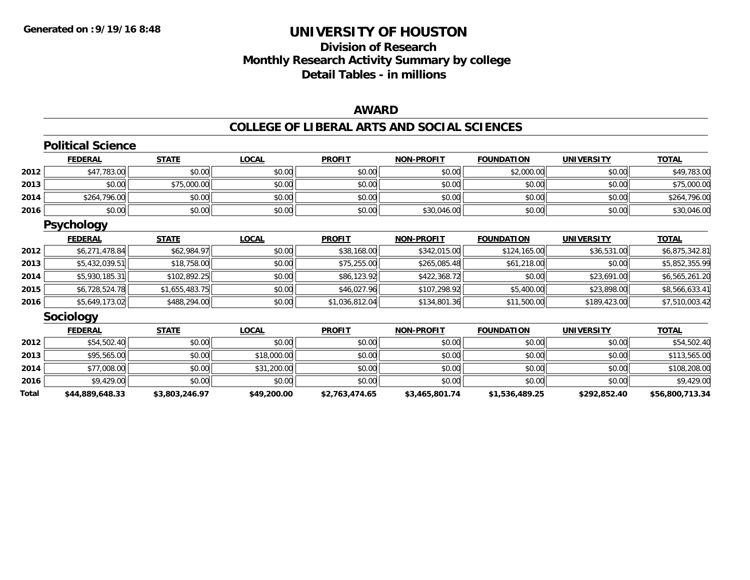# **Division of ResearchMonthly Research Activity Summary by college Detail Tables - in millions**

### **AWARD**

|              | <b>Political Science</b> |                |              |                |                   |                   |                   |                 |
|--------------|--------------------------|----------------|--------------|----------------|-------------------|-------------------|-------------------|-----------------|
|              | <b>FEDERAL</b>           | <b>STATE</b>   | <b>LOCAL</b> | <b>PROFIT</b>  | <b>NON-PROFIT</b> | <b>FOUNDATION</b> | <b>UNIVERSITY</b> | <b>TOTAL</b>    |
| 2012         | \$47,783.00              | \$0.00         | \$0.00       | \$0.00         | \$0.00            | \$2,000.00        | \$0.00            | \$49,783.00     |
| 2013         | \$0.00                   | \$75,000.00    | \$0.00       | \$0.00         | \$0.00            | \$0.00            | \$0.00            | \$75,000.00     |
| 2014         | \$264,796.00             | \$0.00         | \$0.00       | \$0.00         | \$0.00            | \$0.00            | \$0.00            | \$264,796.00    |
| 2016         | \$0.00                   | \$0.00         | \$0.00       | \$0.00         | \$30,046.00       | \$0.00            | \$0.00            | \$30,046.00     |
|              | <b>Psychology</b>        |                |              |                |                   |                   |                   |                 |
|              | <u>FEDERAL</u>           | <b>STATE</b>   | <u>LOCAL</u> | <b>PROFIT</b>  | <b>NON-PROFIT</b> | <b>FOUNDATION</b> | <b>UNIVERSITY</b> | <b>TOTAL</b>    |
| 2012         | \$6,271,478.84           | \$62,984.97    | \$0.00       | \$38,168.00    | \$342,015.00      | \$124,165.00      | \$36,531.00       | \$6,875,342.81  |
| 2013         | \$5,432,039.51           | \$18,758.00    | \$0.00       | \$75,255.00    | \$265,085.48      | \$61,218.00       | \$0.00            | \$5,852,355.99  |
| 2014         | \$5,930,185.31           | \$102,892.25   | \$0.00       | \$86,123.92    | \$422,368.72      | \$0.00            | \$23,691.00       | \$6,565,261.20  |
| 2015         | \$6,728,524.78           | \$1,655,483.75 | \$0.00       | \$46,027.96    | \$107,298.92      | \$5,400.00        | \$23,898.00       | \$8,566,633.41  |
| 2016         | \$5,649,173.02           | \$488,294.00   | \$0.00       | \$1,036,812.04 | \$134,801.36      | \$11,500.00       | \$189,423.00      | \$7,510,003.42  |
|              | <b>Sociology</b>         |                |              |                |                   |                   |                   |                 |
|              | <b>FEDERAL</b>           | <b>STATE</b>   | <u>LOCAL</u> | <b>PROFIT</b>  | <b>NON-PROFIT</b> | <b>FOUNDATION</b> | <b>UNIVERSITY</b> | <b>TOTAL</b>    |
| 2012         | \$54,502.40              | \$0.00         | \$0.00       | \$0.00         | \$0.00            | \$0.00            | \$0.00            | \$54,502.40     |
| 2013         | \$95,565.00              | \$0.00         | \$18,000.00  | \$0.00         | \$0.00            | \$0.00            | \$0.00            | \$113,565.00    |
| 2014         | \$77,008.00              | \$0.00         | \$31,200.00  | \$0.00         | \$0.00            | \$0.00            | \$0.00            | \$108,208.00    |
| 2016         | \$9,429.00               | \$0.00         | \$0.00       | \$0.00         | \$0.00            | \$0.00            | \$0.00            | \$9,429.00      |
| <b>Total</b> | \$44,889,648.33          | \$3,803,246.97 | \$49,200.00  | \$2,763,474.65 | \$3,465,801.74    | \$1,536,489.25    | \$292,852.40      | \$56,800,713.34 |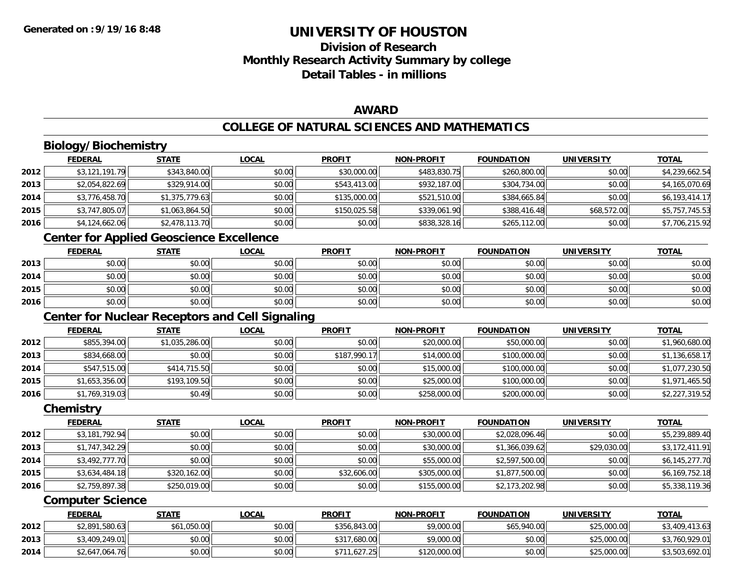**2014**

# **UNIVERSITY OF HOUSTON**

# **Division of ResearchMonthly Research Activity Summary by college Detail Tables - in millions**

### **AWARD**

#### **COLLEGE OF NATURAL SCIENCES AND MATHEMATICS**

|      | <b>Biology/Biochemistry</b> |                                                        |              |               |                   |                   |                   |                |
|------|-----------------------------|--------------------------------------------------------|--------------|---------------|-------------------|-------------------|-------------------|----------------|
|      | <b>FEDERAL</b>              | <b>STATE</b>                                           | <b>LOCAL</b> | <b>PROFIT</b> | <b>NON-PROFIT</b> | <b>FOUNDATION</b> | <b>UNIVERSITY</b> | <b>TOTAL</b>   |
| 2012 | \$3,121,191.79              | \$343,840.00                                           | \$0.00       | \$30,000.00   | \$483,830.75      | \$260,800.00      | \$0.00            | \$4,239,662.54 |
| 2013 | \$2,054,822.69              | \$329,914.00                                           | \$0.00       | \$543,413.00  | \$932,187.00      | \$304,734.00      | \$0.00            | \$4,165,070.69 |
| 2014 | \$3,776,458.70              | \$1,375,779.63                                         | \$0.00       | \$135,000.00  | \$521,510.00      | \$384,665.84      | \$0.00            | \$6,193,414.17 |
| 2015 | \$3,747,805.07              | \$1,063,864.50                                         | \$0.00       | \$150,025.58  | \$339,061.90      | \$388,416.48      | \$68,572.00       | \$5,757,745.53 |
| 2016 | \$4,124,662.06              | \$2,478,113.70                                         | \$0.00       | \$0.00        | \$838,328.16      | \$265,112.00      | \$0.00            | \$7,706,215.92 |
|      |                             | <b>Center for Applied Geoscience Excellence</b>        |              |               |                   |                   |                   |                |
|      | <b>FEDERAL</b>              | <b>STATE</b>                                           | <b>LOCAL</b> | <b>PROFIT</b> | <b>NON-PROFIT</b> | <b>FOUNDATION</b> | <b>UNIVERSITY</b> | <b>TOTAL</b>   |
| 2013 | \$0.00                      | \$0.00                                                 | \$0.00       | \$0.00        | \$0.00            | \$0.00            | \$0.00            | \$0.00         |
| 2014 | \$0.00                      | \$0.00                                                 | \$0.00       | \$0.00        | \$0.00            | \$0.00            | \$0.00            | \$0.00         |
| 2015 | \$0.00                      | \$0.00                                                 | \$0.00       | \$0.00        | \$0.00            | \$0.00            | \$0.00            | \$0.00         |
| 2016 | \$0.00                      | \$0.00                                                 | \$0.00       | \$0.00        | \$0.00            | \$0.00            | \$0.00            | \$0.00         |
|      |                             | <b>Center for Nuclear Receptors and Cell Signaling</b> |              |               |                   |                   |                   |                |
|      | <b>FEDERAL</b>              | <b>STATE</b>                                           | <b>LOCAL</b> | <b>PROFIT</b> | <b>NON-PROFIT</b> | <b>FOUNDATION</b> | <b>UNIVERSITY</b> | <b>TOTAL</b>   |
| 2012 | \$855,394.00                | \$1,035,286.00                                         | \$0.00       | \$0.00        | \$20,000.00       | \$50,000.00       | \$0.00            | \$1,960,680.00 |
| 2013 | \$834,668.00                | \$0.00                                                 | \$0.00       | \$187,990.17  | \$14,000.00       | \$100,000.00      | \$0.00            | \$1,136,658.17 |
| 2014 | \$547,515.00                | \$414,715.50                                           | \$0.00       | \$0.00        | \$15,000.00       | \$100,000.00      | \$0.00            | \$1,077,230.50 |
| 2015 | \$1,653,356.00              | \$193,109.50                                           | \$0.00       | \$0.00        | \$25,000.00       | \$100,000.00      | \$0.00            | \$1,971,465.50 |
| 2016 | \$1,769,319.03              | \$0.49                                                 | \$0.00       | \$0.00        | \$258,000.00      | \$200,000.00      | \$0.00            | \$2,227,319.52 |
|      | Chemistry                   |                                                        |              |               |                   |                   |                   |                |
|      | <b>FEDERAL</b>              | <b>STATE</b>                                           | <b>LOCAL</b> | <b>PROFIT</b> | <b>NON-PROFIT</b> | <b>FOUNDATION</b> | <b>UNIVERSITY</b> | <b>TOTAL</b>   |
| 2012 | \$3,181,792.94              | \$0.00                                                 | \$0.00       | \$0.00        | \$30,000.00       | \$2,028,096.46    | \$0.00            | \$5,239,889.40 |
| 2013 | \$1,747,342.29              | \$0.00                                                 | \$0.00       | \$0.00        | \$30,000.00       | \$1,366,039.62    | \$29,030.00       | \$3,172,411.91 |
| 2014 | \$3,492,777.70              | \$0.00                                                 | \$0.00       | \$0.00        | \$55,000.00       | \$2,597,500.00    | \$0.00            | \$6,145,277.70 |
| 2015 | \$3,634,484.18              | \$320,162.00                                           | \$0.00       | \$32,606.00   | \$305,000.00      | \$1,877,500.00    | \$0.00            | \$6,169,752.18 |
| 2016 | \$2,759,897.38              | \$250,019.00                                           | \$0.00       | \$0.00        | \$155,000.00      | \$2,173,202.98    | \$0.00            | \$5,338,119.36 |
|      | <b>Computer Science</b>     |                                                        |              |               |                   |                   |                   |                |
|      | <b>FEDERAL</b>              | <b>STATE</b>                                           | <b>LOCAL</b> | <b>PROFIT</b> | <b>NON-PROFIT</b> | <b>FOUNDATION</b> | <b>UNIVERSITY</b> | <b>TOTAL</b>   |
| 2012 | \$2,891,580.63              | \$61,050.00                                            | \$0.00       | \$356,843.00  | \$9,000.00        | \$65,940.00       | \$25,000.00       | \$3,409,413.63 |
| 2013 | \$3,409,249.01              | \$0.00                                                 | \$0.00       | \$317,680.00  | \$9,000.00        | \$0.00            | \$25,000.00       | \$3,760,929.01 |

4 \$2,647,064.76 \$10.00 \$0.00 \$0.00 \$0.00 \$0.00 \$711,627.25 \$120,000.00 \$120,000.00 \$0.00 \$25,000.00 \$3,503,692.01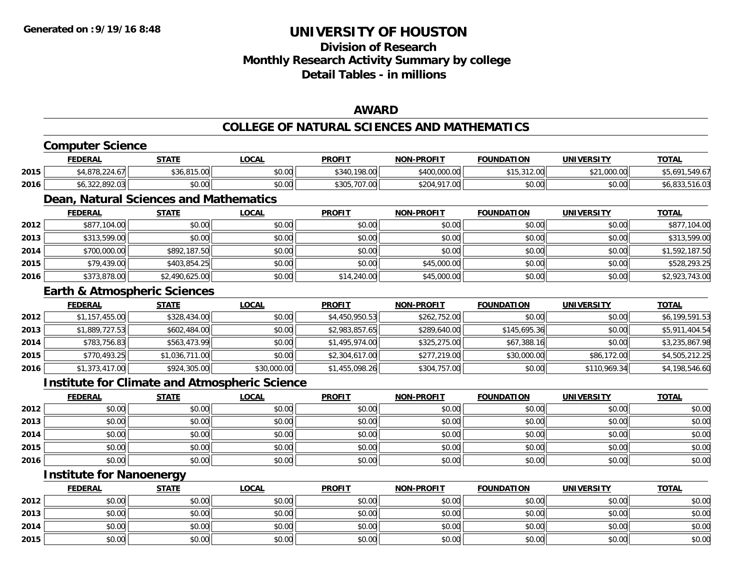**2015**

# **UNIVERSITY OF HOUSTON**

# **Division of ResearchMonthly Research Activity Summary by college Detail Tables - in millions**

### **AWARD**

#### **COLLEGE OF NATURAL SCIENCES AND MATHEMATICS**

|      | <b>Computer Science</b>         |                                         |                                                      |                |                   |                   |                   |                |
|------|---------------------------------|-----------------------------------------|------------------------------------------------------|----------------|-------------------|-------------------|-------------------|----------------|
|      | <b>FEDERAL</b>                  | <b>STATE</b>                            | <b>LOCAL</b>                                         | <b>PROFIT</b>  | <b>NON-PROFIT</b> | <b>FOUNDATION</b> | <b>UNIVERSITY</b> | <b>TOTAL</b>   |
| 2015 | \$4,878,224.67                  | \$36,815.00                             | \$0.00                                               | \$340,198.00   | \$400,000.00      | \$15,312.00       | \$21,000.00       | \$5,691,549.67 |
| 2016 | \$6,322,892.03                  | \$0.00                                  | \$0.00                                               | \$305,707.00   | \$204,917.00      | \$0.00            | \$0.00            | \$6,833,516.03 |
|      |                                 | Dean, Natural Sciences and Mathematics  |                                                      |                |                   |                   |                   |                |
|      | <b>FEDERAL</b>                  | <b>STATE</b>                            | <b>LOCAL</b>                                         | <b>PROFIT</b>  | <b>NON-PROFIT</b> | <b>FOUNDATION</b> | <b>UNIVERSITY</b> | <b>TOTAL</b>   |
| 2012 | \$877,104.00                    | \$0.00                                  | \$0.00                                               | \$0.00         | \$0.00            | \$0.00            | \$0.00            | \$877,104.00   |
| 2013 | \$313,599.00                    | \$0.00                                  | \$0.00                                               | \$0.00         | \$0.00            | \$0.00            | \$0.00            | \$313,599.00   |
| 2014 | \$700,000.00                    | \$892,187.50                            | \$0.00                                               | \$0.00         | \$0.00            | \$0.00            | \$0.00            | \$1,592,187.50 |
| 2015 | \$79,439.00                     | \$403,854.25                            | \$0.00                                               | \$0.00         | \$45,000.00       | \$0.00            | \$0.00            | \$528,293.25   |
| 2016 | \$373,878.00                    | \$2,490,625.00                          | \$0.00                                               | \$14,240.00    | \$45,000.00       | \$0.00            | \$0.00            | \$2,923,743.00 |
|      |                                 | <b>Earth &amp; Atmospheric Sciences</b> |                                                      |                |                   |                   |                   |                |
|      | <b>FEDERAL</b>                  | <b>STATE</b>                            | <b>LOCAL</b>                                         | <b>PROFIT</b>  | <b>NON-PROFIT</b> | <b>FOUNDATION</b> | <b>UNIVERSITY</b> | <b>TOTAL</b>   |
| 2012 | \$1,157,455.00                  | \$328,434.00                            | \$0.00                                               | \$4,450,950.53 | \$262,752.00      | \$0.00            | \$0.00            | \$6,199,591.53 |
| 2013 | \$1,889,727.53                  | \$602,484.00                            | \$0.00                                               | \$2,983,857.65 | \$289,640.00      | \$145,695.36      | \$0.00            | \$5,911,404.54 |
| 2014 | \$783,756.83                    | \$563,473.99                            | \$0.00                                               | \$1,495,974.00 | \$325,275.00      | \$67,388.16       | \$0.00            | \$3,235,867.98 |
| 2015 | \$770,493.25                    | \$1,036,711.00                          | \$0.00                                               | \$2,304,617.00 | \$277,219.00      | \$30,000.00       | \$86,172.00       | \$4,505,212.25 |
| 2016 | \$1,373,417.00                  | \$924,305.00                            | \$30,000.00                                          | \$1,455,098.26 | \$304,757.00      | \$0.00            | \$110,969.34      | \$4,198,546.60 |
|      |                                 |                                         | <b>Institute for Climate and Atmospheric Science</b> |                |                   |                   |                   |                |
|      | <b>FEDERAL</b>                  | <b>STATE</b>                            | <b>LOCAL</b>                                         | <b>PROFIT</b>  | <b>NON-PROFIT</b> | <b>FOUNDATION</b> | <b>UNIVERSITY</b> | <b>TOTAL</b>   |
| 2012 | \$0.00                          | \$0.00                                  | \$0.00                                               | \$0.00         | \$0.00            | \$0.00            | \$0.00            | \$0.00         |
| 2013 | \$0.00                          | \$0.00                                  | \$0.00                                               | \$0.00         | \$0.00            | \$0.00            | \$0.00            | \$0.00         |
| 2014 | \$0.00                          | \$0.00                                  | \$0.00                                               | \$0.00         | \$0.00            | \$0.00            | \$0.00            | \$0.00         |
| 2015 | \$0.00                          | \$0.00                                  | \$0.00                                               | \$0.00         | \$0.00            | \$0.00            | \$0.00            | \$0.00         |
| 2016 | \$0.00                          | \$0.00                                  | \$0.00                                               | \$0.00         | \$0.00            | \$0.00            | \$0.00            | \$0.00         |
|      | <b>Institute for Nanoenergy</b> |                                         |                                                      |                |                   |                   |                   |                |
|      | <b>FEDERAL</b>                  | <b>STATE</b>                            | <b>LOCAL</b>                                         | <b>PROFIT</b>  | <b>NON-PROFIT</b> | <b>FOUNDATION</b> | <b>UNIVERSITY</b> | <b>TOTAL</b>   |
| 2012 | \$0.00                          | \$0.00                                  | \$0.00                                               | \$0.00         | \$0.00            | \$0.00            | \$0.00            | \$0.00         |
| 2013 | \$0.00                          | \$0.00                                  | \$0.00                                               | \$0.00         | \$0.00            | \$0.00            | \$0.00            | \$0.00         |
| 2014 | \$0.00                          | \$0.00                                  | \$0.00                                               | \$0.00         | \$0.00            | \$0.00            | \$0.00            | \$0.00         |

5 | \$0.00 \$0.00 \$0.00 \$0.00 \$0.00 \$0.00 \$0.00 \$0.00 \$0.00 \$0.00 \$0.00 \$0.00 \$0.00 \$0.00 \$0.00 \$0.00 \$0.00 \$0.00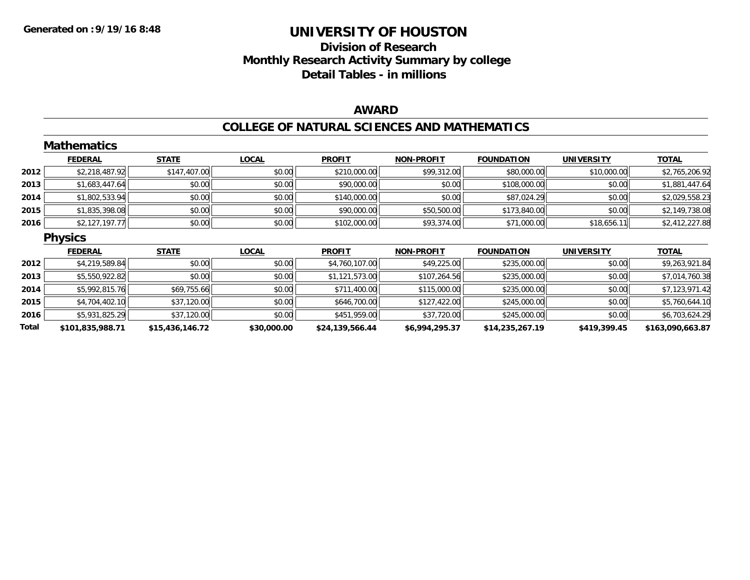# **Division of Research Monthly Research Activity Summary by college Detail Tables - in millions**

### **AWARD**

### **COLLEGE OF NATURAL SCIENCES AND MATHEMATICS**

|       | <b>Mathematics</b> |                 |              |                 |                   |                   |                   |                  |
|-------|--------------------|-----------------|--------------|-----------------|-------------------|-------------------|-------------------|------------------|
|       | <b>FEDERAL</b>     | <b>STATE</b>    | <b>LOCAL</b> | <b>PROFIT</b>   | <b>NON-PROFIT</b> | <b>FOUNDATION</b> | <b>UNIVERSITY</b> | <b>TOTAL</b>     |
| 2012  | \$2,218,487.92     | \$147,407.00    | \$0.00       | \$210,000.00    | \$99,312.00       | \$80,000.00       | \$10,000.00       | \$2,765,206.92   |
| 2013  | \$1,683,447.64     | \$0.00          | \$0.00       | \$90,000.00     | \$0.00            | \$108,000.00      | \$0.00            | \$1,881,447.64   |
| 2014  | \$1,802,533.94     | \$0.00          | \$0.00       | \$140,000.00    | \$0.00            | \$87,024.29       | \$0.00            | \$2,029,558.23   |
| 2015  | \$1,835,398.08     | \$0.00          | \$0.00       | \$90,000.00     | \$50,500.00       | \$173,840.00      | \$0.00            | \$2,149,738.08   |
| 2016  | \$2,127,197.77     | \$0.00          | \$0.00       | \$102,000.00    | \$93,374.00       | \$71,000.00       | \$18,656.11       | \$2,412,227.88   |
|       | <b>Physics</b>     |                 |              |                 |                   |                   |                   |                  |
|       | <b>FEDERAL</b>     | <b>STATE</b>    | <b>LOCAL</b> | <b>PROFIT</b>   | <b>NON-PROFIT</b> | <b>FOUNDATION</b> | <b>UNIVERSITY</b> | <b>TOTAL</b>     |
| 2012  | \$4,219,589.84     | \$0.00          | \$0.00       | \$4,760,107.00  | \$49,225.00       | \$235,000.00      | \$0.00            | \$9,263,921.84   |
| 2013  | \$5,550,922.82     | \$0.00          | \$0.00       | \$1,121,573.00  | \$107,264.56      | \$235,000.00      | \$0.00            | \$7,014,760.38   |
| 2014  | \$5,992,815.76     | \$69,755.66     | \$0.00       | \$711,400.00    | \$115,000.00      | \$235,000.00      | \$0.00            | \$7,123,971.42   |
| 2015  | \$4,704,402.10     | \$37,120.00     | \$0.00       | \$646,700.00    | \$127,422.00      | \$245,000.00      | \$0.00            | \$5,760,644.10   |
| 2016  | \$5,931,825.29     | \$37,120.00     | \$0.00       | \$451,959.00    | \$37,720.00       | \$245,000.00      | \$0.00            | \$6,703,624.29   |
| Total | \$101,835,988.71   | \$15,436,146.72 | \$30,000.00  | \$24,139,566.44 | \$6,994,295.37    | \$14,235,267.19   | \$419,399.45      | \$163,090,663.87 |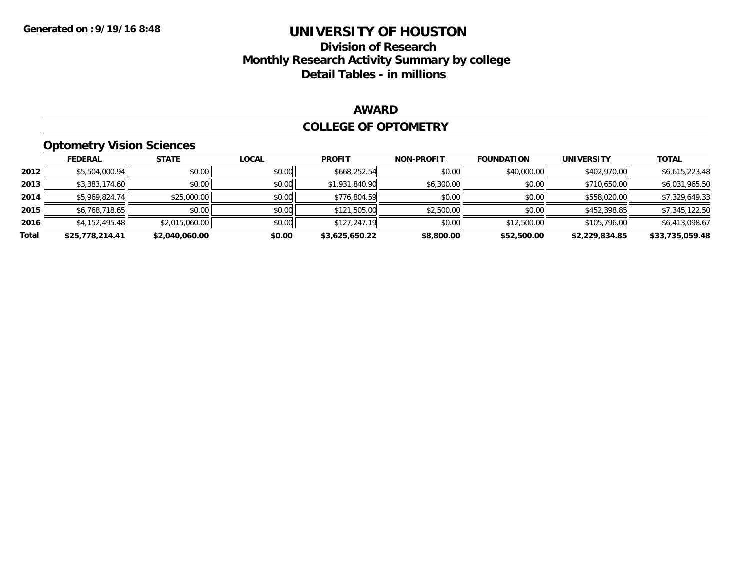# **Division of Research Monthly Research Activity Summary by college Detail Tables - in millions**

### **AWARD**

#### **COLLEGE OF OPTOMETRY**

### **Optometry Vision Sciences**

|       | <b>FEDERAL</b>  | <b>STATE</b>   | <b>LOCAL</b> | <b>PROFIT</b>  | <b>NON-PROFIT</b> | <b>FOUNDATION</b> | <b>UNIVERSITY</b> | <u>TOTAL</u>    |
|-------|-----------------|----------------|--------------|----------------|-------------------|-------------------|-------------------|-----------------|
| 2012  | \$5,504,000.94  | \$0.00         | \$0.00       | \$668,252.54   | \$0.00            | \$40,000.00       | \$402,970.00      | \$6,615,223.48  |
| 2013  | \$3,383,174.60  | \$0.00         | \$0.00       | \$1,931,840.90 | \$6,300.00        | \$0.00            | \$710,650.00      | \$6,031,965.50  |
| 2014  | \$5,969,824.74  | \$25,000.00    | \$0.00       | \$776,804.59   | \$0.00            | \$0.00            | \$558,020.00      | \$7,329,649.33  |
| 2015  | \$6,768,718.65  | \$0.00         | \$0.00       | \$121,505.00   | \$2,500.00        | \$0.00            | \$452,398.85      | \$7,345,122.50  |
| 2016  | \$4,152,495.48  | \$2,015,060.00 | \$0.00       | \$127,247.19   | \$0.00            | \$12,500.00       | \$105,796.00      | \$6,413,098.67  |
| Total | \$25,778,214.41 | \$2,040,060.00 | \$0.00       | \$3,625,650.22 | \$8,800.00        | \$52,500.00       | \$2,229,834.85    | \$33,735,059.48 |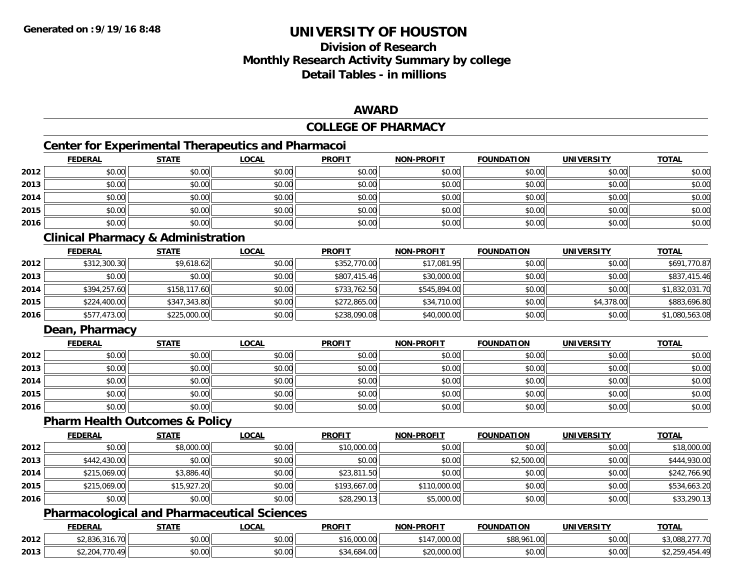# **Division of ResearchMonthly Research Activity Summary by college Detail Tables - in millions**

### **AWARD**

### **COLLEGE OF PHARMACY**

# **Center for Experimental Therapeutics and Pharmacoi**

|      | <b>FEDERAL</b> | <b>STATE</b> | <b>LOCAL</b> | <b>PROFIT</b> | <b>NON-PROFIT</b> | <b>FOUNDATION</b> | <b>UNIVERSITY</b> | <b>TOTAL</b> |
|------|----------------|--------------|--------------|---------------|-------------------|-------------------|-------------------|--------------|
| 2012 | \$0.00         | \$0.00       | \$0.00       | \$0.00        | \$0.00            | \$0.00            | \$0.00            | \$0.00       |
| 2013 | \$0.00         | \$0.00       | \$0.00       | \$0.00        | \$0.00            | \$0.00            | \$0.00            | \$0.00       |
| 2014 | \$0.00         | \$0.00       | \$0.00       | \$0.00        | \$0.00            | \$0.00            | \$0.00            | \$0.00       |
| 2015 | \$0.00         | \$0.00       | \$0.00       | \$0.00        | \$0.00            | \$0.00            | \$0.00            | \$0.00       |
| 2016 | \$0.00         | \$0.00       | \$0.00       | \$0.00        | \$0.00            | \$0.00            | \$0.00            | \$0.00       |

### **Clinical Pharmacy & Administration**

|      | <b>FEDERAL</b> | <b>STATE</b> | <b>LOCAL</b> | <b>PROFIT</b> | <b>NON-PROFIT</b> | <b>FOUNDATION</b> | <b>UNIVERSITY</b> | <b>TOTAL</b>   |
|------|----------------|--------------|--------------|---------------|-------------------|-------------------|-------------------|----------------|
| 2012 | \$312,300.30   | \$9,618.62   | \$0.00       | \$352,770.00  | \$17,081.95       | \$0.00            | \$0.00            | \$691,770.87   |
| 2013 | \$0.00         | \$0.00       | \$0.00       | \$807,415.46  | \$30,000.00       | \$0.00            | \$0.00            | \$837,415.46   |
| 2014 | \$394,257.60   | \$158,117.60 | \$0.00       | \$733,762.50  | \$545,894,00      | \$0.00            | \$0.00            | \$1,832,031.70 |
| 2015 | \$224,400.00   | \$347,343.80 | \$0.00       | \$272,865.00  | \$34,710.00       | \$0.00            | \$4,378.00        | \$883,696.80   |
| 2016 | \$577,473.00   | \$225,000.00 | \$0.00       | \$238,090.08  | \$40,000.00       | \$0.00            | \$0.00            | \$1,080,563.08 |

### **Dean, Pharmacy**

|      | <b>FEDERAL</b> | <b>STATE</b> | <b>LOCAL</b> | <b>PROFIT</b> | <b>NON-PROFIT</b> | <b>FOUNDATION</b> | <b>UNIVERSITY</b> | <b>TOTAL</b> |
|------|----------------|--------------|--------------|---------------|-------------------|-------------------|-------------------|--------------|
| 2012 | \$0.00         | \$0.00       | \$0.00       | \$0.00        | \$0.00            | \$0.00            | \$0.00            | \$0.00       |
| 2013 | \$0.00         | \$0.00       | \$0.00       | \$0.00        | \$0.00            | \$0.00            | \$0.00            | \$0.00       |
| 2014 | \$0.00         | \$0.00       | \$0.00       | \$0.00        | \$0.00            | \$0.00            | \$0.00            | \$0.00       |
| 2015 | \$0.00         | \$0.00       | \$0.00       | \$0.00        | \$0.00            | \$0.00            | \$0.00            | \$0.00       |
| 2016 | \$0.00         | \$0.00       | \$0.00       | \$0.00        | \$0.00            | \$0.00            | \$0.00            | \$0.00       |

### **Pharm Health Outcomes & Policy**

|      | <b>FEDERAL</b> | <b>STATE</b> | <u>LOCAL</u> | <b>PROFIT</b> | <b>NON-PROFIT</b> | <b>FOUNDATION</b> | <b>UNIVERSITY</b> | <b>TOTAL</b> |
|------|----------------|--------------|--------------|---------------|-------------------|-------------------|-------------------|--------------|
| 2012 | \$0.00         | \$8,000.00   | \$0.00       | \$10,000.00   | \$0.00            | \$0.00            | \$0.00            | \$18,000.00  |
| 2013 | \$442,430.00   | \$0.00       | \$0.00       | \$0.00        | \$0.00            | \$2,500.00        | \$0.00            | \$444,930.00 |
| 2014 | \$215,069.00   | \$3,886.40   | \$0.00       | \$23,811.50   | \$0.00            | \$0.00            | \$0.00            | \$242,766.90 |
| 2015 | \$215,069.00   | \$15,927.20  | \$0.00       | \$193,667.00  | \$110,000.00      | \$0.00            | \$0.00            | \$534,663.20 |
| 2016 | \$0.00         | \$0.00       | \$0.00       | \$28,290.13   | \$5,000.00        | \$0.00            | \$0.00            | \$33,290.13  |

### **Pharmacological and Pharmaceutical Sciences**

|      | <b>FEDERAL</b>                                      | <b>STATE</b><br>. | LOCAL  | <b>PROFIT</b>     | -PROFIT<br><b>NIONI</b> | <b>FOUNDATION</b> | UNIVERSITY | <b>TOTAL</b> |
|------|-----------------------------------------------------|-------------------|--------|-------------------|-------------------------|-------------------|------------|--------------|
| 2012 | $\overline{\phantom{a}}$<br>$*2.836$<br>, , , , , , | 0000<br>DU.UU     | \$0.00 | nnn nn<br>.uuu.uu | .<br>00000<br>JUU.UU    | \$88,961.00       | \$0.00     | 2777<br>.    |
| 2013 | 2.204<br>U.4                                        | 0000<br>DU.UU     | \$0.00 | .684.00           | ZU.UUU.UU               | \$0.00            | \$0.00     |              |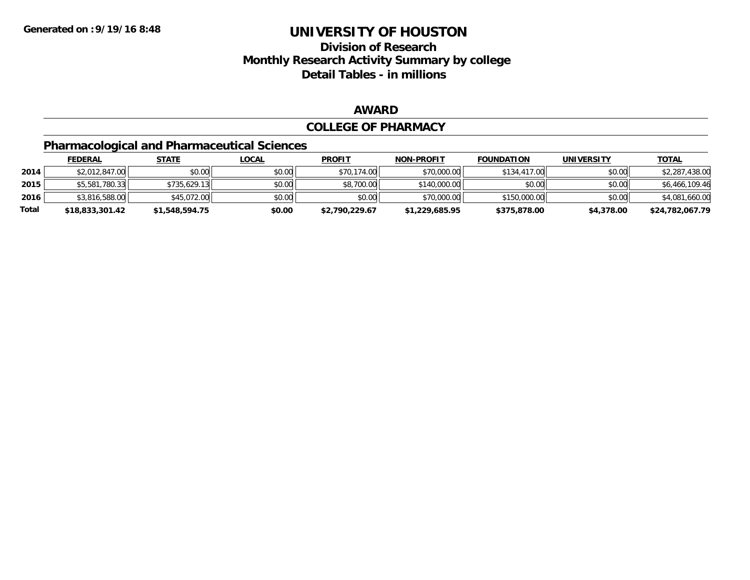### **Division of Research Monthly Research Activity Summary by college Detail Tables - in millions**

### **AWARD**

#### **COLLEGE OF PHARMACY**

# **Pharmacological and Pharmaceutical Sciences**

|       | <u>FEDERAL</u>  | <u>STATE</u>   | <u>LOCAL</u> | <b>PROFIT</b>  | <b>NON-PROFIT</b> | <b>FOUNDATION</b> | <b>UNIVERSITY</b> | <b>TOTAL</b>    |
|-------|-----------------|----------------|--------------|----------------|-------------------|-------------------|-------------------|-----------------|
| 2014  | \$2,012,847,00  | \$0.00         | \$0.00       | \$70,174.00    | \$70,000.00       | \$134,417.00      | \$0.00            | \$2,287,438.00  |
| 2015  | \$5,581,780.33  | \$735,629.13   | \$0.00       | \$8,700.00     | \$140,000.00      | \$0.00            | \$0.00            | \$6,466,109.46  |
| 2016  | \$3,816,588.00  | \$45,072.00    | \$0.00       | \$0.00         | \$70,000.00       | \$150,000.00      | \$0.00            | \$4,081,660.00  |
| Total | \$18,833,301.42 | \$1,548,594.75 | \$0.00       | \$2,790,229.67 | \$1,229,685.95    | \$375,878.00      | \$4,378.00        | \$24,782,067.79 |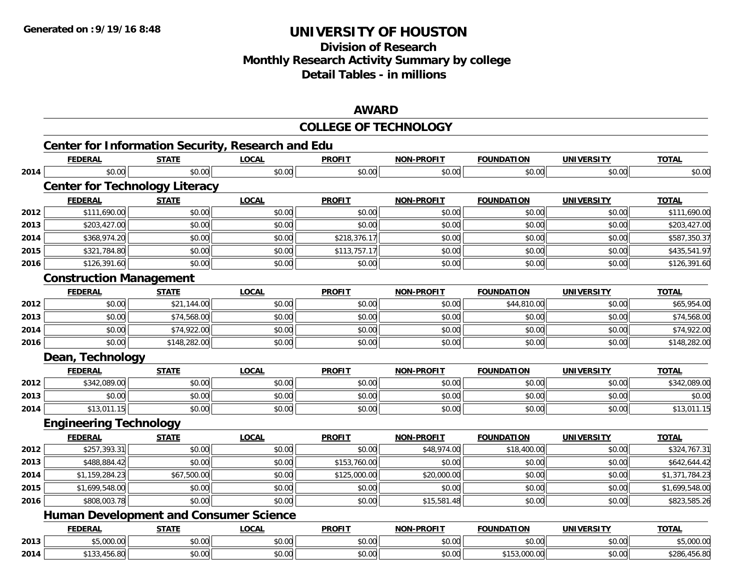# **Division of ResearchMonthly Research Activity Summary by college Detail Tables - in millions**

### **AWARD**

|      |                                                   |              |              | <b>COLLEGE OF TECHNOLOGY</b> |                   |                   |                   |                |
|------|---------------------------------------------------|--------------|--------------|------------------------------|-------------------|-------------------|-------------------|----------------|
|      | Center for Information Security, Research and Edu |              |              |                              |                   |                   |                   |                |
|      | <b>FEDERAL</b>                                    | <b>STATE</b> | <b>LOCAL</b> | <b>PROFIT</b>                | <b>NON-PROFIT</b> | <b>FOUNDATION</b> | <b>UNIVERSITY</b> | <b>TOTAL</b>   |
| 2014 | \$0.00                                            | \$0.00       | \$0.00       | \$0.00                       | \$0.00            | \$0.00            | \$0.00            | \$0.00         |
|      | <b>Center for Technology Literacy</b>             |              |              |                              |                   |                   |                   |                |
|      | <b>FEDERAL</b>                                    | <b>STATE</b> | <b>LOCAL</b> | <b>PROFIT</b>                | <b>NON-PROFIT</b> | <b>FOUNDATION</b> | <b>UNIVERSITY</b> | <b>TOTAL</b>   |
| 2012 | \$111,690.00                                      | \$0.00       | \$0.00       | \$0.00                       | \$0.00            | \$0.00            | \$0.00            | \$111,690.00   |
| 2013 | \$203,427.00                                      | \$0.00       | \$0.00       | \$0.00                       | \$0.00            | \$0.00            | \$0.00            | \$203,427.00   |
| 2014 | \$368,974.20                                      | \$0.00       | \$0.00       | \$218,376.17                 | \$0.00            | \$0.00            | \$0.00            | \$587,350.37   |
| 2015 | \$321,784.80                                      | \$0.00       | \$0.00       | \$113,757.17                 | \$0.00            | \$0.00            | \$0.00            | \$435,541.97   |
| 2016 | \$126,391.60                                      | \$0.00       | \$0.00       | \$0.00                       | \$0.00            | \$0.00            | \$0.00            | \$126,391.60   |
|      | <b>Construction Management</b>                    |              |              |                              |                   |                   |                   |                |
|      | <b>FEDERAL</b>                                    | <b>STATE</b> | <b>LOCAL</b> | <b>PROFIT</b>                | <b>NON-PROFIT</b> | <b>FOUNDATION</b> | <b>UNIVERSITY</b> | <b>TOTAL</b>   |
| 2012 | \$0.00                                            | \$21,144.00  | \$0.00       | \$0.00                       | \$0.00            | \$44,810.00       | \$0.00            | \$65,954.00    |
| 2013 | \$0.00                                            | \$74,568.00  | \$0.00       | \$0.00                       | \$0.00            | \$0.00            | \$0.00            | \$74,568.00    |
| 2014 | \$0.00                                            | \$74,922.00  | \$0.00       | \$0.00                       | \$0.00            | \$0.00            | \$0.00            | \$74,922.00    |
| 2016 | \$0.00                                            | \$148,282.00 | \$0.00       | \$0.00                       | \$0.00            | \$0.00            | \$0.00            | \$148,282.00   |
|      | Dean, Technology                                  |              |              |                              |                   |                   |                   |                |
|      | <b>FEDERAL</b>                                    | <b>STATE</b> | <b>LOCAL</b> | <b>PROFIT</b>                | <b>NON-PROFIT</b> | <b>FOUNDATION</b> | <b>UNIVERSITY</b> | <b>TOTAL</b>   |
| 2012 | \$342,089.00                                      | \$0.00       | \$0.00       | \$0.00                       | \$0.00            | \$0.00            | \$0.00            | \$342,089.00   |
| 2013 | \$0.00                                            | \$0.00       | \$0.00       | \$0.00                       | \$0.00            | \$0.00            | \$0.00            | \$0.00         |
| 2014 | \$13,011.15                                       | \$0.00       | \$0.00       | \$0.00                       | \$0.00            | \$0.00            | \$0.00            | \$13,011.15    |
|      | <b>Engineering Technology</b>                     |              |              |                              |                   |                   |                   |                |
|      | <b>FEDERAL</b>                                    | <b>STATE</b> | <b>LOCAL</b> | <b>PROFIT</b>                | <b>NON-PROFIT</b> | <b>FOUNDATION</b> | <b>UNIVERSITY</b> | <b>TOTAL</b>   |
| 2012 | \$257,393.31                                      | \$0.00       | \$0.00       | \$0.00                       | \$48,974.00       | \$18,400.00       | \$0.00            | \$324,767.31   |
| 2013 | \$488,884.42                                      | \$0.00       | \$0.00       | \$153,760.00                 | \$0.00            | \$0.00            | \$0.00            | \$642,644.42   |
| 2014 | \$1,159,284.23                                    | \$67,500.00  | \$0.00       | \$125,000.00                 | \$20,000.00       | \$0.00            | \$0.00            | \$1,371,784.23 |
| 2015 | \$1,699,548.00                                    | \$0.00       | \$0.00       | \$0.00                       | \$0.00            | \$0.00            | \$0.00            | \$1,699,548.00 |
| 2016 | \$808,003.78                                      | \$0.00       | \$0.00       | \$0.00                       | \$15,581.48       | \$0.00            | \$0.00            | \$823,585.26   |
|      | <b>Human Development and Consumer Science</b>     |              |              |                              |                   |                   |                   |                |
|      | <b>FEDERAL</b>                                    | <b>STATE</b> | <b>LOCAL</b> | <b>PROFIT</b>                | <b>NON-PROFIT</b> | <b>FOUNDATION</b> | <b>UNIVERSITY</b> | <b>TOTAL</b>   |
| 2013 | \$5,000.00                                        | \$0.00       | \$0.00       | \$0.00                       | \$0.00            | \$0.00            | \$0.00            | \$5,000.00     |
| 2014 | \$133,456.80                                      | \$0.00       | \$0.00       | \$0.00                       | \$0.00            | \$153,000.00      | \$0.00            | \$286,456.80   |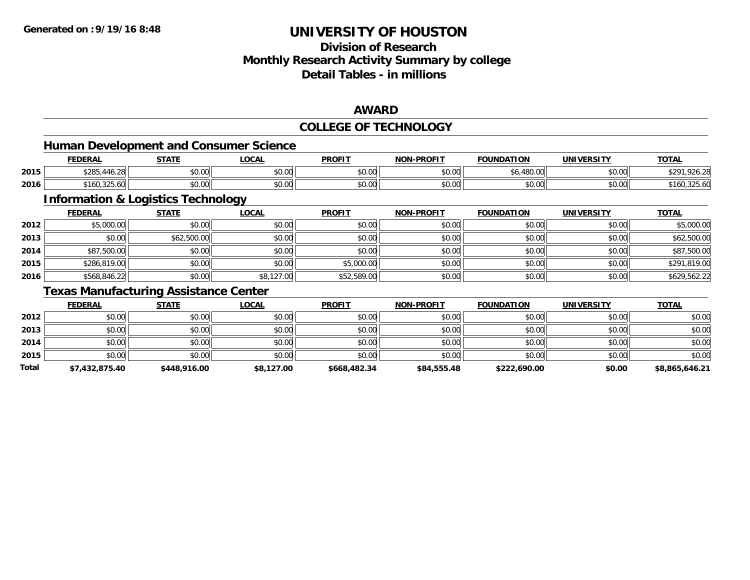# **Division of ResearchMonthly Research Activity Summary by college Detail Tables - in millions**

### **AWARD**

#### **COLLEGE OF TECHNOLOGY**

### **Human Development and Consumer Science**

|      | <b>FEDERAL</b>            | <b>CTATE</b><br><u> SIAI</u> | .OCAI          | <b>PROFIT</b> | <b>NON-PROFIT</b> | FOUNDATION         | UNIVERSITY | TOTAL        |
|------|---------------------------|------------------------------|----------------|---------------|-------------------|--------------------|------------|--------------|
| 2015 | \$285.<br>$\sim$<br>40.ZC | 0.001<br>vv.vv               | 0000<br>vu.vu  | \$0.00        | \$0.00            | 0000<br>u.uu<br>טע | \$0.00     |              |
| 2016 | \$160,325.60              | $\sim$<br>JU.UU              | ሶስ ሰሰ<br>PO.OO | \$0.00        | \$0.00            | \$0.00             | \$0.00     | D 10U.325.0U |

<u> 1980 - Johann Barbara, martxa alemaniar amerikan basar da a</u>

### **Information & Logistics Technology**

|      | <b>FEDERAL</b> | <b>STATE</b> | <u>LOCAL</u> | <b>PROFIT</b> | <b>NON-PROFIT</b> | <b>FOUNDATION</b> | <b>UNIVERSITY</b> | <b>TOTAL</b> |
|------|----------------|--------------|--------------|---------------|-------------------|-------------------|-------------------|--------------|
| 2012 | \$5,000.00     | \$0.00       | \$0.00       | \$0.00        | \$0.00            | \$0.00            | \$0.00            | \$5,000.00   |
| 2013 | \$0.00         | \$62,500.00  | \$0.00       | \$0.00        | \$0.00            | \$0.00            | \$0.00            | \$62,500.00  |
| 2014 | \$87,500.00    | \$0.00       | \$0.00       | \$0.00        | \$0.00            | \$0.00            | \$0.00            | \$87,500.00  |
| 2015 | \$286,819.00   | \$0.00       | \$0.00       | \$5,000.00    | \$0.00            | \$0.00            | \$0.00            | \$291,819.00 |
| 2016 | \$568,846.22   | \$0.00       | \$8,127.00   | \$52,589.00   | \$0.00            | \$0.00            | \$0.00            | \$629,562.22 |

### **Texas Manufacturing Assistance Center**

|       | <b>FEDERAL</b> | <u>STATE</u> | <b>LOCAL</b> | <b>PROFIT</b> | <b>NON-PROFIT</b> | <b>FOUNDATION</b> | <b>UNIVERSITY</b> | <b>TOTAL</b>   |
|-------|----------------|--------------|--------------|---------------|-------------------|-------------------|-------------------|----------------|
| 2012  | \$0.00         | \$0.00       | \$0.00       | \$0.00        | \$0.00            | \$0.00            | \$0.00            | \$0.00         |
| 2013  | \$0.00         | \$0.00       | \$0.00       | \$0.00        | \$0.00            | \$0.00            | \$0.00            | \$0.00         |
| 2014  | \$0.00         | \$0.00       | \$0.00       | \$0.00        | \$0.00            | \$0.00            | \$0.00            | \$0.00         |
| 2015  | \$0.00         | \$0.00       | \$0.00       | \$0.00        | \$0.00            | \$0.00            | \$0.00            | \$0.00         |
| Total | \$7,432,875.40 | \$448,916.00 | \$8,127.00   | \$668,482.34  | \$84,555.48       | \$222,690.00      | \$0.00            | \$8,865,646.21 |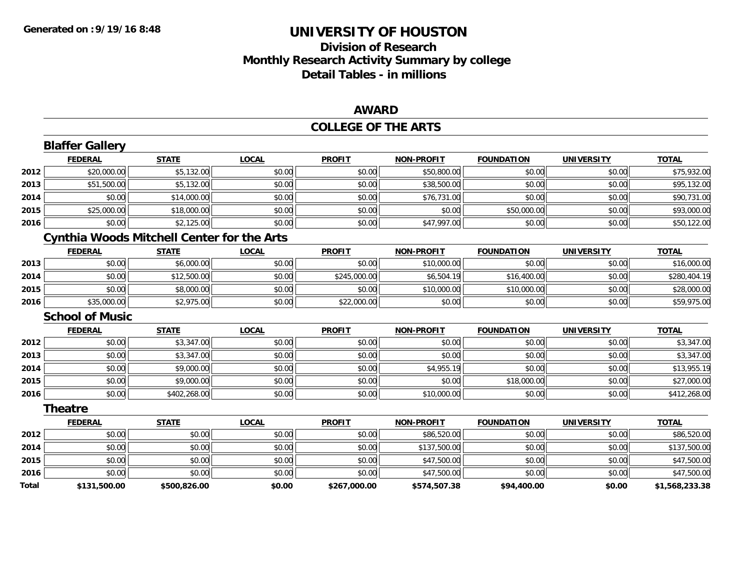# **Division of ResearchMonthly Research Activity Summary by college Detail Tables - in millions**

### **AWARD**

#### **COLLEGE OF THE ARTS**

|       | <b>Blaffer Gallery</b>                            |              |              |               |                   |                   |                   |                |
|-------|---------------------------------------------------|--------------|--------------|---------------|-------------------|-------------------|-------------------|----------------|
|       | <b>FEDERAL</b>                                    | <b>STATE</b> | <b>LOCAL</b> | <b>PROFIT</b> | <b>NON-PROFIT</b> | <b>FOUNDATION</b> | <b>UNIVERSITY</b> | <b>TOTAL</b>   |
| 2012  | \$20,000.00                                       | \$5,132.00   | \$0.00       | \$0.00        | \$50,800.00       | \$0.00            | \$0.00            | \$75,932.00    |
| 2013  | \$51,500.00                                       | \$5,132.00   | \$0.00       | \$0.00        | \$38,500.00       | \$0.00            | \$0.00            | \$95,132.00    |
| 2014  | \$0.00                                            | \$14,000.00  | \$0.00       | \$0.00        | \$76,731.00       | \$0.00            | \$0.00            | \$90,731.00    |
| 2015  | \$25,000.00                                       | \$18,000.00  | \$0.00       | \$0.00        | \$0.00            | \$50,000.00       | \$0.00            | \$93,000.00    |
| 2016  | \$0.00                                            | \$2,125.00   | \$0.00       | \$0.00        | \$47,997.00       | \$0.00            | \$0.00            | \$50,122.00    |
|       | <b>Cynthia Woods Mitchell Center for the Arts</b> |              |              |               |                   |                   |                   |                |
|       | <b>FEDERAL</b>                                    | <b>STATE</b> | <b>LOCAL</b> | <b>PROFIT</b> | <b>NON-PROFIT</b> | <b>FOUNDATION</b> | <b>UNIVERSITY</b> | <b>TOTAL</b>   |
| 2013  | \$0.00                                            | \$6,000.00   | \$0.00       | \$0.00        | \$10,000.00       | \$0.00            | \$0.00            | \$16,000.00    |
| 2014  | \$0.00                                            | \$12,500.00  | \$0.00       | \$245,000.00  | \$6,504.19        | \$16,400.00       | \$0.00            | \$280,404.19   |
| 2015  | \$0.00                                            | \$8,000.00   | \$0.00       | \$0.00        | \$10,000.00       | \$10,000.00       | \$0.00            | \$28,000.00    |
| 2016  | \$35,000.00                                       | \$2,975.00   | \$0.00       | \$22,000.00   | \$0.00            | \$0.00            | \$0.00            | \$59,975.00    |
|       | <b>School of Music</b>                            |              |              |               |                   |                   |                   |                |
|       | <b>FEDERAL</b>                                    | <b>STATE</b> | <b>LOCAL</b> | <b>PROFIT</b> | <b>NON-PROFIT</b> | <b>FOUNDATION</b> | <b>UNIVERSITY</b> | <b>TOTAL</b>   |
| 2012  | \$0.00                                            | \$3,347.00   | \$0.00       | \$0.00        | \$0.00            | \$0.00            | \$0.00            | \$3,347.00     |
| 2013  | \$0.00                                            | \$3,347.00   | \$0.00       | \$0.00        | \$0.00            | \$0.00            | \$0.00            | \$3,347.00     |
| 2014  | \$0.00                                            | \$9,000.00   | \$0.00       | \$0.00        | \$4,955.19        | \$0.00            | \$0.00            | \$13,955.19    |
| 2015  | \$0.00                                            | \$9,000.00   | \$0.00       | \$0.00        | \$0.00            | \$18,000.00       | \$0.00            | \$27,000.00    |
| 2016  | \$0.00                                            | \$402,268.00 | \$0.00       | \$0.00        | \$10,000.00       | \$0.00            | \$0.00            | \$412,268.00   |
|       | Theatre                                           |              |              |               |                   |                   |                   |                |
|       | <b>FEDERAL</b>                                    | <b>STATE</b> | <b>LOCAL</b> | <b>PROFIT</b> | <b>NON-PROFIT</b> | <b>FOUNDATION</b> | <b>UNIVERSITY</b> | <b>TOTAL</b>   |
| 2012  | \$0.00                                            | \$0.00       | \$0.00       | \$0.00        | \$86,520.00       | \$0.00            | \$0.00            | \$86,520.00    |
| 2014  | \$0.00                                            | \$0.00       | \$0.00       | \$0.00        | \$137,500.00      | \$0.00            | \$0.00            | \$137,500.00   |
| 2015  | \$0.00                                            | \$0.00       | \$0.00       | \$0.00        | \$47,500.00       | \$0.00            | \$0.00            | \$47,500.00    |
| 2016  | \$0.00                                            | \$0.00       | \$0.00       | \$0.00        | \$47,500.00       | \$0.00            | \$0.00            | \$47,500.00    |
| Total | \$131.500.00                                      | \$500.826.00 | \$0.00       | \$267.000.00  | \$574.507.38      | \$94.400.00       | \$0.00            | \$1.568.233.38 |

**\$131,500.00 \$500,826.00 \$0.00 \$267,000.00 \$574,507.38 \$94,400.00 \$0.00 \$1,568,233.38**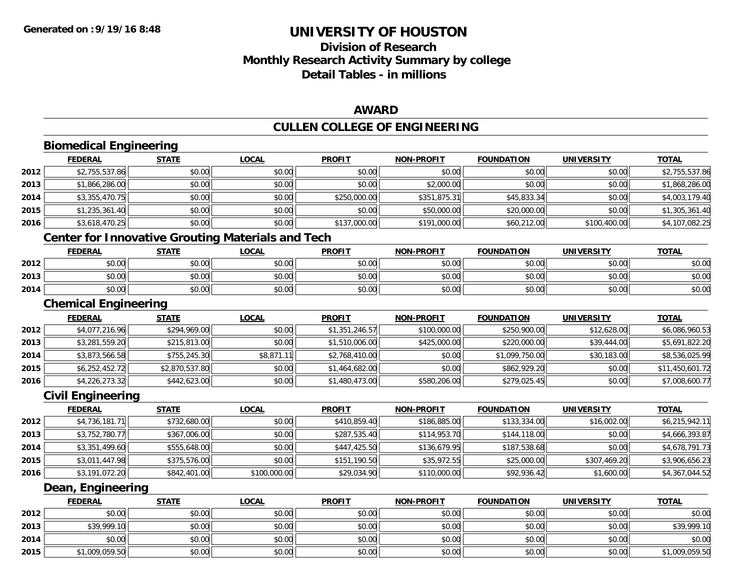**2015**

# **UNIVERSITY OF HOUSTON**

# **Division of ResearchMonthly Research Activity Summary by college Detail Tables - in millions**

### **AWARD**

# **CULLEN COLLEGE OF ENGINEERING**

|      | <b>Biomedical Engineering</b>                            |                |              |                |                   |                   |                   |                 |
|------|----------------------------------------------------------|----------------|--------------|----------------|-------------------|-------------------|-------------------|-----------------|
|      | <b>FEDERAL</b>                                           | <b>STATE</b>   | <b>LOCAL</b> | <b>PROFIT</b>  | <b>NON-PROFIT</b> | <b>FOUNDATION</b> | <b>UNIVERSITY</b> | <b>TOTAL</b>    |
| 2012 | \$2,755,537.86                                           | \$0.00         | \$0.00       | \$0.00         | \$0.00            | \$0.00            | \$0.00            | \$2,755,537.86  |
| 2013 | \$1,866,286.00                                           | \$0.00         | \$0.00       | \$0.00         | \$2,000.00        | \$0.00            | \$0.00            | \$1,868,286.00  |
| 2014 | \$3,355,470.75                                           | \$0.00         | \$0.00       | \$250,000.00   | \$351,875.31      | \$45,833.34       | \$0.00            | \$4,003,179.40  |
| 2015 | \$1,235,361.40                                           | \$0.00         | \$0.00       | \$0.00         | \$50,000.00       | \$20,000.00       | \$0.00            | \$1,305,361.40  |
| 2016 | \$3,618,470.25                                           | \$0.00         | \$0.00       | \$137,000.00   | \$191,000.00      | \$60,212.00       | \$100,400.00      | \$4,107,082.25  |
|      | <b>Center for Innovative Grouting Materials and Tech</b> |                |              |                |                   |                   |                   |                 |
|      | <b>FEDERAL</b>                                           | <b>STATE</b>   | <b>LOCAL</b> | <b>PROFIT</b>  | <b>NON-PROFIT</b> | <b>FOUNDATION</b> | <b>UNIVERSITY</b> | <b>TOTAL</b>    |
| 2012 | \$0.00                                                   | \$0.00         | \$0.00       | \$0.00         | \$0.00            | \$0.00            | \$0.00            | \$0.00          |
| 2013 | \$0.00                                                   | \$0.00         | \$0.00       | \$0.00         | \$0.00            | \$0.00            | \$0.00            | \$0.00          |
| 2014 | \$0.00                                                   | \$0.00         | \$0.00       | \$0.00         | \$0.00            | \$0.00            | \$0.00            | \$0.00          |
|      | <b>Chemical Engineering</b>                              |                |              |                |                   |                   |                   |                 |
|      | <b>FEDERAL</b>                                           | <b>STATE</b>   | <b>LOCAL</b> | <b>PROFIT</b>  | <b>NON-PROFIT</b> | <b>FOUNDATION</b> | <b>UNIVERSITY</b> | <b>TOTAL</b>    |
| 2012 | \$4,077,216.96                                           | \$294,969.00   | \$0.00       | \$1,351,246.57 | \$100,000.00      | \$250,900.00      | \$12,628.00       | \$6,086,960.53  |
| 2013 | \$3,281,559.20                                           | \$215,813.00   | \$0.00       | \$1,510,006.00 | \$425,000.00      | \$220,000.00      | \$39,444.00       | \$5,691,822.20  |
| 2014 | \$3,873,566.58                                           | \$755,245.30   | \$8,871.11   | \$2,768,410.00 | \$0.00            | \$1,099,750.00    | \$30,183.00       | \$8,536,025.99  |
| 2015 | \$6,252,452.72                                           | \$2,870,537.80 | \$0.00       | \$1,464,682.00 | \$0.00            | \$862,929.20      | \$0.00            | \$11,450,601.72 |
| 2016 | \$4,226,273.32                                           | \$442,623.00   | \$0.00       | \$1,480,473.00 | \$580,206.00      | \$279,025.45      | \$0.00            | \$7,008,600.77  |
|      | <b>Civil Engineering</b>                                 |                |              |                |                   |                   |                   |                 |
|      | <b>FEDERAL</b>                                           | <b>STATE</b>   | <b>LOCAL</b> | <b>PROFIT</b>  | <b>NON-PROFIT</b> | <b>FOUNDATION</b> | <b>UNIVERSITY</b> | <b>TOTAL</b>    |
| 2012 | \$4,736,181.71                                           | \$732,680.00   | \$0.00       | \$410,859.40   | \$186,885.00      | \$133,334.00      | \$16,002.00       | \$6,215,942.11  |
| 2013 | \$3,752,780.77                                           | \$367,006.00   | \$0.00       | \$287,535.40   | \$114,953.70      | \$144,118.00      | \$0.00            | \$4,666,393.87  |
| 2014 | \$3,351,499.60                                           | \$555,648.00   | \$0.00       | \$447,425.50   | \$136,679.95      | \$187,538.68      | \$0.00            | \$4,678,791.73  |
| 2015 | \$3,011,447.98                                           | \$375,576.00   | \$0.00       | \$151,190.50   | \$35,972.55       | \$25,000.00       | \$307,469.20      | \$3,906,656.23  |
| 2016 | \$3,191,072.20                                           | \$842,401.00   | \$100,000.00 | \$29,034.90    | \$110,000.00      | \$92,936.42       | \$1,600.00        | \$4,367,044.52  |
|      | Dean, Engineering                                        |                |              |                |                   |                   |                   |                 |
|      | <b>FEDERAL</b>                                           | <b>STATE</b>   | <b>LOCAL</b> | <b>PROFIT</b>  | <b>NON-PROFIT</b> | <b>FOUNDATION</b> | <b>UNIVERSITY</b> | <b>TOTAL</b>    |
| 2012 | \$0.00                                                   | \$0.00         | \$0.00       | \$0.00         | \$0.00            | \$0.00            | \$0.00            | \$0.00          |
| 2013 | \$39,999.10                                              | \$0.00         | \$0.00       | \$0.00         | \$0.00            | \$0.00            | \$0.00            | \$39,999.10     |
| 2014 | \$0.00                                                   | \$0.00         | \$0.00       | \$0.00         | \$0.00            | \$0.00            | \$0.00            | \$0.00          |

5 \$1,009,059.50 \$1,009,059.50 \$0.00 \$0.00 \$0.00 \$0.00 \$0.00 \$0.00 \$0.00 \$0.00 \$0.00 \$1,009,059.50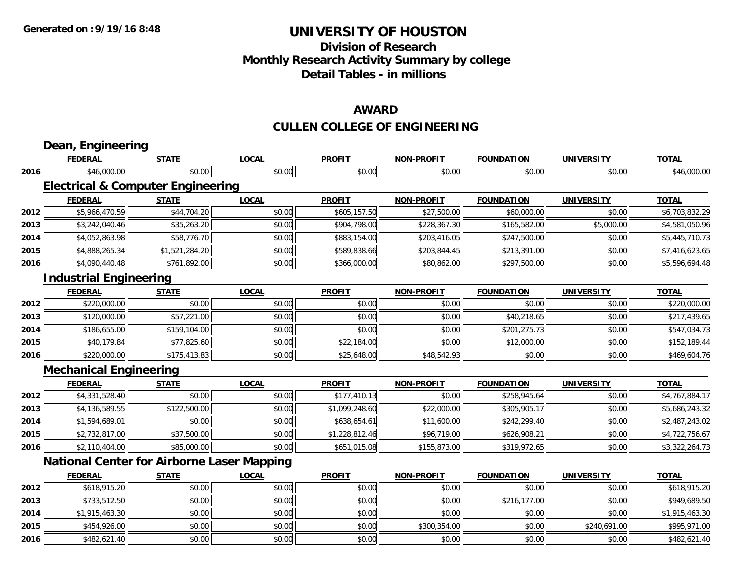### **Division of Research Monthly Research Activity Summary by college Detail Tables - in millions**

#### **AWARD**

# **CULLEN COLLEGE OF ENGINEERING**

|      | Dean, Engineering                                 |                |              |                |                   |                   |                   |                |
|------|---------------------------------------------------|----------------|--------------|----------------|-------------------|-------------------|-------------------|----------------|
|      | <b>FEDERAL</b>                                    | <b>STATE</b>   | <b>LOCAL</b> | <b>PROFIT</b>  | <b>NON-PROFIT</b> | <b>FOUNDATION</b> | <b>UNIVERSITY</b> | <b>TOTAL</b>   |
| 2016 | \$46,000.00                                       | \$0.00         | \$0.00       | \$0.00         | \$0.00            | \$0.00            | \$0.00            | \$46,000.00    |
|      | <b>Electrical &amp; Computer Engineering</b>      |                |              |                |                   |                   |                   |                |
|      | <b>FEDERAL</b>                                    | <b>STATE</b>   | <b>LOCAL</b> | <b>PROFIT</b>  | <b>NON-PROFIT</b> | <b>FOUNDATION</b> | <b>UNIVERSITY</b> | <b>TOTAL</b>   |
| 2012 | \$5,966,470.59                                    | \$44,704.20    | \$0.00       | \$605,157.50   | \$27,500.00       | \$60,000.00       | \$0.00            | \$6,703,832.29 |
| 2013 | \$3,242,040.46                                    | \$35,263.20    | \$0.00       | \$904,798.00   | \$228,367.30      | \$165,582.00      | \$5,000.00        | \$4,581,050.96 |
| 2014 | \$4,052,863.98                                    | \$58,776.70    | \$0.00       | \$883,154.00   | \$203,416.05      | \$247,500.00      | \$0.00            | \$5,445,710.73 |
| 2015 | \$4,888,265.34                                    | \$1,521,284.20 | \$0.00       | \$589,838.66   | \$203,844.45      | \$213,391.00      | \$0.00            | \$7,416,623.65 |
| 2016 | \$4,090,440.48                                    | \$761,892.00   | \$0.00       | \$366,000.00   | \$80,862.00       | \$297,500.00      | \$0.00            | \$5,596,694.48 |
|      | <b>Industrial Engineering</b>                     |                |              |                |                   |                   |                   |                |
|      | <b>FEDERAL</b>                                    | <b>STATE</b>   | <b>LOCAL</b> | <b>PROFIT</b>  | <b>NON-PROFIT</b> | <b>FOUNDATION</b> | <b>UNIVERSITY</b> | <b>TOTAL</b>   |
| 2012 | \$220,000.00                                      | \$0.00         | \$0.00       | \$0.00         | \$0.00            | \$0.00            | \$0.00            | \$220,000.00   |
| 2013 | \$120,000.00                                      | \$57,221.00    | \$0.00       | \$0.00         | \$0.00            | \$40,218.65       | \$0.00            | \$217,439.65   |
| 2014 | \$186,655.00                                      | \$159,104.00   | \$0.00       | \$0.00         | \$0.00            | \$201,275.73      | \$0.00            | \$547,034.73   |
| 2015 | \$40,179.84                                       | \$77,825.60    | \$0.00       | \$22,184.00    | \$0.00            | \$12,000.00       | \$0.00            | \$152,189.44   |
| 2016 | \$220,000.00                                      | \$175,413.83   | \$0.00       | \$25,648.00    | \$48,542.93       | \$0.00            | \$0.00            | \$469,604.76   |
|      | <b>Mechanical Engineering</b>                     |                |              |                |                   |                   |                   |                |
|      | <b>FEDERAL</b>                                    | <b>STATE</b>   | <b>LOCAL</b> | <b>PROFIT</b>  | NON-PROFIT        | <b>FOUNDATION</b> | <b>UNIVERSITY</b> | <b>TOTAL</b>   |
| 2012 | \$4,331,528.40                                    | \$0.00         | \$0.00       | \$177,410.13   | \$0.00            | \$258,945.64      | \$0.00            | \$4,767,884.17 |
| 2013 | \$4,136,589.55                                    | \$122,500.00   | \$0.00       | \$1,099,248.60 | \$22,000.00       | \$305,905.17      | \$0.00            | \$5,686,243.32 |
| 2014 | \$1,594,689.01                                    | \$0.00         | \$0.00       | \$638,654.61   | \$11,600.00       | \$242,299.40      | \$0.00            | \$2,487,243.02 |
| 2015 | \$2,732,817.00                                    | \$37,500.00    | \$0.00       | \$1,228,812.46 | \$96,719.00       | \$626,908.21      | \$0.00            | \$4,722,756.67 |
| 2016 | \$2,110,404.00                                    | \$85,000.00    | \$0.00       | \$651,015.08   | \$155,873.00      | \$319,972.65      | \$0.00            | \$3,322,264.73 |
|      | <b>National Center for Airborne Laser Mapping</b> |                |              |                |                   |                   |                   |                |
|      | <b>FEDERAL</b>                                    | <b>STATE</b>   | <b>LOCAL</b> | <b>PROFIT</b>  | <b>NON-PROFIT</b> | <b>FOUNDATION</b> | <b>UNIVERSITY</b> | <b>TOTAL</b>   |
| 2012 | \$618,915.20                                      | \$0.00         | \$0.00       | \$0.00         | \$0.00            | \$0.00            | \$0.00            | \$618,915.20   |
| 2013 | \$733,512.50                                      | \$0.00         | \$0.00       | \$0.00         | \$0.00            | \$216,177.00      | \$0.00            | \$949,689.50   |
| 2014 | \$1,915,463.30                                    | \$0.00         | \$0.00       | \$0.00         | \$0.00            | \$0.00            | \$0.00            | \$1,915,463.30 |
| 2015 | \$454,926.00                                      | \$0.00         | \$0.00       | \$0.00         | \$300,354.00      | \$0.00            | \$240,691.00      | \$995,971.00   |
| 2016 | \$482,621.40                                      | \$0.00         | \$0.00       | \$0.00         | \$0.00            | \$0.00            | \$0.00            | \$482,621.40   |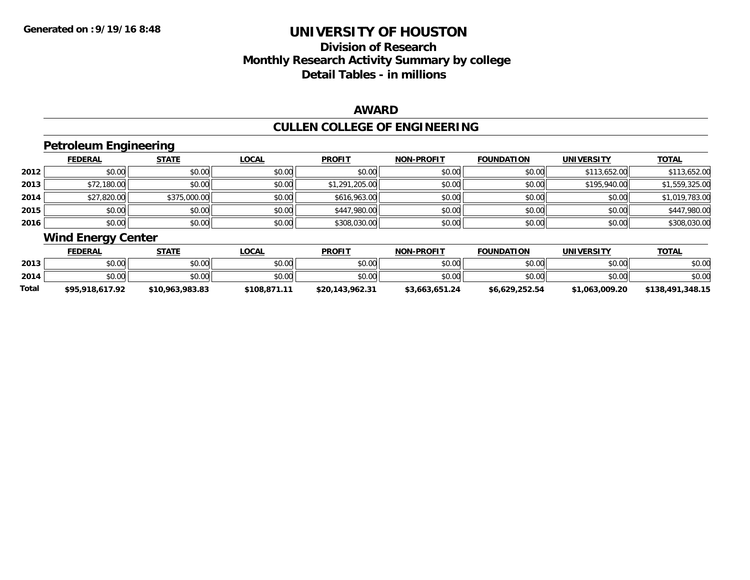# **Division of ResearchMonthly Research Activity Summary by college Detail Tables - in millions**

### **AWARD**

# **CULLEN COLLEGE OF ENGINEERING**

### **Petroleum Engineering**

|      | <b>FEDERAL</b> | <b>STATE</b> | <u>LOCAL</u> | <b>PROFIT</b>  | <b>NON-PROFIT</b> | <b>FOUNDATION</b> | <b>UNIVERSITY</b> | <b>TOTAL</b>   |
|------|----------------|--------------|--------------|----------------|-------------------|-------------------|-------------------|----------------|
| 2012 | \$0.00         | \$0.00       | \$0.00       | \$0.00         | \$0.00            | \$0.00            | \$113,652.00      | \$113,652.00   |
| 2013 | \$72,180.00    | \$0.00       | \$0.00       | \$1,291,205.00 | \$0.00            | \$0.00            | \$195,940.00      | \$1,559,325.00 |
| 2014 | \$27,820.00    | \$375,000.00 | \$0.00       | \$616,963.00   | \$0.00            | \$0.00            | \$0.00            | \$1,019,783.00 |
| 2015 | \$0.00         | \$0.00       | \$0.00       | \$447,980.00   | \$0.00            | \$0.00            | \$0.00            | \$447,980.00   |
| 2016 | \$0.00         | \$0.00       | \$0.00       | \$308,030.00   | \$0.00            | \$0.00            | \$0.00            | \$308,030.00   |

# **Wind Energy Center**

|       | <b>FEDERAL</b>  | STATE           | <b>LOCAL</b> | <b>PROFIT</b>   | <b>NON-PROFIT</b> | <b>FOUNDATION</b> | <b>UNIVERSITY</b> | <b>TOTAL</b>     |
|-------|-----------------|-----------------|--------------|-----------------|-------------------|-------------------|-------------------|------------------|
| 2013  | \$0.00          | \$0.00          | \$0.00       | \$0.00          | \$0.00            | \$0.00            | \$0.00            | \$0.00           |
| 2014  | \$0.00          | \$0.00          | \$0.00       | \$0.00          | \$0.00            | \$0.00            | \$0.00            | \$0.00           |
| Total | \$95,918,617.92 | \$10,963,983.83 | \$108,871.11 | \$20.143.962.31 | \$3,663,651.24    | \$6,629,252.54    | \$1,063,009.20    | \$138,491,348.15 |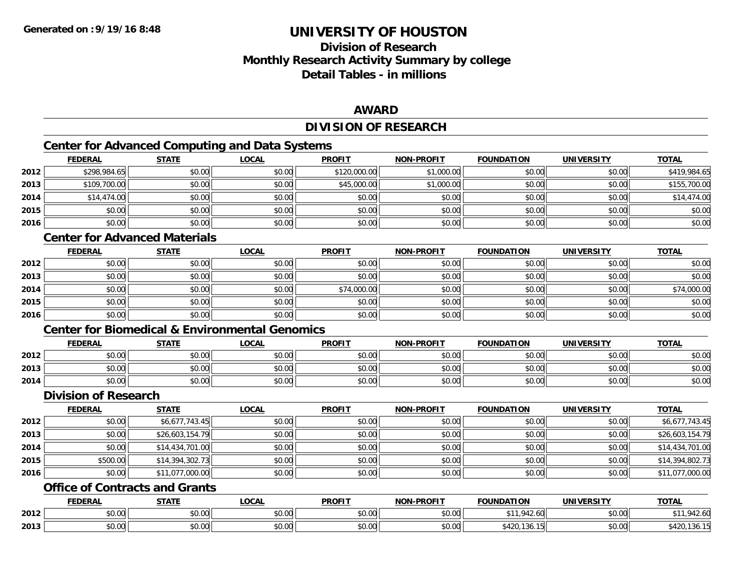# **Division of ResearchMonthly Research Activity Summary by college Detail Tables - in millions**

### **AWARD**

### **DIVISION OF RESEARCH**

<u> 1980 - Johann Barbara, martxa amerikan bashkar (</u>

### **Center for Advanced Computing and Data Systems**

|      | <b>FEDERAL</b> | <b>STATE</b> | <u>LOCAL</u> | <b>PROFIT</b> | <b>NON-PROFIT</b> | <b>FOUNDATION</b> | <b>UNIVERSITY</b> | <b>TOTAL</b> |
|------|----------------|--------------|--------------|---------------|-------------------|-------------------|-------------------|--------------|
| 2012 | \$298,984.65   | \$0.00       | \$0.00       | \$120,000.00  | \$1,000.00        | \$0.00            | \$0.00            | \$419,984.65 |
| 2013 | \$109,700.00   | \$0.00       | \$0.00       | \$45,000.00   | \$1,000.00        | \$0.00            | \$0.00            | \$155,700.00 |
| 2014 | \$14,474.00    | \$0.00       | \$0.00       | \$0.00        | \$0.00            | \$0.00            | \$0.00            | \$14,474.00  |
| 2015 | \$0.00         | \$0.00       | \$0.00       | \$0.00        | \$0.00            | \$0.00            | \$0.00            | \$0.00       |
| 2016 | \$0.00         | \$0.00       | \$0.00       | \$0.00        | \$0.00            | \$0.00            | \$0.00            | \$0.00       |

### **Center for Advanced Materials**

|      | <b>FEDERAL</b> | <b>STATE</b> | <b>LOCAL</b> | <b>PROFIT</b> | NON-PROFIT | <b>FOUNDATION</b> | <b>UNIVERSITY</b> | <b>TOTAL</b> |
|------|----------------|--------------|--------------|---------------|------------|-------------------|-------------------|--------------|
| 2012 | \$0.00         | \$0.00       | \$0.00       | \$0.00        | \$0.00     | \$0.00            | \$0.00            | \$0.00       |
| 2013 | \$0.00         | \$0.00       | \$0.00       | \$0.00        | \$0.00     | \$0.00            | \$0.00            | \$0.00       |
| 2014 | \$0.00         | \$0.00       | \$0.00       | \$74,000.00   | \$0.00     | \$0.00            | \$0.00            | \$74,000.00  |
| 2015 | \$0.00         | \$0.00       | \$0.00       | \$0.00        | \$0.00     | \$0.00            | \$0.00            | \$0.00       |
| 2016 | \$0.00         | \$0.00       | \$0.00       | \$0.00        | \$0.00     | \$0.00            | \$0.00            | \$0.00       |

#### **Center for Biomedical & Environmental Genomics**

|      | <b>FEDERAL</b>           | <b>STATE</b>   | .OCAI                                 | <b>PROFIT</b>              | <b>NON-PROFIT</b> | <b>FOUNDATION</b> | UNIVERSITY<br>331 | <b>TOTAL</b> |
|------|--------------------------|----------------|---------------------------------------|----------------------------|-------------------|-------------------|-------------------|--------------|
| 2012 | $n \cap \Omega$<br>ט.טע  | 40.00<br>JU.UL | $\sim$ 00<br>JU.UU                    | $\epsilon$ 0.00<br>→ v∪.vu | 0000<br>ง∪.∪เ     | \$0.00            | \$0.00            | \$0.00       |
| 2013 | $n \cap \Omega$<br>,u.uu | \$0.00         | $\uparrow$ $\wedge$ $\wedge$<br>JU.UU | \$0.00                     | \$0.00            | \$0.00            | \$0.00            | \$0.00       |
| 2014 | \$0.00                   | \$0.00         | 0000<br>JU.UU                         | \$0.00                     | \$0.00            | \$0.00            | \$0.00            | \$0.00       |

#### **Division of Research**

|      | <b>FEDERAL</b> | <b>STATE</b>    | <u>LOCAL</u> | <b>PROFIT</b> | <b>NON-PROFIT</b> | <b>FOUNDATION</b> | <b>UNIVERSITY</b> | <b>TOTAL</b>    |
|------|----------------|-----------------|--------------|---------------|-------------------|-------------------|-------------------|-----------------|
| 2012 | \$0.00         | \$6,677,743.45  | \$0.00       | \$0.00        | \$0.00            | \$0.00            | \$0.00            | \$6,677,743.45  |
| 2013 | \$0.00         | \$26,603,154.79 | \$0.00       | \$0.00        | \$0.00            | \$0.00            | \$0.00            | \$26,603,154.79 |
| 2014 | \$0.00         | \$14,434,701.00 | \$0.00       | \$0.00        | \$0.00            | \$0.00            | \$0.00            | \$14,434,701.00 |
| 2015 | \$500.00       | \$14,394,302.73 | \$0.00       | \$0.00        | \$0.00            | \$0.00            | \$0.00            | \$14,394,802.73 |
| 2016 | \$0.00         | \$11,077,000.00 | \$0.00       | \$0.00        | \$0.00            | \$0.00            | \$0.00            | \$11,077,000.00 |

### **Office of Contracts and Grants**

|      | EEDEDA<br>LDLINAI                 | C T A T C           | $\sim$<br>. uun    | <b>PROFIT</b>        | <b>DDAFIT</b><br><b>AIABI</b> | <b>CAUSIBATIAN</b><br>( )P | $\blacksquare$<br>JN                      | ΤΩΤΑ<br>IAI |
|------|-----------------------------------|---------------------|--------------------|----------------------|-------------------------------|----------------------------|-------------------------------------------|-------------|
| 2012 | $\sim$<br>$\sim$ $\sim$<br>,,,,,, | ሐሴ ሰሰ<br>טט.טע      | $\sim$ 00<br>וטטוע | 0.00<br>NU.UU        | $\cdots$<br>JU.UU             | z.u                        | 0.00<br>JU.UU                             | ⊶∠.o∪       |
| 2013 | ,,,,,,                            | $\sim$ 00<br>17. VI | $\sim$ 00<br>וטטוע | $n \cap \neg$<br>ww. | 0.00<br>vu.vu                 | .101<br>.                  | $\uparrow$ $\uparrow$ $\uparrow$<br>JU.UU | . JU        |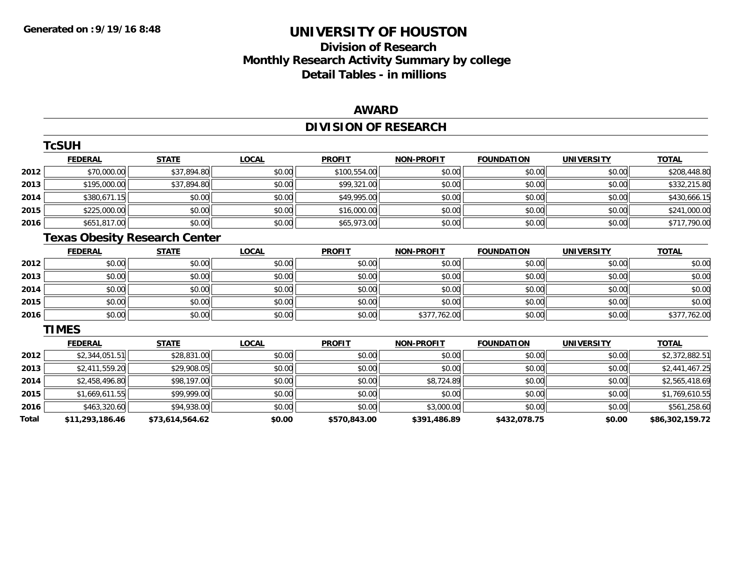# **Division of Research Monthly Research Activity Summary by college Detail Tables - in millions**

### **AWARD**

# **DIVISION OF RESEARCH**

|       | <b>TcSUH</b>    |                                      |              |               |                   |                   |                   |                 |
|-------|-----------------|--------------------------------------|--------------|---------------|-------------------|-------------------|-------------------|-----------------|
|       | <b>FEDERAL</b>  | <b>STATE</b>                         | <b>LOCAL</b> | <b>PROFIT</b> | <b>NON-PROFIT</b> | <b>FOUNDATION</b> | <b>UNIVERSITY</b> | <b>TOTAL</b>    |
| 2012  | \$70,000.00     | \$37,894.80                          | \$0.00       | \$100,554.00  | \$0.00            | \$0.00            | \$0.00            | \$208,448.80    |
| 2013  | \$195,000.00    | \$37,894.80                          | \$0.00       | \$99,321.00   | \$0.00            | \$0.00            | \$0.00            | \$332,215.80    |
| 2014  | \$380,671.15    | \$0.00                               | \$0.00       | \$49,995.00   | \$0.00            | \$0.00            | \$0.00            | \$430,666.15    |
| 2015  | \$225,000.00    | \$0.00                               | \$0.00       | \$16,000.00   | \$0.00            | \$0.00            | \$0.00            | \$241,000.00    |
| 2016  | \$651,817.00    | \$0.00                               | \$0.00       | \$65,973.00   | \$0.00            | \$0.00            | \$0.00            | \$717,790.00    |
|       |                 | <b>Texas Obesity Research Center</b> |              |               |                   |                   |                   |                 |
|       | <b>FEDERAL</b>  | <b>STATE</b>                         | <b>LOCAL</b> | <b>PROFIT</b> | <b>NON-PROFIT</b> | <b>FOUNDATION</b> | <b>UNIVERSITY</b> | <b>TOTAL</b>    |
| 2012  | \$0.00          | \$0.00                               | \$0.00       | \$0.00        | \$0.00            | \$0.00            | \$0.00            | \$0.00          |
| 2013  | \$0.00          | \$0.00                               | \$0.00       | \$0.00        | \$0.00            | \$0.00            | \$0.00            | \$0.00          |
| 2014  | \$0.00          | \$0.00                               | \$0.00       | \$0.00        | \$0.00            | \$0.00            | \$0.00            | \$0.00          |
| 2015  | \$0.00          | \$0.00                               | \$0.00       | \$0.00        | \$0.00            | \$0.00            | \$0.00            | \$0.00          |
| 2016  | \$0.00          | \$0.00                               | \$0.00       | \$0.00        | \$377,762.00      | \$0.00            | \$0.00            | \$377,762.00    |
|       | <b>TIMES</b>    |                                      |              |               |                   |                   |                   |                 |
|       | <b>FEDERAL</b>  | <b>STATE</b>                         | <b>LOCAL</b> | <b>PROFIT</b> | <b>NON-PROFIT</b> | <b>FOUNDATION</b> | <b>UNIVERSITY</b> | <b>TOTAL</b>    |
| 2012  | \$2,344,051.51  | \$28,831.00                          | \$0.00       | \$0.00        | \$0.00            | \$0.00            | \$0.00            | \$2,372,882.51  |
| 2013  | \$2,411,559.20  | \$29,908.05                          | \$0.00       | \$0.00        | \$0.00            | \$0.00            | \$0.00            | \$2,441,467.25  |
| 2014  | \$2,458,496.80  | \$98,197.00                          | \$0.00       | \$0.00        | \$8,724.89        | \$0.00            | \$0.00            | \$2,565,418.69  |
| 2015  | \$1,669,611.55  | \$99,999.00                          | \$0.00       | \$0.00        | \$0.00            | \$0.00            | \$0.00            | \$1,769,610.55  |
| 2016  | \$463,320.60    | \$94,938.00                          | \$0.00       | \$0.00        | \$3,000.00        | \$0.00            | \$0.00            | \$561,258.60    |
| Total | \$11,293,186.46 | \$73,614,564.62                      | \$0.00       | \$570,843.00  | \$391,486.89      | \$432,078.75      | \$0.00            | \$86,302,159.72 |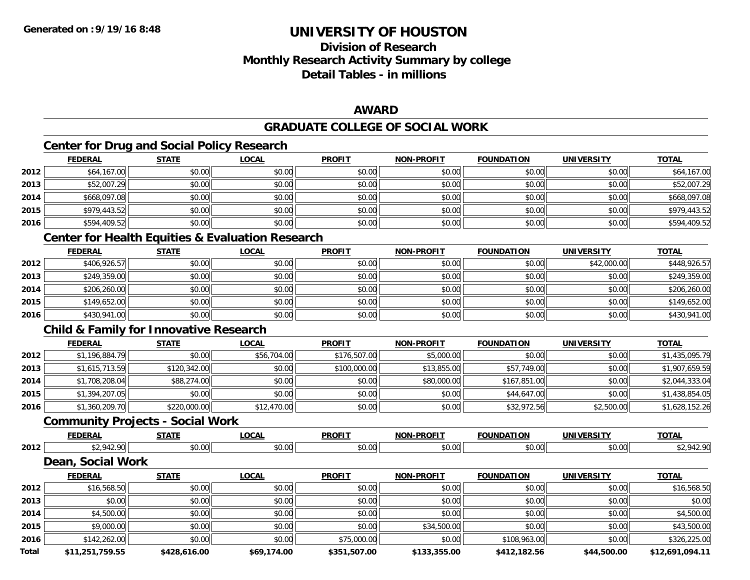# **Division of ResearchMonthly Research Activity Summary by college Detail Tables - in millions**

### **AWARD**

### **GRADUATE COLLEGE OF SOCIAL WORK**

### **Center for Drug and Social Policy Research**

|      | <b>FEDERAL</b> | <b>STATE</b> | <b>LOCAL</b> | <b>PROFIT</b> | <b>NON-PROFIT</b> | <b>FOUNDATION</b> | <b>UNIVERSITY</b> | <b>TOTAL</b> |
|------|----------------|--------------|--------------|---------------|-------------------|-------------------|-------------------|--------------|
| 2012 | \$64,167.00    | \$0.00       | \$0.00       | \$0.00        | \$0.00            | \$0.00            | \$0.00            | \$64,167.00  |
| 2013 | \$52,007.29    | \$0.00       | \$0.00       | \$0.00        | \$0.00            | \$0.00            | \$0.00            | \$52,007.29  |
| 2014 | \$668,097.08   | \$0.00       | \$0.00       | \$0.00        | \$0.00            | \$0.00            | \$0.00            | \$668,097.08 |
| 2015 | \$979,443.52   | \$0.00       | \$0.00       | \$0.00        | \$0.00            | \$0.00            | \$0.00            | \$979,443.52 |
| 2016 | \$594,409.52   | \$0.00       | \$0.00       | \$0.00        | \$0.00            | \$0.00            | \$0.00            | \$594,409.52 |

### **Center for Health Equities & Evaluation Research**

|      | <u>FEDERAL</u> | <b>STATE</b> | <b>LOCAL</b> | <b>PROFIT</b> | <b>NON-PROFIT</b> | <b>FOUNDATION</b> | <b>UNIVERSITY</b> | <b>TOTAL</b> |
|------|----------------|--------------|--------------|---------------|-------------------|-------------------|-------------------|--------------|
| 2012 | \$406,926.57   | \$0.00       | \$0.00       | \$0.00        | \$0.00            | \$0.00            | \$42,000.00       | \$448,926.57 |
| 2013 | \$249,359.00   | \$0.00       | \$0.00       | \$0.00        | \$0.00            | \$0.00            | \$0.00            | \$249,359.00 |
| 2014 | \$206,260.00   | \$0.00       | \$0.00       | \$0.00        | \$0.00            | \$0.00            | \$0.00            | \$206,260.00 |
| 2015 | \$149,652.00   | \$0.00       | \$0.00       | \$0.00        | \$0.00            | \$0.00            | \$0.00            | \$149,652.00 |
| 2016 | \$430,941.00   | \$0.00       | \$0.00       | \$0.00        | \$0.00            | \$0.00            | \$0.00            | \$430,941.00 |

### **Child & Family for Innovative Research**

|      | <b>FEDERAL</b> | <b>STATE</b> | <u>LOCAL</u> | <b>PROFIT</b> | <b>NON-PROFIT</b> | <b>FOUNDATION</b> | <b>UNIVERSITY</b> | <b>TOTAL</b>   |
|------|----------------|--------------|--------------|---------------|-------------------|-------------------|-------------------|----------------|
| 2012 | \$1,196,884.79 | \$0.00       | \$56,704.00  | \$176,507.00  | \$5,000.00        | \$0.00            | \$0.00            | \$1,435,095.79 |
| 2013 | \$1.615.713.59 | \$120,342.00 | \$0.00       | \$100,000.00  | \$13,855.00       | \$57,749.00       | \$0.00            | \$1,907,659.59 |
| 2014 | \$1,708,208.04 | \$88,274.00  | \$0.00       | \$0.00        | \$80,000.00       | \$167,851.00      | \$0.00            | \$2,044,333.04 |
| 2015 | \$1,394,207.05 | \$0.00       | \$0.00       | \$0.00        | \$0.00            | \$44,647.00       | \$0.00            | \$1,438,854.05 |
| 2016 | \$1,360,209.70 | \$220,000.00 | \$12,470.00  | \$0.00        | \$0.00            | \$32,972.56       | \$2,500.00        | \$1,628,152.26 |

#### **Community Projects - Social Work**

|      | ---            | $C = A$         | $\sim$         | <b>PROFIT</b> | $\mathbf{A}$  | 17. נוח |                | <b>TOTAL</b> |
|------|----------------|-----------------|----------------|---------------|---------------|---------|----------------|--------------|
| 2012 |                | $\sim$<br>vv.vv | 30.00<br>ง∪.∪ฯ | 0000<br>vu.vu | 0.00<br>וט.טי | 40.00   | 0.00<br>$\sim$ |              |
|      | $\blacksquare$ |                 |                |               |               |         |                |              |

#### **Dean, Social Work**

|       | <b>FEDERAL</b>  | <b>STATE</b> | <u>LOCAL</u> | <b>PROFIT</b> | <b>NON-PROFIT</b> | <b>FOUNDATION</b> | <b>UNIVERSITY</b> | <b>TOTAL</b>    |
|-------|-----------------|--------------|--------------|---------------|-------------------|-------------------|-------------------|-----------------|
| 2012  | \$16,568.50     | \$0.00       | \$0.00       | \$0.00        | \$0.00            | \$0.00            | \$0.00            | \$16,568.50     |
| 2013  | \$0.00          | \$0.00       | \$0.00       | \$0.00        | \$0.00            | \$0.00            | \$0.00            | \$0.00          |
| 2014  | \$4,500.00      | \$0.00       | \$0.00       | \$0.00        | \$0.00            | \$0.00            | \$0.00            | \$4,500.00      |
| 2015  | \$9,000.00      | \$0.00       | \$0.00       | \$0.00        | \$34,500.00       | \$0.00            | \$0.00            | \$43,500.00     |
| 2016  | \$142,262.00    | \$0.00       | \$0.00       | \$75,000.00   | \$0.00            | \$108,963.00      | \$0.00            | \$326,225.00    |
| Total | \$11,251,759.55 | \$428,616.00 | \$69,174.00  | \$351,507.00  | \$133,355.00      | \$412,182.56      | \$44,500.00       | \$12.691.094.11 |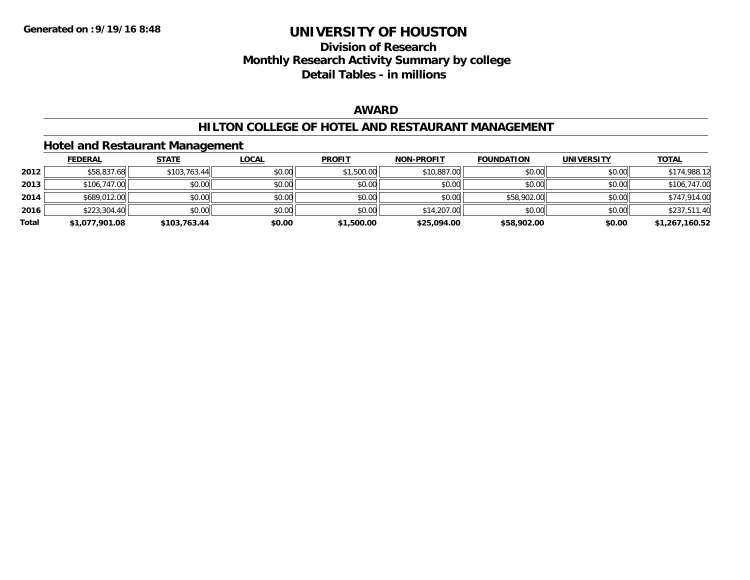### **Division of Research Monthly Research Activity Summary by college Detail Tables - in millions**

### **AWARD**

### **HILTON COLLEGE OF HOTEL AND RESTAURANT MANAGEMENT**

### **Hotel and Restaurant Management**

|       | <b>FEDERAL</b> | <u>STATE</u> | <b>LOCAL</b> | <b>PROFIT</b> | <b>NON-PROFIT</b> | <b>FOUNDATION</b> | <b>UNIVERSITY</b> | <u>TOTAL</u>   |
|-------|----------------|--------------|--------------|---------------|-------------------|-------------------|-------------------|----------------|
| 2012  | \$58,837.68    | \$103,763.44 | \$0.00       | \$1,500.00    | \$10,887.00       | \$0.00            | \$0.00            | \$174,988.12   |
| 2013  | \$106,747.00   | \$0.00       | \$0.00       | \$0.00        | \$0.00            | \$0.00            | \$0.00            | \$106,747.00   |
| 2014  | \$689,012.00   | \$0.00       | \$0.00       | \$0.00        | \$0.00            | \$58,902.00       | \$0.00            | \$747,914.00   |
| 2016  | \$223,304.40   | \$0.00       | \$0.00       | \$0.00        | \$14,207.00       | \$0.00            | \$0.00            | \$237,511.40   |
| Total | \$1,077,901.08 | \$103,763.44 | \$0.00       | \$1,500.00    | \$25,094.00       | \$58,902.00       | \$0.00            | \$1,267,160.52 |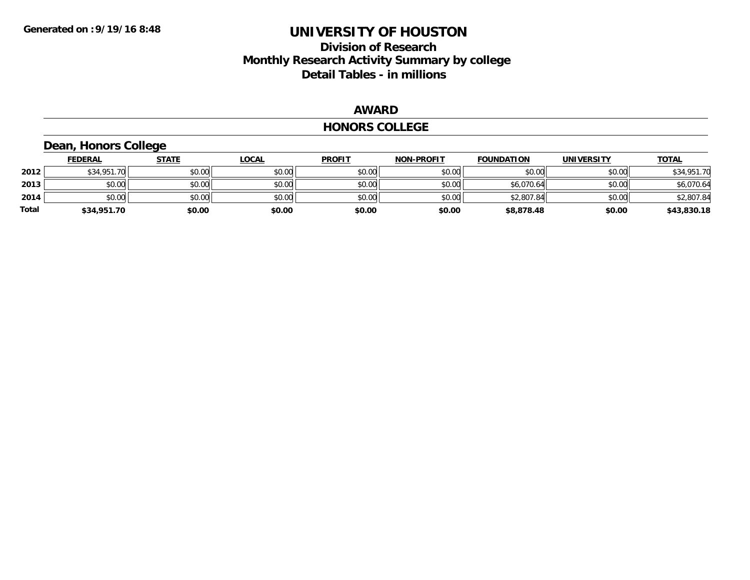# **Division of Research Monthly Research Activity Summary by college Detail Tables - in millions**

#### **AWARD**

#### **HONORS COLLEGE**

# **Dean, Honors College**

|       | <b>FEDERAL</b> | <u>STATE</u> | <b>LOCAL</b> | <b>PROFIT</b> | <b>NON-PROFIT</b> | <b>FOUNDATION</b> | <b>UNIVERSITY</b> | <b>TOTAL</b> |
|-------|----------------|--------------|--------------|---------------|-------------------|-------------------|-------------------|--------------|
| 2012  | \$34,951.70    | \$0.00       | \$0.00       | \$0.00        | \$0.00            | \$0.00            | \$0.00            | \$34,951.70  |
| 2013  | \$0.00         | \$0.00       | \$0.00       | \$0.00        | \$0.00            | \$6,070.64        | \$0.00            | \$6,070.64   |
| 2014  | \$0.00         | \$0.00       | \$0.00       | \$0.00        | \$0.00            | \$2,807.84        | \$0.00            | \$2,807.84   |
| Total | \$34,951.70    | \$0.00       | \$0.00       | \$0.00        | \$0.00            | \$8,878.48        | \$0.00            | \$43,830.18  |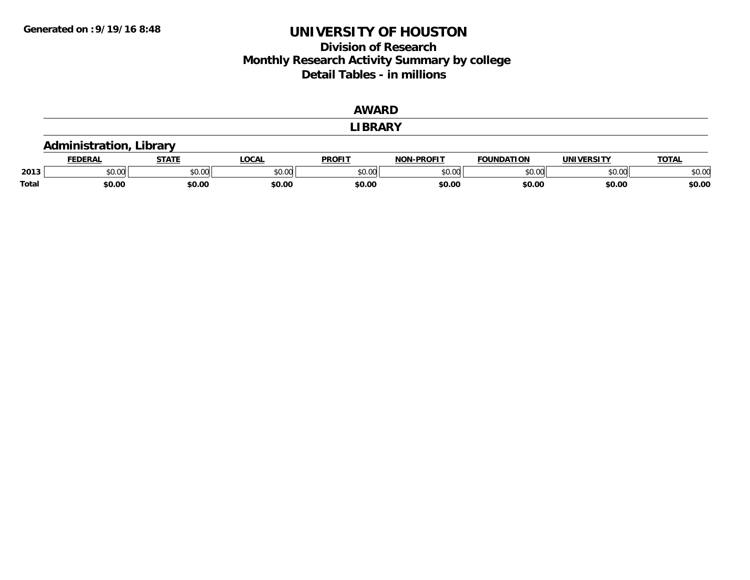### **Division of Research Monthly Research Activity Summary by college Detail Tables - in millions**

|       |                                |              |              | <b>AWARD</b>   |                   |                   |                   |              |  |  |  |
|-------|--------------------------------|--------------|--------------|----------------|-------------------|-------------------|-------------------|--------------|--|--|--|
|       |                                |              |              | <b>LIBRARY</b> |                   |                   |                   |              |  |  |  |
|       | <b>Administration, Library</b> |              |              |                |                   |                   |                   |              |  |  |  |
|       | <u>FEDERAL</u>                 | <b>STATE</b> | <b>LOCAL</b> | <b>PROFIT</b>  | <b>NON-PROFIT</b> | <b>FOUNDATION</b> | <b>UNIVERSITY</b> | <b>TOTAL</b> |  |  |  |
| 2013  | \$0.00                         | \$0.00       | \$0.00       | \$0.00         | \$0.00            | \$0.00            | \$0.00            | \$0.00       |  |  |  |
| Total | \$0.00                         | \$0.00       | \$0.00       | \$0.00         | \$0.00            | \$0.00            | \$0.00            | \$0.00       |  |  |  |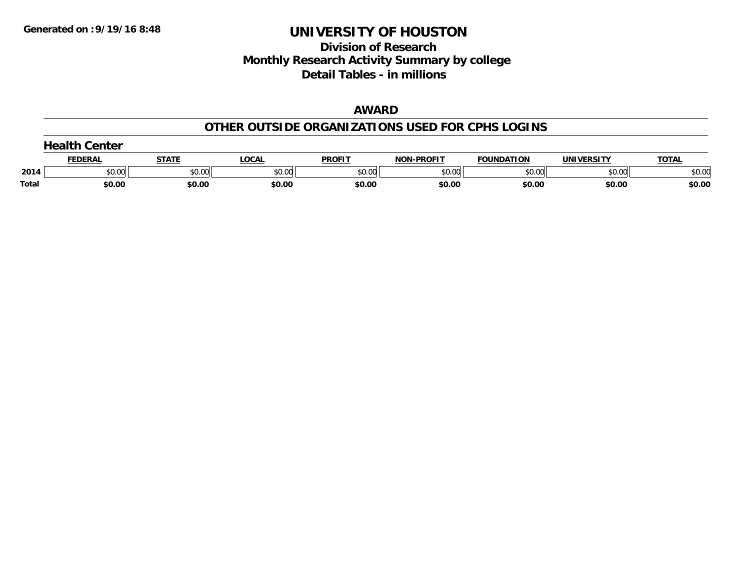# **Division of Research Monthly Research Activity Summary by college Detail Tables - in millions**

### **AWARD**

### **OTHER OUTSIDE ORGANIZATIONS USED FOR CPHS LOGINS**

|       | $\sim$ alth $\sim$<br>Center |              |        |               |                   |                   |                   |              |  |  |  |
|-------|------------------------------|--------------|--------|---------------|-------------------|-------------------|-------------------|--------------|--|--|--|
|       | FEDERAI                      | <u>STATI</u> | _OCAI  | <b>PROFIT</b> | <b>NON-PROFIT</b> | <b>FOUNDATION</b> | <b>UNIVERSITY</b> | <u>TOTAL</u> |  |  |  |
| 2014  | \$0.00                       | \$0.00       | \$0.00 | \$0.00        | \$0.00            | \$0.00            | \$0.00            | \$0.00       |  |  |  |
| Total | \$0.00                       | \$0.00       | \$0.00 | \$0.00        | \$0.00            | \$0.00            | \$0.00            | \$0.00       |  |  |  |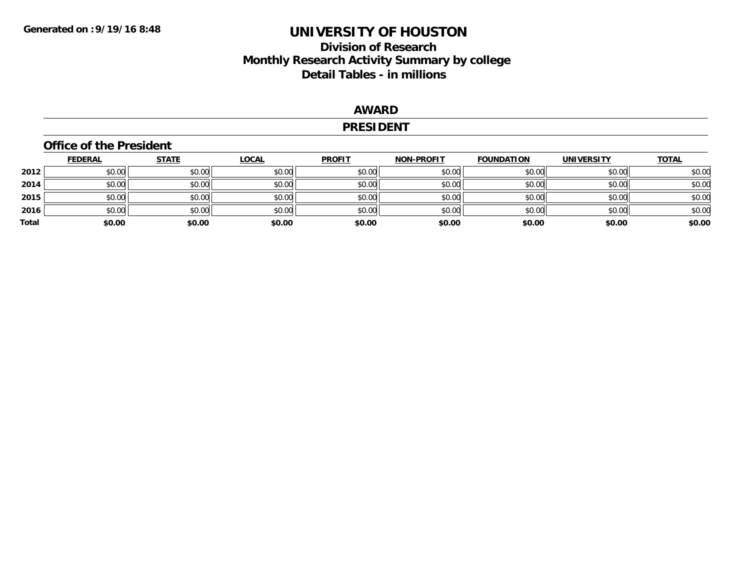# **Division of Research Monthly Research Activity Summary by college Detail Tables - in millions**

### **AWARD**

#### **PRESIDENT**

### **Office of the President**

|       | <u>FEDERAL</u> | <u>STATE</u> | <b>LOCAL</b> | <b>PROFIT</b> | <b>NON-PROFIT</b> | <b>FOUNDATION</b> | <b>UNIVERSITY</b> | <b>TOTAL</b> |
|-------|----------------|--------------|--------------|---------------|-------------------|-------------------|-------------------|--------------|
| 2012  | \$0.00         | \$0.00       | \$0.00       | \$0.00        | \$0.00            | \$0.00            | \$0.00            | \$0.00       |
| 2014  | \$0.00         | \$0.00       | \$0.00       | \$0.00        | \$0.00            | \$0.00            | \$0.00            | \$0.00       |
| 2015  | \$0.00         | \$0.00       | \$0.00       | \$0.00        | \$0.00            | \$0.00            | \$0.00            | \$0.00       |
| 2016  | \$0.00         | \$0.00       | \$0.00       | \$0.00        | \$0.00            | \$0.00            | \$0.00            | \$0.00       |
| Total | \$0.00         | \$0.00       | \$0.00       | \$0.00        | \$0.00            | \$0.00            | \$0.00            | \$0.00       |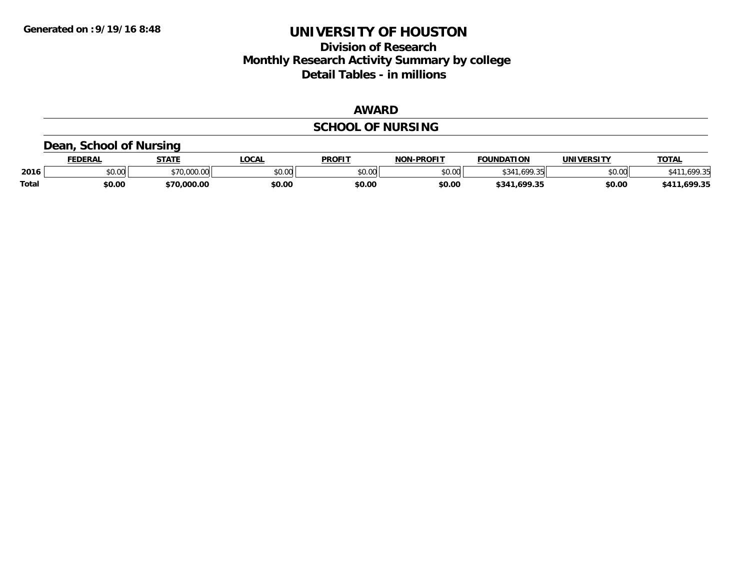# **Division of Research Monthly Research Activity Summary by college Detail Tables - in millions**

### **AWARD**

# **SCHOOL OF NURSING**

### **Dean, School of Nursing**

|              | <b>FEDERAL</b>     | <b>STATE</b> | <b>OCAL</b> | <b>PROFIT</b> | <b>NON-PROFIT</b>        | <b>FOUNDATION</b> | UNIVERSITY | <b>TOTAL</b>          |
|--------------|--------------------|--------------|-------------|---------------|--------------------------|-------------------|------------|-----------------------|
| 2016         | $\sim$ 00<br>vu.vu | \$70,000.00  | JU.UU       | \$0.00        | $\epsilon$ n nn<br>vv.vv | \$341.699.35      | \$0.00     | $\sim$ $\sim$<br>.nyv |
| <b>Total</b> | \$0.00             | \$70,000.00  | \$0.00      | \$0.00        | \$0.00                   | \$341,699.35      | \$0.00     | 1.699.35<br>\$41'     |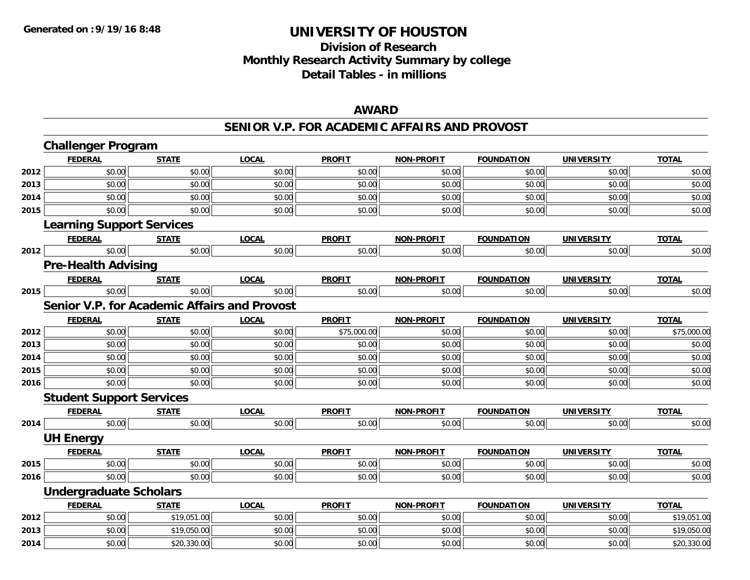# **Division of ResearchMonthly Research Activity Summary by college Detail Tables - in millions**

### **AWARD**

#### **SENIOR V.P. FOR ACADEMIC AFFAIRS AND PROVOST**

|      | <b>Challenger Program</b>                    |              |              |               |                   |                   |                   |              |
|------|----------------------------------------------|--------------|--------------|---------------|-------------------|-------------------|-------------------|--------------|
|      | <b>FEDERAL</b>                               | <b>STATE</b> | <b>LOCAL</b> | <b>PROFIT</b> | NON-PROFIT        | <b>FOUNDATION</b> | <b>UNIVERSITY</b> | <b>TOTAL</b> |
| 2012 | \$0.00                                       | \$0.00       | \$0.00       | \$0.00        | \$0.00            | \$0.00            | \$0.00            | \$0.00       |
| 2013 | \$0.00                                       | \$0.00       | \$0.00       | \$0.00        | \$0.00            | \$0.00            | \$0.00            | \$0.00       |
| 2014 | \$0.00                                       | \$0.00       | \$0.00       | \$0.00        | \$0.00            | \$0.00            | \$0.00            | \$0.00       |
| 2015 | \$0.00                                       | \$0.00       | \$0.00       | \$0.00        | \$0.00            | \$0.00            | \$0.00            | \$0.00       |
|      | <b>Learning Support Services</b>             |              |              |               |                   |                   |                   |              |
|      | <b>FEDERAL</b>                               | <b>STATE</b> | <b>LOCAL</b> | <b>PROFIT</b> | NON-PROFIT        | <b>FOUNDATION</b> | <b>UNIVERSITY</b> | <b>TOTAL</b> |
| 2012 | \$0.00                                       | \$0.00       | \$0.00       | \$0.00        | \$0.00            | \$0.00            | \$0.00            | \$0.00       |
|      | <b>Pre-Health Advising</b>                   |              |              |               |                   |                   |                   |              |
|      | <b>FEDERAL</b>                               | <b>STATE</b> | <b>LOCAL</b> | <b>PROFIT</b> | NON-PROFIT        | <b>FOUNDATION</b> | <b>UNIVERSITY</b> | <b>TOTAL</b> |
| 2015 | \$0.00                                       | \$0.00       | \$0.00       | \$0.00        | \$0.00            | \$0.00            | \$0.00            | \$0.00       |
|      | Senior V.P. for Academic Affairs and Provost |              |              |               |                   |                   |                   |              |
|      | <b>FEDERAL</b>                               | <b>STATE</b> | <b>LOCAL</b> | <b>PROFIT</b> | NON-PROFIT        | <b>FOUNDATION</b> | <b>UNIVERSITY</b> | <b>TOTAL</b> |
| 2012 | \$0.00                                       | \$0.00       | \$0.00       | \$75,000.00   | \$0.00            | \$0.00            | \$0.00            | \$75,000.00  |
| 2013 | \$0.00                                       | \$0.00       | \$0.00       | \$0.00        | \$0.00            | \$0.00            | \$0.00            | \$0.00       |
| 2014 | \$0.00                                       | \$0.00       | \$0.00       | \$0.00        | \$0.00            | \$0.00            | \$0.00            | \$0.00       |
| 2015 | \$0.00                                       | \$0.00       | \$0.00       | \$0.00        | \$0.00            | \$0.00            | \$0.00            | \$0.00       |
| 2016 | \$0.00                                       | \$0.00       | \$0.00       | \$0.00        | \$0.00            | \$0.00            | \$0.00            | \$0.00       |
|      | <b>Student Support Services</b>              |              |              |               |                   |                   |                   |              |
|      | <b>FEDERAL</b>                               | <b>STATE</b> | <b>LOCAL</b> | <b>PROFIT</b> | <b>NON-PROFIT</b> | <b>FOUNDATION</b> | <b>UNIVERSITY</b> | <b>TOTAL</b> |
| 2014 | \$0.00                                       | \$0.00       | \$0.00       | \$0.00        | \$0.00            | \$0.00            | \$0.00            | \$0.00       |
|      | <b>UH Energy</b>                             |              |              |               |                   |                   |                   |              |
|      | <b>FEDERAL</b>                               | <b>STATE</b> | <b>LOCAL</b> | <b>PROFIT</b> | <b>NON-PROFIT</b> | <b>FOUNDATION</b> | <b>UNIVERSITY</b> | <b>TOTAL</b> |
| 2015 | \$0.00                                       | \$0.00       | \$0.00       | \$0.00        | \$0.00            | \$0.00            | \$0.00            | \$0.00       |
| 2016 | \$0.00                                       | \$0.00       | \$0.00       | \$0.00        | \$0.00            | \$0.00            | \$0.00            | \$0.00       |
|      | <b>Undergraduate Scholars</b>                |              |              |               |                   |                   |                   |              |
|      | <b>FEDERAL</b>                               | <b>STATE</b> | <b>LOCAL</b> | <b>PROFIT</b> | <b>NON-PROFIT</b> | <b>FOUNDATION</b> | <b>UNIVERSITY</b> | <b>TOTAL</b> |
| 2012 | \$0.00                                       | \$19,051.00  | \$0.00       | \$0.00        | \$0.00            | \$0.00            | \$0.00            | \$19,051.00  |
| 2013 | \$0.00                                       | \$19,050.00  | \$0.00       | \$0.00        | \$0.00            | \$0.00            | \$0.00            | \$19,050.00  |
| 2014 | \$0.00                                       | \$20,330.00  | \$0.00       | \$0.00        | \$0.00            | \$0.00            | \$0.00            | \$20,330.00  |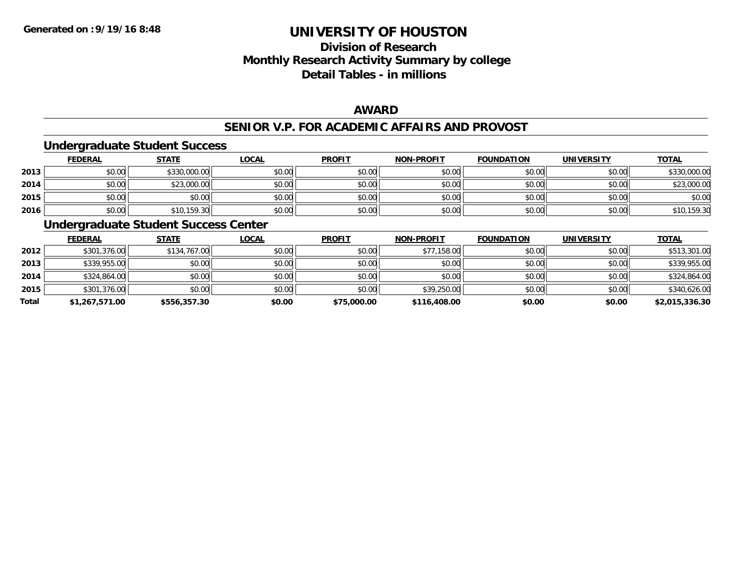# **Division of ResearchMonthly Research Activity Summary by college Detail Tables - in millions**

### **AWARD**

### **SENIOR V.P. FOR ACADEMIC AFFAIRS AND PROVOST**

### **Undergraduate Student Success**

|      | <b>FEDERAL</b> | <b>STATE</b> | <u>LOCAL</u> | <b>PROFIT</b> | <b>NON-PROFIT</b> | <b>FOUNDATION</b> | <b>UNIVERSITY</b> | <b>TOTAL</b> |
|------|----------------|--------------|--------------|---------------|-------------------|-------------------|-------------------|--------------|
| 2013 | \$0.00         | \$330,000.00 | \$0.00       | \$0.00        | \$0.00            | \$0.00            | \$0.00            | \$330,000.00 |
| 2014 | \$0.00         | \$23,000.00  | \$0.00       | \$0.00        | \$0.00            | \$0.00            | \$0.00            | \$23,000.00  |
| 2015 | \$0.00         | \$0.00       | \$0.00       | \$0.00        | \$0.00            | \$0.00            | \$0.00            | \$0.00       |
| 2016 | \$0.00         | \$10,159.30  | \$0.00       | \$0.00        | \$0.00            | \$0.00            | \$0.00            | \$10,159.30  |

### **Undergraduate Student Success Center**

|       | <b>FEDERAL</b> | <b>STATE</b> | <b>LOCAL</b> | <b>PROFIT</b> | <b>NON-PROFIT</b> | <b>FOUNDATION</b> | <b>UNIVERSITY</b> | <b>TOTAL</b>   |
|-------|----------------|--------------|--------------|---------------|-------------------|-------------------|-------------------|----------------|
| 2012  | \$301,376.00   | \$134,767.00 | \$0.00       | \$0.00        | \$77,158.00       | \$0.00            | \$0.00            | \$513,301.00   |
| 2013  | \$339,955.00   | \$0.00       | \$0.00       | \$0.00        | \$0.00            | \$0.00            | \$0.00            | \$339,955.00   |
| 2014  | \$324,864.00   | \$0.00       | \$0.00       | \$0.00        | \$0.00            | \$0.00            | \$0.00            | \$324,864.00   |
| 2015  | \$301,376.00   | \$0.00       | \$0.00       | \$0.00        | \$39,250.00       | \$0.00            | \$0.00            | \$340,626.00   |
| Total | \$1,267,571.00 | \$556,357.30 | \$0.00       | \$75,000.00   | \$116,408.00      | \$0.00            | \$0.00            | \$2,015,336.30 |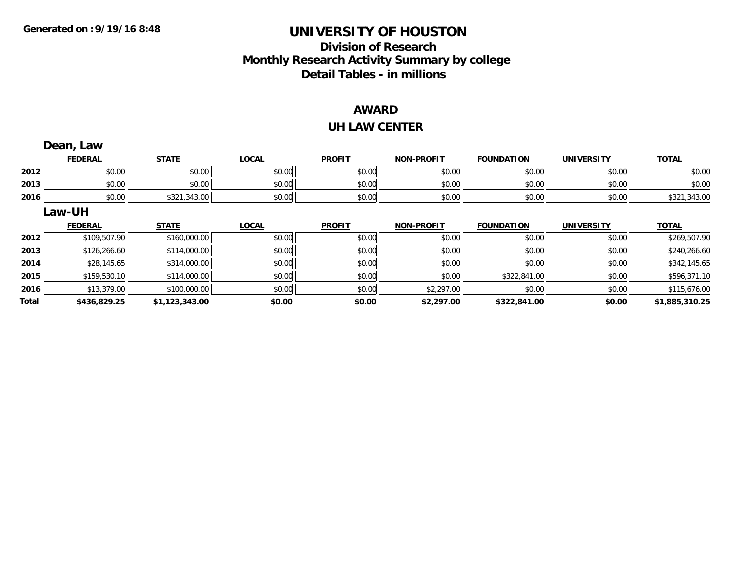# **Division of Research Monthly Research Activity Summary by college Detail Tables - in millions**

### **AWARD**

#### **UH LAW CENTER**

|       | Dean, Law      |                |              |               |                   |                   |                   |                |
|-------|----------------|----------------|--------------|---------------|-------------------|-------------------|-------------------|----------------|
|       | <b>FEDERAL</b> | <b>STATE</b>   | <b>LOCAL</b> | <b>PROFIT</b> | <b>NON-PROFIT</b> | <b>FOUNDATION</b> | <b>UNIVERSITY</b> | <b>TOTAL</b>   |
| 2012  | \$0.00         | \$0.00         | \$0.00       | \$0.00        | \$0.00            | \$0.00            | \$0.00            | \$0.00         |
| 2013  | \$0.00         | \$0.00         | \$0.00       | \$0.00        | \$0.00            | \$0.00            | \$0.00            | \$0.00         |
| 2016  | \$0.00         | \$321,343.00   | \$0.00       | \$0.00        | \$0.00            | \$0.00            | \$0.00            | \$321,343.00   |
|       | Law-UH         |                |              |               |                   |                   |                   |                |
|       | <b>FEDERAL</b> | <b>STATE</b>   | <b>LOCAL</b> | <b>PROFIT</b> | <b>NON-PROFIT</b> | <b>FOUNDATION</b> | <b>UNIVERSITY</b> | <b>TOTAL</b>   |
| 2012  | \$109,507.90   | \$160,000.00   | \$0.00       | \$0.00        | \$0.00            | \$0.00            | \$0.00            | \$269,507.90   |
| 2013  | \$126,266.60   | \$114,000.00   | \$0.00       | \$0.00        | \$0.00            | \$0.00            | \$0.00            | \$240,266.60   |
| 2014  | \$28,145.65    | \$314,000.00   | \$0.00       | \$0.00        | \$0.00            | \$0.00            | \$0.00            | \$342,145.65   |
| 2015  | \$159,530.10   | \$114,000.00   | \$0.00       | \$0.00        | \$0.00            | \$322,841.00      | \$0.00            | \$596,371.10   |
| 2016  | \$13,379.00    | \$100,000.00   | \$0.00       | \$0.00        | \$2,297.00        | \$0.00            | \$0.00            | \$115,676.00   |
| Total | \$436,829.25   | \$1,123,343.00 | \$0.00       | \$0.00        | \$2,297.00        | \$322,841.00      | \$0.00            | \$1,885,310.25 |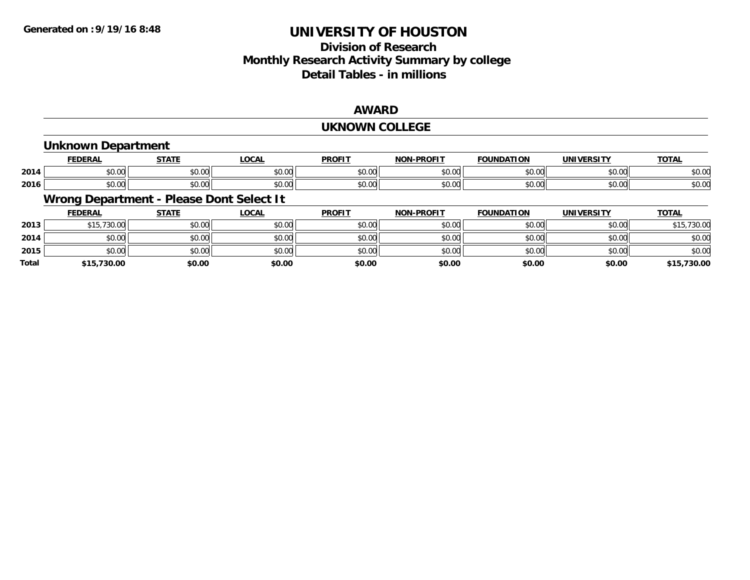# **Division of ResearchMonthly Research Activity Summary by college Detail Tables - in millions**

### **AWARD**

#### **UKNOWN COLLEGE**

### **Unknown Department**

|      | <b>NED AI</b><br>ERA | $C = A + I$                                                            | $\sim$ $\sim$<br>.vuni                       | <b>PROFIT</b>               | <b>L-PROFIT</b><br>NON. | ΠΟΝ<br><b>COUNIDAT</b> | 1000171<br>JNI V | <u>TOTAL</u>  |
|------|----------------------|------------------------------------------------------------------------|----------------------------------------------|-----------------------------|-------------------------|------------------------|------------------|---------------|
| 2014 | 0000<br>יט.טי        | $\begin{array}{c} \uparrow \\ \uparrow \\ \uparrow \end{array}$<br>ט.ט | $\sim$ $\sim$<br>00.00                       | $\sim$ $\sim$ $\sim$<br>ΨU. | 0 <sub>n</sub><br>vv.vv | \$0.00                 | 0.00             | 0000<br>DU.UU |
| 2016 | $\sim$<br>0.00       | $\sim$ 00<br>JU.U'                                                     | $\triangle$ $\triangle$ $\triangle$<br>pu.uu | JU.                         | 0000<br>PO.OO           | \$0.00                 | 0000<br>יוטט.ע,  | \$0.00        |

### **Wrong Department - Please Dont Select It**

|              | <b>FEDERAL</b> | <b>STATE</b> | <b>LOCAL</b> | <b>PROFIT</b> | <b>NON-PROFIT</b> | <b>FOUNDATION</b> | <b>UNIVERSITY</b> | <b>TOTAL</b> |
|--------------|----------------|--------------|--------------|---------------|-------------------|-------------------|-------------------|--------------|
| 2013         | \$15,730.00    | \$0.00       | \$0.00       | \$0.00        | \$0.00            | \$0.00            | \$0.00            | \$15,730.00  |
| 2014         | \$0.00         | \$0.00       | \$0.00       | \$0.00        | \$0.00            | \$0.00            | \$0.00            | \$0.00       |
| 2015         | \$0.00         | \$0.00       | \$0.00       | \$0.00        | \$0.00            | \$0.00            | \$0.00            | \$0.00       |
| <b>Total</b> | \$15,730.00    | \$0.00       | \$0.00       | \$0.00        | \$0.00            | \$0.00            | \$0.00            | \$15,730.00  |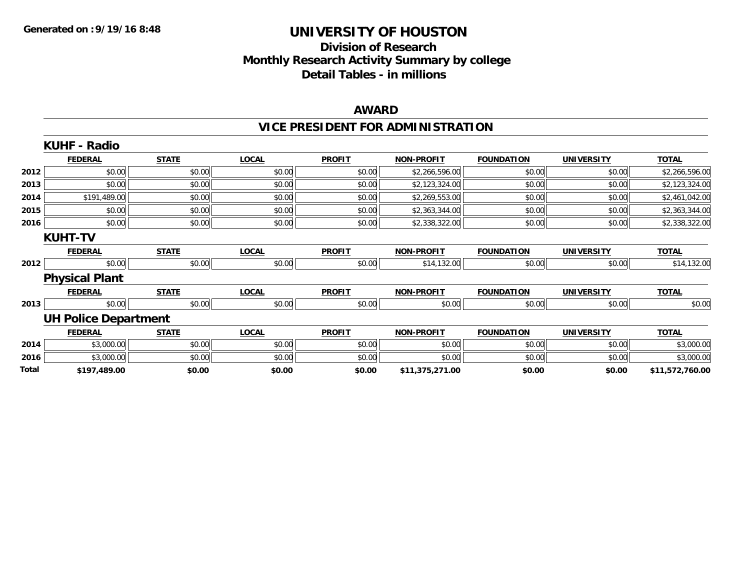# **Division of Research Monthly Research Activity Summary by college Detail Tables - in millions**

### **AWARD**

# **VICE PRESIDENT FOR ADMINISTRATION**

|       | <b>KUHF - Radio</b>         |              |              |               |                   |                   |                   |                 |
|-------|-----------------------------|--------------|--------------|---------------|-------------------|-------------------|-------------------|-----------------|
|       | <b>FEDERAL</b>              | <b>STATE</b> | <b>LOCAL</b> | <b>PROFIT</b> | <b>NON-PROFIT</b> | <b>FOUNDATION</b> | <b>UNIVERSITY</b> | <b>TOTAL</b>    |
| 2012  | \$0.00                      | \$0.00       | \$0.00       | \$0.00        | \$2,266,596.00    | \$0.00            | \$0.00            | \$2,266,596.00  |
| 2013  | \$0.00                      | \$0.00       | \$0.00       | \$0.00        | \$2,123,324.00    | \$0.00            | \$0.00            | \$2,123,324.00  |
| 2014  | \$191,489.00                | \$0.00       | \$0.00       | \$0.00        | \$2,269,553.00    | \$0.00            | \$0.00            | \$2,461,042.00  |
| 2015  | \$0.00                      | \$0.00       | \$0.00       | \$0.00        | \$2,363,344.00    | \$0.00            | \$0.00            | \$2,363,344.00  |
| 2016  | \$0.00                      | \$0.00       | \$0.00       | \$0.00        | \$2,338,322.00    | \$0.00            | \$0.00            | \$2,338,322.00  |
|       | <b>KUHT-TV</b>              |              |              |               |                   |                   |                   |                 |
|       | <b>FEDERAL</b>              | <b>STATE</b> | <b>LOCAL</b> | <b>PROFIT</b> | <b>NON-PROFIT</b> | <b>FOUNDATION</b> | <b>UNIVERSITY</b> | <b>TOTAL</b>    |
| 2012  | \$0.00                      | \$0.00       | \$0.00       | \$0.00        | \$14,132.00       | \$0.00            | \$0.00            | \$14,132.00     |
|       | <b>Physical Plant</b>       |              |              |               |                   |                   |                   |                 |
|       | <b>FEDERAL</b>              | <b>STATE</b> | <b>LOCAL</b> | <b>PROFIT</b> | <b>NON-PROFIT</b> | <b>FOUNDATION</b> | <b>UNIVERSITY</b> | <b>TOTAL</b>    |
| 2013  | \$0.00                      | \$0.00       | \$0.00       | \$0.00        | \$0.00            | \$0.00            | \$0.00            | \$0.00          |
|       | <b>UH Police Department</b> |              |              |               |                   |                   |                   |                 |
|       | <b>FEDERAL</b>              | <b>STATE</b> | <b>LOCAL</b> | <b>PROFIT</b> | <b>NON-PROFIT</b> | <b>FOUNDATION</b> | <b>UNIVERSITY</b> | <b>TOTAL</b>    |
| 2014  | \$3,000.00                  | \$0.00       | \$0.00       | \$0.00        | \$0.00            | \$0.00            | \$0.00            | \$3,000.00      |
| 2016  | \$3,000.00                  | \$0.00       | \$0.00       | \$0.00        | \$0.00            | \$0.00            | \$0.00            | \$3,000.00      |
| Total | \$197,489.00                | \$0.00       | \$0.00       | \$0.00        | \$11,375,271.00   | \$0.00            | \$0.00            | \$11,572,760.00 |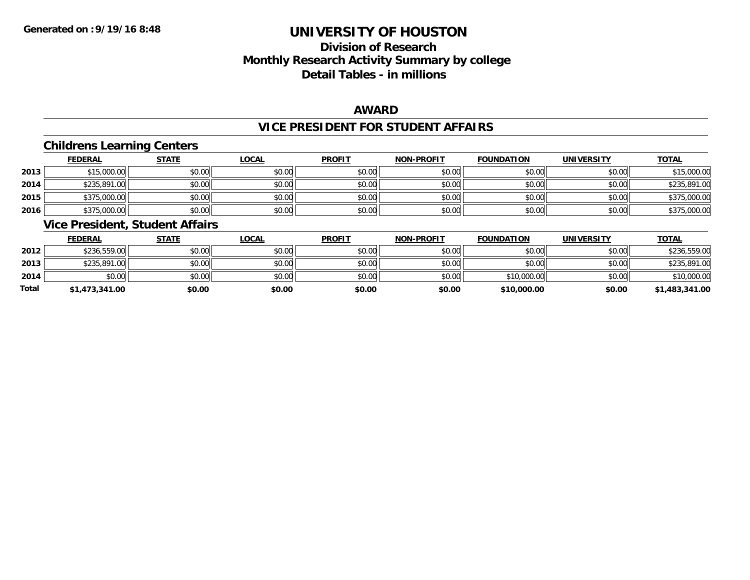# **Division of ResearchMonthly Research Activity Summary by college Detail Tables - in millions**

### **AWARD**

### **VICE PRESIDENT FOR STUDENT AFFAIRS**

### **Childrens Learning Centers**

|      | <b>FEDERAL</b> | <b>STATE</b> | <u>LOCAL</u> | <b>PROFIT</b> | <b>NON-PROFIT</b> | <b>FOUNDATION</b> | <b>UNIVERSITY</b> | <b>TOTAL</b> |
|------|----------------|--------------|--------------|---------------|-------------------|-------------------|-------------------|--------------|
| 2013 | \$15,000.00    | \$0.00       | \$0.00       | \$0.00        | \$0.00            | \$0.00            | \$0.00            | \$15,000.00  |
| 2014 | \$235,891.00   | \$0.00       | \$0.00       | \$0.00        | \$0.00            | \$0.00            | \$0.00            | \$235,891.00 |
| 2015 | \$375,000.00   | \$0.00       | \$0.00       | \$0.00        | \$0.00            | \$0.00            | \$0.00            | \$375,000.00 |
| 2016 | \$375,000.00   | \$0.00       | \$0.00       | \$0.00        | \$0.00            | \$0.00            | \$0.00            | \$375,000.00 |

### **Vice President, Student Affairs**

|       | <b>FEDERAL</b> | <u>STATE</u> | <b>LOCAL</b> | <b>PROFIT</b> | <b>NON-PROFIT</b> | <b>FOUNDATION</b> | <b>UNIVERSITY</b> | <b>TOTAL</b>   |
|-------|----------------|--------------|--------------|---------------|-------------------|-------------------|-------------------|----------------|
| 2012  | \$236,559.00   | \$0.00       | \$0.00       | \$0.00        | \$0.00            | \$0.00            | \$0.00            | \$236,559.00   |
| 2013  | \$235,891.00   | \$0.00       | \$0.00       | \$0.00        | \$0.00            | \$0.00            | \$0.00            | \$235,891.00   |
| 2014  | \$0.00         | \$0.00       | \$0.00       | \$0.00        | \$0.00            | \$10,000.00       | \$0.00            | \$10,000.00    |
| Total | \$1,473,341.00 | \$0.00       | \$0.00       | \$0.00        | \$0.00            | \$10,000.00       | \$0.00            | \$1,483,341.00 |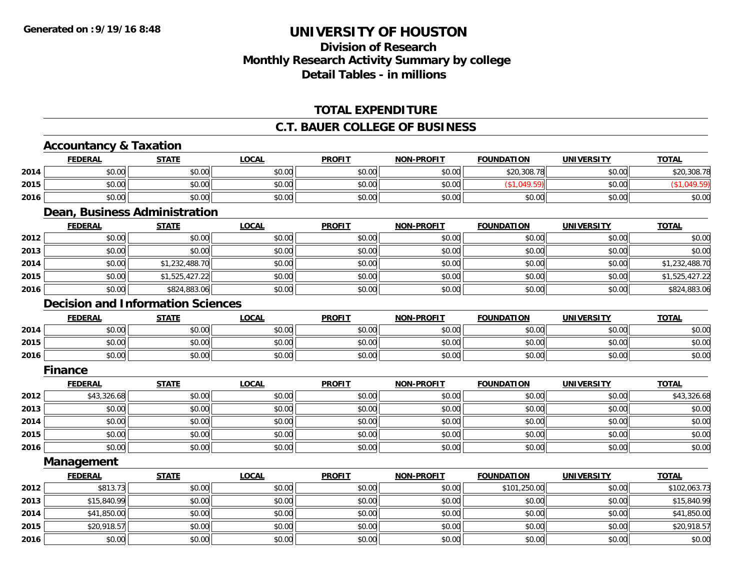# **Division of ResearchMonthly Research Activity Summary by college Detail Tables - in millions**

### **TOTAL EXPENDITURE**

### **C.T. BAUER COLLEGE OF BUSINESS**

# **Accountancy & Taxation**

|      | FEDERAL | <b>STATE</b> | LOCAL  | <b>PROFIT</b> | <b>NON-PROFIT</b><br><b>RUI</b> | <b>FOUNDATION</b> | <b>UNIVERSITY</b> | <b>TOTAL</b> |
|------|---------|--------------|--------|---------------|---------------------------------|-------------------|-------------------|--------------|
| 2014 | \$0.00  | \$0.00       | \$0.00 | \$0.00        | \$0.00                          | \$20,308.78       | \$0.00            | \$20,308.78  |
| 2015 | \$0.00  | \$0.00       | \$0.00 | \$0.00        | \$0.00                          |                   | \$0.00            |              |
| 2016 | \$0.00  | \$0.00       | \$0.00 | \$0.00        | \$0.00                          | \$0.00            | \$0.00            | \$0.00       |

### **Dean, Business Administration**

|      | <u>FEDERAL</u> | <u>STATE</u>   | <u>LOCAL</u> | <b>PROFIT</b> | <b>NON-PROFIT</b> | <b>FOUNDATION</b> | <b>UNIVERSITY</b> | <b>TOTAL</b>   |
|------|----------------|----------------|--------------|---------------|-------------------|-------------------|-------------------|----------------|
| 2012 | \$0.00         | \$0.00         | \$0.00       | \$0.00        | \$0.00            | \$0.00            | \$0.00            | \$0.00         |
| 2013 | \$0.00         | \$0.00         | \$0.00       | \$0.00        | \$0.00            | \$0.00            | \$0.00            | \$0.00         |
| 2014 | \$0.00         | \$1,232,488.70 | \$0.00       | \$0.00        | \$0.00            | \$0.00            | \$0.00            | \$1,232,488.70 |
| 2015 | \$0.00         | \$1,525,427.22 | \$0.00       | \$0.00        | \$0.00            | \$0.00            | \$0.00            | \$1,525,427.22 |
| 2016 | \$0.00         | \$824,883.06   | \$0.00       | \$0.00        | \$0.00            | \$0.00            | \$0.00            | \$824,883.06   |

#### **Decision and Information Sciences**

|      | <b>FEDERAL</b> | <b>STATE</b>   | <b>_OCAL</b> | <b>PROFIT</b>                                            | <b>NON-PROFIT</b> | <b>FOUNDATION</b> | UNIVERSITY | <u>TOTAL</u> |
|------|----------------|----------------|--------------|----------------------------------------------------------|-------------------|-------------------|------------|--------------|
| 2014 | \$0.00         | ≮N UU<br>JU.UU | \$0.00       | <b>AO OO</b><br>JU.UU                                    | \$0.00            | \$0.00            | \$0.00     | \$0.00       |
| 2015 | \$0.00         | \$0.00         | \$0.00       | $\mathsf{A}\cap\mathsf{A}\cap\mathsf{A}$<br><b>JU.UU</b> | \$0.00            | \$0.00            | \$0.00     | \$0.00       |
| 2016 | \$0.00         | \$0.00         | \$0.00       | 40.00<br><b>SU.UU</b>                                    | \$0.00            | \$0.00            | \$0.00     | \$0.00       |

#### **Finance**

|      | <b>FEDERAL</b> | <b>STATE</b> | <b>LOCAL</b> | <b>PROFIT</b> | <b>NON-PROFIT</b> | <b>FOUNDATION</b> | <b>UNIVERSITY</b> | <b>TOTAL</b> |
|------|----------------|--------------|--------------|---------------|-------------------|-------------------|-------------------|--------------|
| 2012 | \$43,326.68    | \$0.00       | \$0.00       | \$0.00        | \$0.00            | \$0.00            | \$0.00            | \$43,326.68  |
| 2013 | \$0.00         | \$0.00       | \$0.00       | \$0.00        | \$0.00            | \$0.00            | \$0.00            | \$0.00       |
| 2014 | \$0.00         | \$0.00       | \$0.00       | \$0.00        | \$0.00            | \$0.00            | \$0.00            | \$0.00       |
| 2015 | \$0.00         | \$0.00       | \$0.00       | \$0.00        | \$0.00            | \$0.00            | \$0.00            | \$0.00       |
| 2016 | \$0.00         | \$0.00       | \$0.00       | \$0.00        | \$0.00            | \$0.00            | \$0.00            | \$0.00       |

**Management**

|      | <b>FEDERAL</b> | <b>STATE</b> | <u>LOCAL</u> | <b>PROFIT</b> | <b>NON-PROFIT</b> | <b>FOUNDATION</b> | <b>UNIVERSITY</b> | <b>TOTAL</b> |
|------|----------------|--------------|--------------|---------------|-------------------|-------------------|-------------------|--------------|
| 2012 | \$813.73       | \$0.00       | \$0.00       | \$0.00        | \$0.00            | \$101,250.00      | \$0.00            | \$102,063.73 |
| 2013 | \$15,840.99    | \$0.00       | \$0.00       | \$0.00        | \$0.00            | \$0.00            | \$0.00            | \$15,840.99  |
| 2014 | \$41,850.00    | \$0.00       | \$0.00       | \$0.00        | \$0.00            | \$0.00            | \$0.00            | \$41,850.00  |
| 2015 | \$20,918.57    | \$0.00       | \$0.00       | \$0.00        | \$0.00            | \$0.00            | \$0.00            | \$20,918.57  |
| 2016 | \$0.00         | \$0.00       | \$0.00       | \$0.00        | \$0.00            | \$0.00            | \$0.00            | \$0.00       |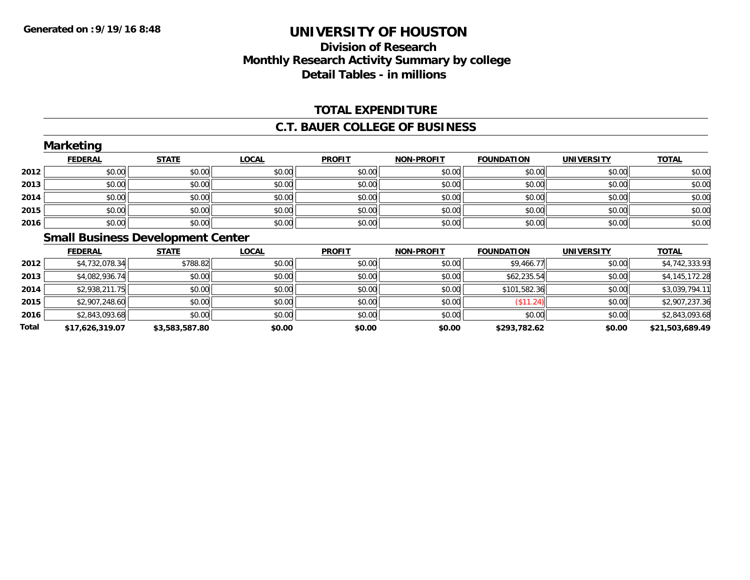### **Division of Research Monthly Research Activity Summary by college Detail Tables - in millions**

#### **TOTAL EXPENDITURE**

#### **C.T. BAUER COLLEGE OF BUSINESS**

|      | <b>FEDERAL</b> | <b>STATE</b>                             | <b>LOCAL</b> | <b>PROFIT</b> | <b>NON-PROFIT</b> | <b>FOUNDATION</b>        | <b>UNIVERSITY</b>   | <b>TOTAL</b> |
|------|----------------|------------------------------------------|--------------|---------------|-------------------|--------------------------|---------------------|--------------|
| 2012 | \$0.00         | \$0.00                                   | \$0.00       | \$0.00        | \$0.00            | \$0.00                   | \$0.00              | \$0.00       |
| 2013 | \$0.00         | \$0.00                                   | \$0.00       | \$0.00        | \$0.00            | \$0.00                   | \$0.00              | \$0.00       |
| 2014 | \$0.00         | \$0.00                                   | \$0.00       | \$0.00        | \$0.00            | \$0.00                   | \$0.00              | \$0.00       |
| 2015 | \$0.00         | \$0.00                                   | \$0.00       | \$0.00        | \$0.00            | \$0.00                   | \$0.00              | \$0.00       |
| 2016 | \$0.00         | \$0.00                                   | \$0.00       | \$0.00        | \$0.00            | \$0.00                   | \$0.00              | \$0.00       |
|      |                | <b>Small Business Development Center</b> |              |               |                   |                          |                     |              |
|      | <b>FEBEDAL</b> | <b>CTATE</b>                             | 10011        | <b>DDOFIT</b> | MOM DDOLLT        | <b><i>FOUNDATION</i></b> | <b>IIMILVEDCITY</b> | <b>TOTAL</b> |

|              | <b>FEDERAL</b>  | STATE          | <u>LOCAL</u> | <b>PROFIT</b> | <b>NON-PROFIT</b> | <b>FOUNDATION</b> | UNIVERSITY | <u>TOTAL</u>    |
|--------------|-----------------|----------------|--------------|---------------|-------------------|-------------------|------------|-----------------|
| 2012         | \$4,732,078.34  | \$788.82       | \$0.00       | \$0.00        | \$0.00            | \$9,466.77        | \$0.00     | \$4,742,333.93  |
| 2013         | \$4,082,936.74  | \$0.00         | \$0.00       | \$0.00        | \$0.00            | \$62,235.54       | \$0.00     | \$4,145,172.28  |
| 2014         | \$2,938,211.75  | \$0.00         | \$0.00       | \$0.00        | \$0.00            | \$101,582.36      | \$0.00     | \$3,039,794.11  |
| 2015         | \$2,907,248.60  | \$0.00         | \$0.00       | \$0.00        | \$0.00            | (\$11.24)         | \$0.00     | \$2,907,237.36  |
| 2016         | \$2,843,093.68  | \$0.00         | \$0.00       | \$0.00        | \$0.00            | \$0.00            | \$0.00     | \$2,843,093.68  |
| <b>Total</b> | \$17,626,319.07 | \$3,583,587.80 | \$0.00       | \$0.00        | \$0.00            | \$293,782.62      | \$0.00     | \$21,503,689.49 |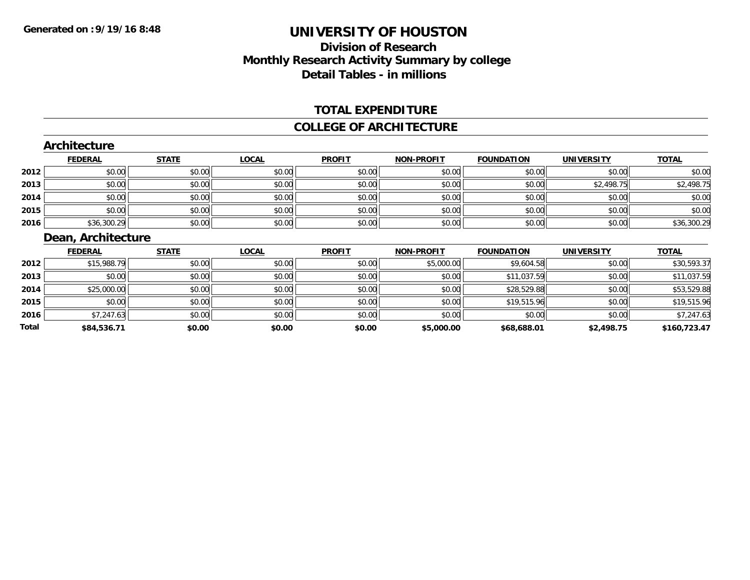### **Division of ResearchMonthly Research Activity Summary by college Detail Tables - in millions**

#### **TOTAL EXPENDITURE**

#### **COLLEGE OF ARCHITECTURE**

|              | <b>Architecture</b> |              |              |               |                   |                   |                   |              |
|--------------|---------------------|--------------|--------------|---------------|-------------------|-------------------|-------------------|--------------|
|              | <b>FEDERAL</b>      | <b>STATE</b> | <b>LOCAL</b> | <b>PROFIT</b> | <b>NON-PROFIT</b> | <b>FOUNDATION</b> | <b>UNIVERSITY</b> | <b>TOTAL</b> |
| 2012         | \$0.00              | \$0.00       | \$0.00       | \$0.00        | \$0.00            | \$0.00            | \$0.00            | \$0.00       |
| 2013         | \$0.00              | \$0.00       | \$0.00       | \$0.00        | \$0.00            | \$0.00            | \$2,498.75        | \$2,498.75   |
| 2014         | \$0.00              | \$0.00       | \$0.00       | \$0.00        | \$0.00            | \$0.00            | \$0.00            | \$0.00       |
| 2015         | \$0.00              | \$0.00       | \$0.00       | \$0.00        | \$0.00            | \$0.00            | \$0.00            | \$0.00       |
| 2016         | \$36,300.29         | \$0.00       | \$0.00       | \$0.00        | \$0.00            | \$0.00            | \$0.00            | \$36,300.29  |
|              | Dean, Architecture  |              |              |               |                   |                   |                   |              |
|              | <b>FEDERAL</b>      | <b>STATE</b> | <b>LOCAL</b> | <b>PROFIT</b> | <b>NON-PROFIT</b> | <b>FOUNDATION</b> | <b>UNIVERSITY</b> | <b>TOTAL</b> |
| 2012         | \$15,988.79         | \$0.00       | \$0.00       | \$0.00        | \$5,000.00        | \$9,604.58        | \$0.00            | \$30,593.37  |
| 2013         | \$0.00              | \$0.00       | \$0.00       | \$0.00        | \$0.00            | \$11,037.59       | \$0.00            | \$11,037.59  |
| 2014         | \$25,000.00         | \$0.00       | \$0.00       | \$0.00        | \$0.00            | \$28,529.88       | \$0.00            | \$53,529.88  |
| 2015         | \$0.00              | \$0.00       | \$0.00       | \$0.00        | \$0.00            | \$19,515.96       | \$0.00            | \$19,515.96  |
| 2016         | \$7,247.63          | \$0.00       | \$0.00       | \$0.00        | \$0.00            | \$0.00            | \$0.00            | \$7,247.63   |
| <b>Total</b> | \$84,536.71         | \$0.00       | \$0.00       | \$0.00        | \$5,000.00        | \$68,688.01       | \$2,498.75        | \$160,723.47 |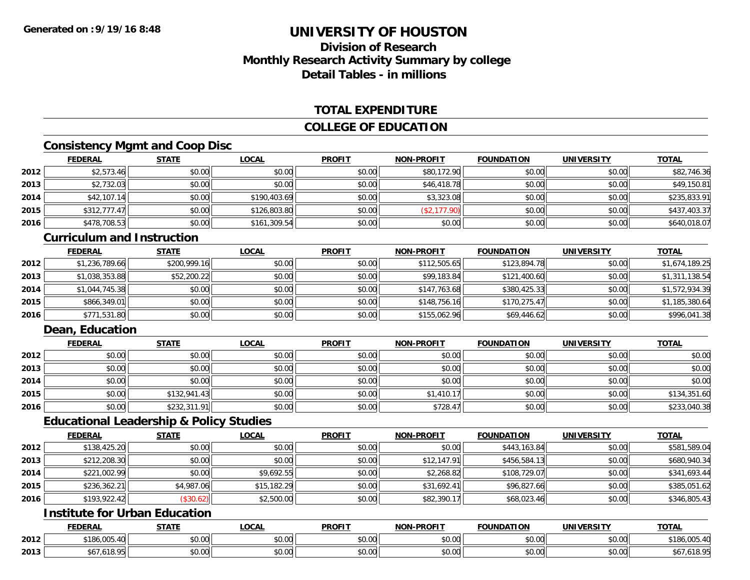## **Division of ResearchMonthly Research Activity Summary by college Detail Tables - in millions**

#### **TOTAL EXPENDITURE**

#### **COLLEGE OF EDUCATION**

### **Consistency Mgmt and Coop Disc**

|      | <b>FEDERAL</b> | <b>STATE</b> | <u>LOCAL</u> | <b>PROFIT</b> | <b>NON-PROFIT</b> | <b>FOUNDATION</b> | <b>UNIVERSITY</b> | <b>TOTAL</b> |
|------|----------------|--------------|--------------|---------------|-------------------|-------------------|-------------------|--------------|
| 2012 | \$2,573.46     | \$0.00       | \$0.00       | \$0.00        | \$80,172.90       | \$0.00            | \$0.00            | \$82,746.36  |
| 2013 | \$2,732.03     | \$0.00       | \$0.00       | \$0.00        | \$46,418.78       | \$0.00            | \$0.00            | \$49,150.81  |
| 2014 | \$42,107.14    | \$0.00       | \$190,403.69 | \$0.00        | \$3,323.08        | \$0.00            | \$0.00            | \$235,833.91 |
| 2015 | \$312,777.47   | \$0.00       | \$126,803.80 | \$0.00        | (\$2,177.90)      | \$0.00            | \$0.00            | \$437,403.37 |
| 2016 | \$478,708.53   | \$0.00       | \$161,309.54 | \$0.00        | \$0.00            | \$0.00            | \$0.00            | \$640,018.07 |

#### **Curriculum and Instruction**

|      | <u>FEDERAL</u> | <b>STATE</b> | <b>LOCAL</b> | <b>PROFIT</b> | <b>NON-PROFIT</b> | <b>FOUNDATION</b> | <b>UNIVERSITY</b> | <b>TOTAL</b>   |
|------|----------------|--------------|--------------|---------------|-------------------|-------------------|-------------------|----------------|
| 2012 | \$1,236,789.66 | \$200,999.16 | \$0.00       | \$0.00        | \$112,505.65      | \$123,894.78      | \$0.00            | \$1,674,189.25 |
| 2013 | \$1,038,353.88 | \$52,200.22  | \$0.00       | \$0.00        | \$99,183.84       | \$121,400.60      | \$0.00            | \$1,311,138.54 |
| 2014 | \$1,044,745.38 | \$0.00       | \$0.00       | \$0.00        | \$147,763.68      | \$380,425.33      | \$0.00            | \$1,572,934.39 |
| 2015 | \$866,349.01   | \$0.00       | \$0.00       | \$0.00        | \$148,756.16      | \$170,275.47      | \$0.00            | \$1,185,380.64 |
| 2016 | \$771,531.80   | \$0.00       | \$0.00       | \$0.00        | \$155,062.96      | \$69,446.62       | \$0.00            | \$996,041.38   |

### **Dean, Education**

|      | <u>FEDERAL</u> | <b>STATE</b> | <b>LOCAL</b> | <b>PROFIT</b> | <b>NON-PROFIT</b> | <b>FOUNDATION</b> | <b>UNIVERSITY</b> | <b>TOTAL</b> |
|------|----------------|--------------|--------------|---------------|-------------------|-------------------|-------------------|--------------|
| 2012 | \$0.00         | \$0.00       | \$0.00       | \$0.00        | \$0.00            | \$0.00            | \$0.00            | \$0.00       |
| 2013 | \$0.00         | \$0.00       | \$0.00       | \$0.00        | \$0.00            | \$0.00            | \$0.00            | \$0.00       |
| 2014 | \$0.00         | \$0.00       | \$0.00       | \$0.00        | \$0.00            | \$0.00            | \$0.00            | \$0.00       |
| 2015 | \$0.00         | \$132,941.43 | \$0.00       | \$0.00        | \$1,410.17        | \$0.00            | \$0.00            | \$134,351.60 |
| 2016 | \$0.00         | \$232,311.91 | \$0.00       | \$0.00        | \$728.47          | \$0.00            | \$0.00            | \$233,040.38 |

#### **Educational Leadership & Policy Studies**

|      | <b>FEDERAL</b> | <b>STATE</b> | <u>LOCAL</u> | <b>PROFIT</b> | <b>NON-PROFIT</b> | <b>FOUNDATION</b> | <b>UNIVERSITY</b> | <b>TOTAL</b> |
|------|----------------|--------------|--------------|---------------|-------------------|-------------------|-------------------|--------------|
| 2012 | \$138,425.20   | \$0.00       | \$0.00       | \$0.00        | \$0.00            | \$443,163.84      | \$0.00            | \$581,589.04 |
| 2013 | \$212,208.30   | \$0.00       | \$0.00       | \$0.00        | \$12,147.91       | \$456,584.13      | \$0.00            | \$680,940.34 |
| 2014 | \$221,002.99   | \$0.00       | \$9.692.55   | \$0.00        | \$2,268.82        | \$108,729.07      | \$0.00            | \$341,693.44 |
| 2015 | \$236,362.21   | \$4,987.06   | \$15,182.29  | \$0.00        | \$31,692.41       | \$96,827.66       | \$0.00            | \$385,051.62 |
| 2016 | \$193,922.42   | (\$30.62)    | \$2,500.00   | \$0.00        | \$82,390.17       | \$68,023.46       | \$0.00            | \$346,805.43 |

## **Institute for Urban Education**

|      | <b>FEDERAL</b>                                 | <b>CTATE</b>             | <b>_OCAL</b>          | <b>PROFIT</b>      | <b>J-PROFIT</b><br><b>BIABI</b> | <b>FOUNDATION</b> | <b>UNIVERSITY</b>    | <b>TOTAL</b>            |
|------|------------------------------------------------|--------------------------|-----------------------|--------------------|---------------------------------|-------------------|----------------------|-------------------------|
| 2012 | $\sim$<br>\$186,005.40                         | $n \cap \Omega$<br>DU.UU | $\sim$<br>0 t<br>וטט. | nn nn<br>DU.UU     | 0.00<br>JU.UU                   | \$0.00            | \$0.00               | \$186.00 <sub>b</sub>   |
| 2013 | (100<br>.<br>.010.<br>$\overline{\phantom{a}}$ | 0000<br>,u.uu            | $\sim$ 00<br>vv.vv    | $\sim$ 00<br>DU.UU | 0.00<br>JU.UU                   | \$0.00            | 0000<br><b>JU.UU</b> | $-1.410$ $-$<br>,010.93 |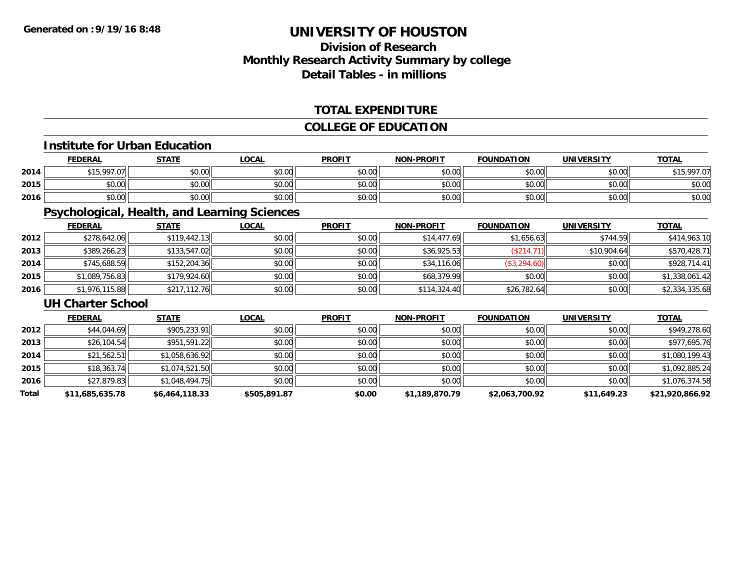### **Division of ResearchMonthly Research Activity Summary by college Detail Tables - in millions**

#### **TOTAL EXPENDITURE**

#### **COLLEGE OF EDUCATION**

#### **Institute for Urban Education**

|      | <b>FEDERAL</b>           | <b>STATE</b> | LOCAL  | <b>PROFIT</b> | <b>NON-PROFIT</b> | <b>FOUNDATION</b> | <b>UNIVERSITY</b> | <u>TOTAL</u>         |
|------|--------------------------|--------------|--------|---------------|-------------------|-------------------|-------------------|----------------------|
| 2014 | $+15.007$ $071$<br>، ، ب | \$0.00       | \$0.00 | \$0.00        | \$0.00            | \$0.00            | \$0.00            | \$15,997.07<br>, , , |
| 2015 | 0000<br>DU.UG            | \$0.00       | \$0.00 | \$0.00        | \$0.00            | \$0.00            | \$0.00            | \$0.00               |
| 2016 | \$0.00                   | \$0.00       | \$0.00 | \$0.00        | \$0.00            | \$0.00            | \$0.00            | \$0.00               |

### **Psychological, Health, and Learning Sciences**

|      | <b>FEDERAL</b> | <b>STATE</b> | <b>LOCAL</b> | <b>PROFIT</b> | <b>NON-PROFIT</b> | <b>FOUNDATION</b> | <b>UNIVERSITY</b> | <b>TOTAL</b>   |
|------|----------------|--------------|--------------|---------------|-------------------|-------------------|-------------------|----------------|
| 2012 | \$278,642.06   | \$119.442.13 | \$0.00       | \$0.00        | \$14,477.69       | \$1,656.63        | \$744.59          | \$414,963.10   |
| 2013 | \$389,266.23   | \$133,547.02 | \$0.00       | \$0.00        | \$36,925.53       | (\$214.71)        | \$10,904.64       | \$570,428.71   |
| 2014 | \$745,688.59   | \$152,204.36 | \$0.00       | \$0.00        | \$34,116.06       | (\$3,294.60)      | \$0.00            | \$928,714.41   |
| 2015 | \$1,089,756.83 | \$179,924.60 | \$0.00       | \$0.00        | \$68,379.99       | \$0.00            | \$0.00            | \$1,338,061.42 |
| 2016 | \$1,976,115.88 | \$217,112.76 | \$0.00       | \$0.00        | \$114,324.40      | \$26,782.64       | \$0.00            | \$2,334,335.68 |

#### **UH Charter School**

|       | <b>FEDERAL</b>  | <b>STATE</b>   | <b>LOCAL</b> | <b>PROFIT</b> | <b>NON-PROFIT</b> | <b>FOUNDATION</b> | <b>UNIVERSITY</b> | <u>TOTAL</u>    |
|-------|-----------------|----------------|--------------|---------------|-------------------|-------------------|-------------------|-----------------|
| 2012  | \$44,044.69     | \$905,233.91   | \$0.00       | \$0.00        | \$0.00            | \$0.00            | \$0.00            | \$949,278.60    |
| 2013  | \$26,104.54     | \$951,591.22   | \$0.00       | \$0.00        | \$0.00            | \$0.00            | \$0.00            | \$977,695.76    |
| 2014  | \$21,562.51     | \$1,058,636.92 | \$0.00       | \$0.00        | \$0.00            | \$0.00            | \$0.00            | \$1,080,199.43  |
| 2015  | \$18,363.74     | \$1,074,521.50 | \$0.00       | \$0.00        | \$0.00            | \$0.00            | \$0.00            | \$1,092,885.24  |
| 2016  | \$27,879.83     | \$1,048,494.75 | \$0.00       | \$0.00        | \$0.00            | \$0.00            | \$0.00            | \$1,076,374.58  |
| Total | \$11,685,635.78 | \$6,464,118.33 | \$505,891.87 | \$0.00        | \$1,189,870.79    | \$2,063,700.92    | \$11,649.23       | \$21,920,866.92 |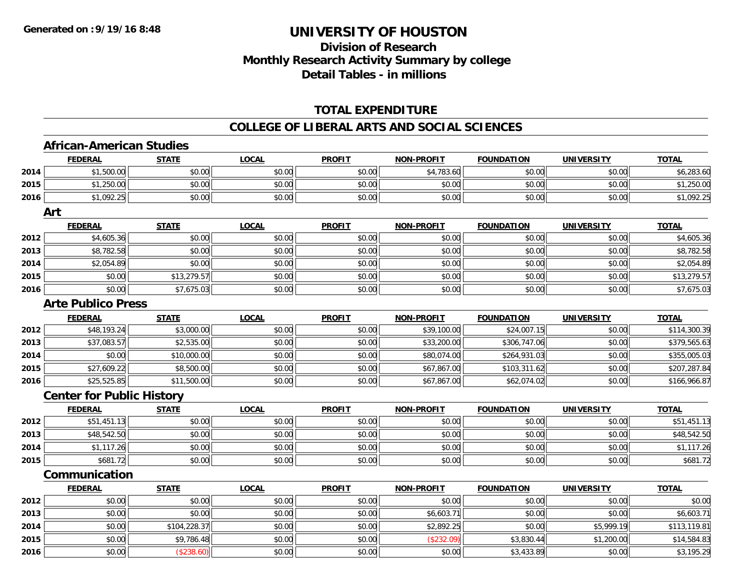## **Division of ResearchMonthly Research Activity Summary by college Detail Tables - in millions**

### **TOTAL EXPENDITURE**

#### **COLLEGE OF LIBERAL ARTS AND SOCIAL SCIENCES**

## **African-American Studies**

|      | <b>FEDERAL</b>                   | <b>STATE</b> | <u>LOCAL</u> | <b>PROFIT</b> | <b>NON-PROFIT</b> | <b>FOUNDATION</b> | <u>UNIVERSITY</u> | <b>TOTAL</b> |
|------|----------------------------------|--------------|--------------|---------------|-------------------|-------------------|-------------------|--------------|
| 2014 | \$1,500.00                       | \$0.00       | \$0.00       | \$0.00        | \$4,783.60        | \$0.00            | \$0.00            | \$6,283.60   |
| 2015 | \$1,250.00                       | \$0.00       | \$0.00       | \$0.00        | \$0.00            | \$0.00            | \$0.00            | \$1,250.00   |
| 2016 | \$1,092.25                       | \$0.00       | \$0.00       | \$0.00        | \$0.00            | \$0.00            | \$0.00            | \$1,092.25   |
|      | Art                              |              |              |               |                   |                   |                   |              |
|      | <b>FEDERAL</b>                   | <b>STATE</b> | <b>LOCAL</b> | <b>PROFIT</b> | <b>NON-PROFIT</b> | <b>FOUNDATION</b> | <b>UNIVERSITY</b> | <b>TOTAL</b> |
| 2012 | \$4,605.36                       | \$0.00       | \$0.00       | \$0.00        | \$0.00            | \$0.00            | \$0.00            | \$4,605.36   |
| 2013 | \$8,782.58                       | \$0.00       | \$0.00       | \$0.00        | \$0.00            | \$0.00            | \$0.00            | \$8,782.58   |
| 2014 | \$2,054.89                       | \$0.00       | \$0.00       | \$0.00        | \$0.00            | \$0.00            | \$0.00            | \$2,054.89   |
| 2015 | \$0.00                           | \$13,279.57  | \$0.00       | \$0.00        | \$0.00            | \$0.00            | \$0.00            | \$13,279.57  |
| 2016 | \$0.00                           | \$7,675.03   | \$0.00       | \$0.00        | \$0.00            | \$0.00            | \$0.00            | \$7,675.03   |
|      | <b>Arte Publico Press</b>        |              |              |               |                   |                   |                   |              |
|      | <b>FEDERAL</b>                   | <b>STATE</b> | <b>LOCAL</b> | <b>PROFIT</b> | <b>NON-PROFIT</b> | <b>FOUNDATION</b> | <b>UNIVERSITY</b> | <b>TOTAL</b> |
| 2012 | \$48,193.24                      | \$3,000.00   | \$0.00       | \$0.00        | \$39,100.00       | \$24,007.15       | \$0.00            | \$114,300.39 |
| 2013 | \$37,083.57                      | \$2,535.00   | \$0.00       | \$0.00        | \$33,200.00       | \$306,747.06      | \$0.00            | \$379,565.63 |
| 2014 | \$0.00                           | \$10,000.00  | \$0.00       | \$0.00        | \$80,074.00       | \$264,931.03      | \$0.00            | \$355,005.03 |
| 2015 | \$27,609.22                      | \$8,500.00   | \$0.00       | \$0.00        | \$67,867.00       | \$103,311.62      | \$0.00            | \$207,287.84 |
| 2016 | \$25,525.85                      | \$11,500.00  | \$0.00       | \$0.00        | \$67,867.00       | \$62,074.02       | \$0.00            | \$166,966.87 |
|      | <b>Center for Public History</b> |              |              |               |                   |                   |                   |              |
|      | <b>FEDERAL</b>                   | <b>STATE</b> | <b>LOCAL</b> | <b>PROFIT</b> | <b>NON-PROFIT</b> | <b>FOUNDATION</b> | <b>UNIVERSITY</b> | <b>TOTAL</b> |
| 2012 | \$51,451.13                      | \$0.00       | \$0.00       | \$0.00        | \$0.00            | \$0.00            | \$0.00            | \$51,451.13  |
| 2013 | \$48,542.50                      | \$0.00       | \$0.00       | \$0.00        | \$0.00            | \$0.00            | \$0.00            | \$48,542.50  |
| 2014 | \$1,117.26                       | \$0.00       | \$0.00       | \$0.00        | \$0.00            | \$0.00            | \$0.00            | \$1,117.26   |
| 2015 | \$681.72                         | \$0.00       | \$0.00       | \$0.00        | \$0.00            | \$0.00            | \$0.00            | \$681.72     |
|      | Communication                    |              |              |               |                   |                   |                   |              |
|      | <b>FEDERAL</b>                   | <b>STATE</b> | <b>LOCAL</b> | <b>PROFIT</b> | <b>NON-PROFIT</b> | <b>FOUNDATION</b> | <b>UNIVERSITY</b> | <b>TOTAL</b> |
| 2012 | \$0.00                           | \$0.00       | \$0.00       | \$0.00        | \$0.00            | \$0.00            | \$0.00            | \$0.00       |
| 2013 | \$0.00                           | \$0.00       | \$0.00       | \$0.00        | \$6,603.71        | \$0.00            | \$0.00            | \$6,603.71   |
| 2014 | \$0.00                           | \$104,228.37 | \$0.00       | \$0.00        | \$2,892.25        | \$0.00            | \$5,999.19        | \$113,119.81 |
| 2015 | \$0.00                           | \$9,786.48   | \$0.00       | \$0.00        | (\$232.09)        | \$3,830.44        | \$1,200.00        | \$14,584.83  |
| 2016 | \$0.00                           | (\$238.60)   | \$0.00       | \$0.00        | \$0.00            | \$3,433.89        | \$0.00            | \$3,195.29   |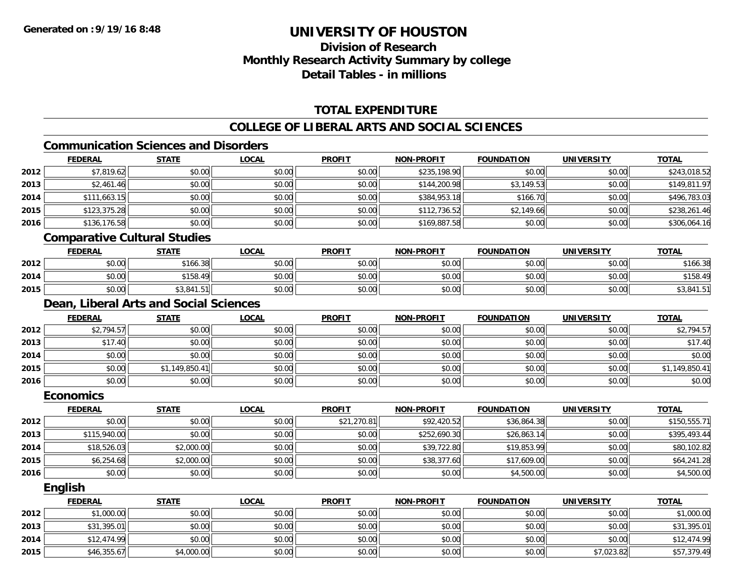**2015**

## **UNIVERSITY OF HOUSTON**

## **Division of ResearchMonthly Research Activity Summary by college Detail Tables - in millions**

### **TOTAL EXPENDITURE**

### **COLLEGE OF LIBERAL ARTS AND SOCIAL SCIENCES**

### **Communication Sciences and Disorders**

|      | <b>FEDERAL</b>                         | <b>STATE</b>   | <b>LOCAL</b> | <b>PROFIT</b> | <b>NON-PROFIT</b> | <b>FOUNDATION</b> | <b>UNIVERSITY</b> | <b>TOTAL</b>   |
|------|----------------------------------------|----------------|--------------|---------------|-------------------|-------------------|-------------------|----------------|
| 2012 | \$7,819.62                             | \$0.00         | \$0.00       | \$0.00        | \$235,198.90      | \$0.00            | \$0.00            | \$243,018.52   |
| 2013 | \$2,461.46                             | \$0.00         | \$0.00       | \$0.00        | \$144,200.98      | \$3,149.53        | \$0.00            | \$149,811.97   |
| 2014 | \$111,663.15                           | \$0.00         | \$0.00       | \$0.00        | \$384,953.18      | \$166.70          | \$0.00            | \$496,783.03   |
| 2015 | \$123,375.28                           | \$0.00         | \$0.00       | \$0.00        | \$112,736.52      | \$2,149.66        | \$0.00            | \$238,261.46   |
| 2016 | \$136,176.58                           | \$0.00         | \$0.00       | \$0.00        | \$169,887.58      | \$0.00            | \$0.00            | \$306,064.16   |
|      | <b>Comparative Cultural Studies</b>    |                |              |               |                   |                   |                   |                |
|      | <b>FEDERAL</b>                         | <b>STATE</b>   | <b>LOCAL</b> | <b>PROFIT</b> | <b>NON-PROFIT</b> | <b>FOUNDATION</b> | <b>UNIVERSITY</b> | <b>TOTAL</b>   |
| 2012 | \$0.00                                 | \$166.38       | \$0.00       | \$0.00        | \$0.00            | \$0.00            | \$0.00            | \$166.38       |
| 2014 | \$0.00                                 | \$158.49       | \$0.00       | \$0.00        | \$0.00            | \$0.00            | \$0.00            | \$158.49       |
| 2015 | \$0.00                                 | \$3,841.51     | \$0.00       | \$0.00        | \$0.00            | \$0.00            | \$0.00            | \$3,841.51     |
|      | Dean, Liberal Arts and Social Sciences |                |              |               |                   |                   |                   |                |
|      | <b>FEDERAL</b>                         | <b>STATE</b>   | <b>LOCAL</b> | <b>PROFIT</b> | <b>NON-PROFIT</b> | <b>FOUNDATION</b> | <b>UNIVERSITY</b> | <b>TOTAL</b>   |
| 2012 | \$2,794.57                             | \$0.00         | \$0.00       | \$0.00        | \$0.00            | \$0.00            | \$0.00            | \$2,794.57     |
| 2013 | \$17.40                                | \$0.00         | \$0.00       | \$0.00        | \$0.00            | \$0.00            | \$0.00            | \$17.40        |
| 2014 | \$0.00                                 | \$0.00         | \$0.00       | \$0.00        | \$0.00            | \$0.00            | \$0.00            | \$0.00         |
| 2015 | \$0.00                                 | \$1,149,850.41 | \$0.00       | \$0.00        | \$0.00            | \$0.00            | \$0.00            | \$1,149,850.41 |
| 2016 | \$0.00                                 | \$0.00         | \$0.00       | \$0.00        | \$0.00            | \$0.00            | \$0.00            | \$0.00         |
|      | <b>Economics</b>                       |                |              |               |                   |                   |                   |                |
|      | <b>FEDERAL</b>                         | <b>STATE</b>   | <b>LOCAL</b> | <b>PROFIT</b> | <b>NON-PROFIT</b> | <b>FOUNDATION</b> | <b>UNIVERSITY</b> | <b>TOTAL</b>   |
| 2012 | \$0.00                                 | \$0.00         | \$0.00       | \$21,270.81   | \$92,420.52       | \$36,864.38       | \$0.00            | \$150,555.71   |
| 2013 | \$115,940.00                           | \$0.00         | \$0.00       | \$0.00        | \$252,690.30      | \$26,863.14       | \$0.00            | \$395,493.44   |
| 2014 | \$18,526.03                            | \$2,000.00     | \$0.00       | \$0.00        | \$39,722.80       | \$19,853.99       | \$0.00            | \$80,102.82    |
| 2015 | \$6,254.68                             | \$2,000.00     | \$0.00       | \$0.00        | \$38,377.60       | \$17,609.00       | \$0.00            | \$64,241.28    |
| 2016 | \$0.00                                 | \$0.00         | \$0.00       | \$0.00        | \$0.00            | \$4,500.00        | \$0.00            | \$4,500.00     |
|      | English                                |                |              |               |                   |                   |                   |                |
|      | <b>FEDERAL</b>                         | <b>STATE</b>   | <b>LOCAL</b> | <b>PROFIT</b> | <b>NON-PROFIT</b> | <b>FOUNDATION</b> | <b>UNIVERSITY</b> | <b>TOTAL</b>   |
| 2012 | \$1,000.00                             | \$0.00         | \$0.00       | \$0.00        | \$0.00            | \$0.00            | \$0.00            | \$1,000.00     |
| 2013 | \$31,395.01                            | \$0.00         | \$0.00       | \$0.00        | \$0.00            | \$0.00            | \$0.00            | \$31,395.01    |
| 2014 | \$12,474.99                            | \$0.00         | \$0.00       | \$0.00        | \$0.00            | \$0.00            | \$0.00            | \$12,474.99    |

4 \$12,474.99 \$0.00 \$0.00 \$0.00 \$0.00 \$0.00 \$0.00 \$0.00 \$0.00 \$0.00 \$0.00 \$0.00 \$0.00 \$12,474.99

5 \$46,355.67 \$46,355.67 \$4,000.00 \$4,000.00 \$0.00 \$0.00 \$0.00 \$0.00 \$0.00 \$0.00 \$0.00 \$7,023.82 \$57,379.49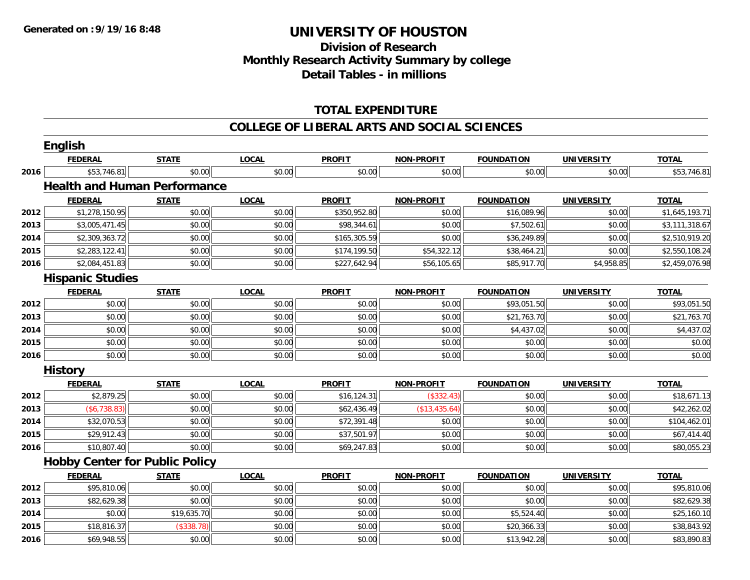## **Division of ResearchMonthly Research Activity Summary by college Detail Tables - in millions**

### **TOTAL EXPENDITURE**

#### **COLLEGE OF LIBERAL ARTS AND SOCIAL SCIENCES**

|      | English                 |                                       |              |               |                   |                   |                   |                |
|------|-------------------------|---------------------------------------|--------------|---------------|-------------------|-------------------|-------------------|----------------|
|      | <b>FEDERAL</b>          | <b>STATE</b>                          | <b>LOCAL</b> | <b>PROFIT</b> | <b>NON-PROFIT</b> | <b>FOUNDATION</b> | <b>UNIVERSITY</b> | <b>TOTAL</b>   |
| 2016 | \$53,746.81             | \$0.00                                | \$0.00       | \$0.00        | \$0.00            | \$0.00            | \$0.00            | \$53,746.81    |
|      |                         | <b>Health and Human Performance</b>   |              |               |                   |                   |                   |                |
|      | <b>FEDERAL</b>          | <b>STATE</b>                          | <b>LOCAL</b> | <b>PROFIT</b> | NON-PROFIT        | <b>FOUNDATION</b> | <b>UNIVERSITY</b> | <b>TOTAL</b>   |
| 2012 | \$1,278,150.95          | \$0.00                                | \$0.00       | \$350,952.80  | \$0.00            | \$16,089.96       | \$0.00            | \$1,645,193.71 |
| 2013 | \$3,005,471.45          | \$0.00                                | \$0.00       | \$98,344.61   | \$0.00            | \$7,502.61        | \$0.00            | \$3,111,318.67 |
| 2014 | \$2,309,363.72          | \$0.00                                | \$0.00       | \$165,305.59  | \$0.00            | \$36,249.89       | \$0.00            | \$2,510,919.20 |
| 2015 | \$2,283,122.41          | \$0.00                                | \$0.00       | \$174,199.50  | \$54,322.12       | \$38,464.21       | \$0.00            | \$2,550,108.24 |
| 2016 | \$2,084,451.83          | \$0.00                                | \$0.00       | \$227,642.94  | \$56,105.65       | \$85,917.70       | \$4,958.85        | \$2,459,076.98 |
|      | <b>Hispanic Studies</b> |                                       |              |               |                   |                   |                   |                |
|      | <b>FEDERAL</b>          | <b>STATE</b>                          | <b>LOCAL</b> | <b>PROFIT</b> | <b>NON-PROFIT</b> | <b>FOUNDATION</b> | <b>UNIVERSITY</b> | <b>TOTAL</b>   |
| 2012 | \$0.00                  | \$0.00                                | \$0.00       | \$0.00        | \$0.00            | \$93,051.50       | \$0.00            | \$93,051.50    |
| 2013 | \$0.00                  | \$0.00                                | \$0.00       | \$0.00        | \$0.00            | \$21,763.70       | \$0.00            | \$21,763.70    |
| 2014 | \$0.00                  | \$0.00                                | \$0.00       | \$0.00        | \$0.00            | \$4,437.02        | \$0.00            | \$4,437.02     |
| 2015 | \$0.00                  | \$0.00                                | \$0.00       | \$0.00        | \$0.00            | \$0.00            | \$0.00            | \$0.00         |
| 2016 | \$0.00                  | \$0.00                                | \$0.00       | \$0.00        | \$0.00            | \$0.00            | \$0.00            | \$0.00         |
|      | <b>History</b>          |                                       |              |               |                   |                   |                   |                |
|      | <b>FEDERAL</b>          | <b>STATE</b>                          | <b>LOCAL</b> | <b>PROFIT</b> | <b>NON-PROFIT</b> | <b>FOUNDATION</b> | <b>UNIVERSITY</b> | <b>TOTAL</b>   |
| 2012 | \$2,879.25              | \$0.00                                | \$0.00       | \$16,124.31   | (\$332.43)        | \$0.00            | \$0.00            | \$18,671.13    |
| 2013 | ( \$6, 738.83)          | \$0.00                                | \$0.00       | \$62,436.49   | (\$13,435.64)     | \$0.00            | \$0.00            | \$42,262.02    |
| 2014 | \$32,070.53             | \$0.00                                | \$0.00       | \$72,391.48   | \$0.00            | \$0.00            | \$0.00            | \$104,462.01   |
| 2015 | \$29,912.43             | \$0.00                                | \$0.00       | \$37,501.97   | \$0.00            | \$0.00            | \$0.00            | \$67,414.40    |
| 2016 | \$10,807.40             | \$0.00                                | \$0.00       | \$69,247.83   | \$0.00            | \$0.00            | \$0.00            | \$80,055.23    |
|      |                         | <b>Hobby Center for Public Policy</b> |              |               |                   |                   |                   |                |
|      | <b>FEDERAL</b>          | <b>STATE</b>                          | <b>LOCAL</b> | <b>PROFIT</b> | <b>NON-PROFIT</b> | <b>FOUNDATION</b> | <b>UNIVERSITY</b> | <b>TOTAL</b>   |
| 2012 | \$95,810.06             | \$0.00                                | \$0.00       | \$0.00        | \$0.00            | \$0.00            | \$0.00            | \$95,810.06    |
| 2013 | \$82,629.38             | \$0.00                                | \$0.00       | \$0.00        | \$0.00            | \$0.00            | \$0.00            | \$82,629.38    |
| 2014 | \$0.00                  | \$19,635.70                           | \$0.00       | \$0.00        | \$0.00            | \$5,524.40        | \$0.00            | \$25,160.10    |
| 2015 | \$18,816.37             | (\$338.78)                            | \$0.00       | \$0.00        | \$0.00            | \$20,366.33       | \$0.00            | \$38,843.92    |
| 2016 | \$69,948.55             | \$0.00                                | \$0.00       | \$0.00        | \$0.00            | \$13,942.28       | \$0.00            | \$83,890.83    |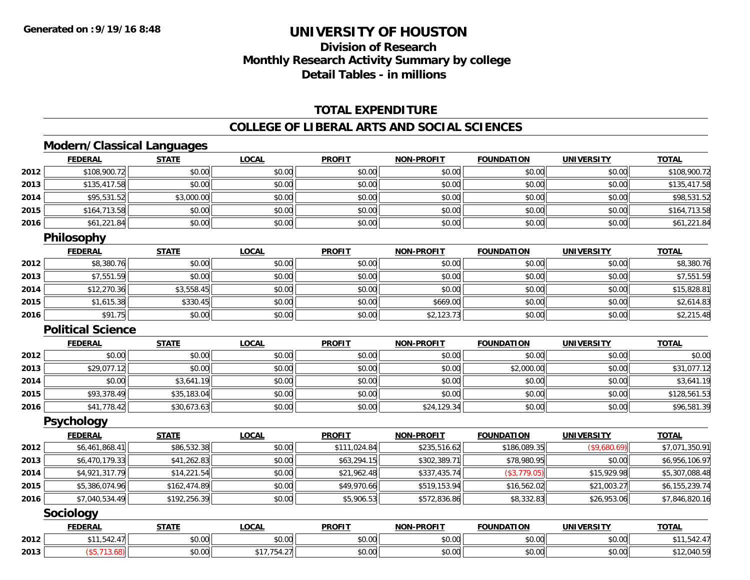## **Division of ResearchMonthly Research Activity Summary by college Detail Tables - in millions**

#### **TOTAL EXPENDITURE**

#### **COLLEGE OF LIBERAL ARTS AND SOCIAL SCIENCES**

### **Modern/Classical Languages**

|      | <b>FEDERAL</b> | <u>STATE</u> | <u>LOCAL</u> | <b>PROFIT</b> | <b>NON-PROFIT</b> | <b>FOUNDATION</b> | <b>UNIVERSITY</b> | <b>TOTAL</b> |
|------|----------------|--------------|--------------|---------------|-------------------|-------------------|-------------------|--------------|
| 2012 | \$108,900.72   | \$0.00       | \$0.00       | \$0.00        | \$0.00            | \$0.00            | \$0.00            | \$108,900.72 |
| 2013 | \$135,417.58   | \$0.00       | \$0.00       | \$0.00        | \$0.00            | \$0.00            | \$0.00            | \$135,417.58 |
| 2014 | \$95,531.52    | \$3,000.00   | \$0.00       | \$0.00        | \$0.00            | \$0.00            | \$0.00            | \$98,531.52  |
| 2015 | \$164,713.58   | \$0.00       | \$0.00       | \$0.00        | \$0.00            | \$0.00            | \$0.00            | \$164,713.58 |
| 2016 | \$61,221.84    | \$0.00       | \$0.00       | \$0.00        | \$0.00            | \$0.00            | \$0.00            | \$61,221.84  |

### **Philosophy**

|      | <b>FEDERAL</b> | <b>STATE</b> | <b>LOCAL</b> | <b>PROFIT</b> | <b>NON-PROFIT</b> | <b>FOUNDATION</b> | <b>UNIVERSITY</b> | <b>TOTAL</b> |
|------|----------------|--------------|--------------|---------------|-------------------|-------------------|-------------------|--------------|
| 2012 | \$8,380.76     | \$0.00       | \$0.00       | \$0.00        | \$0.00            | \$0.00            | \$0.00            | \$8,380.76   |
| 2013 | \$7,551.59     | \$0.00       | \$0.00       | \$0.00        | \$0.00            | \$0.00            | \$0.00            | \$7,551.59   |
| 2014 | \$12,270.36    | \$3,558.45   | \$0.00       | \$0.00        | \$0.00            | \$0.00            | \$0.00            | \$15,828.81  |
| 2015 | \$1,615.38     | \$330.45     | \$0.00       | \$0.00        | \$669.00          | \$0.00            | \$0.00            | \$2,614.83   |
| 2016 | \$91.75        | \$0.00       | \$0.00       | \$0.00        | \$2,123.73        | \$0.00            | \$0.00            | \$2,215.48   |

#### **Political Science**

|      | <u>FEDERAL</u> | <b>STATE</b> | <u>LOCAL</u> | <b>PROFIT</b> | <b>NON-PROFIT</b> | <b>FOUNDATION</b> | <b>UNIVERSITY</b> | <b>TOTAL</b> |
|------|----------------|--------------|--------------|---------------|-------------------|-------------------|-------------------|--------------|
| 2012 | \$0.00         | \$0.00       | \$0.00       | \$0.00        | \$0.00            | \$0.00            | \$0.00            | \$0.00       |
| 2013 | \$29,077.12    | \$0.00       | \$0.00       | \$0.00        | \$0.00            | \$2,000.00        | \$0.00            | \$31,077.12  |
| 2014 | \$0.00         | \$3,641.19   | \$0.00       | \$0.00        | \$0.00            | \$0.00            | \$0.00            | \$3,641.19   |
| 2015 | \$93,378.49    | \$35,183.04  | \$0.00       | \$0.00        | \$0.00            | \$0.00            | \$0.00            | \$128,561.53 |
| 2016 | \$41,778.42    | \$30,673.63  | \$0.00       | \$0.00        | \$24,129.34       | \$0.00            | \$0.00            | \$96,581.39  |

#### **Psychology**

|      | <b>FEDERAL</b> | <b>STATE</b> | <b>LOCAL</b> | <b>PROFIT</b> | <b>NON-PROFIT</b> | <b>FOUNDATION</b> | <b>UNIVERSITY</b> | <b>TOTAL</b>   |
|------|----------------|--------------|--------------|---------------|-------------------|-------------------|-------------------|----------------|
| 2012 | \$6,461,868.41 | \$86,532.38  | \$0.00       | \$111,024.84  | \$235,516.62      | \$186,089.35      | (\$9,680.69)      | \$7,071,350.91 |
| 2013 | \$6,470,179.33 | \$41,262.83  | \$0.00       | \$63,294.15   | \$302,389.71      | \$78,980.95       | \$0.00            | \$6,956,106.97 |
| 2014 | \$4,921,317.79 | \$14,221.54  | \$0.00       | \$21,962.48   | \$337,435.74      | (\$3,779.05)      | \$15,929.98       | \$5,307,088.48 |
| 2015 | \$5,386,074.96 | \$162,474.89 | \$0.00       | \$49,970.66   | \$519,153.94      | \$16,562.02       | \$21,003.27       | \$6,155,239.74 |
| 2016 | \$7,040,534.49 | \$192,256.39 | \$0.00       | \$5,906.53    | \$572,836.86      | \$8,332.83        | \$26,953.06       | \$7,846,820.16 |

#### **Sociology**

|      | ___<br><b>FEDERAL</b>       | <b>STATE</b> | .OCAL          | <b>PROFIT</b>         | $LDD$ $N$<br><b>NIONI</b> | <b>FOUNDATION</b> | UNIVERSITY                | <b>TOTAL</b>              |
|------|-----------------------------|--------------|----------------|-----------------------|---------------------------|-------------------|---------------------------|---------------------------|
| 2012 | $\cdots$<br>$\cdot$ $\cdot$ | \$0.00       | ሶስ ሰሰ<br>JU.UU | ልስ ስስ<br>JU.UU        | $\sim$ $\sim$<br>pu.uu    | \$0.00            | $\sim$ 00<br>PO.OO        | .<br>.                    |
| 2013 |                             | \$0.00       |                | ტი იი<br><b>JU.UU</b> | 0000<br>JU.UU             | \$0.00            | $\sim$ 00<br><b>JU.UU</b> | $\cap$<br><b>12,040.9</b> |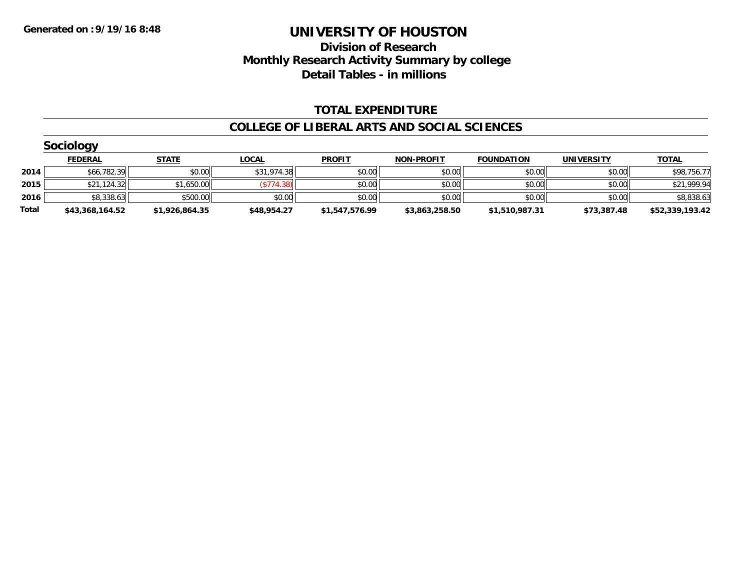### **Division of Research Monthly Research Activity Summary by college Detail Tables - in millions**

#### **TOTAL EXPENDITURE**

#### **COLLEGE OF LIBERAL ARTS AND SOCIAL SCIENCES**

|       | <b>Sociology</b> |                |              |                |                   |                   |                   |                 |
|-------|------------------|----------------|--------------|----------------|-------------------|-------------------|-------------------|-----------------|
|       | <b>FEDERAL</b>   | <b>STATE</b>   | <b>LOCAL</b> | <b>PROFIT</b>  | <b>NON-PROFIT</b> | <b>FOUNDATION</b> | <b>UNIVERSITY</b> | <b>TOTAL</b>    |
| 2014  | \$66,782.39      | \$0.00         | \$31,974.38  | \$0.00         | \$0.00            | \$0.00            | \$0.00            | \$98,756.77     |
| 2015  | \$21,124.32      | \$1,650.00     | (S774.38)    | \$0.00         | \$0.00            | \$0.00            | \$0.00            | \$21,999.94     |
| 2016  | \$8,338.63       | \$500.00       | \$0.00       | \$0.00         | \$0.00            | \$0.00            | \$0.00            | \$8,838.63      |
| Total | \$43,368,164.52  | \$1,926,864.35 | \$48,954.27  | \$1,547,576.99 | \$3,863,258.50    | \$1,510,987.31    | \$73,387.48       | \$52,339,193.42 |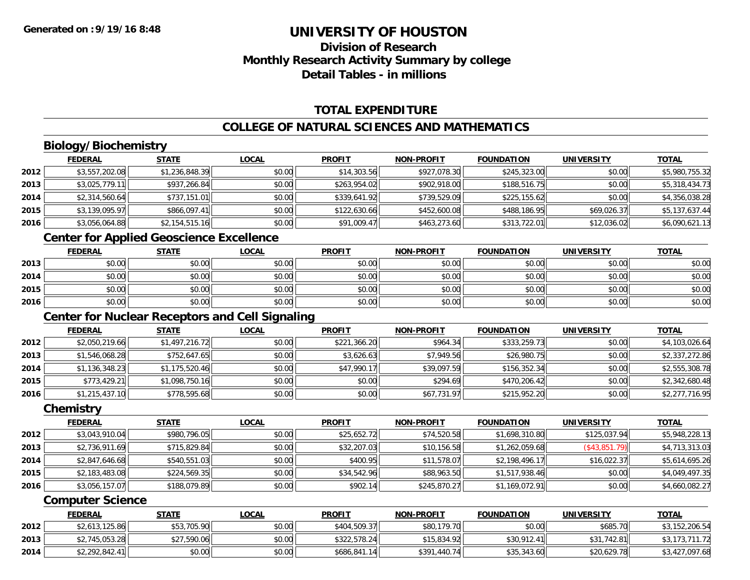### **Division of ResearchMonthly Research Activity Summary by college Detail Tables - in millions**

### **TOTAL EXPENDITURE**

#### **COLLEGE OF NATURAL SCIENCES AND MATHEMATICS**

### **Biology/Biochemistry**

|      | <b>FEDERAL</b> | <b>STATE</b>   | <b>LOCAL</b> | <b>PROFIT</b> | <b>NON-PROFIT</b> | <b>FOUNDATION</b> | <b>UNIVERSITY</b> | <b>TOTAL</b>   |
|------|----------------|----------------|--------------|---------------|-------------------|-------------------|-------------------|----------------|
| 2012 | \$3,557,202.08 | \$1,236,848.39 | \$0.00       | \$14,303.56   | \$927,078.30      | \$245,323.00      | \$0.00            | \$5,980,755.32 |
| 2013 | \$3,025,779.11 | \$937,266.84   | \$0.00       | \$263,954.02  | \$902,918.00      | \$188,516.75      | \$0.00            | \$5,318,434.73 |
| 2014 | \$2,314,560.64 | \$737,151.01   | \$0.00       | \$339,641.92  | \$739,529.09      | \$225,155.62      | \$0.00            | \$4,356,038.28 |
| 2015 | \$3,139,095.97 | \$866,097.41   | \$0.00       | \$122,630.66  | \$452,600.08      | \$488,186.95      | \$69,026.37       | \$5,137,637.44 |
| 2016 | \$3,056,064.88 | \$2,154,515.16 | \$0.00       | \$91,009.47   | \$463,273.60      | \$313,722.01      | \$12,036.02       | \$6,090,621.13 |

### **Center for Applied Geoscience Excellence**

|      | <b>FEDERAL</b> | <b>STATE</b> | <u>LOCAL</u> | <b>PROFIT</b> | <b>NON-PROFIT</b> | <b>FOUNDATION</b> | <b>UNIVERSITY</b> | <b>TOTAL</b> |
|------|----------------|--------------|--------------|---------------|-------------------|-------------------|-------------------|--------------|
| 2013 | \$0.00         | \$0.00       | \$0.00       | \$0.00        | \$0.00            | \$0.00            | \$0.00            | \$0.00       |
| 2014 | \$0.00         | \$0.00       | \$0.00       | \$0.00        | \$0.00            | \$0.00            | \$0.00            | \$0.00       |
| 2015 | \$0.00         | \$0.00       | \$0.00       | \$0.00        | \$0.00            | \$0.00            | \$0.00            | \$0.00       |
| 2016 | \$0.00         | \$0.00       | \$0.00       | \$0.00        | \$0.00            | \$0.00            | \$0.00            | \$0.00       |

### **Center for Nuclear Receptors and Cell Signaling**

|      | <b>FEDERAL</b> | <b>STATE</b>   | <b>LOCAL</b> | <b>PROFIT</b> | <b>NON-PROFIT</b> | <b>FOUNDATION</b> | <b>UNIVERSITY</b> | <u>TOTAL</u>   |
|------|----------------|----------------|--------------|---------------|-------------------|-------------------|-------------------|----------------|
| 2012 | \$2,050,219.66 | \$1,497,216.72 | \$0.00       | \$221,366.20  | \$964.34          | \$333,259.73      | \$0.00            | \$4,103,026.64 |
| 2013 | \$1,546,068.28 | \$752,647.65   | \$0.00       | \$3,626.63    | \$7,949.56        | \$26,980.75       | \$0.00            | \$2,337,272.86 |
| 2014 | \$1,136,348.23 | \$1,175,520.46 | \$0.00       | \$47,990.17   | \$39,097.59       | \$156,352.34      | \$0.00            | \$2,555,308.78 |
| 2015 | \$773,429.21   | \$1,098,750.16 | \$0.00       | \$0.00        | \$294.69          | \$470,206.42      | \$0.00            | \$2,342,680.48 |
| 2016 | \$1,215,437.10 | \$778,595.68   | \$0.00       | \$0.00        | \$67,731.97       | \$215,952.20      | \$0.00            | \$2,277,716.95 |

#### **Chemistry**

|      | <b>FEDERAL</b> | <b>STATE</b> | <b>LOCAL</b> | <b>PROFIT</b> | <b>NON-PROFIT</b> | <b>FOUNDATION</b> | <b>UNIVERSITY</b> | <b>TOTAL</b>   |
|------|----------------|--------------|--------------|---------------|-------------------|-------------------|-------------------|----------------|
| 2012 | \$3,043,910.04 | \$980,796.05 | \$0.00       | \$25,652.72   | \$74,520.58       | \$1,698,310.80    | \$125,037.94      | \$5,948,228.13 |
| 2013 | \$2,736,911.69 | \$715,829.84 | \$0.00       | \$32,207.03   | \$10,156.58       | \$1,262,059.68    | $($ \$43,851.79)  | \$4,713,313.03 |
| 2014 | \$2,847,646.68 | \$540,551.03 | \$0.00       | \$400.95      | \$11,578.07       | \$2,198,496.17    | \$16,022.37       | \$5,614,695.26 |
| 2015 | \$2,183,483.08 | \$224,569.35 | \$0.00       | \$34,542.96   | \$88,963.50       | \$1,517,938.46    | \$0.00            | \$4,049,497.35 |
| 2016 | \$3,056,157.07 | \$188,079.89 | \$0.00       | \$902.14      | \$245,870.27      | \$1,169,072.91    | \$0.00            | \$4,660,082.27 |

#### **Computer Science**

|      | <b>FEDERAL</b> | STATE       | <u>LOCAL</u> | <b>PROFIT</b> | <b>NON-PROFIT</b> | <b>FOUNDATION</b> | <b>UNIVERSITY</b> | <b>TOTAL</b>   |
|------|----------------|-------------|--------------|---------------|-------------------|-------------------|-------------------|----------------|
| 2012 | \$2,613,125.86 | \$53,705.90 | \$0.00       | \$404,509.37  | \$80,179.70       | \$0.00            | \$685.70          | \$3,152,206.54 |
| 2013 | \$2,745,053.28 | \$27,590.06 | \$0.00       | \$322,578.24  | \$15,834.92       | \$30,912.41       | \$31,742.81       | \$3,173        |
| 2014 | \$2,292,842.41 | \$0.00      | \$0.00       | \$686,841.14  | \$391,440.74      | \$35,343.60       | \$20,629.78       | \$3,427,097.68 |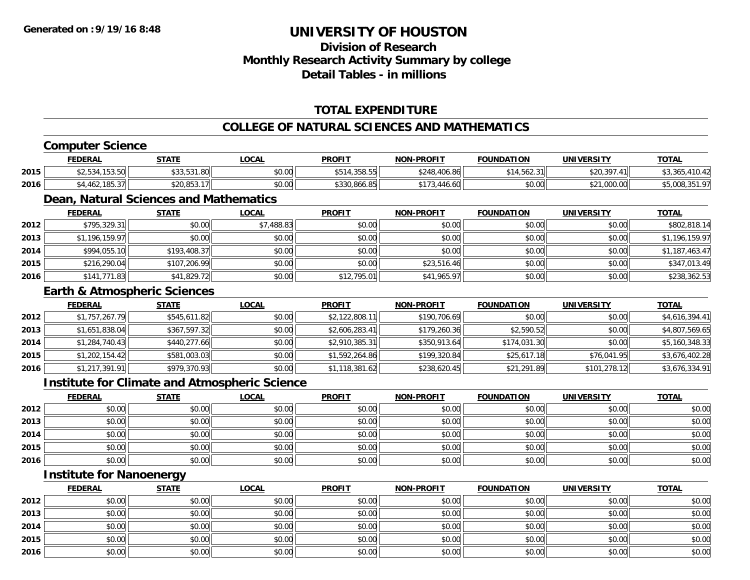### **Division of ResearchMonthly Research Activity Summary by college Detail Tables - in millions**

### **TOTAL EXPENDITURE**

#### **COLLEGE OF NATURAL SCIENCES AND MATHEMATICS**

#### **Computer Science FEDERAL STATE LOCAL PROFIT NON-PROFIT FOUNDATION UNIVERSITY TOTALTOTAL 2015** \$2,534,153.50 \$33,531.80 \$0.00 \$514,358.55 \$248,406.86 \$14,562.31 \$20,397.41 \$3,365,410.42 **2016** \$4,462,185.37 \$20,853.17 \$0.00 \$330,866.85 \$173,446.60 \$0.00 \$21,000.00 \$5,008,351.97 **Dean, Natural Sciences and Mathematics FEDERAL STATE LOCAL PROFIT NON-PROFIT FOUNDATION UNIVERSITY TOTALTOTAL 2012** \$795,329.31 \$0.00 \$7,488.83 \$0.00 \$0.00 \$0.00 \$0.00 \$802,818.14 **2013**3 \$1,196,159.97 \$0.00 \$0.00 \$0.00 \$0.00 \$0.00 \$0.00 \$0.00 \$0.00 \$0.00 \$0.00 \$0.00 \$1,196,159.97 **2014**4 \$994,055.10| \$193,408.37| \$0.00| \$0.00| \$0.00| \$0.00| \$0.00| \$0.00| \$0.00| \$0.00| \$1,187,463.47 **2015** \$216,290.04 \$107,206.99 \$0.00 \$0.00 \$23,516.46 \$0.00 \$0.00 \$347,013.49 **2016** \$141,771.83 \$41,829.72 \$0.00 \$12,795.01 \$41,965.97 \$0.00 \$0.00 \$238,362.53 **Earth & Atmospheric Sciences FEDERAL STATE LOCAL PROFIT NON-PROFIT FOUNDATION UNIVERSITY TOTAL2012**2 \$1,757,267.79|| \$545,611.82|| \$0.00|| \$2,122,808.11|| \$190,706.69|| \$0.00|| \$0.00|| \$4,616,394.41 **2013**3 \$1,651,838.04 \$367,597.32 \$0.00 \$2,000 \$2,606,283.41 \$179,260.36 \$2,590.52 \$2,590.52 \$0.00 \$4,807,569.65 **2014**4 \$1,284,740.43|| \$440,277.66|| \$0.00|| \$2,910,385.31|| \$350,913.64| \$174,031.30|| \$0.00|| \$5,160,348.33| **2015** \$1,202,154.42 \$581,003.03 \$0.00 \$1,592,264.86 \$199,320.84 \$25,617.18 \$76,041.95 \$3,676,402.28 **2016**6 \$1,217,391.91|| \$979,370.93|| \$0.00|| \$1,118,381.62|| \$238,620.45|| \$1,291.89|| \$101,278.12|| \$3,676,334.91 **Institute for Climate and Atmospheric Science FEDERAL STATE LOCAL PROFIT NON-PROFIT FOUNDATION UNIVERSITY TOTALTOTAL 2012**2 | \$0.00 \$0.00 \$0.00 \$0.00 \$0.00 \$0.00 \$0.00 \$0.00 \$0.00 \$0.00 \$0.00 \$0.00 \$0.00 \$0.00 \$0.00 \$0.00 \$0.00 **2013**\$0.00 \$0.00 \$0.00 \$0.00 \$0.00 \$0.00 \$0.00 \$0.00

| 2016 | \$0.00 | \$0.00 | \$0.00 | \$0.00 | \$0.00 | \$0.00 | \$0.00 | \$0.00 |
|------|--------|--------|--------|--------|--------|--------|--------|--------|
| 2015 | \$0.00 | \$0.00 | \$0.00 | \$0.00 | \$0.00 | \$0.00 | \$0.00 | \$0.00 |
| 2014 | \$0.00 | \$0.00 | \$0.00 | \$0.00 | \$0.00 | \$0.00 | \$0.00 | \$0.00 |
| 2013 | \$0.00 | \$0.00 | \$0.00 | \$0.00 | \$0.00 | \$0.00 | \$0.00 | \$0.00 |

#### **Institute for Nanoenergy**

|      | <u>FEDERAL</u> | <b>STATE</b> | <u>LOCAL</u> | <b>PROFIT</b> | <b>NON-PROFIT</b> | <b>FOUNDATION</b> | <b>UNIVERSITY</b> | <b>TOTAL</b> |
|------|----------------|--------------|--------------|---------------|-------------------|-------------------|-------------------|--------------|
| 2012 | \$0.00         | \$0.00       | \$0.00       | \$0.00        | \$0.00            | \$0.00            | \$0.00            | \$0.00       |
| 2013 | \$0.00         | \$0.00       | \$0.00       | \$0.00        | \$0.00            | \$0.00            | \$0.00            | \$0.00       |
| 2014 | \$0.00         | \$0.00       | \$0.00       | \$0.00        | \$0.00            | \$0.00            | \$0.00            | \$0.00       |
| 2015 | \$0.00         | \$0.00       | \$0.00       | \$0.00        | \$0.00            | \$0.00            | \$0.00            | \$0.00       |
| 2016 | \$0.00         | \$0.00       | \$0.00       | \$0.00        | \$0.00            | \$0.00            | \$0.00            | \$0.00       |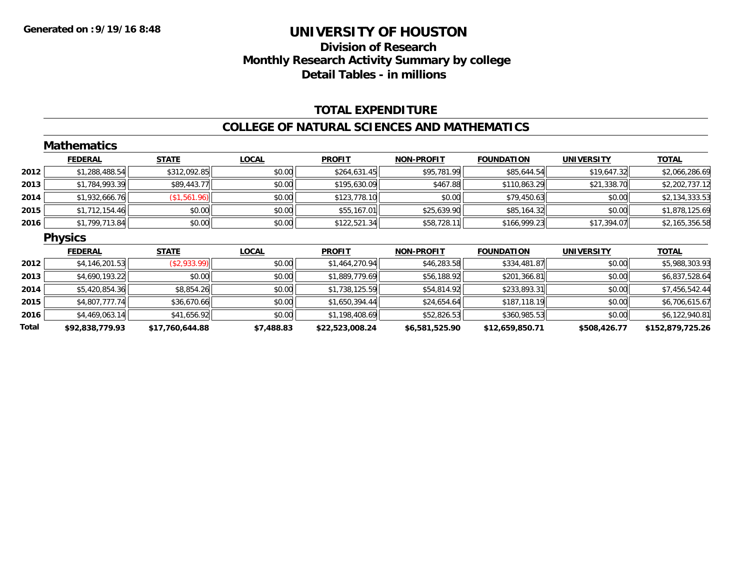### **Division of Research Monthly Research Activity Summary by college Detail Tables - in millions**

#### **TOTAL EXPENDITURE**

#### **COLLEGE OF NATURAL SCIENCES AND MATHEMATICS**

|       | <b>Mathematics</b> |                 |              |                 |                   |                   |                   |                  |
|-------|--------------------|-----------------|--------------|-----------------|-------------------|-------------------|-------------------|------------------|
|       | <b>FEDERAL</b>     | <b>STATE</b>    | <b>LOCAL</b> | <b>PROFIT</b>   | <b>NON-PROFIT</b> | <b>FOUNDATION</b> | <b>UNIVERSITY</b> | <b>TOTAL</b>     |
| 2012  | \$1,288,488.54     | \$312,092.85    | \$0.00       | \$264,631.45    | \$95,781.99       | \$85,644.54       | \$19,647.32       | \$2,066,286.69   |
| 2013  | \$1,784,993.39     | \$89,443.77     | \$0.00       | \$195,630.09    | \$467.88          | \$110,863.29      | \$21,338.70       | \$2,202,737.12   |
| 2014  | \$1,932,666.76     | (\$1,561.96)    | \$0.00       | \$123,778.10    | \$0.00            | \$79,450.63       | \$0.00            | \$2,134,333.53   |
| 2015  | \$1,712,154.46     | \$0.00          | \$0.00       | \$55,167.01     | \$25,639.90       | \$85,164.32       | \$0.00            | \$1,878,125.69   |
| 2016  | \$1,799,713.84     | \$0.00          | \$0.00       | \$122,521.34    | \$58,728.11       | \$166,999.23      | \$17,394.07       | \$2,165,356.58   |
|       | <b>Physics</b>     |                 |              |                 |                   |                   |                   |                  |
|       | <b>FEDERAL</b>     | <b>STATE</b>    | <b>LOCAL</b> | <b>PROFIT</b>   | <b>NON-PROFIT</b> | <b>FOUNDATION</b> | <b>UNIVERSITY</b> | <b>TOTAL</b>     |
| 2012  | \$4,146,201.53     | ( \$2,933.99)   | \$0.00       | \$1,464,270.94  | \$46,283.58       | \$334,481.87      | \$0.00            | \$5,988,303.93   |
| 2013  | \$4,690,193.22     | \$0.00          | \$0.00       | \$1,889,779.69  | \$56,188.92       | \$201,366.81      | \$0.00            | \$6,837,528.64   |
| 2014  | \$5,420,854.36     | \$8,854.26      | \$0.00       | \$1,738,125.59  | \$54,814.92       | \$233,893.31      | \$0.00            | \$7,456,542.44   |
| 2015  | \$4,807,777.74     | \$36,670.66     | \$0.00       | \$1,650,394.44  | \$24,654.64       | \$187,118.19      | \$0.00            | \$6,706,615.67   |
| 2016  | \$4,469,063.14     | \$41,656.92     | \$0.00       | \$1,198,408.69  | \$52,826.53       | \$360,985.53      | \$0.00            | \$6,122,940.81   |
| Total | \$92,838,779.93    | \$17,760,644.88 | \$7,488.83   | \$22,523,008.24 | \$6,581,525.90    | \$12,659,850.71   | \$508,426.77      | \$152,879,725.26 |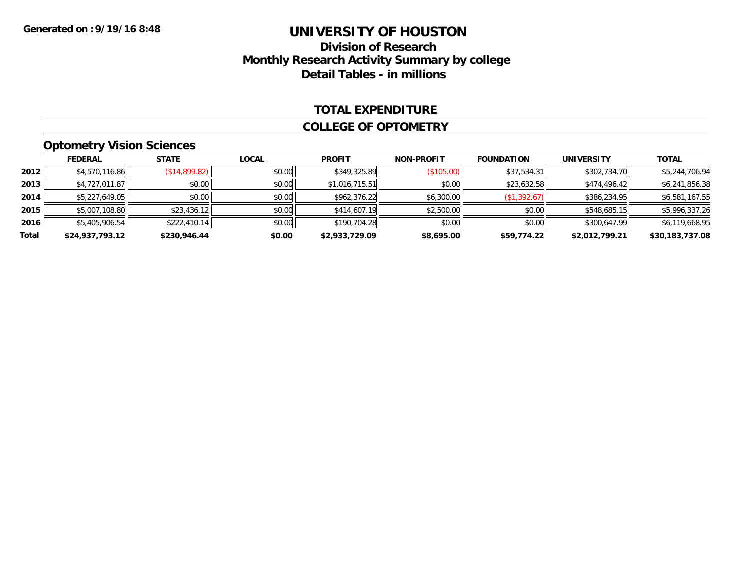### **Division of Research Monthly Research Activity Summary by college Detail Tables - in millions**

#### **TOTAL EXPENDITURE**

#### **COLLEGE OF OPTOMETRY**

### **Optometry Vision Sciences**

|       | <b>FEDERAL</b>  | <b>STATE</b>  | <b>LOCAL</b> | <b>PROFIT</b>  | <b>NON-PROFIT</b> | <b>FOUNDATION</b> | <b>UNIVERSITY</b> | <b>TOTAL</b>    |
|-------|-----------------|---------------|--------------|----------------|-------------------|-------------------|-------------------|-----------------|
| 2012  | \$4,570,116.86  | (S14, 899.82) | \$0.00       | \$349,325.89   | (\$105.00)        | \$37,534.31       | \$302,734.70      | \$5,244,706.94  |
| 2013  | \$4,727,011.87  | \$0.00        | \$0.00       | \$1,016,715.51 | \$0.00            | \$23,632.58       | \$474,496.42      | \$6,241,856.38  |
| 2014  | \$5,227,649.05  | \$0.00        | \$0.00       | \$962,376.22   | \$6,300.00        | (\$1,392.67)      | \$386,234.95      | \$6,581,167.55  |
| 2015  | \$5,007,108.80  | \$23,436.12   | \$0.00       | \$414,607.19   | \$2,500.00        | \$0.00            | \$548,685.15      | \$5,996,337.26  |
| 2016  | \$5,405,906.54  | \$222,410.14  | \$0.00       | \$190,704.28   | \$0.00            | \$0.00            | \$300.647.99      | \$6,119,668.95  |
| Total | \$24,937,793.12 | \$230,946.44  | \$0.00       | \$2,933,729.09 | \$8,695.00        | \$59,774.22       | \$2,012,799.21    | \$30,183,737.08 |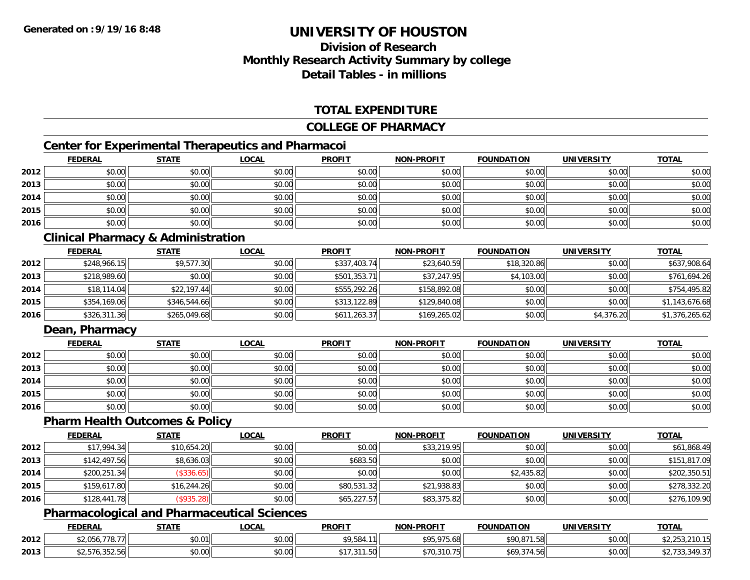## **Division of ResearchMonthly Research Activity Summary by college Detail Tables - in millions**

#### **TOTAL EXPENDITURE**

#### **COLLEGE OF PHARMACY**

### **Center for Experimental Therapeutics and Pharmacoi**

|      | <b>FEDERAL</b> | <b>STATE</b> | <u>LOCAL</u> | <b>PROFIT</b> | <b>NON-PROFIT</b> | <b>FOUNDATION</b> | <b>UNIVERSITY</b> | <b>TOTAL</b> |
|------|----------------|--------------|--------------|---------------|-------------------|-------------------|-------------------|--------------|
| 2012 | \$0.00         | \$0.00       | \$0.00       | \$0.00        | \$0.00            | \$0.00            | \$0.00            | \$0.00       |
| 2013 | \$0.00         | \$0.00       | \$0.00       | \$0.00        | \$0.00            | \$0.00            | \$0.00            | \$0.00       |
| 2014 | \$0.00         | \$0.00       | \$0.00       | \$0.00        | \$0.00            | \$0.00            | \$0.00            | \$0.00       |
| 2015 | \$0.00         | \$0.00       | \$0.00       | \$0.00        | \$0.00            | \$0.00            | \$0.00            | \$0.00       |
| 2016 | \$0.00         | \$0.00       | \$0.00       | \$0.00        | \$0.00            | \$0.00            | \$0.00            | \$0.00       |

#### **Clinical Pharmacy & Administration**

|      | <b>FEDERAL</b> | <b>STATE</b> | <b>LOCAL</b> | <b>PROFIT</b> | <b>NON-PROFIT</b> | <b>FOUNDATION</b> | <b>UNIVERSITY</b> | <b>TOTAL</b>   |
|------|----------------|--------------|--------------|---------------|-------------------|-------------------|-------------------|----------------|
| 2012 | \$248,966.15   | \$9,577.30   | \$0.00       | \$337,403.74  | \$23,640.59       | \$18,320.86       | \$0.00            | \$637,908.64   |
| 2013 | \$218,989.60   | \$0.00       | \$0.00       | \$501,353.71  | \$37,247.95       | \$4,103.00        | \$0.00            | \$761,694.26   |
| 2014 | \$18,114.04    | \$22,197.44  | \$0.00       | \$555,292.26  | \$158,892.08      | \$0.00            | \$0.00            | \$754,495.82   |
| 2015 | \$354,169.06   | \$346,544.66 | \$0.00       | \$313,122.89  | \$129,840.08      | \$0.00            | \$0.00            | \$1,143,676.68 |
| 2016 | \$326,311.36   | \$265,049.68 | \$0.00       | \$611,263.37  | \$169,265.02      | \$0.00            | \$4,376.20        | \$1,376,265.62 |

#### **Dean, Pharmacy**

|      | <b>FEDERAL</b> | <b>STATE</b> | <u>LOCAL</u> | <b>PROFIT</b> | <b>NON-PROFIT</b> | <b>FOUNDATION</b> | <b>UNIVERSITY</b> | <b>TOTAL</b> |
|------|----------------|--------------|--------------|---------------|-------------------|-------------------|-------------------|--------------|
| 2012 | \$0.00         | \$0.00       | \$0.00       | \$0.00        | \$0.00            | \$0.00            | \$0.00            | \$0.00       |
| 2013 | \$0.00         | \$0.00       | \$0.00       | \$0.00        | \$0.00            | \$0.00            | \$0.00            | \$0.00       |
| 2014 | \$0.00         | \$0.00       | \$0.00       | \$0.00        | \$0.00            | \$0.00            | \$0.00            | \$0.00       |
| 2015 | \$0.00         | \$0.00       | \$0.00       | \$0.00        | \$0.00            | \$0.00            | \$0.00            | \$0.00       |
| 2016 | \$0.00         | \$0.00       | \$0.00       | \$0.00        | \$0.00            | \$0.00            | \$0.00            | \$0.00       |

#### **Pharm Health Outcomes & Policy**

|      | <b>FEDERAL</b> | <b>STATE</b> | <u>LOCAL</u> | <b>PROFIT</b> | <b>NON-PROFIT</b> | <b>FOUNDATION</b> | <b>UNIVERSITY</b> | <b>TOTAL</b> |
|------|----------------|--------------|--------------|---------------|-------------------|-------------------|-------------------|--------------|
| 2012 | \$17,994.34    | \$10,654.20  | \$0.00       | \$0.00        | \$33,219.95       | \$0.00            | \$0.00            | \$61,868.49  |
| 2013 | \$142,497.56   | \$8,636.03   | \$0.00       | \$683.50      | \$0.00            | \$0.00            | \$0.00            | \$151,817.09 |
| 2014 | \$200,251.34   | (\$336.65)   | \$0.00       | \$0.00        | \$0.00            | \$2,435.82        | \$0.00            | \$202,350.51 |
| 2015 | \$159,617.80   | \$16,244.26  | \$0.00       | \$80,531.32   | \$21,938.83       | \$0.00            | \$0.00            | \$278,332.20 |
| 2016 | \$128,441.78   | (\$935.28)   | \$0.00       | \$65,227.57   | \$83,375.82       | \$0.00            | \$0.00            | \$276,109.90 |

#### **Pharmacological and Pharmaceutical Sciences**

|      | <b>FEDERAL</b>                                         | <b>STATE</b> | <u>LOCAL</u>   | <b>PROFIT</b> | <b>J-PROFIT</b><br><b>NIONI</b>       | <b>FOUNDATION</b>                                 | UNIVERSITY | <b>TOTAL</b>            |
|------|--------------------------------------------------------|--------------|----------------|---------------|---------------------------------------|---------------------------------------------------|------------|-------------------------|
| 2012 | 770<br>$\sim$ $\sim$ $\sim$ $\sim$<br>--<br>$-1.00011$ | 60.01<br>D.U | ≮∩ ∩∩<br>PU.UU | \$9,584.      | <b>COE 075 40</b><br>75.68<br>. ، ب ب | <b>COO 071 50</b><br>90,871.58                    | \$0.00     | <b>PL, LUG, LUG, 19</b> |
| 2013 | 2.570.352.50                                           | \$0.00       | \$0.00         | ט שי          | 0.40<br>70.3<br>10. LC                | $\sim$ $\sim$ $\sim$ $\sim$<br>69ء<br>ا ان 14.375 | \$0.00     | 10.27<br>33,349.3.      |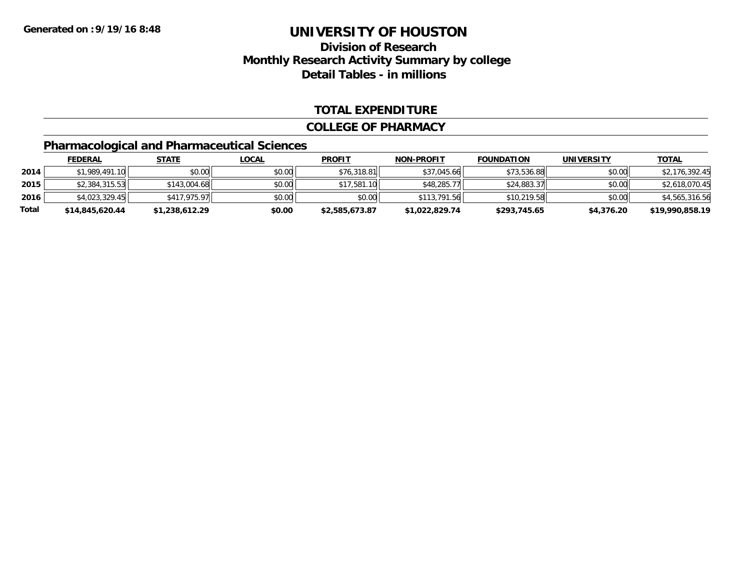### **Division of ResearchMonthly Research Activity Summary by college Detail Tables - in millions**

#### **TOTAL EXPENDITURE**

#### **COLLEGE OF PHARMACY**

### **Pharmacological and Pharmaceutical Sciences**

|       | <b>FEDERAL</b>  | <u>STATE</u>   | <u>LOCAL</u> | <b>PROFIT</b>  | <b>NON-PROFIT</b> | <b>FOUNDATION</b> | <b>UNIVERSITY</b> | <b>TOTAL</b>    |
|-------|-----------------|----------------|--------------|----------------|-------------------|-------------------|-------------------|-----------------|
| 2014  | \$1.989.491.10  | \$0.00         | \$0.00       | \$76,318.81    | \$37,045.66       | \$73,536.88       | \$0.00            | \$2,176,392.45  |
| 2015  | \$2,384,315.53  | \$143,004.68   | \$0.00       | \$17,581.10    | \$48,285.77       | \$24,883.37       | \$0.00            | \$2,618,070.45  |
| 2016  | \$4,023,329.45  | \$417,975.97   | \$0.00       | \$0.00         | \$113,791.56      | \$10,219.58       | \$0.00            | \$4,565,316.56  |
| Total | \$14,845,620.44 | \$1,238,612.29 | \$0.00       | \$2,585,673.87 | \$1,022,829.74    | \$293,745.65      | \$4,376.20        | \$19,990,858.19 |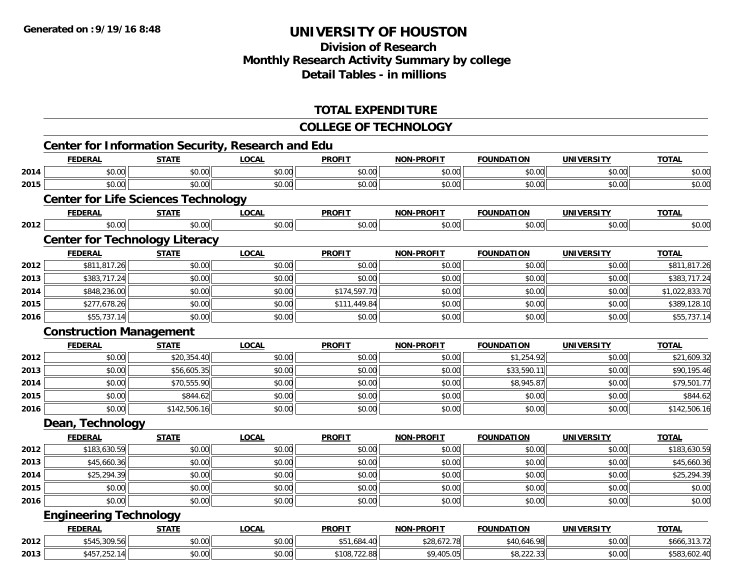## **Division of Research Monthly Research Activity Summary by college Detail Tables - in millions**

#### **TOTAL EXPENDITURE**

#### **COLLEGE OF TECHNOLOGY**

|      | <b>FEDERAL</b>                             | <b>STATE</b> | <b>LOCAL</b> | <b>PROFIT</b> | <b>NON-PROFIT</b> | <b>FOUNDATION</b> | <b>UNIVERSITY</b> | <b>TOTAL</b>   |
|------|--------------------------------------------|--------------|--------------|---------------|-------------------|-------------------|-------------------|----------------|
| 2014 | \$0.00                                     | \$0.00       | \$0.00       | \$0.00        | \$0.00            | \$0.00            | \$0.00            | \$0.00         |
| 2015 | \$0.00                                     | \$0.00       | \$0.00       | \$0.00        | \$0.00            | \$0.00            | \$0.00            | \$0.00         |
|      | <b>Center for Life Sciences Technology</b> |              |              |               |                   |                   |                   |                |
|      | <b>FEDERAL</b>                             | <b>STATE</b> | <b>LOCAL</b> | <b>PROFIT</b> | <b>NON-PROFIT</b> | <b>FOUNDATION</b> | <b>UNIVERSITY</b> | <b>TOTAL</b>   |
| 2012 | \$0.00                                     | \$0.00       | \$0.00       | \$0.00        | \$0.00            | \$0.00            | \$0.00            | \$0.00         |
|      | <b>Center for Technology Literacy</b>      |              |              |               |                   |                   |                   |                |
|      | <b>FEDERAL</b>                             | <b>STATE</b> | <b>LOCAL</b> | <b>PROFIT</b> | <b>NON-PROFIT</b> | <b>FOUNDATION</b> | <b>UNIVERSITY</b> | <b>TOTAL</b>   |
| 2012 | \$811,817.26                               | \$0.00       | \$0.00       | \$0.00        | \$0.00            | \$0.00            | \$0.00            | \$811,817.26   |
| 2013 | \$383,717.24                               | \$0.00       | \$0.00       | \$0.00        | \$0.00            | \$0.00            | \$0.00            | \$383,717.24   |
| 2014 | \$848,236.00                               | \$0.00       | \$0.00       | \$174,597.70  | \$0.00            | \$0.00            | \$0.00            | \$1,022,833.70 |
| 2015 | \$277,678.26                               | \$0.00       | \$0.00       | \$111,449.84  | \$0.00            | \$0.00            | \$0.00            | \$389,128.10   |
| 2016 | \$55,737.14                                | \$0.00       | \$0.00       | \$0.00        | \$0.00            | \$0.00            | \$0.00            | \$55,737.14    |
|      | <b>Construction Management</b>             |              |              |               |                   |                   |                   |                |
|      | <b>FEDERAL</b>                             | <b>STATE</b> | <b>LOCAL</b> | <b>PROFIT</b> | <b>NON-PROFIT</b> | <b>FOUNDATION</b> | <b>UNIVERSITY</b> | <b>TOTAL</b>   |
| 2012 | \$0.00                                     | \$20,354.40  | \$0.00       | \$0.00        | \$0.00            | \$1,254.92        | \$0.00            | \$21,609.32    |
| 2013 | \$0.00                                     | \$56,605.35  | \$0.00       | \$0.00        | \$0.00            | \$33,590.11       | \$0.00            | \$90,195.46    |
| 2014 | \$0.00                                     | \$70,555.90  | \$0.00       | \$0.00        | \$0.00            | \$8,945.87        | \$0.00            | \$79,501.77    |
| 2015 | \$0.00                                     | \$844.62     | \$0.00       | \$0.00        | \$0.00            | \$0.00            | \$0.00            | \$844.62       |
| 2016 | \$0.00                                     | \$142,506.16 | \$0.00       | \$0.00        | \$0.00            | \$0.00            | \$0.00            | \$142,506.16   |
|      | Dean, Technology                           |              |              |               |                   |                   |                   |                |
|      | <b>FEDERAL</b>                             | <b>STATE</b> | <b>LOCAL</b> | <b>PROFIT</b> | <b>NON-PROFIT</b> | <b>FOUNDATION</b> | <b>UNIVERSITY</b> | <b>TOTAL</b>   |
| 2012 | \$183,630.59                               | \$0.00       | \$0.00       | \$0.00        | \$0.00            | \$0.00            | \$0.00            | \$183,630.59   |
| 2013 | \$45,660.36                                | \$0.00       | \$0.00       | \$0.00        | \$0.00            | \$0.00            | \$0.00            | \$45,660.36    |
| 2014 | \$25,294.39                                | \$0.00       | \$0.00       | \$0.00        | \$0.00            | \$0.00            | \$0.00            | \$25,294.39    |
| 2015 | \$0.00                                     | \$0.00       | \$0.00       | \$0.00        | \$0.00            | \$0.00            | \$0.00            | \$0.00         |
| 2016 | \$0.00                                     | \$0.00       | \$0.00       | \$0.00        | \$0.00            | \$0.00            | \$0.00            | \$0.00         |
|      | <b>Engineering Technology</b>              |              |              |               |                   |                   |                   |                |
|      | <b>FEDERAL</b>                             | <b>STATE</b> | <b>LOCAL</b> | <b>PROFIT</b> | <b>NON-PROFIT</b> | <b>FOUNDATION</b> | <b>UNIVERSITY</b> | <b>TOTAL</b>   |
| 2012 | \$545,309.56                               | \$0.00       | \$0.00       | \$51,684.40   | \$28,672.78       | \$40,646.98       | \$0.00            | \$666,313.72   |
| 2013 | \$457,252.14                               | \$0.00       | \$0.00       | \$108,722.88  | \$9,405.05        | \$8,222.33        | \$0.00            | \$583,602.40   |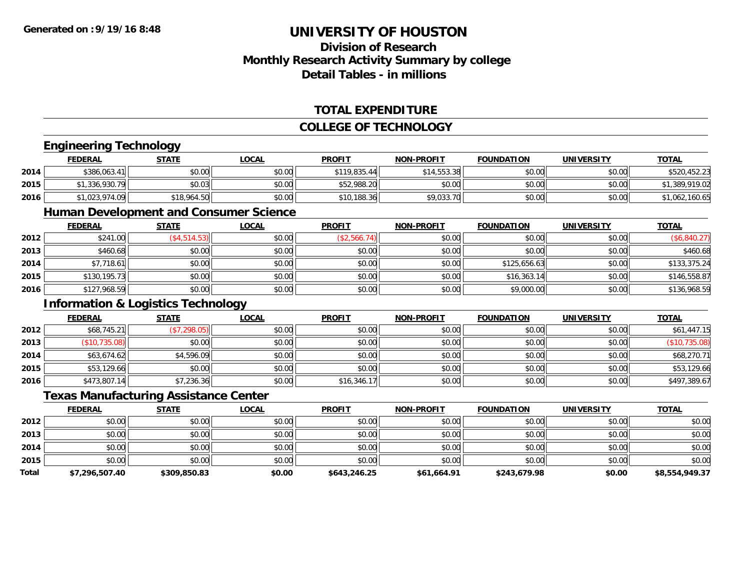### **Division of ResearchMonthly Research Activity Summary by college Detail Tables - in millions**

#### **TOTAL EXPENDITURE**

#### **COLLEGE OF TECHNOLOGY**

## **Engineering Technology**

|      | <b>Engineering Technology</b> |              |              |               |                   |                   |                   |                |  |  |  |
|------|-------------------------------|--------------|--------------|---------------|-------------------|-------------------|-------------------|----------------|--|--|--|
|      | <u>FEDERAL</u>                | <u>STATE</u> | <u>LOCAL</u> | <b>PROFIT</b> | <b>NON-PROFIT</b> | <b>FOUNDATION</b> | <b>UNIVERSITY</b> | <b>TOTAL</b>   |  |  |  |
| 2014 | \$386,063.41                  | \$0.00       | \$0.00       | \$119,835.44  | \$14,553.38       | \$0.00            | \$0.00            | \$520,452.23   |  |  |  |
| 2015 | \$1,336,930.79                | \$0.03       | \$0.00       | \$52,988.20   | \$0.00            | \$0.00            | \$0.00            | \$1,389,919.02 |  |  |  |
| 2016 | \$1,023,974.09                | \$18,964.50  | \$0.00       | \$10,188.36   | \$9,033.70        | \$0.00            | \$0.00            | \$1,062,160.65 |  |  |  |

### **Human Development and Consumer Science**

|      | <u>FEDERAL</u> | <b>STATE</b> | <b>LOCAL</b> | <b>PROFIT</b> | <b>NON-PROFIT</b> | <b>FOUNDATION</b> | <b>UNIVERSITY</b> | <b>TOTAL</b> |
|------|----------------|--------------|--------------|---------------|-------------------|-------------------|-------------------|--------------|
| 2012 | \$241.00       | (\$4,514.53) | \$0.00       | (\$2,566.74)  | \$0.00            | \$0.00            | \$0.00            | (\$6,840.27) |
| 2013 | \$460.68       | \$0.00       | \$0.00       | \$0.00        | \$0.00            | \$0.00            | \$0.00            | \$460.68     |
| 2014 | \$7,718.61     | \$0.00       | \$0.00       | \$0.00        | \$0.00            | \$125,656.63      | \$0.00            | \$133,375.24 |
| 2015 | \$130,195.73   | \$0.00       | \$0.00       | \$0.00        | \$0.00            | \$16,363.14       | \$0.00            | \$146,558.87 |
| 2016 | \$127,968.59   | \$0.00       | \$0.00       | \$0.00        | \$0.00            | \$9,000.00        | \$0.00            | \$136,968.59 |

#### **Information & Logistics Technology**

|      | <b>FEDERAL</b> | <b>STATE</b> | <b>LOCAL</b> | <b>PROFIT</b> | <b>NON-PROFIT</b> | <b>FOUNDATION</b> | <b>UNIVERSITY</b> | <b>TOTAL</b>  |
|------|----------------|--------------|--------------|---------------|-------------------|-------------------|-------------------|---------------|
| 2012 | \$68,745.21    | (\$7,298.05) | \$0.00       | \$0.00        | \$0.00            | \$0.00            | \$0.00            | \$61,447.15   |
| 2013 | (\$10,735.08)  | \$0.00       | \$0.00       | \$0.00        | \$0.00            | \$0.00            | \$0.00            | (\$10,735.08) |
| 2014 | \$63,674.62    | \$4,596.09   | \$0.00       | \$0.00        | \$0.00            | \$0.00            | \$0.00            | \$68,270.71   |
| 2015 | \$53,129.66    | \$0.00       | \$0.00       | \$0.00        | \$0.00            | \$0.00            | \$0.00            | \$53,129.66   |
| 2016 | \$473,807.14   | \$7,236.36   | \$0.00       | \$16,346.17   | \$0.00            | \$0.00            | \$0.00            | \$497,389.67  |

#### **Texas Manufacturing Assistance Center**

|              | <b>FEDERAL</b> | <b>STATE</b> | <b>LOCAL</b> | <b>PROFIT</b> | <b>NON-PROFIT</b> | <b>FOUNDATION</b> | <b>UNIVERSITY</b> | <b>TOTAL</b>   |
|--------------|----------------|--------------|--------------|---------------|-------------------|-------------------|-------------------|----------------|
| 2012         | \$0.00         | \$0.00       | \$0.00       | \$0.00        | \$0.00            | \$0.00            | \$0.00            | \$0.00         |
| 2013         | \$0.00         | \$0.00       | \$0.00       | \$0.00        | \$0.00            | \$0.00            | \$0.00            | \$0.00         |
| 2014         | \$0.00         | \$0.00       | \$0.00       | \$0.00        | \$0.00            | \$0.00            | \$0.00            | \$0.00         |
| 2015         | \$0.00         | \$0.00       | \$0.00       | \$0.00        | \$0.00            | \$0.00            | \$0.00            | \$0.00         |
| <b>Total</b> | \$7,296,507.40 | \$309,850.83 | \$0.00       | \$643,246.25  | \$61,664.91       | \$243,679.98      | \$0.00            | \$8,554,949.37 |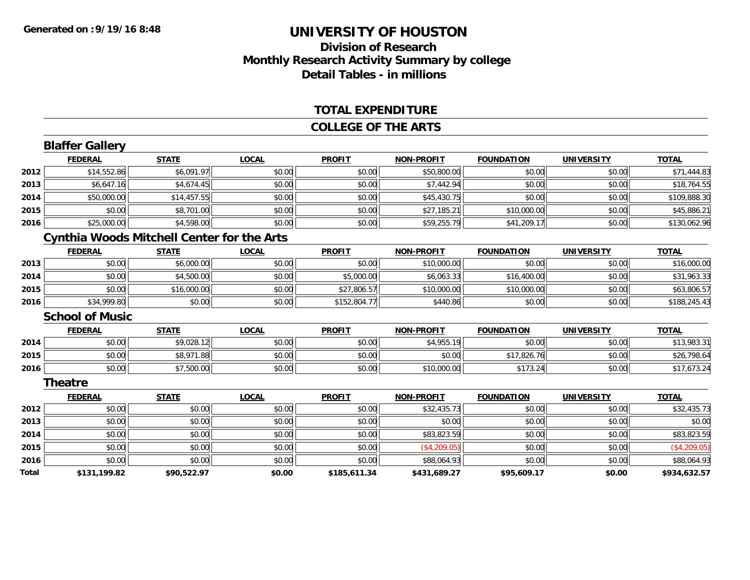### **Division of ResearchMonthly Research Activity Summary by college Detail Tables - in millions**

#### **TOTAL EXPENDITURE**

#### **COLLEGE OF THE ARTS**

|       | <b>Blaffer Gallery</b> |                                                   |              |               |                   |                   |                   |              |
|-------|------------------------|---------------------------------------------------|--------------|---------------|-------------------|-------------------|-------------------|--------------|
|       | <b>FEDERAL</b>         | <b>STATE</b>                                      | <b>LOCAL</b> | <b>PROFIT</b> | <b>NON-PROFIT</b> | <b>FOUNDATION</b> | <b>UNIVERSITY</b> | <b>TOTAL</b> |
| 2012  | \$14,552.86            | \$6,091.97                                        | \$0.00       | \$0.00        | \$50,800.00       | \$0.00            | \$0.00            | \$71,444.83  |
| 2013  | \$6,647.16             | \$4,674.45                                        | \$0.00       | \$0.00        | \$7,442.94        | \$0.00            | \$0.00            | \$18,764.55  |
| 2014  | \$50,000.00            | \$14,457.55                                       | \$0.00       | \$0.00        | \$45,430.75       | \$0.00            | \$0.00            | \$109,888.30 |
| 2015  | \$0.00                 | \$8,701.00                                        | \$0.00       | \$0.00        | \$27,185.21       | \$10,000.00       | \$0.00            | \$45,886.21  |
| 2016  | \$25,000.00            | \$4,598.00                                        | \$0.00       | \$0.00        | \$59,255.79       | \$41,209.17       | \$0.00            | \$130,062.96 |
|       |                        | <b>Cynthia Woods Mitchell Center for the Arts</b> |              |               |                   |                   |                   |              |
|       | <b>FEDERAL</b>         | <b>STATE</b>                                      | <b>LOCAL</b> | <b>PROFIT</b> | <b>NON-PROFIT</b> | <b>FOUNDATION</b> | <b>UNIVERSITY</b> | <b>TOTAL</b> |
| 2013  | \$0.00                 | \$6,000.00                                        | \$0.00       | \$0.00        | \$10,000.00       | \$0.00            | \$0.00            | \$16,000.00  |
| 2014  | \$0.00                 | \$4,500.00                                        | \$0.00       | \$5,000.00    | \$6,063.33        | \$16,400.00       | \$0.00            | \$31,963.33  |
| 2015  | \$0.00                 | \$16,000.00                                       | \$0.00       | \$27,806.57   | \$10,000.00       | \$10,000.00       | \$0.00            | \$63,806.57  |
| 2016  | \$34,999.80            | \$0.00                                            | \$0.00       | \$152,804.77  | \$440.86          | \$0.00            | \$0.00            | \$188,245.43 |
|       | <b>School of Music</b> |                                                   |              |               |                   |                   |                   |              |
|       | <b>FEDERAL</b>         | <b>STATE</b>                                      | <b>LOCAL</b> | <b>PROFIT</b> | <b>NON-PROFIT</b> | <b>FOUNDATION</b> | <b>UNIVERSITY</b> | <b>TOTAL</b> |
| 2014  | \$0.00                 | \$9,028.12                                        | \$0.00       | \$0.00        | \$4,955.19        | \$0.00            | \$0.00            | \$13,983.31  |
| 2015  | \$0.00                 | \$8,971.88                                        | \$0.00       | \$0.00        | \$0.00            | \$17,826.76       | \$0.00            | \$26,798.64  |
| 2016  | \$0.00                 | \$7,500.00                                        | \$0.00       | \$0.00        | \$10,000.00       | \$173.24          | \$0.00            | \$17,673.24  |
|       | Theatre                |                                                   |              |               |                   |                   |                   |              |
|       | <b>FEDERAL</b>         | <b>STATE</b>                                      | <b>LOCAL</b> | <b>PROFIT</b> | <b>NON-PROFIT</b> | <b>FOUNDATION</b> | <b>UNIVERSITY</b> | <b>TOTAL</b> |
| 2012  | \$0.00                 | \$0.00                                            | \$0.00       | \$0.00        | \$32,435.73       | \$0.00            | \$0.00            | \$32,435.73  |
| 2013  | \$0.00                 | \$0.00                                            | \$0.00       | \$0.00        | \$0.00            | \$0.00            | \$0.00            | \$0.00       |
| 2014  | \$0.00                 | \$0.00                                            | \$0.00       | \$0.00        | \$83,823.59       | \$0.00            | \$0.00            | \$83,823.59  |
| 2015  | \$0.00                 | \$0.00                                            | \$0.00       | \$0.00        | (\$4,209.05)      | \$0.00            | \$0.00            | (\$4,209.05) |
| 2016  | \$0.00                 | \$0.00                                            | \$0.00       | \$0.00        | \$88,064.93       | \$0.00            | \$0.00            | \$88,064.93  |
| Total | \$131,199.82           | \$90,522.97                                       | \$0.00       | \$185,611.34  | \$431,689.27      | \$95,609.17       | \$0.00            | \$934,632.57 |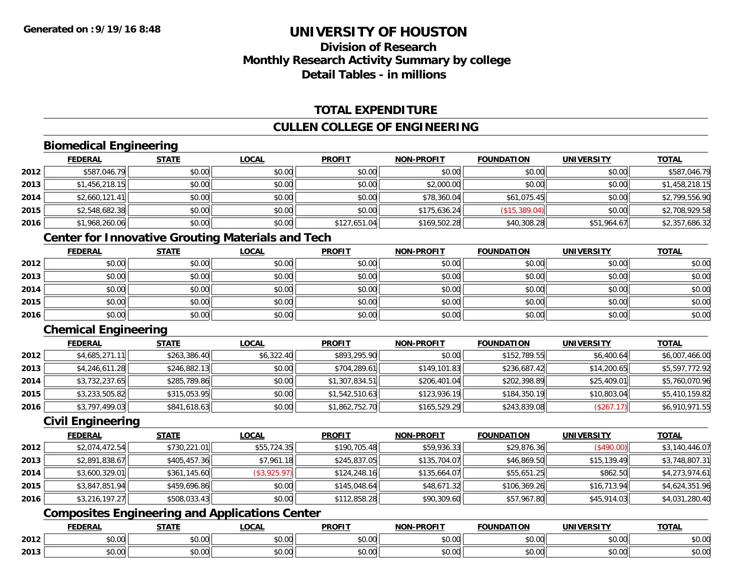## **Division of ResearchMonthly Research Activity Summary by college Detail Tables - in millions**

### **TOTAL EXPENDITURE**

#### **CULLEN COLLEGE OF ENGINEERING**

### **Biomedical Engineering**

|      | <b>FEDERAL</b> | <b>STATE</b> | <u>LOCAL</u> | <b>PROFIT</b> | <b>NON-PROFIT</b> | <b>FOUNDATION</b> | <b>UNIVERSITY</b> | <b>TOTAL</b>   |
|------|----------------|--------------|--------------|---------------|-------------------|-------------------|-------------------|----------------|
| 2012 | \$587,046.79   | \$0.00       | \$0.00       | \$0.00        | \$0.00            | \$0.00            | \$0.00            | \$587,046.79   |
| 2013 | \$1,456,218.15 | \$0.00       | \$0.00       | \$0.00        | \$2,000.00        | \$0.00            | \$0.00            | \$1,458,218.15 |
| 2014 | \$2,660,121.41 | \$0.00       | \$0.00       | \$0.00        | \$78,360.04       | \$61,075.45       | \$0.00            | \$2,799,556.90 |
| 2015 | \$2,548,682.38 | \$0.00       | \$0.00       | \$0.00        | \$175,636.24      | (\$15,389.04)     | \$0.00            | \$2,708,929.58 |
| 2016 | \$1,968,260.06 | \$0.00       | \$0.00       | \$127,651.04  | \$169,502.28      | \$40,308.28       | \$51,964.67       | \$2,357,686.32 |

### **Center for Innovative Grouting Materials and Tech**

|      | <b>FEDERAL</b> | <b>STATE</b> | <u>LOCAL</u> | <b>PROFIT</b> | <b>NON-PROFIT</b> | <b>FOUNDATION</b> | <b>UNIVERSITY</b> | <b>TOTAL</b> |
|------|----------------|--------------|--------------|---------------|-------------------|-------------------|-------------------|--------------|
| 2012 | \$0.00         | \$0.00       | \$0.00       | \$0.00        | \$0.00            | \$0.00            | \$0.00            | \$0.00       |
| 2013 | \$0.00         | \$0.00       | \$0.00       | \$0.00        | \$0.00            | \$0.00            | \$0.00            | \$0.00       |
| 2014 | \$0.00         | \$0.00       | \$0.00       | \$0.00        | \$0.00            | \$0.00            | \$0.00            | \$0.00       |
| 2015 | \$0.00         | \$0.00       | \$0.00       | \$0.00        | \$0.00            | \$0.00            | \$0.00            | \$0.00       |
| 2016 | \$0.00         | \$0.00       | \$0.00       | \$0.00        | \$0.00            | \$0.00            | \$0.00            | \$0.00       |

### **Chemical Engineering**

|      | <b>FEDERAL</b> | <b>STATE</b> | <b>LOCAL</b> | <b>PROFIT</b>  | <b>NON-PROFIT</b> | <b>FOUNDATION</b> | <b>UNIVERSITY</b> | <b>TOTAL</b>   |
|------|----------------|--------------|--------------|----------------|-------------------|-------------------|-------------------|----------------|
| 2012 | \$4,685,271.11 | \$263,386.40 | \$6,322.40   | \$893,295.90   | \$0.00            | \$152,789.55      | \$6,400.64        | \$6,007,466.00 |
| 2013 | \$4,246,611.28 | \$246,882.13 | \$0.00       | \$704,289.61   | \$149,101.83      | \$236,687.42      | \$14,200.65       | \$5,597,772.92 |
| 2014 | \$3,732,237.65 | \$285,789.86 | \$0.00       | \$1,307,834.51 | \$206,401.04      | \$202,398.89      | \$25,409.01       | \$5,760,070.96 |
| 2015 | \$3,233,505.82 | \$315,053.95 | \$0.00       | \$1,542,510.63 | \$123,936.19      | \$184,350.19      | \$10,803.04       | \$5,410,159.82 |
| 2016 | \$3,797,499.03 | \$841,618.63 | \$0.00       | \$1,862,752.70 | \$165,529.29      | \$243,839.08      | (\$267.17)        | \$6,910,971.55 |

#### **Civil Engineering**

|      | <b>FEDERAL</b> | <b>STATE</b> | <b>LOCAL</b> | <b>PROFIT</b> | <b>NON-PROFIT</b> | <b>FOUNDATION</b> | <b>UNIVERSITY</b> | <b>TOTAL</b>   |
|------|----------------|--------------|--------------|---------------|-------------------|-------------------|-------------------|----------------|
| 2012 | \$2,074,472.54 | \$730,221.01 | \$55,724.35  | \$190,705.48  | \$59,936.33       | \$29,876.36       | (\$490.00)        | \$3,140,446.07 |
| 2013 | \$2,891,838.67 | \$405,457.36 | \$7,961.18   | \$245,837.05  | \$135,704.07      | \$46,869.50       | \$15,139.49       | \$3,748,807.31 |
| 2014 | \$3,600,329.01 | \$361,145.60 | (\$3,925.97) | \$124,248.16  | \$135,664.07      | \$55,651.25       | \$862.50          | \$4,273,974.61 |
| 2015 | \$3,847,851.94 | \$459,696.86 | \$0.00       | \$145,048.64  | \$48,671.32       | \$106,369.26      | \$16,713.94       | \$4,624,351.96 |
| 2016 | \$3,216,197.27 | \$508,033.43 | \$0.00       | \$112,858.28  | \$90,309.60       | \$57,967.80       | \$45,914.03       | \$4,031,280.40 |

## **Composites Engineering and Applications Center**

|      | DERAI  | CTATI     | .OCAL     | <b>PROFIT</b> | <b>DDOEL1</b><br><b>ארות</b> | ΓΙΟΝ    | UNIVERSITY                                   | <b>TOTAL</b> |
|------|--------|-----------|-----------|---------------|------------------------------|---------|----------------------------------------------|--------------|
| 2012 | $\sim$ | $\sim$    | $\sim$    | $\cdots$      | 0000                         | 0.00    | $\mathsf{A} \cap \mathsf{A} \cap \mathsf{A}$ | 0000         |
|      | וט.טי  | JU.UU     | vv.vv     | vu.vu         | J∪.∪∪                        | - JU.UU | PO.OO                                        | <b>JU.UU</b> |
|      | 0.00   | $\sim$ 00 | $\sim$ 00 | $\cdots$      | 0.00                         | 0.00    | $\sim$ 00                                    | $\cdots$     |
| 2013 | וט.טי  | JU.L      | JU.UU     | vv.vv         | JU.UU                        | ww.uu   | <b>JU.UU</b>                                 | <b>JU.UU</b> |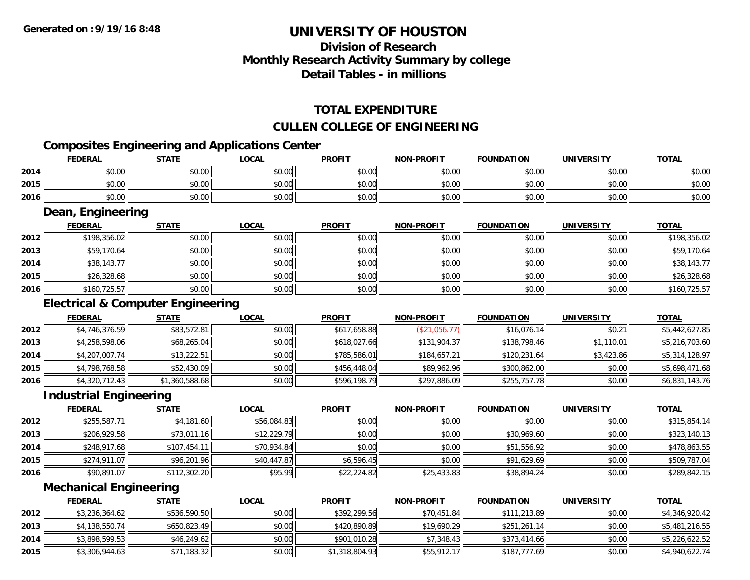## **Division of ResearchMonthly Research Activity Summary by college Detail Tables - in millions**

#### **TOTAL EXPENDITURE**

#### **CULLEN COLLEGE OF ENGINEERING**

### **Composites Engineering and Applications Center**

|      | <b>FEDERAL</b>                               | <b>STATE</b>   | <b>LOCAL</b> | <b>PROFIT</b> | <b>NON-PROFIT</b> | <b>FOUNDATION</b> | <b>UNIVERSITY</b> | <b>TOTAL</b>   |
|------|----------------------------------------------|----------------|--------------|---------------|-------------------|-------------------|-------------------|----------------|
| 2014 | \$0.00                                       | \$0.00         | \$0.00       | \$0.00        | \$0.00            | \$0.00            | \$0.00            | \$0.00         |
| 2015 | \$0.00                                       | \$0.00         | \$0.00       | \$0.00        | \$0.00            | \$0.00            | \$0.00            | \$0.00         |
| 2016 | \$0.00                                       | \$0.00         | \$0.00       | \$0.00        | \$0.00            | \$0.00            | \$0.00            | \$0.00         |
|      | Dean, Engineering                            |                |              |               |                   |                   |                   |                |
|      | <b>FEDERAL</b>                               | <u>STATE</u>   | <b>LOCAL</b> | <b>PROFIT</b> | <b>NON-PROFIT</b> | <b>FOUNDATION</b> | <b>UNIVERSITY</b> | <b>TOTAL</b>   |
| 2012 | \$198,356.02                                 | \$0.00         | \$0.00       | \$0.00        | \$0.00            | \$0.00            | \$0.00            | \$198,356.02   |
| 2013 | \$59,170.64                                  | \$0.00         | \$0.00       | \$0.00        | \$0.00            | \$0.00            | \$0.00            | \$59,170.64    |
| 2014 | \$38,143.77                                  | \$0.00         | \$0.00       | \$0.00        | \$0.00            | \$0.00            | \$0.00            | \$38,143.77    |
| 2015 | \$26,328.68                                  | \$0.00         | \$0.00       | \$0.00        | \$0.00            | \$0.00            | \$0.00            | \$26,328.68    |
| 2016 | \$160,725.57                                 | \$0.00         | \$0.00       | \$0.00        | \$0.00            | \$0.00            | \$0.00            | \$160,725.57   |
|      | <b>Electrical &amp; Computer Engineering</b> |                |              |               |                   |                   |                   |                |
|      | <b>FEDERAL</b>                               | <b>STATE</b>   | <b>LOCAL</b> | <b>PROFIT</b> | <b>NON-PROFIT</b> | <b>FOUNDATION</b> | <b>UNIVERSITY</b> | <b>TOTAL</b>   |
| 2012 | \$4,746,376.59                               | \$83,572.81    | \$0.00       | \$617,658.88  | (\$21,056.77)     | \$16,076.14       | \$0.21            | \$5,442,627.85 |
| 2013 | \$4,258,598.06                               | \$68,265.04    | \$0.00       | \$618,027.66  | \$131,904.37      | \$138,798.46      | \$1,110.01        | \$5,216,703.60 |
| 2014 | \$4,207,007.74                               | \$13,222.51    | \$0.00       | \$785,586.01  | \$184,657.21      | \$120,231.64      | \$3,423.86        | \$5,314,128.97 |
| 2015 | \$4,798,768.58                               | \$52,430.09    | \$0.00       | \$456,448.04  | \$89,962.96       | \$300,862.00      | \$0.00            | \$5,698,471.68 |
| 2016 | \$4,320,712.43                               | \$1,360,588.68 | \$0.00       | \$596,198.79  | \$297,886.09      | \$255,757.78      | \$0.00            | \$6,831,143.76 |
|      | <b>Industrial Engineering</b>                |                |              |               |                   |                   |                   |                |
|      | <b>FEDERAL</b>                               | <b>STATE</b>   | <b>LOCAL</b> | <b>PROFIT</b> | <b>NON-PROFIT</b> | <b>FOUNDATION</b> | <b>UNIVERSITY</b> | <b>TOTAL</b>   |
| 2012 | \$255,587.71                                 | \$4,181.60     | \$56,084.83  | \$0.00        | \$0.00            | \$0.00            | \$0.00            | \$315,854.14   |
| 2013 | \$206,929.58                                 | \$73,011.16    | \$12,229.79  | \$0.00        | \$0.00            | \$30,969.60       | \$0.00            | \$323,140.13   |

| 2013 | \$206,929.58 | \$73,011.16  | \$12,229.79 | \$0.00      | \$0.00      | \$30,969.60 | \$0.00 | <b>↑∩∩^</b><br>.140.13<br>\$323, |
|------|--------------|--------------|-------------|-------------|-------------|-------------|--------|----------------------------------|
| 2014 | \$248,917.68 | \$107,454.11 | \$70,934.84 | \$0.00      | \$0.00      | \$51,556.92 | \$0.00 | \$478,863.55                     |
| 2015 | \$274,911.07 | \$96,201.96  | \$40.447.87 | \$6,596.45  | \$0.00      | \$91,629.69 | \$0.00 | \$509,787.04                     |
| 2016 | \$90,891.07  | \$112,302.20 | \$95.99     | \$22,224.82 | \$25,433.83 | \$38,894.24 | \$0.00 | \$289,842.15                     |

#### **Mechanical Engineering**

|      | <b>FEDERAL</b> | <b>STATE</b> | <u>LOCAL</u> | <b>PROFIT</b>  | <b>NON-PROFIT</b> | <b>FOUNDATION</b> | UNIVERSITY | <b>TOTAL</b>   |
|------|----------------|--------------|--------------|----------------|-------------------|-------------------|------------|----------------|
| 2012 | \$3,236,364.62 | \$536,590.50 | \$0.00       | \$392,299.56   | \$70,451.84       | \$111,213.89      | \$0.00     | \$4,346,920.42 |
| 2013 | \$4,138,550.74 | \$650,823.49 | \$0.00       | \$420,890.89   | \$19,690.29       | \$251,261.14      | \$0.00     | \$5,481,216.55 |
| 2014 | \$3,898,599.53 | \$46,249.62  | \$0.00       | \$901,010.28   | \$7,348.43        | \$373,414.66      | \$0.00     | \$5,226,622.52 |
| 2015 | \$3,306,944.63 | \$71,183.32  | \$0.00       | \$1,318,804.93 | \$55,912.17       | \$187,777.69      | \$0.00     | \$4,940,622.74 |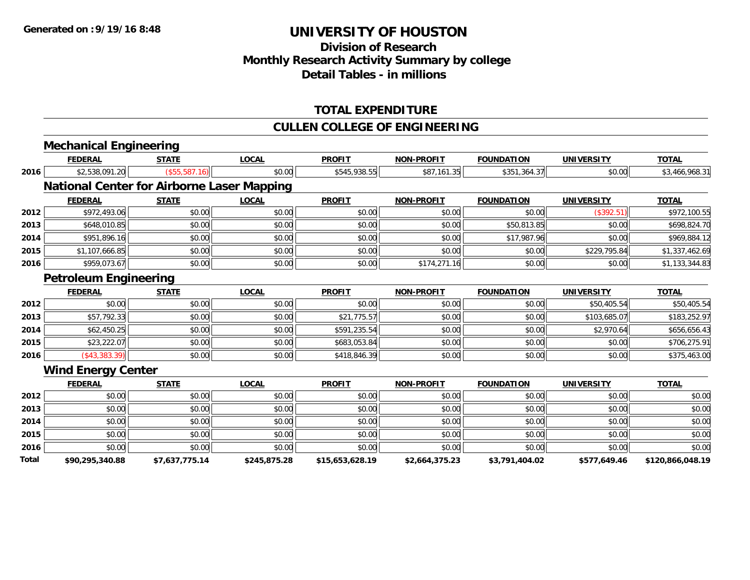## **Division of Research Monthly Research Activity Summary by college Detail Tables - in millions**

#### **TOTAL EXPENDITURE**

#### **CULLEN COLLEGE OF ENGINEERING**

|       | <b>Mechanical Engineering</b>                     |                |              |                 |                   |                   |                   |                  |
|-------|---------------------------------------------------|----------------|--------------|-----------------|-------------------|-------------------|-------------------|------------------|
|       | <b>FEDERAL</b>                                    | <b>STATE</b>   | <b>LOCAL</b> | <b>PROFIT</b>   | <b>NON-PROFIT</b> | <b>FOUNDATION</b> | <b>UNIVERSITY</b> | <b>TOTAL</b>     |
| 2016  | \$2,538,091.20                                    | (\$55,587.16)  | \$0.00       | \$545,938.55    | \$87,161.35       | \$351,364.37      | \$0.00            | \$3,466,968.31   |
|       | <b>National Center for Airborne Laser Mapping</b> |                |              |                 |                   |                   |                   |                  |
|       | <b>FEDERAL</b>                                    | <b>STATE</b>   | <b>LOCAL</b> | <b>PROFIT</b>   | <b>NON-PROFIT</b> | <b>FOUNDATION</b> | <b>UNIVERSITY</b> | <b>TOTAL</b>     |
| 2012  | \$972,493.06                                      | \$0.00         | \$0.00       | \$0.00          | \$0.00            | \$0.00            | (\$392.51)        | \$972,100.55     |
| 2013  | \$648,010.85                                      | \$0.00         | \$0.00       | \$0.00          | \$0.00            | \$50,813.85       | \$0.00            | \$698,824.70     |
| 2014  | \$951,896.16                                      | \$0.00         | \$0.00       | \$0.00          | \$0.00            | \$17,987.96       | \$0.00            | \$969,884.12     |
| 2015  | \$1,107,666.85                                    | \$0.00         | \$0.00       | \$0.00          | \$0.00            | \$0.00            | \$229,795.84      | \$1,337,462.69   |
| 2016  | \$959,073.67                                      | \$0.00         | \$0.00       | \$0.00          | \$174,271.16      | \$0.00            | \$0.00            | \$1,133,344.83   |
|       | <b>Petroleum Engineering</b>                      |                |              |                 |                   |                   |                   |                  |
|       | <b>FEDERAL</b>                                    | <b>STATE</b>   | <b>LOCAL</b> | <b>PROFIT</b>   | <b>NON-PROFIT</b> | <b>FOUNDATION</b> | <b>UNIVERSITY</b> | <b>TOTAL</b>     |
| 2012  | \$0.00                                            | \$0.00         | \$0.00       | \$0.00          | \$0.00            | \$0.00            | \$50,405.54       | \$50,405.54      |
| 2013  | \$57,792.33                                       | \$0.00         | \$0.00       | \$21,775.57     | \$0.00            | \$0.00            | \$103,685.07      | \$183,252.97     |
| 2014  | \$62,450.25                                       | \$0.00         | \$0.00       | \$591,235.54    | \$0.00            | \$0.00            | \$2,970.64        | \$656,656.43     |
| 2015  | \$23,222.07                                       | \$0.00         | \$0.00       | \$683,053.84    | \$0.00            | \$0.00            | \$0.00            | \$706,275.91     |
| 2016  | $(*43,383.39)$                                    | \$0.00         | \$0.00       | \$418,846.39    | \$0.00            | \$0.00            | \$0.00            | \$375,463.00     |
|       | <b>Wind Energy Center</b>                         |                |              |                 |                   |                   |                   |                  |
|       | <b>FEDERAL</b>                                    | <b>STATE</b>   | <b>LOCAL</b> | <b>PROFIT</b>   | <b>NON-PROFIT</b> | <b>FOUNDATION</b> | <b>UNIVERSITY</b> | <b>TOTAL</b>     |
| 2012  | \$0.00                                            | \$0.00         | \$0.00       | \$0.00          | \$0.00            | \$0.00            | \$0.00            | \$0.00           |
| 2013  | \$0.00                                            | \$0.00         | \$0.00       | \$0.00          | \$0.00            | \$0.00            | \$0.00            | \$0.00           |
| 2014  | \$0.00                                            | \$0.00         | \$0.00       | \$0.00          | \$0.00            | \$0.00            | \$0.00            | \$0.00           |
| 2015  | \$0.00                                            | \$0.00         | \$0.00       | \$0.00          | \$0.00            | \$0.00            | \$0.00            | \$0.00           |
| 2016  | \$0.00                                            | \$0.00         | \$0.00       | \$0.00          | \$0.00            | \$0.00            | \$0.00            | \$0.00           |
| Total | \$90,295,340.88                                   | \$7,637,775.14 | \$245,875.28 | \$15,653,628.19 | \$2,664,375.23    | \$3,791,404.02    | \$577,649.46      | \$120,866,048.19 |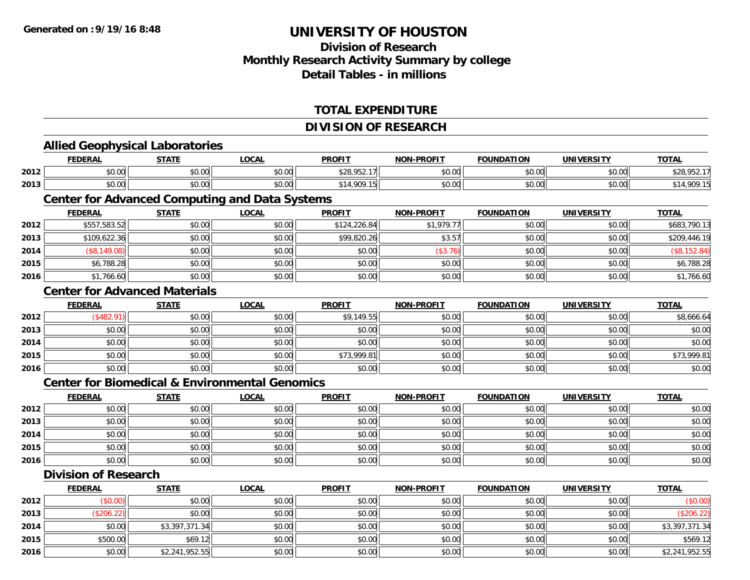**2016**

## **UNIVERSITY OF HOUSTON**

## **Division of ResearchMonthly Research Activity Summary by college Detail Tables - in millions**

#### **TOTAL EXPENDITURE**

#### **DIVISION OF RESEARCH**

|      | <b>FEDERAL</b>                                            | <b>STATE</b>   | <b>LOCAL</b> | <b>PROFIT</b> | <b>NON-PROFIT</b> | <b>FOUNDATION</b> | <b>UNIVERSITY</b> | <b>TOTAL</b>   |
|------|-----------------------------------------------------------|----------------|--------------|---------------|-------------------|-------------------|-------------------|----------------|
| 2012 | \$0.00                                                    | \$0.00         | \$0.00       | \$28,952.17   | \$0.00            | \$0.00            | \$0.00            | \$28,952.17    |
| 2013 | \$0.00                                                    | \$0.00         | \$0.00       | \$14,909.15   | \$0.00            | \$0.00            | \$0.00            | \$14,909.15    |
|      | <b>Center for Advanced Computing and Data Systems</b>     |                |              |               |                   |                   |                   |                |
|      | <b>FEDERAL</b>                                            | <b>STATE</b>   | <b>LOCAL</b> | <b>PROFIT</b> | <b>NON-PROFIT</b> | <b>FOUNDATION</b> | <b>UNIVERSITY</b> | <b>TOTAL</b>   |
| 2012 | \$557,583.52                                              | \$0.00         | \$0.00       | \$124,226.84  | \$1,979.77        | \$0.00            | \$0.00            | \$683,790.13   |
| 2013 | \$109,622.36                                              | \$0.00         | \$0.00       | \$99,820.26   | \$3.57            | \$0.00            | \$0.00            | \$209,446.19   |
| 2014 | (\$8,149.08)                                              | \$0.00         | \$0.00       | \$0.00        | (\$3.76)          | \$0.00            | \$0.00            | (\$8,152.84)   |
| 2015 | \$6,788.28                                                | \$0.00         | \$0.00       | \$0.00        | \$0.00            | \$0.00            | \$0.00            | \$6,788.28     |
| 2016 | \$1,766.60                                                | \$0.00         | \$0.00       | \$0.00        | \$0.00            | \$0.00            | \$0.00            | \$1,766.60     |
|      | <b>Center for Advanced Materials</b>                      |                |              |               |                   |                   |                   |                |
|      | <b>FEDERAL</b>                                            | <b>STATE</b>   | <b>LOCAL</b> | <b>PROFIT</b> | <b>NON-PROFIT</b> | <b>FOUNDATION</b> | <b>UNIVERSITY</b> | <b>TOTAL</b>   |
| 2012 | (\$482.91)                                                | \$0.00         | \$0.00       | \$9,149.55    | \$0.00            | \$0.00            | \$0.00            | \$8,666.64     |
| 2013 | \$0.00                                                    | \$0.00         | \$0.00       | \$0.00        | \$0.00            | \$0.00            | \$0.00            | \$0.00         |
| 2014 | \$0.00                                                    | \$0.00         | \$0.00       | \$0.00        | \$0.00            | \$0.00            | \$0.00            | \$0.00         |
| 2015 | \$0.00                                                    | \$0.00         | \$0.00       | \$73,999.81   | \$0.00            | \$0.00            | \$0.00            | \$73,999.81    |
| 2016 | \$0.00                                                    | \$0.00         | \$0.00       | \$0.00        | \$0.00            | \$0.00            | \$0.00            | \$0.00         |
|      | <b>Center for Biomedical &amp; Environmental Genomics</b> |                |              |               |                   |                   |                   |                |
|      | <b>FEDERAL</b>                                            | <b>STATE</b>   | <b>LOCAL</b> | <b>PROFIT</b> | <b>NON-PROFIT</b> | <b>FOUNDATION</b> | <b>UNIVERSITY</b> | <b>TOTAL</b>   |
| 2012 | \$0.00                                                    | \$0.00         | \$0.00       | \$0.00        | \$0.00            | \$0.00            | \$0.00            | \$0.00         |
| 2013 | \$0.00                                                    | \$0.00         | \$0.00       | \$0.00        | \$0.00            | \$0.00            | \$0.00            | \$0.00         |
| 2014 | \$0.00                                                    | \$0.00         | \$0.00       | \$0.00        | \$0.00            | \$0.00            | \$0.00            | \$0.00         |
| 2015 | \$0.00                                                    | \$0.00         | \$0.00       | \$0.00        | \$0.00            | \$0.00            | \$0.00            | \$0.00         |
| 2016 | \$0.00                                                    | \$0.00         | \$0.00       | \$0.00        | \$0.00            | \$0.00            | \$0.00            | \$0.00         |
|      | <b>Division of Research</b>                               |                |              |               |                   |                   |                   |                |
|      | <b>FEDERAL</b>                                            | <b>STATE</b>   | <b>LOCAL</b> | <b>PROFIT</b> | <b>NON-PROFIT</b> | <b>FOUNDATION</b> | <b>UNIVERSITY</b> | <b>TOTAL</b>   |
| 2012 | (\$0.00)                                                  | \$0.00         | \$0.00       | \$0.00        | \$0.00            | \$0.00            | \$0.00            | (\$0.00)       |
| 2013 | (\$206.22)                                                | \$0.00         | \$0.00       | \$0.00        | \$0.00            | \$0.00            | \$0.00            | (\$206.22)     |
| 2014 | \$0.00                                                    | \$3,397,371.34 | \$0.00       | \$0.00        | \$0.00            | \$0.00            | \$0.00            | \$3,397,371.34 |
| 2015 | \$500.00                                                  | \$69.12        | \$0.00       | \$0.00        | \$0.00            | \$0.00            | \$0.00            | \$569.12       |

6 \$0.00 \$0.00 \$0.00 \$0.00 \$0.00 \$0.00 \$0.00 \$0.00 \$0.00 \$0.00 \$0.00 \$0.00 \$0.00 \$0.00 \$2,241,952.55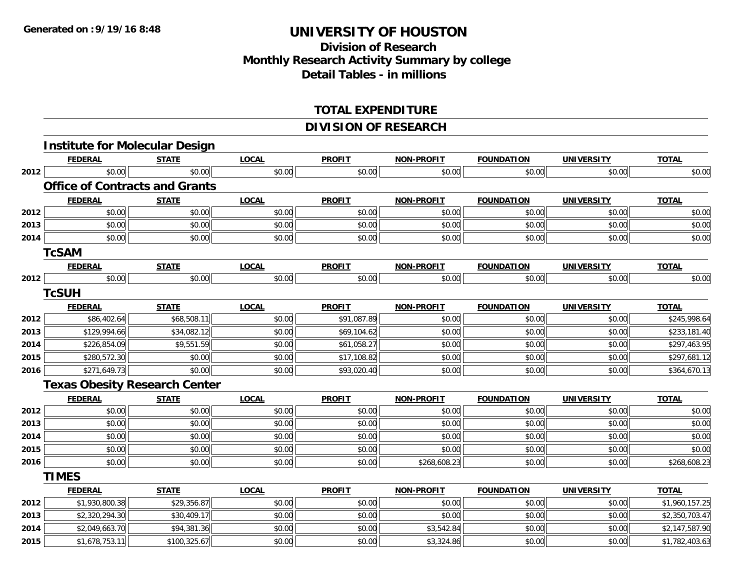### **Division of Research Monthly Research Activity Summary by college Detail Tables - in millions**

#### **TOTAL EXPENDITURE**

#### **DIVISION OF RESEARCH**

|      | <b>Institute for Molecular Design</b> |              |              |               |                   |                   |                   |                |
|------|---------------------------------------|--------------|--------------|---------------|-------------------|-------------------|-------------------|----------------|
|      | <b>FEDERAL</b>                        | <b>STATE</b> | <b>LOCAL</b> | <b>PROFIT</b> | <b>NON-PROFIT</b> | <b>FOUNDATION</b> | <b>UNIVERSITY</b> | <b>TOTAL</b>   |
| 2012 | \$0.00                                | \$0.00       | \$0.00       | \$0.00        | \$0.00            | \$0.00            | \$0.00            | \$0.00         |
|      | <b>Office of Contracts and Grants</b> |              |              |               |                   |                   |                   |                |
|      | <b>FEDERAL</b>                        | <b>STATE</b> | <b>LOCAL</b> | <b>PROFIT</b> | NON-PROFIT        | <b>FOUNDATION</b> | <b>UNIVERSITY</b> | <b>TOTAL</b>   |
| 2012 | \$0.00                                | \$0.00       | \$0.00       | \$0.00        | \$0.00            | \$0.00            | \$0.00            | \$0.00         |
| 2013 | \$0.00                                | \$0.00       | \$0.00       | \$0.00        | \$0.00            | \$0.00            | \$0.00            | \$0.00         |
| 2014 | \$0.00                                | \$0.00       | \$0.00       | \$0.00        | \$0.00            | \$0.00            | \$0.00            | \$0.00         |
|      | <b>TcSAM</b>                          |              |              |               |                   |                   |                   |                |
|      | <b>FEDERAL</b>                        | <b>STATE</b> | <b>LOCAL</b> | <b>PROFIT</b> | <b>NON-PROFIT</b> | <b>FOUNDATION</b> | <b>UNIVERSITY</b> | <b>TOTAL</b>   |
| 2012 | \$0.00                                | \$0.00       | \$0.00       | \$0.00        | \$0.00            | \$0.00            | \$0.00            | \$0.00         |
|      | <b>TcSUH</b>                          |              |              |               |                   |                   |                   |                |
|      | <b>FEDERAL</b>                        | <b>STATE</b> | <b>LOCAL</b> | <b>PROFIT</b> | <b>NON-PROFIT</b> | <b>FOUNDATION</b> | <b>UNIVERSITY</b> | <b>TOTAL</b>   |
| 2012 | \$86,402.64                           | \$68,508.11  | \$0.00       | \$91,087.89   | \$0.00            | \$0.00            | \$0.00            | \$245,998.64   |
| 2013 | \$129,994.66                          | \$34,082.12  | \$0.00       | \$69,104.62   | \$0.00            | \$0.00            | \$0.00            | \$233,181.40   |
| 2014 | \$226,854.09                          | \$9,551.59   | \$0.00       | \$61,058.27   | \$0.00            | \$0.00            | \$0.00            | \$297,463.95   |
| 2015 | \$280,572.30                          | \$0.00       | \$0.00       | \$17,108.82   | \$0.00            | \$0.00            | \$0.00            | \$297,681.12   |
| 2016 | \$271,649.73                          | \$0.00       | \$0.00       | \$93,020.40   | \$0.00            | \$0.00            | \$0.00            | \$364,670.13   |
|      | <b>Texas Obesity Research Center</b>  |              |              |               |                   |                   |                   |                |
|      | <b>FEDERAL</b>                        | <b>STATE</b> | <b>LOCAL</b> | <b>PROFIT</b> | <b>NON-PROFIT</b> | <b>FOUNDATION</b> | <b>UNIVERSITY</b> | <b>TOTAL</b>   |
| 2012 | \$0.00                                | \$0.00       | \$0.00       | \$0.00        | \$0.00            | \$0.00            | \$0.00            | \$0.00         |
| 2013 | \$0.00                                | \$0.00       | \$0.00       | \$0.00        | \$0.00            | \$0.00            | \$0.00            | \$0.00         |
| 2014 | \$0.00                                | \$0.00       | \$0.00       | \$0.00        | \$0.00            | \$0.00            | \$0.00            | \$0.00         |
| 2015 | \$0.00                                | \$0.00       | \$0.00       | \$0.00        | \$0.00            | \$0.00            | \$0.00            | \$0.00         |
| 2016 | \$0.00                                | \$0.00       | \$0.00       | \$0.00        | \$268,608.23      | \$0.00            | \$0.00            | \$268,608.23   |
|      | <b>TIMES</b>                          |              |              |               |                   |                   |                   |                |
|      | <b>FEDERAL</b>                        | <b>STATE</b> | <b>LOCAL</b> | <b>PROFIT</b> | <b>NON-PROFIT</b> | <b>FOUNDATION</b> | <b>UNIVERSITY</b> | <b>TOTAL</b>   |
| 2012 | \$1,930,800.38                        | \$29,356.87  | \$0.00       | \$0.00        | \$0.00            | \$0.00            | \$0.00            | \$1,960,157.25 |
| 2013 | \$2,320,294.30                        | \$30,409.17  | \$0.00       | \$0.00        | \$0.00            | \$0.00            | \$0.00            | \$2,350,703.47 |
| 2014 | \$2,049,663.70                        | \$94,381.36  | \$0.00       | \$0.00        | \$3,542.84        | \$0.00            | \$0.00            | \$2,147,587.90 |
| 2015 | \$1,678,753.11                        | \$100,325.67 | \$0.00       | \$0.00        | \$3,324.86        | \$0.00            | \$0.00            | \$1,782,403.63 |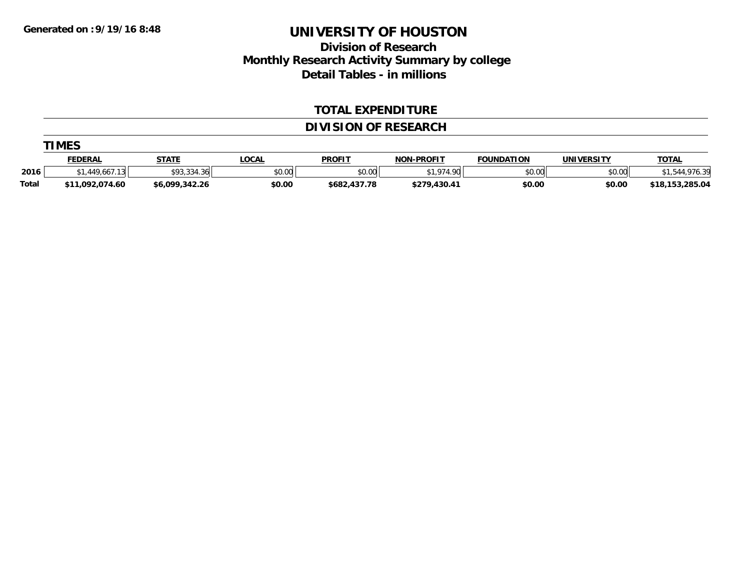### **Division of Research Monthly Research Activity Summary by college Detail Tables - in millions**

#### **TOTAL EXPENDITURE**

#### **DIVISION OF RESEARCH**

|              | <b>TIMES</b>    |                |              |               |                   |                   |                   |                 |  |  |  |  |
|--------------|-----------------|----------------|--------------|---------------|-------------------|-------------------|-------------------|-----------------|--|--|--|--|
|              | <u>FEDERAL</u>  | <u>STATE</u>   | <u>LOCAL</u> | <b>PROFIT</b> | <b>NON-PROFIT</b> | <b>FOUNDATION</b> | <b>UNIVERSITY</b> | <b>TOTAL</b>    |  |  |  |  |
| 2016         | \$1,449,667.13  | \$93,334.36    | \$0.00       | \$0.00        | \$1,974.90        | \$0.00            | \$0.00            | \$1,544,976.39  |  |  |  |  |
| <b>Total</b> | \$11,092,074.60 | \$6,099,342.26 | \$0.00       | \$682,437.78  | \$279,430.41      | \$0.00            | \$0.00            | \$18,153,285.04 |  |  |  |  |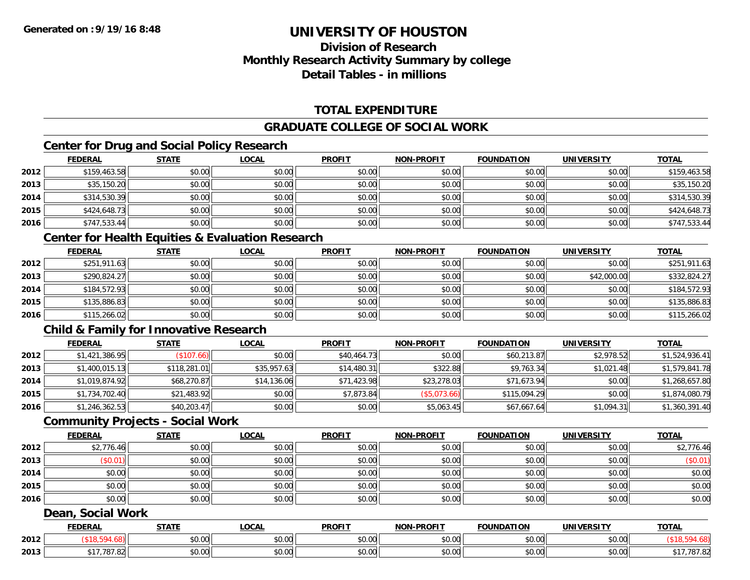### **Division of ResearchMonthly Research Activity Summary by college Detail Tables - in millions**

### **TOTAL EXPENDITURE**

#### **GRADUATE COLLEGE OF SOCIAL WORK**

### **Center for Drug and Social Policy Research**

|      | <b>FEDERAL</b> | <b>STATE</b> | <b>LOCAL</b> | <b>PROFIT</b> | <b>NON-PROFIT</b> | <b>FOUNDATION</b> | <b>UNIVERSITY</b> | <b>TOTAL</b> |
|------|----------------|--------------|--------------|---------------|-------------------|-------------------|-------------------|--------------|
| 2012 | \$159,463.58   | \$0.00       | \$0.00       | \$0.00        | \$0.00            | \$0.00            | \$0.00            | \$159,463.58 |
| 2013 | \$35,150.20    | \$0.00       | \$0.00       | \$0.00        | \$0.00            | \$0.00            | \$0.00            | \$35,150.20  |
| 2014 | \$314,530.39   | \$0.00       | \$0.00       | \$0.00        | \$0.00            | \$0.00            | \$0.00            | \$314,530.39 |
| 2015 | \$424,648.73   | \$0.00       | \$0.00       | \$0.00        | \$0.00            | \$0.00            | \$0.00            | \$424,648.73 |
| 2016 | \$747,533.44   | \$0.00       | \$0.00       | \$0.00        | \$0.00            | \$0.00            | \$0.00            | \$747,533.44 |

### **Center for Health Equities & Evaluation Research**

|      | <b>FEDERAL</b> | <b>STATE</b> | <b>LOCAL</b> | <b>PROFIT</b> | <b>NON-PROFIT</b> | <b>FOUNDATION</b> | <b>UNIVERSITY</b> | <b>TOTAL</b> |
|------|----------------|--------------|--------------|---------------|-------------------|-------------------|-------------------|--------------|
| 2012 | \$251,911.63   | \$0.00       | \$0.00       | \$0.00        | \$0.00            | \$0.00            | \$0.00            | \$251,911.63 |
| 2013 | \$290,824.27   | \$0.00       | \$0.00       | \$0.00        | \$0.00            | \$0.00            | \$42,000.00       | \$332,824.27 |
| 2014 | \$184,572.93   | \$0.00       | \$0.00       | \$0.00        | \$0.00            | \$0.00            | \$0.00            | \$184,572.93 |
| 2015 | \$135,886.83   | \$0.00       | \$0.00       | \$0.00        | \$0.00            | \$0.00            | \$0.00            | \$135,886.83 |
| 2016 | \$115,266.02   | \$0.00       | \$0.00       | \$0.00        | \$0.00            | \$0.00            | \$0.00            | \$115,266.02 |

### **Child & Family for Innovative Research**

|      | <b>FEDERAL</b> | <b>STATE</b> | <b>LOCAL</b> | <b>PROFIT</b> | <b>NON-PROFIT</b> | <b>FOUNDATION</b> | <b>UNIVERSITY</b> | <b>TOTAL</b>   |
|------|----------------|--------------|--------------|---------------|-------------------|-------------------|-------------------|----------------|
| 2012 | \$1,421,386.95 | (\$107.66)   | \$0.00       | \$40,464.73   | \$0.00            | \$60,213.87       | \$2,978.52        | \$1,524,936.41 |
| 2013 | \$1,400,015.13 | \$118,281.01 | \$35,957.63  | \$14,480.31   | \$322.88          | \$9,763.34        | \$1,021.48        | \$1,579,841.78 |
| 2014 | \$1,019,874.92 | \$68,270.87  | \$14,136.06  | \$71,423.98   | \$23,278.03       | \$71,673.94       | \$0.00            | \$1,268,657.80 |
| 2015 | \$1,734,702.40 | \$21,483.92  | \$0.00       | \$7,873.84    | (\$5,073.66)      | \$115,094.29      | \$0.00            | \$1,874,080.79 |
| 2016 | \$1,246,362.53 | \$40,203.47  | \$0.00       | \$0.00        | \$5,063.45        | \$67,667.64       | \$1,094.31        | \$1,360,391.40 |

#### **Community Projects - Social Work**

|      | <u>FEDERAL</u> | <b>STATE</b> | <u>LOCAL</u> | <b>PROFIT</b> | <b>NON-PROFIT</b> | <b>FOUNDATION</b> | <b>UNIVERSITY</b> | <b>TOTAL</b> |
|------|----------------|--------------|--------------|---------------|-------------------|-------------------|-------------------|--------------|
| 2012 | \$2,776.46     | \$0.00       | \$0.00       | \$0.00        | \$0.00            | \$0.00            | \$0.00            | \$2,776.46   |
| 2013 | \$0.01         | \$0.00       | \$0.00       | \$0.00        | \$0.00            | \$0.00            | \$0.00            | (\$0.01)     |
| 2014 | \$0.00         | \$0.00       | \$0.00       | \$0.00        | \$0.00            | \$0.00            | \$0.00            | \$0.00       |
| 2015 | \$0.00         | \$0.00       | \$0.00       | \$0.00        | \$0.00            | \$0.00            | \$0.00            | \$0.00       |
| 2016 | \$0.00         | \$0.00       | \$0.00       | \$0.00        | \$0.00            | \$0.00            | \$0.00            | \$0.00       |

#### **Dean, Social Work**

|      | <b>LDERAI</b>        | <b>STATI</b>                   | .OCAI              | <b>PROFIT</b>                       | <b>LPROFIT</b><br><b>NON</b> | $\sim$<br>$\sim$ INDA $\sim$ | <b>INIVE</b><br>ne:       | <b>TOTAL</b> |
|------|----------------------|--------------------------------|--------------------|-------------------------------------|------------------------------|------------------------------|---------------------------|--------------|
| 2012 |                      | ÷0.<br>$\sim$<br>₽∪.∪∪         | $\sim$ 00<br>DU.UU | 0000<br>DU.UG                       | \$0.00                       | 0000<br>vv.vv                | $\sim$ $\sim$<br>vu.vu    |              |
| 2013 | <b>707.09</b><br>787 | $\uparrow$ $\uparrow$<br>₽U.UU | ሶስ ሰሰ<br>DU.UG     | $\theta$ $\theta$ $\theta$<br>DU.UG | \$0.00                       | 0000<br>vv.vv                | $\sim$ 00<br><b>DU.UU</b> | 707<br>'01.0 |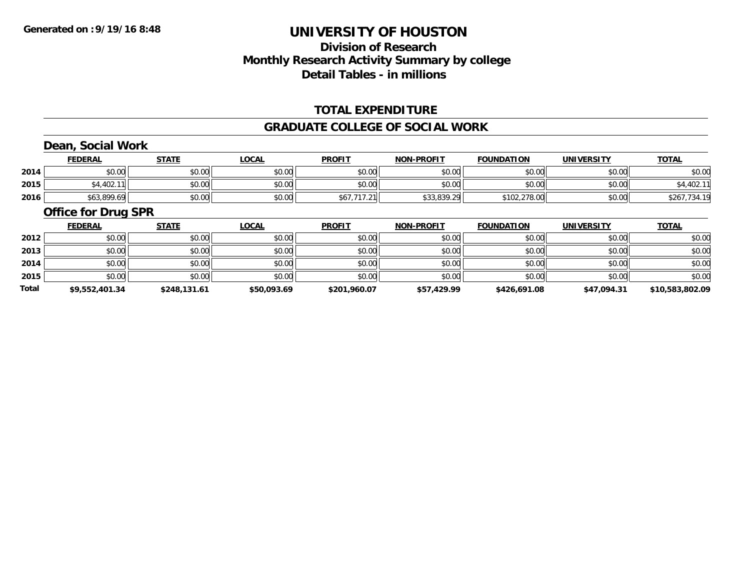### **Division of ResearchMonthly Research Activity Summary by college Detail Tables - in millions**

#### **TOTAL EXPENDITURE**

#### **GRADUATE COLLEGE OF SOCIAL WORK**

### **Dean, Social Work**

|      | <b>FEDERAL</b> | <b>STATE</b> | <u>LOCAL</u> | <b>PROFIT</b> | <b>NON-PROFIT</b> | <b>FOUNDATION</b> | <b>UNIVERSITY</b> | <u>TOTAL</u>     |
|------|----------------|--------------|--------------|---------------|-------------------|-------------------|-------------------|------------------|
| 2014 | \$0.00         | ¢Λ<br>PU.UU  | \$0.00       | \$0.00        | \$0.00            | \$0.00            | \$0.00            | \$0.00           |
| 2015 | \$4,402.       | \$0.00       | \$0.00       | \$0.00        | \$0.00            | \$0.00            | \$0.00            | 4,402.11         |
| 2016 | \$63,899.69    | \$0.00       | \$0.00       | \$67,717.21   | \$33,839.29       | \$102,278.00      | \$0.00            | .734.19<br>\$267 |

#### **Office for Drug SPR**

|       | <u>FEDERAL</u> | <b>STATE</b> | <b>LOCAL</b> | <b>PROFIT</b> | <b>NON-PROFIT</b> | <b>FOUNDATION</b> | <b>UNIVERSITY</b> | <b>TOTAL</b>    |
|-------|----------------|--------------|--------------|---------------|-------------------|-------------------|-------------------|-----------------|
| 2012  | \$0.00         | \$0.00       | \$0.00       | \$0.00        | \$0.00            | \$0.00            | \$0.00            | \$0.00          |
| 2013  | \$0.00         | \$0.00       | \$0.00       | \$0.00        | \$0.00            | \$0.00            | \$0.00            | \$0.00          |
| 2014  | \$0.00         | \$0.00       | \$0.00       | \$0.00        | \$0.00            | \$0.00            | \$0.00            | \$0.00          |
| 2015  | \$0.00         | \$0.00       | \$0.00       | \$0.00        | \$0.00            | \$0.00            | \$0.00            | \$0.00          |
| Total | \$9,552,401.34 | \$248,131.61 | \$50,093.69  | \$201,960.07  | \$57,429.99       | \$426,691.08      | \$47,094.31       | \$10,583,802.09 |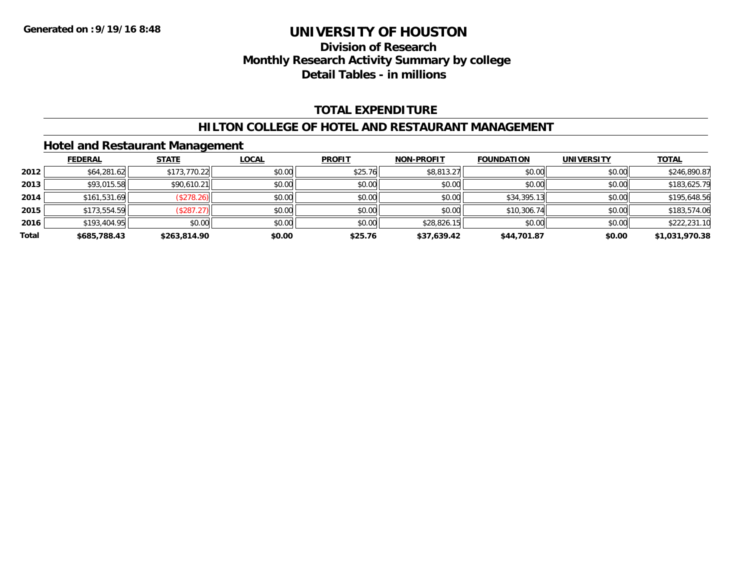### **Division of Research Monthly Research Activity Summary by college Detail Tables - in millions**

#### **TOTAL EXPENDITURE**

#### **HILTON COLLEGE OF HOTEL AND RESTAURANT MANAGEMENT**

#### **Hotel and Restaurant Management**

|       | <b>FEDERAL</b> | <b>STATE</b> | <b>LOCAL</b> | <b>PROFIT</b> | <b>NON-PROFIT</b> | <b>FOUNDATION</b> | <b>UNIVERSITY</b> | <b>TOTAL</b>   |
|-------|----------------|--------------|--------------|---------------|-------------------|-------------------|-------------------|----------------|
| 2012  | \$64,281.62    | \$173,770.22 | \$0.00       | \$25.76       | \$8,813.27        | \$0.00            | \$0.00            | \$246,890.87   |
| 2013  | \$93,015.58    | \$90,610.21  | \$0.00       | \$0.00        | \$0.00            | \$0.00            | \$0.00            | \$183,625.79   |
| 2014  | \$161,531.69   | (\$278.26)   | \$0.00       | \$0.00        | \$0.00            | \$34,395.13       | \$0.00            | \$195,648.56   |
| 2015  | \$173,554.59   | (\$287.27)   | \$0.00       | \$0.00        | \$0.00            | \$10,306.74       | \$0.00            | \$183,574.06   |
| 2016  | \$193,404.95   | \$0.00       | \$0.00       | \$0.00        | \$28,826.15       | \$0.00            | \$0.00            | \$222,231.10   |
| Total | \$685,788.43   | \$263,814.90 | \$0.00       | \$25.76       | \$37,639.42       | \$44,701.87       | \$0.00            | \$1,031,970.38 |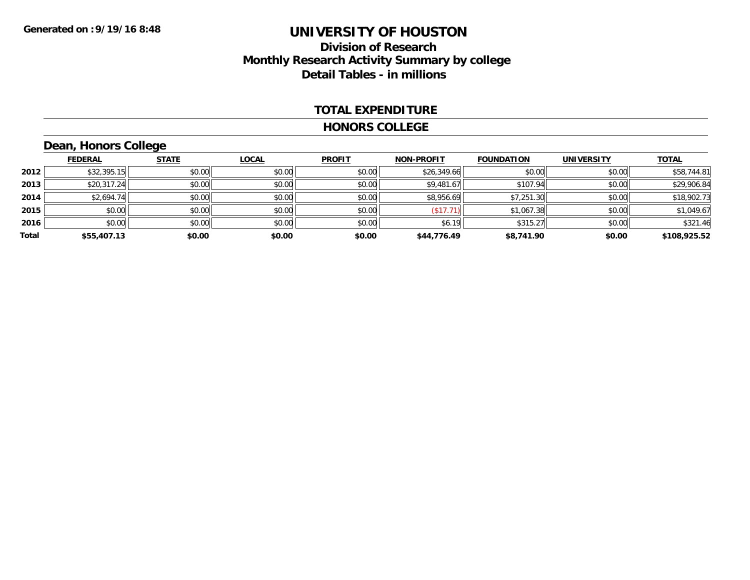### **Division of Research Monthly Research Activity Summary by college Detail Tables - in millions**

#### **TOTAL EXPENDITURE**

#### **HONORS COLLEGE**

## **Dean, Honors College**

|       | <b>FEDERAL</b> | <b>STATE</b> | <b>LOCAL</b> | <b>PROFIT</b> | <b>NON-PROFIT</b> | <b>FOUNDATION</b> | <b>UNIVERSITY</b> | <b>TOTAL</b> |
|-------|----------------|--------------|--------------|---------------|-------------------|-------------------|-------------------|--------------|
| 2012  | \$32,395.15    | \$0.00       | \$0.00       | \$0.00        | \$26,349.66       | \$0.00            | \$0.00            | \$58,744.81  |
| 2013  | \$20,317.24    | \$0.00       | \$0.00       | \$0.00        | \$9,481.67        | \$107.94          | \$0.00            | \$29,906.84  |
| 2014  | \$2,694.74     | \$0.00       | \$0.00       | \$0.00        | \$8,956.69        | \$7,251.30        | \$0.00            | \$18,902.73  |
| 2015  | \$0.00         | \$0.00       | \$0.00       | \$0.00        | (\$17.71)         | \$1,067.38        | \$0.00            | \$1,049.67   |
| 2016  | \$0.00         | \$0.00       | \$0.00       | \$0.00        | \$6.19            | \$315.27          | \$0.00            | \$321.46     |
| Total | \$55,407.13    | \$0.00       | \$0.00       | \$0.00        | \$44,776.49       | \$8,741.90        | \$0.00            | \$108,925.52 |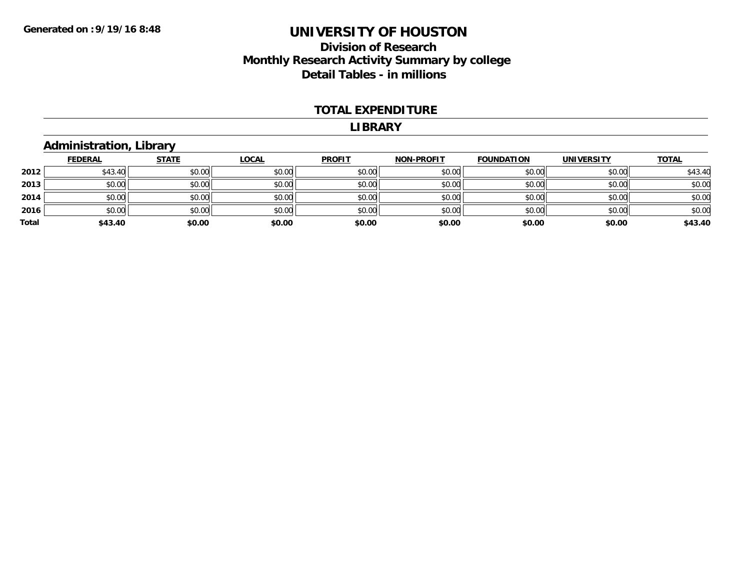### **Division of Research Monthly Research Activity Summary by college Detail Tables - in millions**

#### **TOTAL EXPENDITURE**

#### **LIBRARY**

# **Administration, Library**

|       | <u>FEDERAL</u> | <u>STATE</u> | <b>LOCAL</b> | <b>PROFIT</b> | <b>NON-PROFIT</b> | <b>FOUNDATION</b> | <b>UNIVERSITY</b> | <b>TOTAL</b> |
|-------|----------------|--------------|--------------|---------------|-------------------|-------------------|-------------------|--------------|
| 2012  | \$43.40        | \$0.00       | \$0.00       | \$0.00        | \$0.00            | \$0.00            | \$0.00            | \$43.40      |
| 2013  | \$0.00         | \$0.00       | \$0.00       | \$0.00        | \$0.00            | \$0.00            | \$0.00            | \$0.00       |
| 2014  | \$0.00         | \$0.00       | \$0.00       | \$0.00        | \$0.00            | \$0.00            | \$0.00            | \$0.00       |
| 2016  | \$0.00         | \$0.00       | \$0.00       | \$0.00        | \$0.00            | \$0.00            | \$0.00            | \$0.00       |
| Total | \$43.40        | \$0.00       | \$0.00       | \$0.00        | \$0.00            | \$0.00            | \$0.00            | \$43.40      |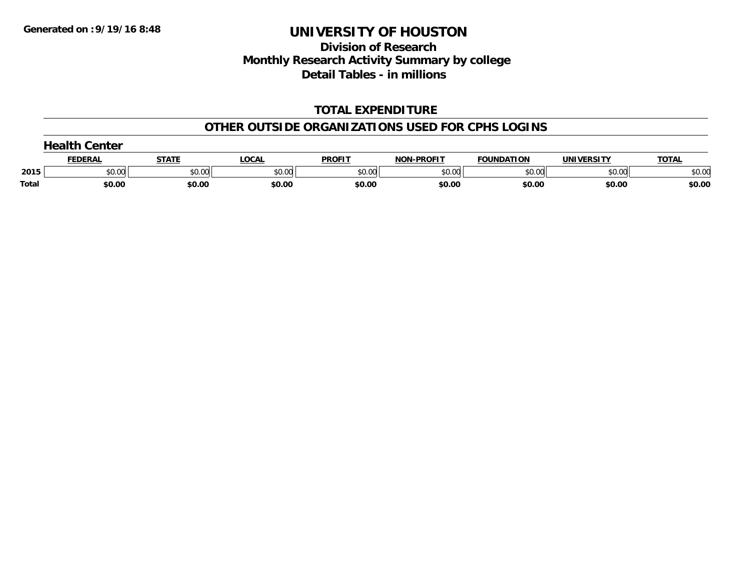### **Division of Research Monthly Research Activity Summary by college Detail Tables - in millions**

### **TOTAL EXPENDITURE**

#### **OTHER OUTSIDE ORGANIZATIONS USED FOR CPHS LOGINS**

|       | $\sim$<br>Center |        |        |               |                   |                   |            |              |  |
|-------|------------------|--------|--------|---------------|-------------------|-------------------|------------|--------------|--|
|       | FEDERAL          | STATE  | LOCAL  | <b>PROFIT</b> | <b>NON-PROFIT</b> | <b>FOUNDATION</b> | UNIVERSITY | <b>TOTAL</b> |  |
| 2015  | \$0.00           | \$0.00 | \$0.00 | \$0.00        | \$0.00            | \$0.00            | \$0.00     | \$0.00       |  |
| Total | \$0.00           | \$0.00 | \$0.00 | \$0.00        | \$0.00            | \$0.00            | \$0.00     | \$0.00       |  |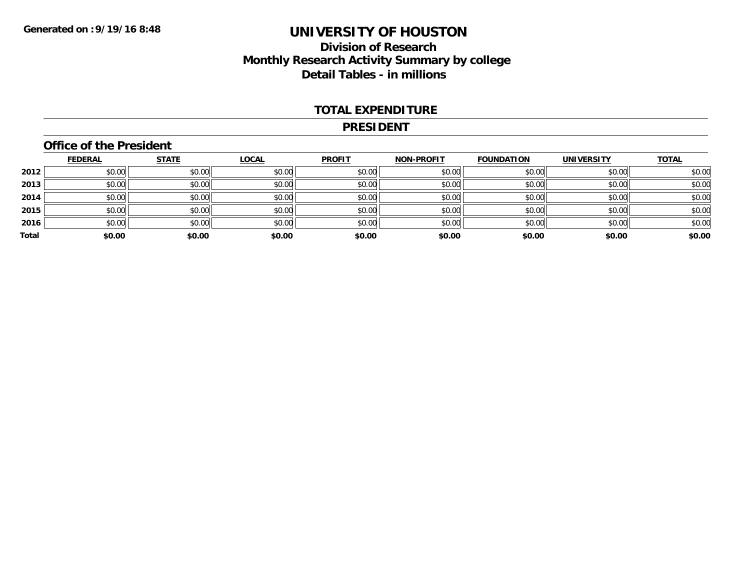### **Division of Research Monthly Research Activity Summary by college Detail Tables - in millions**

#### **TOTAL EXPENDITURE**

#### **PRESIDENT**

#### **Office of the President**

|       | <b>FEDERAL</b> | <b>STATE</b> | <b>LOCAL</b> | <b>PROFIT</b> | <b>NON-PROFIT</b> | <b>FOUNDATION</b> | <b>UNIVERSITY</b> | <b>TOTAL</b> |
|-------|----------------|--------------|--------------|---------------|-------------------|-------------------|-------------------|--------------|
| 2012  | \$0.00         | \$0.00       | \$0.00       | \$0.00        | \$0.00            | \$0.00            | \$0.00            | \$0.00       |
| 2013  | \$0.00         | \$0.00       | \$0.00       | \$0.00        | \$0.00            | \$0.00            | \$0.00            | \$0.00       |
| 2014  | \$0.00         | \$0.00       | \$0.00       | \$0.00        | \$0.00            | \$0.00            | \$0.00            | \$0.00       |
| 2015  | \$0.00         | \$0.00       | \$0.00       | \$0.00        | \$0.00            | \$0.00            | \$0.00            | \$0.00       |
| 2016  | \$0.00         | \$0.00       | \$0.00       | \$0.00        | \$0.00            | \$0.00            | \$0.00            | \$0.00       |
| Total | \$0.00         | \$0.00       | \$0.00       | \$0.00        | \$0.00            | \$0.00            | \$0.00            | \$0.00       |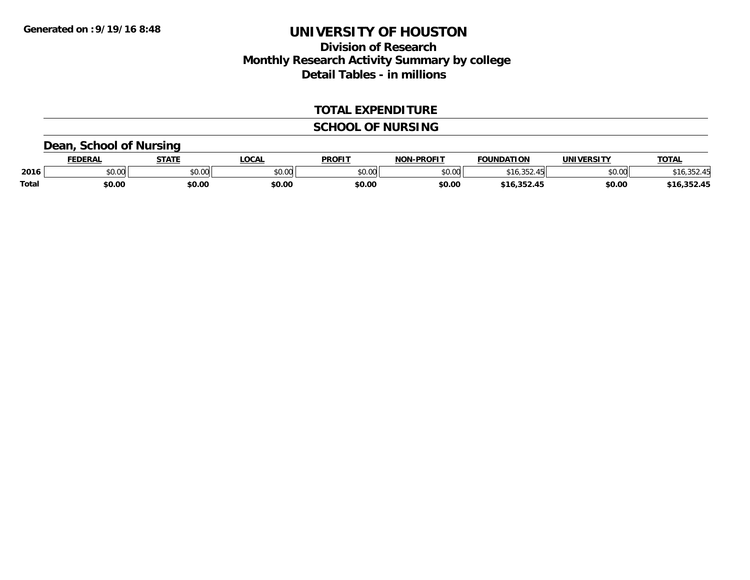### **Division of Research Monthly Research Activity Summary by college Detail Tables - in millions**

#### **TOTAL EXPENDITURE**

#### **SCHOOL OF NURSING**

### **Dean, School of Nursing**

|              | <b>FEDERAL</b>        | <b>CTATE</b>  | <b>OCAL</b> | <b>PROFIT</b> | <b>LPROFIT</b><br><b>MOR</b> | <b>FOUNDATION</b> | <b>'INIVEDSITY</b>                | <b>TOTAL</b> |
|--------------|-----------------------|---------------|-------------|---------------|------------------------------|-------------------|-----------------------------------|--------------|
| 2016         | $\sim$ $\sim$<br>ט.טע | 0.00<br>JU.UU | \$0.00      | 0000<br>JU.UU | 0000<br>o.uu                 | 10.352.45         | $\uparrow$ $\cap$ $\cap$<br>DU.UU |              |
| <b>Total</b> | \$0.00                | \$0.00        | \$0.00      | \$0.00        | \$0.00                       |                   | \$0.00                            | 35245        |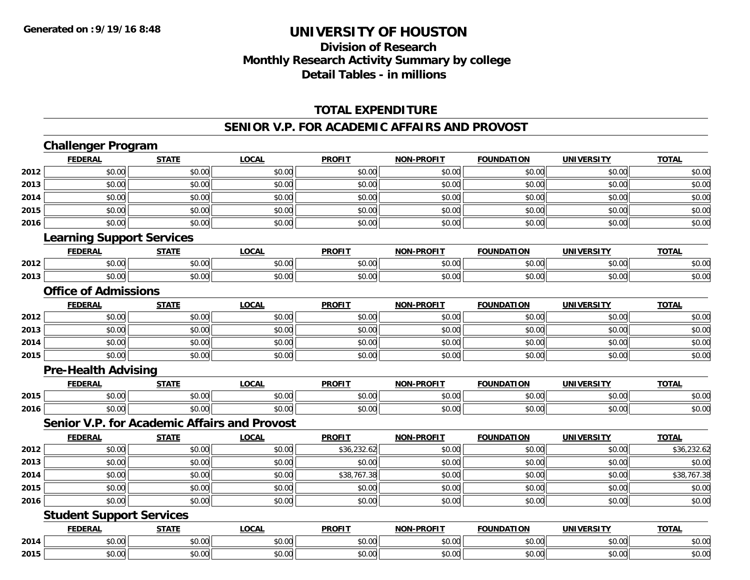## **Division of ResearchMonthly Research Activity Summary by college Detail Tables - in millions**

#### **TOTAL EXPENDITURE**

#### **SENIOR V.P. FOR ACADEMIC AFFAIRS AND PROVOST**

|      | <b>Challenger Program</b>                    |              |              |               |                   |                   |                   |              |
|------|----------------------------------------------|--------------|--------------|---------------|-------------------|-------------------|-------------------|--------------|
|      | <b>FEDERAL</b>                               | <b>STATE</b> | <b>LOCAL</b> | <b>PROFIT</b> | <b>NON-PROFIT</b> | <b>FOUNDATION</b> | <b>UNIVERSITY</b> | <b>TOTAL</b> |
| 2012 | \$0.00                                       | \$0.00       | \$0.00       | \$0.00        | \$0.00            | \$0.00            | \$0.00            | \$0.00       |
| 2013 | \$0.00                                       | \$0.00       | \$0.00       | \$0.00        | \$0.00            | \$0.00            | \$0.00            | \$0.00       |
| 2014 | \$0.00                                       | \$0.00       | \$0.00       | \$0.00        | \$0.00            | \$0.00            | \$0.00            | \$0.00       |
| 2015 | \$0.00                                       | \$0.00       | \$0.00       | \$0.00        | \$0.00            | \$0.00            | \$0.00            | \$0.00       |
| 2016 | \$0.00                                       | \$0.00       | \$0.00       | \$0.00        | \$0.00            | \$0.00            | \$0.00            | \$0.00       |
|      | <b>Learning Support Services</b>             |              |              |               |                   |                   |                   |              |
|      | <b>FEDERAL</b>                               | <b>STATE</b> | <b>LOCAL</b> | <b>PROFIT</b> | <b>NON-PROFIT</b> | <b>FOUNDATION</b> | <b>UNIVERSITY</b> | <b>TOTAL</b> |
| 2012 | \$0.00                                       | \$0.00       | \$0.00       | \$0.00        | \$0.00            | \$0.00            | \$0.00            | \$0.00       |
| 2013 | \$0.00                                       | \$0.00       | \$0.00       | \$0.00        | \$0.00            | \$0.00            | \$0.00            | \$0.00       |
|      | <b>Office of Admissions</b>                  |              |              |               |                   |                   |                   |              |
|      | <b>FEDERAL</b>                               | <b>STATE</b> | <b>LOCAL</b> | <b>PROFIT</b> | <b>NON-PROFIT</b> | <b>FOUNDATION</b> | <b>UNIVERSITY</b> | <b>TOTAL</b> |
| 2012 | \$0.00                                       | \$0.00       | \$0.00       | \$0.00        | \$0.00            | \$0.00            | \$0.00            | \$0.00       |
| 2013 | \$0.00                                       | \$0.00       | \$0.00       | \$0.00        | \$0.00            | \$0.00            | \$0.00            | \$0.00       |
| 2014 | \$0.00                                       | \$0.00       | \$0.00       | \$0.00        | \$0.00            | \$0.00            | \$0.00            | \$0.00       |
| 2015 | \$0.00                                       | \$0.00       | \$0.00       | \$0.00        | \$0.00            | \$0.00            | \$0.00            | \$0.00       |
|      | <b>Pre-Health Advising</b>                   |              |              |               |                   |                   |                   |              |
|      | <b>FEDERAL</b>                               | <b>STATE</b> | <b>LOCAL</b> | <b>PROFIT</b> | <b>NON-PROFIT</b> | <b>FOUNDATION</b> | <b>UNIVERSITY</b> | <b>TOTAL</b> |
| 2015 | \$0.00                                       | \$0.00       | \$0.00       | \$0.00        | \$0.00            | \$0.00            | \$0.00            | \$0.00       |
| 2016 | \$0.00                                       | \$0.00       | \$0.00       | \$0.00        | \$0.00            | \$0.00            | \$0.00            | \$0.00       |
|      | Senior V.P. for Academic Affairs and Provost |              |              |               |                   |                   |                   |              |
|      | <b>FEDERAL</b>                               | <b>STATE</b> | <b>LOCAL</b> | <b>PROFIT</b> | <b>NON-PROFIT</b> | <b>FOUNDATION</b> | <b>UNIVERSITY</b> | <b>TOTAL</b> |
| 2012 | \$0.00                                       | \$0.00       | \$0.00       | \$36,232.62   | \$0.00            | \$0.00            | \$0.00            | \$36,232.62  |
| 2013 | \$0.00                                       | \$0.00       | \$0.00       | \$0.00        | \$0.00            | \$0.00            | \$0.00            | \$0.00       |
| 2014 | \$0.00                                       | \$0.00       | \$0.00       | \$38,767.38   | \$0.00            | \$0.00            | \$0.00            | \$38,767.38  |
| 2015 | \$0.00                                       | \$0.00       | \$0.00       | \$0.00        | \$0.00            | \$0.00            | \$0.00            | \$0.00       |
| 2016 | \$0.00                                       | \$0.00       | \$0.00       | \$0.00        | \$0.00            | \$0.00            | \$0.00            | \$0.00       |
|      | <b>Student Support Services</b>              |              |              |               |                   |                   |                   |              |
|      | <b>FEDERAL</b>                               | <b>STATE</b> | <b>LOCAL</b> | <b>PROFIT</b> | <b>NON-PROFIT</b> | <b>FOUNDATION</b> | <b>UNIVERSITY</b> | <b>TOTAL</b> |
| 2014 | \$0.00                                       | \$0.00       | \$0.00       | \$0.00        | \$0.00            | \$0.00            | \$0.00            | \$0.00       |
| 2015 | \$0.00                                       | \$0.00       | \$0.00       | \$0.00        | \$0.00            | \$0.00            | \$0.00            | \$0.00       |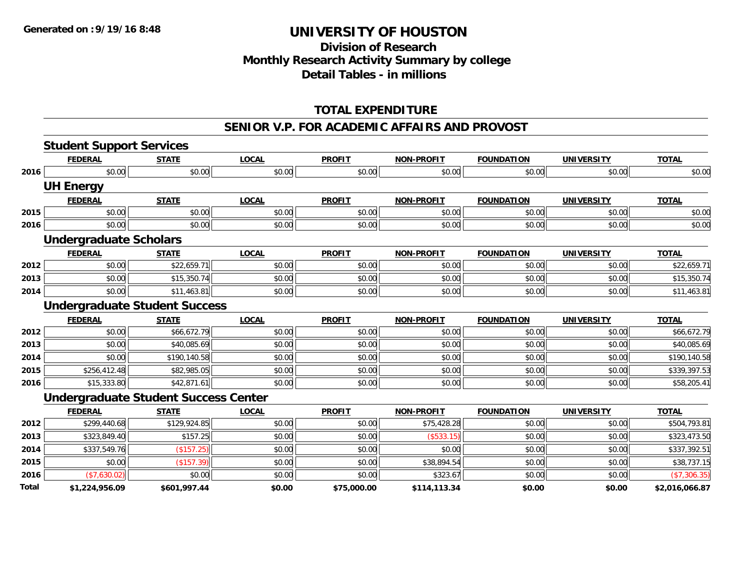### **Division of Research Monthly Research Activity Summary by college Detail Tables - in millions**

### **TOTAL EXPENDITURE**

#### **SENIOR V.P. FOR ACADEMIC AFFAIRS AND PROVOST**

|       | <b>Student Support Services</b>             |              |              |               |                   |                   |                   |                |
|-------|---------------------------------------------|--------------|--------------|---------------|-------------------|-------------------|-------------------|----------------|
|       | <b>FEDERAL</b>                              | <b>STATE</b> | <b>LOCAL</b> | <b>PROFIT</b> | <b>NON-PROFIT</b> | <b>FOUNDATION</b> | <b>UNIVERSITY</b> | <b>TOTAL</b>   |
| 2016  | \$0.00                                      | \$0.00       | \$0.00       | \$0.00        | \$0.00            | \$0.00            | \$0.00            | \$0.00         |
|       | <b>UH Energy</b>                            |              |              |               |                   |                   |                   |                |
|       | <b>FEDERAL</b>                              | <b>STATE</b> | <b>LOCAL</b> | <b>PROFIT</b> | <b>NON-PROFIT</b> | <b>FOUNDATION</b> | <b>UNIVERSITY</b> | <b>TOTAL</b>   |
| 2015  | \$0.00                                      | \$0.00       | \$0.00       | \$0.00        | \$0.00            | \$0.00            | \$0.00            | \$0.00         |
| 2016  | \$0.00                                      | \$0.00       | \$0.00       | \$0.00        | \$0.00            | \$0.00            | \$0.00            | \$0.00         |
|       | <b>Undergraduate Scholars</b>               |              |              |               |                   |                   |                   |                |
|       | <b>FEDERAL</b>                              | <b>STATE</b> | <b>LOCAL</b> | <b>PROFIT</b> | <b>NON-PROFIT</b> | <b>FOUNDATION</b> | <b>UNIVERSITY</b> | <b>TOTAL</b>   |
| 2012  | \$0.00                                      | \$22,659.71  | \$0.00       | \$0.00        | \$0.00            | \$0.00            | \$0.00            | \$22,659.71    |
| 2013  | \$0.00                                      | \$15,350.74  | \$0.00       | \$0.00        | \$0.00            | \$0.00            | \$0.00            | \$15,350.74    |
| 2014  | \$0.00                                      | \$11,463.81  | \$0.00       | \$0.00        | \$0.00            | \$0.00            | \$0.00            | \$11,463.81    |
|       | <b>Undergraduate Student Success</b>        |              |              |               |                   |                   |                   |                |
|       | <b>FEDERAL</b>                              | <b>STATE</b> | <b>LOCAL</b> | <b>PROFIT</b> | <b>NON-PROFIT</b> | <b>FOUNDATION</b> | <b>UNIVERSITY</b> | <b>TOTAL</b>   |
| 2012  | \$0.00                                      | \$66,672.79  | \$0.00       | \$0.00        | \$0.00            | \$0.00            | \$0.00            | \$66,672.79    |
| 2013  | \$0.00                                      | \$40,085.69  | \$0.00       | \$0.00        | \$0.00            | \$0.00            | \$0.00            | \$40,085.69    |
| 2014  | \$0.00                                      | \$190,140.58 | \$0.00       | \$0.00        | \$0.00            | \$0.00            | \$0.00            | \$190,140.58   |
| 2015  | \$256,412.48                                | \$82,985.05  | \$0.00       | \$0.00        | \$0.00            | \$0.00            | \$0.00            | \$339,397.53   |
| 2016  | \$15,333.80                                 | \$42,871.61  | \$0.00       | \$0.00        | \$0.00            | \$0.00            | \$0.00            | \$58,205.41    |
|       | <b>Undergraduate Student Success Center</b> |              |              |               |                   |                   |                   |                |
|       | <b>FEDERAL</b>                              | <b>STATE</b> | <b>LOCAL</b> | <b>PROFIT</b> | <b>NON-PROFIT</b> | <b>FOUNDATION</b> | <b>UNIVERSITY</b> | <b>TOTAL</b>   |
| 2012  | \$299,440.68                                | \$129,924.85 | \$0.00       | \$0.00        | \$75,428.28       | \$0.00            | \$0.00            | \$504,793.81   |
| 2013  | \$323,849.40                                | \$157.25     | \$0.00       | \$0.00        | (\$533.15)        | \$0.00            | \$0.00            | \$323,473.50   |
| 2014  | \$337,549.76                                | (\$157.25)   | \$0.00       | \$0.00        | \$0.00            | \$0.00            | \$0.00            | \$337,392.51   |
| 2015  | \$0.00                                      | (\$157.39)   | \$0.00       | \$0.00        | \$38,894.54       | \$0.00            | \$0.00            | \$38,737.15    |
| 2016  | (\$7,630.02)                                | \$0.00       | \$0.00       | \$0.00        | \$323.67          | \$0.00            | \$0.00            | (\$7,306.35)   |
| Total | \$1,224,956.09                              | \$601,997.44 | \$0.00       | \$75,000.00   | \$114,113.34      | \$0.00            | \$0.00            | \$2,016,066.87 |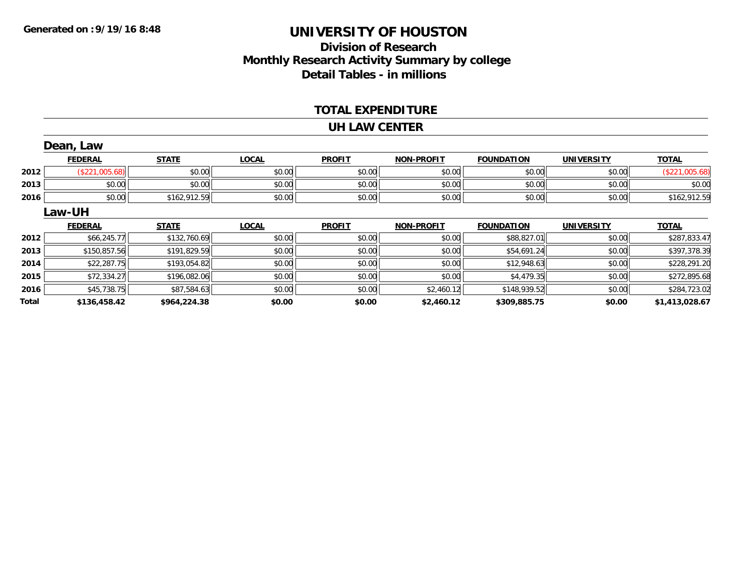### **Division of Research Monthly Research Activity Summary by college Detail Tables - in millions**

#### **TOTAL EXPENDITURE**

#### **UH LAW CENTER**

|       | Dean, Law      |              |              |               |                   |                   |                   |                |
|-------|----------------|--------------|--------------|---------------|-------------------|-------------------|-------------------|----------------|
|       | <b>FEDERAL</b> | <b>STATE</b> | <b>LOCAL</b> | <b>PROFIT</b> | <b>NON-PROFIT</b> | <b>FOUNDATION</b> | <b>UNIVERSITY</b> | <b>TOTAL</b>   |
| 2012  | (\$221,005.68) | \$0.00       | \$0.00       | \$0.00        | \$0.00            | \$0.00            | \$0.00            | (\$221,005.68) |
| 2013  | \$0.00         | \$0.00       | \$0.00       | \$0.00        | \$0.00            | \$0.00            | \$0.00            | \$0.00         |
| 2016  | \$0.00         | \$162,912.59 | \$0.00       | \$0.00        | \$0.00            | \$0.00            | \$0.00            | \$162,912.59   |
|       | Law-UH         |              |              |               |                   |                   |                   |                |
|       | <b>FEDERAL</b> | <b>STATE</b> | <b>LOCAL</b> | <b>PROFIT</b> | <b>NON-PROFIT</b> | <b>FOUNDATION</b> | <b>UNIVERSITY</b> | <b>TOTAL</b>   |
| 2012  | \$66,245.77    | \$132,760.69 | \$0.00       | \$0.00        | \$0.00            | \$88,827.01       | \$0.00            | \$287,833.47   |
| 2013  | \$150,857.56   | \$191,829.59 | \$0.00       | \$0.00        | \$0.00            | \$54,691.24       | \$0.00            | \$397,378.39   |
| 2014  | \$22,287.75    | \$193,054.82 | \$0.00       | \$0.00        | \$0.00            | \$12,948.63       | \$0.00            | \$228,291.20   |
| 2015  | \$72,334.27    | \$196,082.06 | \$0.00       | \$0.00        | \$0.00            | \$4,479.35        | \$0.00            | \$272,895.68   |
| 2016  | \$45,738.75    | \$87,584.63  | \$0.00       | \$0.00        | \$2,460.12        | \$148,939.52      | \$0.00            | \$284,723.02   |
| Total | \$136,458.42   | \$964,224.38 | \$0.00       | \$0.00        | \$2,460.12        | \$309,885.75      | \$0.00            | \$1,413,028.67 |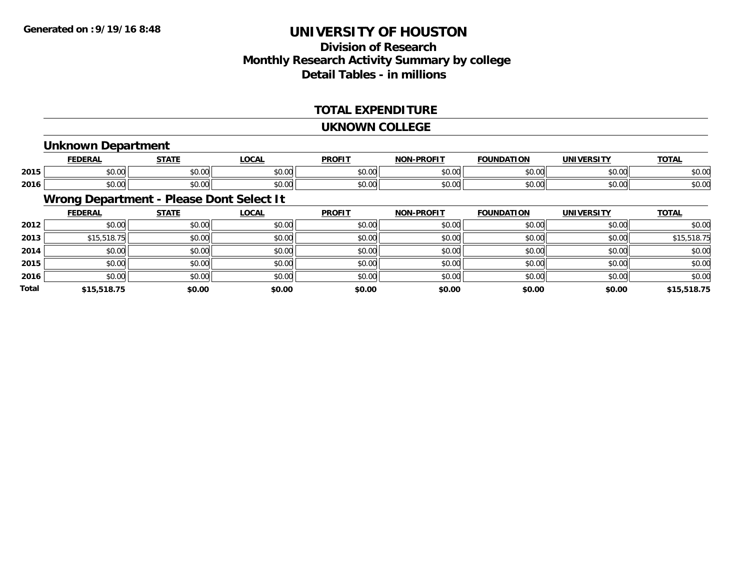### **Division of ResearchMonthly Research Activity Summary by college Detail Tables - in millions**

#### **TOTAL EXPENDITURE**

#### **UKNOWN COLLEGE**

#### **Unknown Department**

|      | <b>FFBFBA</b>                  | $- - - -$                                             | 001<br>้บนค            | <b>DDOEI</b>           | <b>DDAFIT</b><br>ורו | חחו           | IN    | <b>TOTA</b><br>. . |
|------|--------------------------------|-------------------------------------------------------|------------------------|------------------------|----------------------|---------------|-------|--------------------|
| 2015 | $\sim$<br>ט.ט                  | $\sim$ $\sim$<br>JU.UU                                | 0000<br>PU.UU          | 0 <sub>n</sub><br>JU.U | ტი იი<br>vu.ou       | $\sim$ $\sim$ | 60.00 | $\sim$ 00<br>DU.UU |
| 2016 | $\mathbf{A} \mathbf{A}$<br>ט.ט | $\mathsf{A} \cap \mathsf{A} \cap \mathsf{A}$<br>vv.vv | $n \cap \neg$<br>JU.UU | 0 <sub>n</sub><br>JU.U | 0000<br>vv.vv        | $\sim$ 00     | 40.00 | ሶስ ሰሰ<br>DU.UU     |

### **Wrong Department - Please Dont Select It**

|              | <b>FEDERAL</b> | <b>STATE</b> | <b>LOCAL</b> | <b>PROFIT</b> | <b>NON-PROFIT</b> | <b>FOUNDATION</b> | <b>UNIVERSITY</b> | <b>TOTAL</b> |
|--------------|----------------|--------------|--------------|---------------|-------------------|-------------------|-------------------|--------------|
| 2012         | \$0.00         | \$0.00       | \$0.00       | \$0.00        | \$0.00            | \$0.00            | \$0.00            | \$0.00       |
| 2013         | \$15,518.75    | \$0.00       | \$0.00       | \$0.00        | \$0.00            | \$0.00            | \$0.00            | \$15,518.75  |
| 2014         | \$0.00         | \$0.00       | \$0.00       | \$0.00        | \$0.00            | \$0.00            | \$0.00            | \$0.00       |
| 2015         | \$0.00         | \$0.00       | \$0.00       | \$0.00        | \$0.00            | \$0.00            | \$0.00            | \$0.00       |
| 2016         | \$0.00         | \$0.00       | \$0.00       | \$0.00        | \$0.00            | \$0.00            | \$0.00            | \$0.00       |
| <b>Total</b> | \$15,518.75    | \$0.00       | \$0.00       | \$0.00        | \$0.00            | \$0.00            | \$0.00            | \$15,518.75  |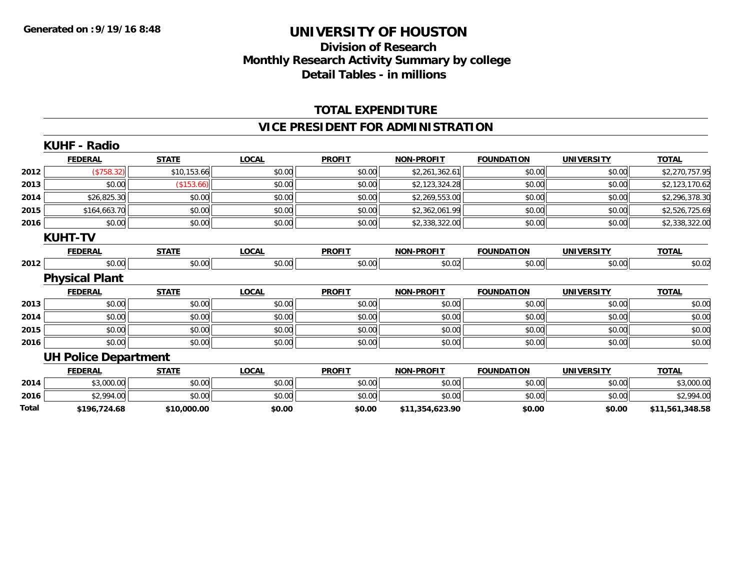## **Division of Research Monthly Research Activity Summary by college Detail Tables - in millions**

### **TOTAL EXPENDITURE**

### **VICE PRESIDENT FOR ADMINISTRATION**

|       | <b>KUHF - Radio</b>         |              |              |               |                   |                   |                   |                 |
|-------|-----------------------------|--------------|--------------|---------------|-------------------|-------------------|-------------------|-----------------|
|       | <b>FEDERAL</b>              | <b>STATE</b> | <b>LOCAL</b> | <b>PROFIT</b> | <b>NON-PROFIT</b> | <b>FOUNDATION</b> | <b>UNIVERSITY</b> | <b>TOTAL</b>    |
| 2012  | (\$758.32)                  | \$10,153.66  | \$0.00       | \$0.00        | \$2,261,362.61    | \$0.00            | \$0.00            | \$2,270,757.95  |
| 2013  | \$0.00                      | (\$153.66)   | \$0.00       | \$0.00        | \$2,123,324.28    | \$0.00            | \$0.00            | \$2,123,170.62  |
| 2014  | \$26,825.30                 | \$0.00       | \$0.00       | \$0.00        | \$2,269,553.00    | \$0.00            | \$0.00            | \$2,296,378.30  |
| 2015  | \$164,663.70                | \$0.00       | \$0.00       | \$0.00        | \$2,362,061.99    | \$0.00            | \$0.00            | \$2,526,725.69  |
| 2016  | \$0.00                      | \$0.00       | \$0.00       | \$0.00        | \$2,338,322.00    | \$0.00            | \$0.00            | \$2,338,322.00  |
|       | <b>KUHT-TV</b>              |              |              |               |                   |                   |                   |                 |
|       | <b>FEDERAL</b>              | <b>STATE</b> | <b>LOCAL</b> | <b>PROFIT</b> | <b>NON-PROFIT</b> | <b>FOUNDATION</b> | <b>UNIVERSITY</b> | <b>TOTAL</b>    |
| 2012  | \$0.00                      | \$0.00       | \$0.00       | \$0.00        | \$0.02            | \$0.00            | \$0.00            | \$0.02          |
|       | <b>Physical Plant</b>       |              |              |               |                   |                   |                   |                 |
|       | <b>FEDERAL</b>              | <b>STATE</b> | <b>LOCAL</b> | <b>PROFIT</b> | <b>NON-PROFIT</b> | <b>FOUNDATION</b> | <b>UNIVERSITY</b> | <b>TOTAL</b>    |
| 2013  | \$0.00                      | \$0.00       | \$0.00       | \$0.00        | \$0.00            | \$0.00            | \$0.00            | \$0.00          |
| 2014  | \$0.00                      | \$0.00       | \$0.00       | \$0.00        | \$0.00            | \$0.00            | \$0.00            | \$0.00          |
| 2015  | \$0.00                      | \$0.00       | \$0.00       | \$0.00        | \$0.00            | \$0.00            | \$0.00            | \$0.00          |
| 2016  | \$0.00                      | \$0.00       | \$0.00       | \$0.00        | \$0.00            | \$0.00            | \$0.00            | \$0.00          |
|       | <b>UH Police Department</b> |              |              |               |                   |                   |                   |                 |
|       | <b>FEDERAL</b>              | <b>STATE</b> | <b>LOCAL</b> | <b>PROFIT</b> | <b>NON-PROFIT</b> | <b>FOUNDATION</b> | <b>UNIVERSITY</b> | <b>TOTAL</b>    |
| 2014  | \$3,000.00                  | \$0.00       | \$0.00       | \$0.00        | \$0.00            | \$0.00            | \$0.00            | \$3,000.00      |
| 2016  | \$2,994.00                  | \$0.00       | \$0.00       | \$0.00        | \$0.00            | \$0.00            | \$0.00            | \$2,994.00      |
| Total | \$196,724.68                | \$10,000.00  | \$0.00       | \$0.00        | \$11,354,623.90   | \$0.00            | \$0.00            | \$11,561,348.58 |
|       |                             |              |              |               |                   |                   |                   |                 |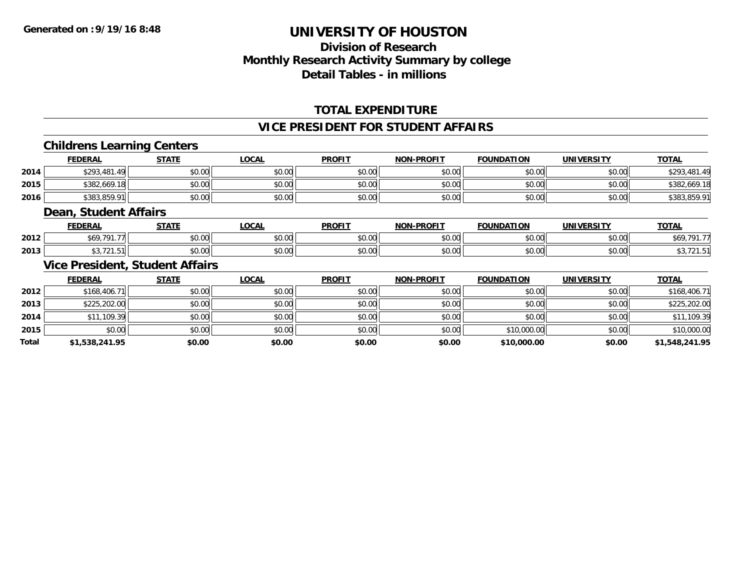## **Division of ResearchMonthly Research Activity Summary by college Detail Tables - in millions**

### **TOTAL EXPENDITURE**

#### **VICE PRESIDENT FOR STUDENT AFFAIRS**

#### **Childrens Learning Centers**

|      | <b>FEDERAL</b> | <b>STATE</b> | <u>LOCAL</u> | <b>PROFIT</b>         | <b>NON-PROFIT</b> | <b>FOUNDATION</b> | UNIVERSITY | <b>TOTAL</b> |
|------|----------------|--------------|--------------|-----------------------|-------------------|-------------------|------------|--------------|
| 2014 | \$293,481.49   | \$0.00       | \$0.00       | \$0.00                | \$0.00            | \$0.00            | \$0.00     | \$293.       |
| 2015 | \$382,669.18   | \$0.00       | \$0.00       | <b>AO OO</b><br>JU.UU | \$0.00            | \$0.00            | \$0.00     | \$382,669.18 |
| 2016 | \$383,859.91   | \$0.00       | \$0.00       | \$0.00                | \$0.00            | \$0.00            | \$0.00     | \$383,859.91 |

#### **Dean, Student Affairs**

|      | <b>FEDERAL</b> | <b>CTATE</b><br>,,,,   | <b>LOCAL</b> | <b>PROFIT</b>           | -PROFIT<br>NON | <b>FOUNDATION</b>       | UNIVERSITY | <b>TOTAL</b>      |
|------|----------------|------------------------|--------------|-------------------------|----------------|-------------------------|------------|-------------------|
| 2012 | $+60,701$ $-$  | $\sim$ $\sim$<br>vu.vu | \$0.00       | 0 <sub>n</sub><br>JU.UL | 0000<br>vv.vv  | $n \cap \Omega$<br>u.uu | \$0.00     | <b>CAO 701 7-</b> |
| 2013 |                | $\cdots$<br>JU.UU      | \$0.00       | 0000<br>JU.UL           | 0000<br>vu.vu  | to oo                   | \$0.00     |                   |

#### **Vice President, Student Affairs**

|              | <b>FEDERAL</b> | <b>STATE</b> | <u>LOCAL</u> | <b>PROFIT</b> | <b>NON-PROFIT</b> | <b>FOUNDATION</b> | <b>UNIVERSITY</b> | <b>TOTAL</b>   |
|--------------|----------------|--------------|--------------|---------------|-------------------|-------------------|-------------------|----------------|
| 2012         | \$168,406.71   | \$0.00       | \$0.00       | \$0.00        | \$0.00            | \$0.00            | \$0.00            | \$168,406.71   |
| 2013         | \$225,202.00   | \$0.00       | \$0.00       | \$0.00        | \$0.00            | \$0.00            | \$0.00            | \$225,202.00   |
| 2014         | \$11,109.39    | \$0.00       | \$0.00       | \$0.00        | \$0.00            | \$0.00            | \$0.00            | \$11,109.39    |
| 2015         | \$0.00         | \$0.00       | \$0.00       | \$0.00        | \$0.00            | \$10,000.00       | \$0.00            | \$10,000.00    |
| <b>Total</b> | \$1,538,241.95 | \$0.00       | \$0.00       | \$0.00        | \$0.00            | \$10,000.00       | \$0.00            | \$1,548,241.95 |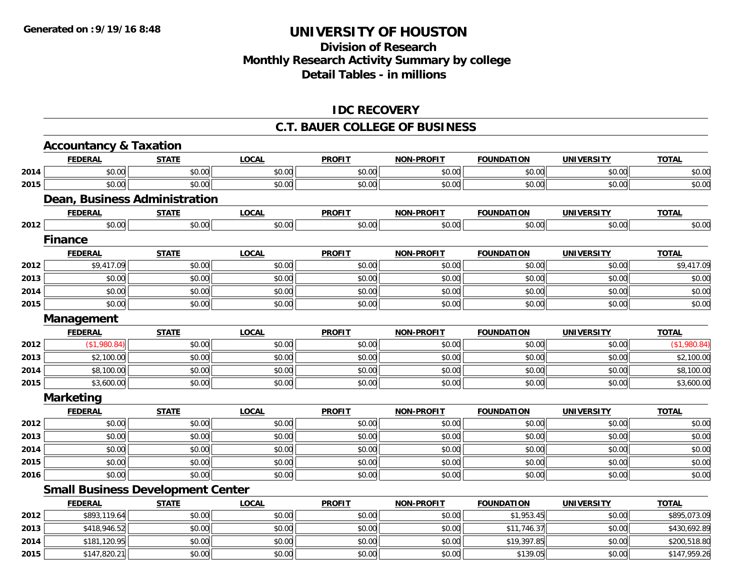## **Division of ResearchMonthly Research Activity Summary by college Detail Tables - in millions**

### **IDC RECOVERY**

#### **C.T. BAUER COLLEGE OF BUSINESS**

|      | <b>Accountancy &amp; Taxation</b>        |              |              |               |                   |                   |                   |              |
|------|------------------------------------------|--------------|--------------|---------------|-------------------|-------------------|-------------------|--------------|
|      | <b>FEDERAL</b>                           | <b>STATE</b> | <b>LOCAL</b> | <b>PROFIT</b> | <b>NON-PROFIT</b> | <b>FOUNDATION</b> | <b>UNIVERSITY</b> | <b>TOTAL</b> |
| 2014 | \$0.00                                   | \$0.00       | \$0.00       | \$0.00        | \$0.00            | \$0.00            | \$0.00            | \$0.00       |
| 2015 | \$0.00                                   | \$0.00       | \$0.00       | \$0.00        | \$0.00            | \$0.00            | \$0.00            | \$0.00       |
|      | Dean, Business Administration            |              |              |               |                   |                   |                   |              |
|      | <b>FEDERAL</b>                           | <b>STATE</b> | <b>LOCAL</b> | <b>PROFIT</b> | <b>NON-PROFIT</b> | <b>FOUNDATION</b> | <b>UNIVERSITY</b> | <b>TOTAL</b> |
| 2012 | \$0.00                                   | \$0.00       | \$0.00       | \$0.00        | \$0.00            | \$0.00            | \$0.00            | \$0.00       |
|      | <b>Finance</b>                           |              |              |               |                   |                   |                   |              |
|      | <b>FEDERAL</b>                           | <b>STATE</b> | <b>LOCAL</b> | <b>PROFIT</b> | <b>NON-PROFIT</b> | <b>FOUNDATION</b> | <b>UNIVERSITY</b> | <b>TOTAL</b> |
| 2012 | \$9,417.09                               | \$0.00       | \$0.00       | \$0.00        | \$0.00            | \$0.00            | \$0.00            | \$9,417.09   |
| 2013 | \$0.00                                   | \$0.00       | \$0.00       | \$0.00        | \$0.00            | \$0.00            | \$0.00            | \$0.00       |
| 2014 | \$0.00                                   | \$0.00       | \$0.00       | \$0.00        | \$0.00            | \$0.00            | \$0.00            | \$0.00       |
| 2015 | \$0.00                                   | \$0.00       | \$0.00       | \$0.00        | \$0.00            | \$0.00            | \$0.00            | \$0.00       |
|      | Management                               |              |              |               |                   |                   |                   |              |
|      | <b>FEDERAL</b>                           | <b>STATE</b> | <b>LOCAL</b> | <b>PROFIT</b> | <b>NON-PROFIT</b> | <b>FOUNDATION</b> | <b>UNIVERSITY</b> | <b>TOTAL</b> |
| 2012 | (\$1,980.84)                             | \$0.00       | \$0.00       | \$0.00        | \$0.00            | \$0.00            | \$0.00            | (\$1,980.84) |
| 2013 | \$2,100.00                               | \$0.00       | \$0.00       | \$0.00        | \$0.00            | \$0.00            | \$0.00            | \$2,100.00   |
| 2014 | \$8,100.00                               | \$0.00       | \$0.00       | \$0.00        | \$0.00            | \$0.00            | \$0.00            | \$8,100.00   |
| 2015 | \$3,600.00                               | \$0.00       | \$0.00       | \$0.00        | \$0.00            | \$0.00            | \$0.00            | \$3,600.00   |
|      | <b>Marketing</b>                         |              |              |               |                   |                   |                   |              |
|      | <b>FEDERAL</b>                           | <b>STATE</b> | <b>LOCAL</b> | <b>PROFIT</b> | <b>NON-PROFIT</b> | <b>FOUNDATION</b> | <b>UNIVERSITY</b> | <b>TOTAL</b> |
| 2012 | \$0.00                                   | \$0.00       | \$0.00       | \$0.00        | \$0.00            | \$0.00            | \$0.00            | \$0.00       |
| 2013 | \$0.00                                   | \$0.00       | \$0.00       | \$0.00        | \$0.00            | \$0.00            | \$0.00            | \$0.00       |
| 2014 | \$0.00                                   | \$0.00       | \$0.00       | \$0.00        | \$0.00            | \$0.00            | \$0.00            | \$0.00       |
| 2015 | \$0.00                                   | \$0.00       | \$0.00       | \$0.00        | \$0.00            | \$0.00            | \$0.00            | \$0.00       |
| 2016 | \$0.00                                   | \$0.00       | \$0.00       | \$0.00        | \$0.00            | \$0.00            | \$0.00            | \$0.00       |
|      | <b>Small Business Development Center</b> |              |              |               |                   |                   |                   |              |
|      | <b>FEDERAL</b>                           | <b>STATE</b> | <b>LOCAL</b> | <b>PROFIT</b> | <b>NON-PROFIT</b> | <b>FOUNDATION</b> | <b>UNIVERSITY</b> | <b>TOTAL</b> |
| 2012 | \$893,119.64                             | \$0.00       | \$0.00       | \$0.00        | \$0.00            | \$1,953.45        | \$0.00            | \$895,073.09 |
| 2013 | \$418,946.52                             | \$0.00       | \$0.00       | \$0.00        | \$0.00            | \$11,746.37       | \$0.00            | \$430,692.89 |
| 2014 | \$181,120.95                             | \$0.00       | \$0.00       | \$0.00        | \$0.00            | \$19,397.85       | \$0.00            | \$200,518.80 |
| 2015 | \$147,820.21                             | \$0.00       | \$0.00       | \$0.00        | \$0.00            | \$139.05          | \$0.00            | \$147,959.26 |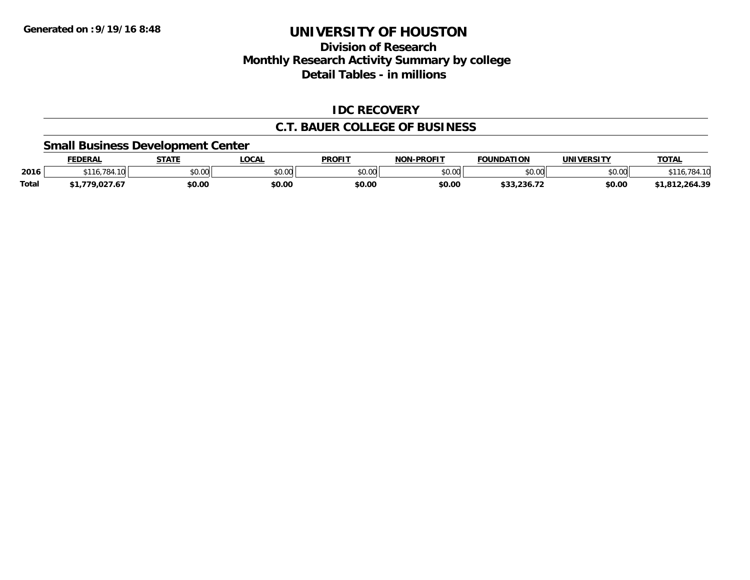## **Division of ResearchMonthly Research Activity Summary by college Detail Tables - in millions**

#### **IDC RECOVERY**

#### **C.T. BAUER COLLEGE OF BUSINESS**

#### **Small Business Development Center**

|       | <b>FEDERAL</b>          | <b>STATE</b> | LOCAL         | <b>PROFIT</b>            | -PROFIT<br><b>NON</b> | <b>FOUNDATION</b> | <b>UNIVERSITY</b> | <b>TOTAL</b>                     |
|-------|-------------------------|--------------|---------------|--------------------------|-----------------------|-------------------|-------------------|----------------------------------|
| 2016  | $\sim$<br>.784<br>* * * | \$0.00       | 0000<br>JU.UU | $\epsilon$ n nn<br>DU.UU | \$0.00                | ልስ ሰሰ<br>וטטוע    | nn no<br>DU.U¢    | 70.<br>- 04                      |
| Total | 77u                     | \$0.00       | \$0.00        | \$0.00                   | \$0.00                | \$33.236.72       | \$0.00            | $2,264.3^{\circ}$<br>- 04<br>. ب |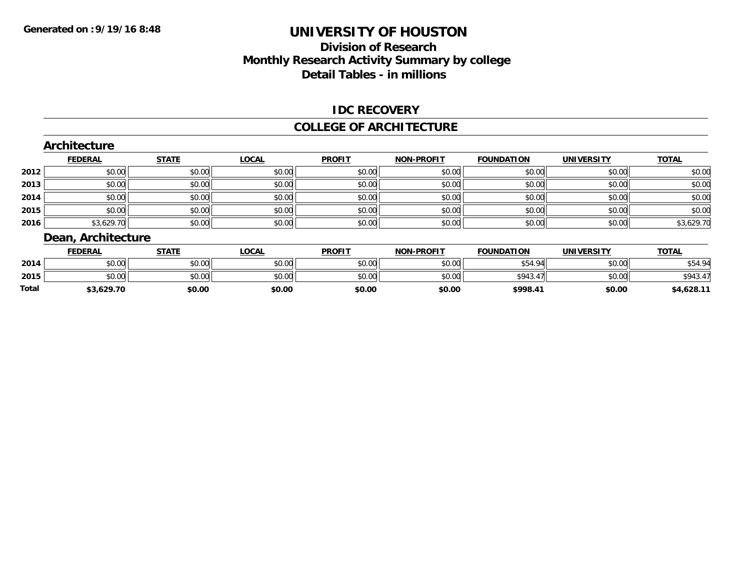### **Division of Research Monthly Research Activity Summary by college Detail Tables - in millions**

#### **IDC RECOVERY**

#### **COLLEGE OF ARCHITECTURE**

|      | Architecture      |              |              |               |                   |                   |                   |              |  |  |  |
|------|-------------------|--------------|--------------|---------------|-------------------|-------------------|-------------------|--------------|--|--|--|
|      | <b>FEDERAL</b>    | <b>STATE</b> | <b>LOCAL</b> | <b>PROFIT</b> | <b>NON-PROFIT</b> | <b>FOUNDATION</b> | <b>UNIVERSITY</b> | <b>TOTAL</b> |  |  |  |
| 2012 | \$0.00            | \$0.00       | \$0.00       | \$0.00        | \$0.00            | \$0.00            | \$0.00            | \$0.00       |  |  |  |
| 2013 | \$0.00            | \$0.00       | \$0.00       | \$0.00        | \$0.00            | \$0.00            | \$0.00            | \$0.00       |  |  |  |
| 2014 | \$0.00            | \$0.00       | \$0.00       | \$0.00        | \$0.00            | \$0.00            | \$0.00            | \$0.00       |  |  |  |
| 2015 | \$0.00            | \$0.00       | \$0.00       | \$0.00        | \$0.00            | \$0.00            | \$0.00            | \$0.00       |  |  |  |
| 2016 | \$3,629.70        | \$0.00       | \$0.00       | \$0.00        | \$0.00            | \$0.00            | \$0.00            | \$3,629.70   |  |  |  |
|      | Doon Arokitooturo |              |              |               |                   |                   |                   |              |  |  |  |

#### **Dean, Architecture**

|       | FEDERAL                | STATE  | <b>LOCAL</b>         | <b>PROFIT</b> | <b>NON-PROFIT</b> | <b>FOUNDATION</b> | <b>UNIVERSITY</b> | <b>TOTAL</b>           |
|-------|------------------------|--------|----------------------|---------------|-------------------|-------------------|-------------------|------------------------|
| 2014  | $\sim$ $\sim$<br>PU.UU | \$0.00 | 4000<br><b>JU.UU</b> | \$0.00        | \$0.00            | . 94<br>4 G       | \$0.00            | QA<br>DO4.             |
| 2015  | $\cdots$<br>DU.UU      | \$0.00 | \$0.00               | \$0.00        | \$0.00            | \$943.47          | \$0.00            | \$943.4<br>$\lambda$   |
| Total | ,კ,629.7ቦ              | \$0.00 | \$0.00               | \$0.00        | \$0.00            | \$998.41          | \$0.00            | \$4,628.1 <sup>.</sup> |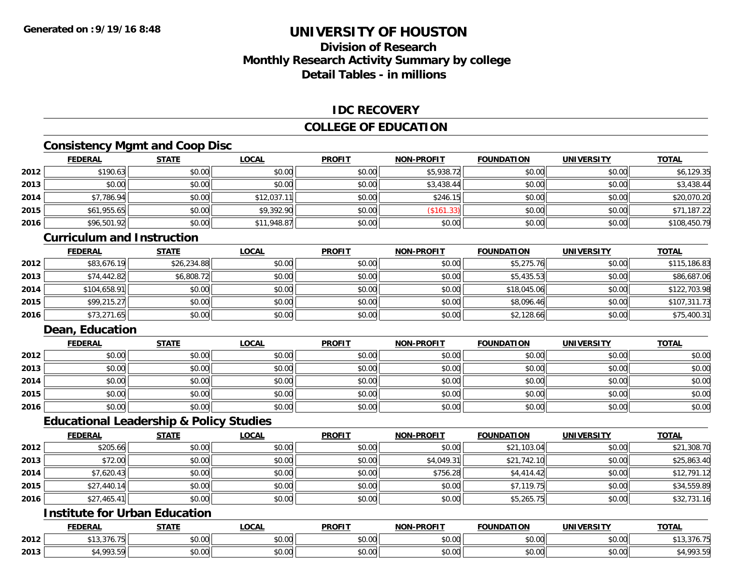## **Division of ResearchMonthly Research Activity Summary by college Detail Tables - in millions**

#### **IDC RECOVERY**

#### **COLLEGE OF EDUCATION**

## **Consistency Mgmt and Coop Disc**

|      | <b>FEDERAL</b> | <b>STATE</b> | <u>LOCAL</u> | <b>PROFIT</b> | <b>NON-PROFIT</b> | <b>FOUNDATION</b> | <b>UNIVERSITY</b> | <b>TOTAL</b> |
|------|----------------|--------------|--------------|---------------|-------------------|-------------------|-------------------|--------------|
| 2012 | \$190.63       | \$0.00       | \$0.00       | \$0.00        | \$5,938.72        | \$0.00            | \$0.00            | \$6,129.35   |
| 2013 | \$0.00         | \$0.00       | \$0.00       | \$0.00        | \$3,438.44        | \$0.00            | \$0.00            | \$3,438.44   |
| 2014 | \$7,786.94     | \$0.00       | \$12,037.11  | \$0.00        | \$246.15          | \$0.00            | \$0.00            | \$20,070.20  |
| 2015 | \$61,955.65    | \$0.00       | \$9,392.90   | \$0.00        | (\$161.33)        | \$0.00            | \$0.00            | \$71,187.22  |
| 2016 | \$96,501.92    | \$0.00       | \$11,948.87  | \$0.00        | \$0.00            | \$0.00            | \$0.00            | \$108,450.79 |

#### **Curriculum and Instruction**

|      | <b>FEDERAL</b> | <b>STATE</b> | <u>LOCAL</u> | <b>PROFIT</b> | <b>NON-PROFIT</b> | <b>FOUNDATION</b> | <b>UNIVERSITY</b> | <b>TOTAL</b> |
|------|----------------|--------------|--------------|---------------|-------------------|-------------------|-------------------|--------------|
| 2012 | \$83,676.19    | \$26,234.88  | \$0.00       | \$0.00        | \$0.00            | \$5,275.76        | \$0.00            | \$115,186.83 |
| 2013 | \$74,442.82    | \$6,808.72   | \$0.00       | \$0.00        | \$0.00            | \$5,435.53        | \$0.00            | \$86,687.06  |
| 2014 | \$104,658.91   | \$0.00       | \$0.00       | \$0.00        | \$0.00            | \$18,045.06       | \$0.00            | \$122,703.98 |
| 2015 | \$99,215.27    | \$0.00       | \$0.00       | \$0.00        | \$0.00            | \$8,096.46        | \$0.00            | \$107,311.73 |
| 2016 | \$73,271.65    | \$0.00       | \$0.00       | \$0.00        | \$0.00            | \$2,128.66        | \$0.00            | \$75,400.31  |

### **Dean, Education**

|      | <b>FEDERAL</b> | <b>STATE</b> | <u>LOCAL</u> | <b>PROFIT</b> | <b>NON-PROFIT</b> | <b>FOUNDATION</b> | <b>UNIVERSITY</b> | <b>TOTAL</b> |
|------|----------------|--------------|--------------|---------------|-------------------|-------------------|-------------------|--------------|
| 2012 | \$0.00         | \$0.00       | \$0.00       | \$0.00        | \$0.00            | \$0.00            | \$0.00            | \$0.00       |
| 2013 | \$0.00         | \$0.00       | \$0.00       | \$0.00        | \$0.00            | \$0.00            | \$0.00            | \$0.00       |
| 2014 | \$0.00         | \$0.00       | \$0.00       | \$0.00        | \$0.00            | \$0.00            | \$0.00            | \$0.00       |
| 2015 | \$0.00         | \$0.00       | \$0.00       | \$0.00        | \$0.00            | \$0.00            | \$0.00            | \$0.00       |
| 2016 | \$0.00         | \$0.00       | \$0.00       | \$0.00        | \$0.00            | \$0.00            | \$0.00            | \$0.00       |

#### **Educational Leadership & Policy Studies**

|      | <b>FEDERAL</b> | <b>STATE</b> | <b>LOCAL</b> | <b>PROFIT</b> | <b>NON-PROFIT</b> | <b>FOUNDATION</b> | <b>UNIVERSITY</b> | <b>TOTAL</b> |
|------|----------------|--------------|--------------|---------------|-------------------|-------------------|-------------------|--------------|
| 2012 | \$205.66       | \$0.00       | \$0.00       | \$0.00        | \$0.00            | \$21,103.04       | \$0.00            | \$21,308.70  |
| 2013 | \$72.00        | \$0.00       | \$0.00       | \$0.00        | \$4,049.31        | \$21,742.10       | \$0.00            | \$25,863.40  |
| 2014 | \$7,620.43     | \$0.00       | \$0.00       | \$0.00        | \$756.28          | \$4,414.42        | \$0.00            | \$12,791.12  |
| 2015 | \$27,440.14    | \$0.00       | \$0.00       | \$0.00        | \$0.00            | \$7,119.75        | \$0.00            | \$34,559.89  |
| 2016 | \$27,465.41    | \$0.00       | \$0.00       | \$0.00        | \$0.00            | \$5,265.75        | \$0.00            | \$32,731.16  |

## **Institute for Urban Education**

|      | <b>FEDERAL</b>                       | <b>STATE</b><br>1711 | LOCAL                               | <b>PROFIT</b> | <b>J-PROFIT</b><br><b>NIONI</b> | <b>FOUNDATION</b> | <b>UNIVERSITY</b>     | <b>TOTAL</b>             |
|------|--------------------------------------|----------------------|-------------------------------------|---------------|---------------------------------|-------------------|-----------------------|--------------------------|
| 2012 | $A \cap$<br>$\overline{\phantom{a}}$ | 0000<br>DU.UU        | 0.00<br>vv.vv                       | 0000<br>JU.UU | 0.00<br>vu.vu                   | \$0.00            | \$0.00                | 13,376.75                |
| 2013 | $\sim$<br><br>,,,,,                  | 0000<br>DU.UU        | $\theta$ $\theta$ $\theta$<br>vu.vu | \$0.00        | 0000<br>PO.OO                   | \$0.00            | 0.001<br><b>JU.UU</b> | <b>003 EQ</b><br>,,,,,,, |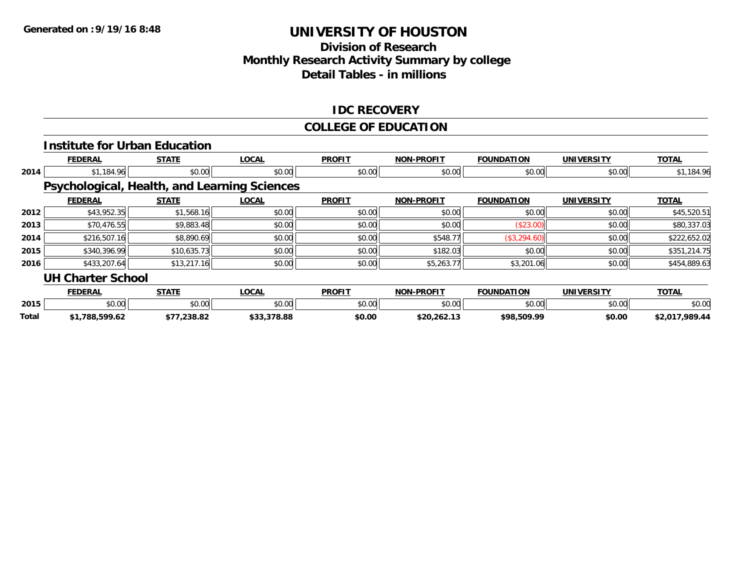## **Division of Research Monthly Research Activity Summary by college Detail Tables - in millions**

#### **IDC RECOVERY**

#### **COLLEGE OF EDUCATION**

|       |                          | <b>Institute for Urban Education</b> |                                              |               |                   |                   |                   |                |
|-------|--------------------------|--------------------------------------|----------------------------------------------|---------------|-------------------|-------------------|-------------------|----------------|
|       | <b>FEDERAL</b>           | <b>STATE</b>                         | <b>LOCAL</b>                                 | <b>PROFIT</b> | <b>NON-PROFIT</b> | <b>FOUNDATION</b> | <b>UNIVERSITY</b> | <b>TOTAL</b>   |
| 2014  | \$1,184.96               | \$0.00                               | \$0.00                                       | \$0.00        | \$0.00            | \$0.00            | \$0.00            | \$1,184.96     |
|       |                          |                                      | Psychological, Health, and Learning Sciences |               |                   |                   |                   |                |
|       | <b>FEDERAL</b>           | <b>STATE</b>                         | <b>LOCAL</b>                                 | <b>PROFIT</b> | <b>NON-PROFIT</b> | <b>FOUNDATION</b> | <b>UNIVERSITY</b> | <b>TOTAL</b>   |
| 2012  | \$43,952.35              | \$1,568.16                           | \$0.00                                       | \$0.00        | \$0.00            | \$0.00            | \$0.00            | \$45,520.51    |
| 2013  | \$70,476.55              | \$9,883.48                           | \$0.00                                       | \$0.00        | \$0.00            | (\$23.00)         | \$0.00            | \$80,337.03    |
| 2014  | \$216,507.16             | \$8,890.69                           | \$0.00                                       | \$0.00        | \$548.77          | (\$3,294.60)      | \$0.00            | \$222,652.02   |
| 2015  | \$340,396.99             | \$10,635.73                          | \$0.00                                       | \$0.00        | \$182.03          | \$0.00            | \$0.00            | \$351,214.75   |
| 2016  | \$433,207.64             | \$13,217.16                          | \$0.00                                       | \$0.00        | \$5,263.77        | \$3,201.06        | \$0.00            | \$454,889.63   |
|       | <b>UH Charter School</b> |                                      |                                              |               |                   |                   |                   |                |
|       | <b>FEDERAL</b>           | <b>STATE</b>                         | <b>LOCAL</b>                                 | <b>PROFIT</b> | <b>NON-PROFIT</b> | <b>FOUNDATION</b> | <b>UNIVERSITY</b> | <b>TOTAL</b>   |
| 2015  | \$0.00                   | \$0.00                               | \$0.00                                       | \$0.00        | \$0.00            | \$0.00            | \$0.00            | \$0.00         |
| Total | \$1,788,599.62           | \$77,238.82                          | \$33,378.88                                  | \$0.00        | \$20,262.13       | \$98,509.99       | \$0.00            | \$2,017,989.44 |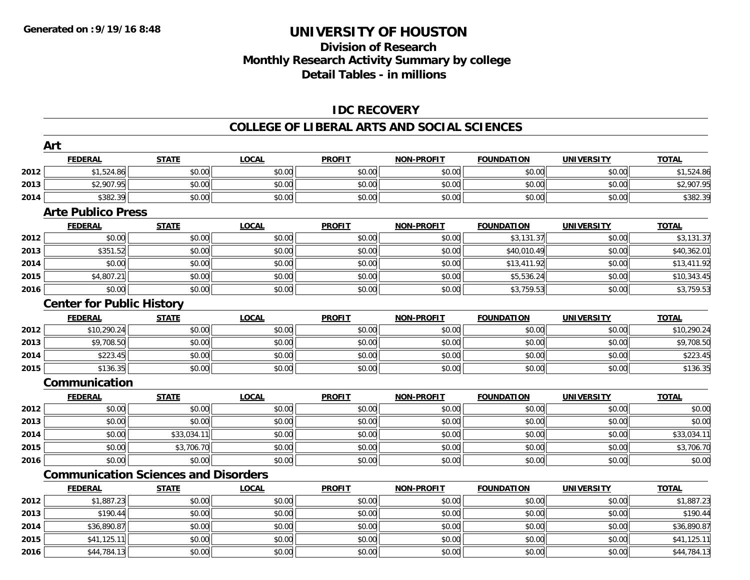## **Division of Research Monthly Research Activity Summary by college Detail Tables - in millions**

### **IDC RECOVERY**

#### **COLLEGE OF LIBERAL ARTS AND SOCIAL SCIENCES**

|      | Art                                         |              |              |               |                   |                   |                   |              |
|------|---------------------------------------------|--------------|--------------|---------------|-------------------|-------------------|-------------------|--------------|
|      | <b>FEDERAL</b>                              | <b>STATE</b> | <b>LOCAL</b> | <b>PROFIT</b> | <b>NON-PROFIT</b> | <b>FOUNDATION</b> | <b>UNIVERSITY</b> | <b>TOTAL</b> |
| 2012 | \$1,524.86                                  | \$0.00       | \$0.00       | \$0.00        | \$0.00            | \$0.00            | \$0.00            | \$1,524.86   |
| 2013 | \$2,907.95                                  | \$0.00       | \$0.00       | \$0.00        | \$0.00            | \$0.00            | \$0.00            | \$2,907.95   |
| 2014 | \$382.39                                    | \$0.00       | \$0.00       | \$0.00        | \$0.00            | \$0.00            | \$0.00            | \$382.39     |
|      | <b>Arte Publico Press</b>                   |              |              |               |                   |                   |                   |              |
|      | <b>FEDERAL</b>                              | <b>STATE</b> | LOCAL        | <b>PROFIT</b> | <b>NON-PROFIT</b> | <b>FOUNDATION</b> | <b>UNIVERSITY</b> | <b>TOTAL</b> |
| 2012 | \$0.00                                      | \$0.00       | \$0.00       | \$0.00        | \$0.00            | \$3,131.37        | \$0.00            | \$3,131.37   |
| 2013 | \$351.52                                    | \$0.00       | \$0.00       | \$0.00        | \$0.00            | \$40,010.49       | \$0.00            | \$40,362.01  |
| 2014 | \$0.00                                      | \$0.00       | \$0.00       | \$0.00        | \$0.00            | \$13,411.92       | \$0.00            | \$13,411.92  |
| 2015 | \$4,807.21                                  | \$0.00       | \$0.00       | \$0.00        | \$0.00            | \$5,536.24        | \$0.00            | \$10,343.45  |
| 2016 | \$0.00                                      | \$0.00       | \$0.00       | \$0.00        | \$0.00            | \$3,759.53        | \$0.00            | \$3,759.53   |
|      | <b>Center for Public History</b>            |              |              |               |                   |                   |                   |              |
|      | <b>FEDERAL</b>                              | <b>STATE</b> | <b>LOCAL</b> | <b>PROFIT</b> | <b>NON-PROFIT</b> | <b>FOUNDATION</b> | <b>UNIVERSITY</b> | <b>TOTAL</b> |
| 2012 | \$10,290.24                                 | \$0.00       | \$0.00       | \$0.00        | \$0.00            | \$0.00            | \$0.00            | \$10,290.24  |
| 2013 | \$9,708.50                                  | \$0.00       | \$0.00       | \$0.00        | \$0.00            | \$0.00            | \$0.00            | \$9,708.50   |
| 2014 | \$223.45                                    | \$0.00       | \$0.00       | \$0.00        | \$0.00            | \$0.00            | \$0.00            | \$223.45     |
| 2015 | \$136.35                                    | \$0.00       | \$0.00       | \$0.00        | \$0.00            | \$0.00            | \$0.00            | \$136.35     |
|      | Communication                               |              |              |               |                   |                   |                   |              |
|      | <b>FEDERAL</b>                              | <b>STATE</b> | <b>LOCAL</b> | <b>PROFIT</b> | <b>NON-PROFIT</b> | <b>FOUNDATION</b> | <b>UNIVERSITY</b> | <b>TOTAL</b> |
| 2012 | \$0.00                                      | \$0.00       | \$0.00       | \$0.00        | \$0.00            | \$0.00            | \$0.00            | \$0.00       |
| 2013 | \$0.00                                      | \$0.00       | \$0.00       | \$0.00        | \$0.00            | \$0.00            | \$0.00            | \$0.00       |
| 2014 | \$0.00                                      | \$33,034.11  | \$0.00       | \$0.00        | \$0.00            | \$0.00            | \$0.00            | \$33,034.11  |
| 2015 | \$0.00                                      | \$3,706.70   | \$0.00       | \$0.00        | \$0.00            | \$0.00            | \$0.00            | \$3,706.70   |
| 2016 | \$0.00                                      | \$0.00       | \$0.00       | \$0.00        | \$0.00            | \$0.00            | \$0.00            | \$0.00       |
|      | <b>Communication Sciences and Disorders</b> |              |              |               |                   |                   |                   |              |
|      | <b>FEDERAL</b>                              | <b>STATE</b> | <b>LOCAL</b> | <b>PROFIT</b> | <b>NON-PROFIT</b> | <b>FOUNDATION</b> | <b>UNIVERSITY</b> | <b>TOTAL</b> |
| 2012 | \$1,887.23                                  | \$0.00       | \$0.00       | \$0.00        | \$0.00            | \$0.00            | \$0.00            | \$1,887.23   |
| 2013 | \$190.44                                    | \$0.00       | \$0.00       | \$0.00        | \$0.00            | \$0.00            | \$0.00            | \$190.44     |
| 2014 | \$36,890.87                                 | \$0.00       | \$0.00       | \$0.00        | \$0.00            | \$0.00            | \$0.00            | \$36,890.87  |
| 2015 | \$41,125.11                                 | \$0.00       | \$0.00       | \$0.00        | \$0.00            | \$0.00            | \$0.00            | \$41,125.11  |
| 2016 | \$44,784.13                                 | \$0.00       | \$0.00       | \$0.00        | \$0.00            | \$0.00            | \$0.00            | \$44,784.13  |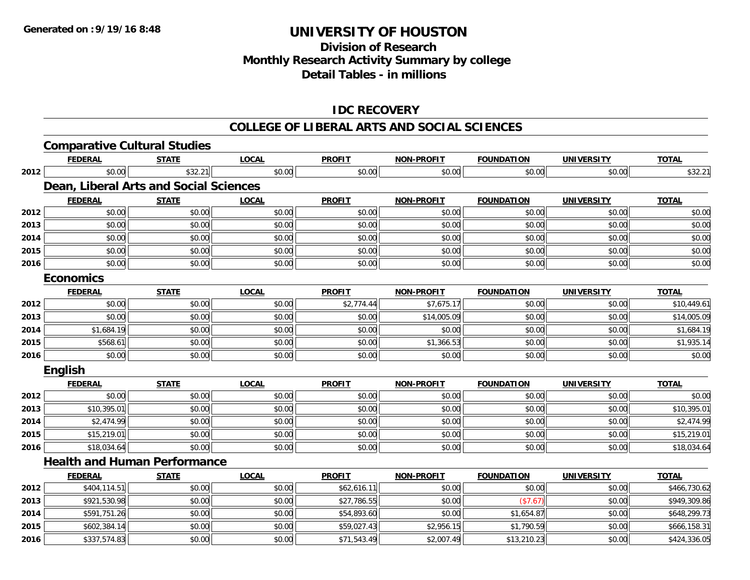## **Division of ResearchMonthly Research Activity Summary by college Detail Tables - in millions**

### **IDC RECOVERY**

#### **COLLEGE OF LIBERAL ARTS AND SOCIAL SCIENCES**

|      | <b>Comparative Cultural Studies</b>    |              |              |               |                   |                   |                   |              |
|------|----------------------------------------|--------------|--------------|---------------|-------------------|-------------------|-------------------|--------------|
|      | <b>FEDERAL</b>                         | <b>STATE</b> | <b>LOCAL</b> | <b>PROFIT</b> | <b>NON-PROFIT</b> | <b>FOUNDATION</b> | <b>UNIVERSITY</b> | <b>TOTAL</b> |
| 2012 | \$0.00                                 | \$32.21      | \$0.00       | \$0.00        | \$0.00            | \$0.00            | \$0.00            | \$32.21      |
|      | Dean, Liberal Arts and Social Sciences |              |              |               |                   |                   |                   |              |
|      | <b>FEDERAL</b>                         | <b>STATE</b> | <b>LOCAL</b> | <b>PROFIT</b> | <b>NON-PROFIT</b> | <b>FOUNDATION</b> | <b>UNIVERSITY</b> | <b>TOTAL</b> |
| 2012 | \$0.00                                 | \$0.00       | \$0.00       | \$0.00        | \$0.00            | \$0.00            | \$0.00            | \$0.00       |
| 2013 | \$0.00                                 | \$0.00       | \$0.00       | \$0.00        | \$0.00            | \$0.00            | \$0.00            | \$0.00       |
| 2014 | \$0.00                                 | \$0.00       | \$0.00       | \$0.00        | \$0.00            | \$0.00            | \$0.00            | \$0.00       |
| 2015 | \$0.00                                 | \$0.00       | \$0.00       | \$0.00        | \$0.00            | \$0.00            | \$0.00            | \$0.00       |
| 2016 | \$0.00                                 | \$0.00       | \$0.00       | \$0.00        | \$0.00            | \$0.00            | \$0.00            | \$0.00       |
|      | <b>Economics</b>                       |              |              |               |                   |                   |                   |              |
|      | <b>FEDERAL</b>                         | <b>STATE</b> | <b>LOCAL</b> | <b>PROFIT</b> | <b>NON-PROFIT</b> | <b>FOUNDATION</b> | <b>UNIVERSITY</b> | <b>TOTAL</b> |
| 2012 | \$0.00                                 | \$0.00       | \$0.00       | \$2,774.44    | \$7,675.17        | \$0.00            | \$0.00            | \$10,449.61  |
| 2013 | \$0.00                                 | \$0.00       | \$0.00       | \$0.00        | \$14,005.09       | \$0.00            | \$0.00            | \$14,005.09  |
| 2014 | \$1,684.19                             | \$0.00       | \$0.00       | \$0.00        | \$0.00            | \$0.00            | \$0.00            | \$1,684.19   |
| 2015 | \$568.61                               | \$0.00       | \$0.00       | \$0.00        | \$1,366.53        | \$0.00            | \$0.00            | \$1,935.14   |
| 2016 | \$0.00                                 | \$0.00       | \$0.00       | \$0.00        | \$0.00            | \$0.00            | \$0.00            | \$0.00       |
|      | <b>English</b>                         |              |              |               |                   |                   |                   |              |
|      | <b>FEDERAL</b>                         | <b>STATE</b> | <b>LOCAL</b> | <b>PROFIT</b> | <b>NON-PROFIT</b> | <b>FOUNDATION</b> | <b>UNIVERSITY</b> | <b>TOTAL</b> |
| 2012 | \$0.00                                 | \$0.00       | \$0.00       | \$0.00        | \$0.00            | \$0.00            | \$0.00            | \$0.00       |
| 2013 | \$10,395.01                            | \$0.00       | \$0.00       | \$0.00        | \$0.00            | \$0.00            | \$0.00            | \$10,395.01  |
| 2014 | \$2,474.99                             | \$0.00       | \$0.00       | \$0.00        | \$0.00            | \$0.00            | \$0.00            | \$2,474.99   |
| 2015 | \$15,219.01                            | \$0.00       | \$0.00       | \$0.00        | \$0.00            | \$0.00            | \$0.00            | \$15,219.01  |
| 2016 | \$18,034.64                            | \$0.00       | \$0.00       | \$0.00        | \$0.00            | \$0.00            | \$0.00            | \$18,034.64  |
|      | <b>Health and Human Performance</b>    |              |              |               |                   |                   |                   |              |
|      | <b>FEDERAL</b>                         | <b>STATE</b> | <b>LOCAL</b> | <b>PROFIT</b> | <b>NON-PROFIT</b> | <b>FOUNDATION</b> | <b>UNIVERSITY</b> | <b>TOTAL</b> |
| 2012 | \$404,114.51                           | \$0.00       | \$0.00       | \$62,616.11   | \$0.00            | \$0.00            | \$0.00            | \$466,730.62 |
| 2013 | \$921,530.98                           | \$0.00       | \$0.00       | \$27,786.55   | \$0.00            | (\$7.67)          | \$0.00            | \$949,309.86 |
| 2014 | \$591,751.26                           | \$0.00       | \$0.00       | \$54,893.60   | \$0.00            | \$1,654.87        | \$0.00            | \$648,299.73 |
| 2015 | \$602,384.14                           | \$0.00       | \$0.00       | \$59,027.43   | \$2,956.15        | \$1,790.59        | \$0.00            | \$666,158.31 |
| 2016 | \$337,574.83                           | \$0.00       | \$0.00       | \$71,543.49   | \$2,007.49        | \$13,210.23       | \$0.00            | \$424,336.05 |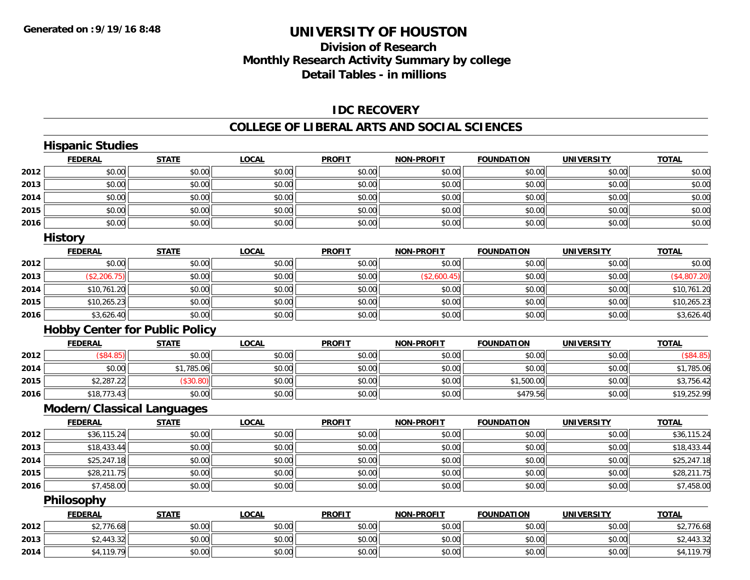## **Division of Research Monthly Research Activity Summary by college Detail Tables - in millions**

#### **IDC RECOVERY**

#### **COLLEGE OF LIBERAL ARTS AND SOCIAL SCIENCES**

|      | <b>Hispanic Studies</b>               |              |              |               |                   |                   |                   |              |
|------|---------------------------------------|--------------|--------------|---------------|-------------------|-------------------|-------------------|--------------|
|      | <b>FEDERAL</b>                        | <b>STATE</b> | <b>LOCAL</b> | <b>PROFIT</b> | <b>NON-PROFIT</b> | <b>FOUNDATION</b> | <b>UNIVERSITY</b> | <b>TOTAL</b> |
| 2012 | \$0.00                                | \$0.00       | \$0.00       | \$0.00        | \$0.00            | \$0.00            | \$0.00            | \$0.00       |
| 2013 | \$0.00                                | \$0.00       | \$0.00       | \$0.00        | \$0.00            | \$0.00            | \$0.00            | \$0.00       |
| 2014 | \$0.00                                | \$0.00       | \$0.00       | \$0.00        | \$0.00            | \$0.00            | \$0.00            | \$0.00       |
| 2015 | \$0.00                                | \$0.00       | \$0.00       | \$0.00        | \$0.00            | \$0.00            | \$0.00            | \$0.00       |
| 2016 | \$0.00                                | \$0.00       | \$0.00       | \$0.00        | \$0.00            | \$0.00            | \$0.00            | \$0.00       |
|      | <b>History</b>                        |              |              |               |                   |                   |                   |              |
|      | <b>FEDERAL</b>                        | <b>STATE</b> | <b>LOCAL</b> | <b>PROFIT</b> | <b>NON-PROFIT</b> | <b>FOUNDATION</b> | <b>UNIVERSITY</b> | <b>TOTAL</b> |
| 2012 | \$0.00                                | \$0.00       | \$0.00       | \$0.00        | \$0.00            | \$0.00            | \$0.00            | \$0.00       |
| 2013 | (\$2,206.75)                          | \$0.00       | \$0.00       | \$0.00        | (\$2,600.45)      | \$0.00            | \$0.00            | (\$4,807.20) |
| 2014 | \$10,761.20                           | \$0.00       | \$0.00       | \$0.00        | \$0.00            | \$0.00            | \$0.00            | \$10,761.20  |
| 2015 | \$10,265.23                           | \$0.00       | \$0.00       | \$0.00        | \$0.00            | \$0.00            | \$0.00            | \$10,265.23  |
| 2016 | \$3,626.40                            | \$0.00       | \$0.00       | \$0.00        | \$0.00            | \$0.00            | \$0.00            | \$3,626.40   |
|      | <b>Hobby Center for Public Policy</b> |              |              |               |                   |                   |                   |              |
|      | <b>FEDERAL</b>                        | <b>STATE</b> | <b>LOCAL</b> | <b>PROFIT</b> | <b>NON-PROFIT</b> | <b>FOUNDATION</b> | <b>UNIVERSITY</b> | <b>TOTAL</b> |
| 2012 | (\$84.85)                             | \$0.00       | \$0.00       | \$0.00        | \$0.00            | \$0.00            | \$0.00            | (\$84.85)    |
| 2014 | \$0.00                                | \$1,785.06   | \$0.00       | \$0.00        | \$0.00            | \$0.00            | \$0.00            | \$1,785.06   |
| 2015 | \$2,287.22                            | (\$30.80)    | \$0.00       | \$0.00        | \$0.00            | \$1,500.00        | \$0.00            | \$3,756.42   |
| 2016 | \$18,773.43                           | \$0.00       | \$0.00       | \$0.00        | \$0.00            | \$479.56          | \$0.00            | \$19,252.99  |
|      | <b>Modern/Classical Languages</b>     |              |              |               |                   |                   |                   |              |
|      | <b>FEDERAL</b>                        | <b>STATE</b> | <b>LOCAL</b> | <b>PROFIT</b> | <b>NON-PROFIT</b> | <b>FOUNDATION</b> | <b>UNIVERSITY</b> | <b>TOTAL</b> |
| 2012 | \$36,115.24                           | \$0.00       | \$0.00       | \$0.00        | \$0.00            | \$0.00            | \$0.00            | \$36,115.24  |
| 2013 | \$18,433.44                           | \$0.00       | \$0.00       | \$0.00        | \$0.00            | \$0.00            | \$0.00            | \$18,433.44  |
| 2014 | \$25,247.18                           | \$0.00       | \$0.00       | \$0.00        | \$0.00            | \$0.00            | \$0.00            | \$25,247.18  |
| 2015 | \$28,211.75                           | \$0.00       | \$0.00       | \$0.00        | \$0.00            | \$0.00            | \$0.00            | \$28,211.75  |
| 2016 | \$7,458.00                            | \$0.00       | \$0.00       | \$0.00        | \$0.00            | \$0.00            | \$0.00            | \$7,458.00   |
|      | <b>Philosophy</b>                     |              |              |               |                   |                   |                   |              |
|      | <b>FEDERAL</b>                        | <b>STATE</b> | <b>LOCAL</b> | <b>PROFIT</b> | <b>NON-PROFIT</b> | <b>FOUNDATION</b> | <b>UNIVERSITY</b> | <b>TOTAL</b> |
| 2012 | \$2,776.68                            | \$0.00       | \$0.00       | \$0.00        | \$0.00            | \$0.00            | \$0.00            | \$2,776.68   |
| 2013 | \$2,443.32                            | \$0.00       | \$0.00       | \$0.00        | \$0.00            | \$0.00            | \$0.00            | \$2,443.32   |
| 2014 | \$4,119.79                            | \$0.00       | \$0.00       | \$0.00        | \$0.00            | \$0.00            | \$0.00            | \$4,119.79   |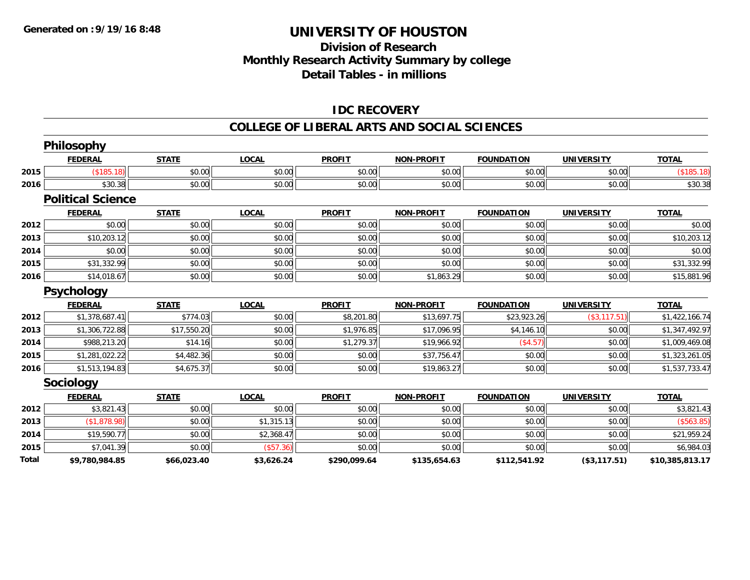## **Division of Research Monthly Research Activity Summary by college Detail Tables - in millions**

### **IDC RECOVERY**

#### **COLLEGE OF LIBERAL ARTS AND SOCIAL SCIENCES**

|       | <b>Philosophy</b>        |              |              |               |                   |                   |                   |                 |
|-------|--------------------------|--------------|--------------|---------------|-------------------|-------------------|-------------------|-----------------|
|       | <b>FEDERAL</b>           | <b>STATE</b> | <b>LOCAL</b> | <b>PROFIT</b> | <b>NON-PROFIT</b> | <b>FOUNDATION</b> | <b>UNIVERSITY</b> | <b>TOTAL</b>    |
| 2015  | (\$185.18)               | \$0.00       | \$0.00       | \$0.00        | \$0.00            | \$0.00            | \$0.00            | (\$185.18)      |
| 2016  | \$30.38                  | \$0.00       | \$0.00       | \$0.00        | \$0.00            | \$0.00            | \$0.00            | \$30.38         |
|       | <b>Political Science</b> |              |              |               |                   |                   |                   |                 |
|       | <b>FEDERAL</b>           | <b>STATE</b> | <b>LOCAL</b> | <b>PROFIT</b> | <b>NON-PROFIT</b> | <b>FOUNDATION</b> | <b>UNIVERSITY</b> | <b>TOTAL</b>    |
| 2012  | \$0.00                   | \$0.00       | \$0.00       | \$0.00        | \$0.00            | \$0.00            | \$0.00            | \$0.00          |
| 2013  | \$10,203.12              | \$0.00       | \$0.00       | \$0.00        | \$0.00            | \$0.00            | \$0.00            | \$10,203.12     |
| 2014  | \$0.00                   | \$0.00       | \$0.00       | \$0.00        | \$0.00            | \$0.00            | \$0.00            | \$0.00          |
| 2015  | \$31,332.99              | \$0.00       | \$0.00       | \$0.00        | \$0.00            | \$0.00            | \$0.00            | \$31,332.99     |
| 2016  | \$14,018.67              | \$0.00       | \$0.00       | \$0.00        | \$1,863.29        | \$0.00            | \$0.00            | \$15,881.96     |
|       | <b>Psychology</b>        |              |              |               |                   |                   |                   |                 |
|       | <b>FEDERAL</b>           | <b>STATE</b> | <b>LOCAL</b> | <b>PROFIT</b> | <b>NON-PROFIT</b> | <b>FOUNDATION</b> | <b>UNIVERSITY</b> | <b>TOTAL</b>    |
| 2012  | \$1,378,687.41           | \$774.03     | \$0.00       | \$8,201.80    | \$13,697.75       | \$23,923.26       | (\$3,117.51)      | \$1,422,166.74  |
| 2013  | \$1,306,722.88           | \$17,550.20  | \$0.00       | \$1,976.85    | \$17,096.95       | \$4,146.10        | \$0.00            | \$1,347,492.97  |
| 2014  | \$988,213.20             | \$14.16      | \$0.00       | \$1,279.37    | \$19,966.92       | (\$4.57)          | \$0.00            | \$1,009,469.08  |
| 2015  | \$1,281,022.22           | \$4,482.36   | \$0.00       | \$0.00        | \$37,756.47       | \$0.00            | \$0.00            | \$1,323,261.05  |
| 2016  | \$1,513,194.83           | \$4,675.37   | \$0.00       | \$0.00        | \$19,863.27       | \$0.00            | \$0.00            | \$1,537,733.47  |
|       | <b>Sociology</b>         |              |              |               |                   |                   |                   |                 |
|       | <b>FEDERAL</b>           | <b>STATE</b> | <b>LOCAL</b> | <b>PROFIT</b> | <b>NON-PROFIT</b> | <b>FOUNDATION</b> | <b>UNIVERSITY</b> | <b>TOTAL</b>    |
| 2012  | \$3,821.43               | \$0.00       | \$0.00       | \$0.00        | \$0.00            | \$0.00            | \$0.00            | \$3,821.43      |
| 2013  | (\$1,878.98)             | \$0.00       | \$1,315.13   | \$0.00        | \$0.00            | \$0.00            | \$0.00            | (\$563.85)      |
| 2014  | \$19,590.77              | \$0.00       | \$2,368.47   | \$0.00        | \$0.00            | \$0.00            | \$0.00            | \$21,959.24     |
| 2015  | \$7,041.39               | \$0.00       | (\$57.36)    | \$0.00        | \$0.00            | \$0.00            | \$0.00            | \$6,984.03      |
| Total | \$9,780,984.85           | \$66,023.40  | \$3,626.24   | \$290,099.64  | \$135,654.63      | \$112,541.92      | (\$3,117.51)      | \$10,385,813.17 |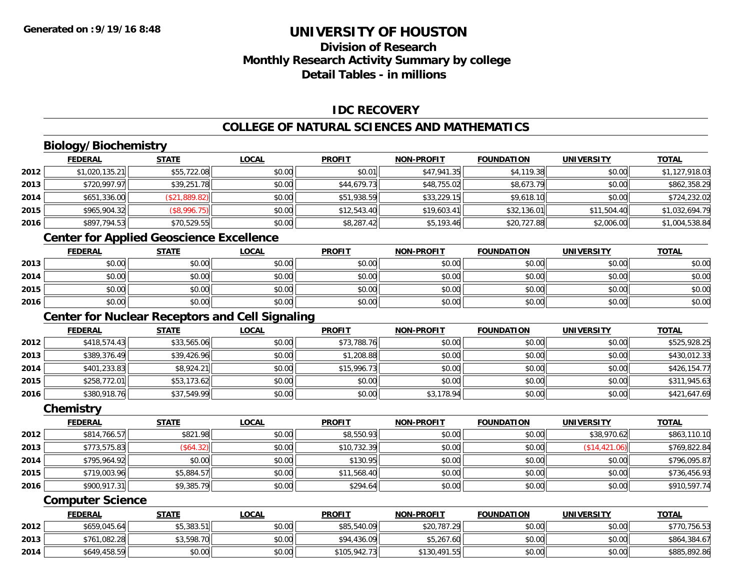## **Division of ResearchMonthly Research Activity Summary by college Detail Tables - in millions**

### **IDC RECOVERY**

### **COLLEGE OF NATURAL SCIENCES AND MATHEMATICS**

## **Biology/Biochemistry**

|      | <b>FEDERAL</b> | <b>STATE</b>  | <u>LOCAL</u> | <b>PROFIT</b> | <b>NON-PROFIT</b> | <b>FOUNDATION</b> | <b>UNIVERSITY</b> | <b>TOTAL</b>   |
|------|----------------|---------------|--------------|---------------|-------------------|-------------------|-------------------|----------------|
| 2012 | \$1,020,135.21 | \$55,722.08   | \$0.00       | \$0.01        | \$47,941.35       | \$4,119.38        | \$0.00            | \$1,127,918.03 |
| 2013 | \$720,997.97   | \$39,251.78   | \$0.00       | \$44,679.73   | \$48,755.02       | \$8,673.79        | \$0.00            | \$862,358.29   |
| 2014 | \$651,336.00   | (\$21,889.82) | \$0.00       | \$51,938.59   | \$33,229.15       | \$9,618.10        | \$0.00            | \$724,232.02   |
| 2015 | \$965,904.32   | (\$8,996.75)  | \$0.00       | \$12,543.40   | \$19,603.41       | \$32,136.01       | \$11,504.40       | \$1,032,694.79 |
| 2016 | \$897,794.53   | \$70,529.55   | \$0.00       | \$8,287.42    | \$5,193.46        | \$20,727.88       | \$2,006.00        | \$1,004,538.84 |

# **Center for Applied Geoscience Excellence**

|      | <b>FEDERAL</b> | <b>STATE</b> | <u>LOCAL</u> | <b>PROFIT</b> | <b>NON-PROFIT</b> | <b>FOUNDATION</b> | <b>UNIVERSITY</b> | <b>TOTAL</b> |
|------|----------------|--------------|--------------|---------------|-------------------|-------------------|-------------------|--------------|
| 2013 | \$0.00         | \$0.00       | \$0.00       | \$0.00        | \$0.00            | \$0.00            | \$0.00            | \$0.00       |
| 2014 | \$0.00         | \$0.00       | \$0.00       | \$0.00        | \$0.00            | \$0.00            | \$0.00            | \$0.00       |
| 2015 | \$0.00         | \$0.00       | \$0.00       | \$0.00        | \$0.00            | \$0.00            | \$0.00            | \$0.00       |
| 2016 | \$0.00         | \$0.00       | \$0.00       | \$0.00        | \$0.00            | \$0.00            | \$0.00            | \$0.00       |

## **Center for Nuclear Receptors and Cell Signaling**

|      | <b>FEDERAL</b> | <b>STATE</b> | <u>LOCAL</u> | <b>PROFIT</b> | <b>NON-PROFIT</b> | <b>FOUNDATION</b> | <b>UNIVERSITY</b> | <b>TOTAL</b> |
|------|----------------|--------------|--------------|---------------|-------------------|-------------------|-------------------|--------------|
| 2012 | \$418,574.43   | \$33,565.06  | \$0.00       | \$73,788.76   | \$0.00            | \$0.00            | \$0.00            | \$525,928.25 |
| 2013 | \$389,376.49   | \$39,426.96  | \$0.00       | \$1,208.88    | \$0.00            | \$0.00            | \$0.00            | \$430,012.33 |
| 2014 | \$401,233.83   | \$8,924.21   | \$0.00       | \$15,996.73   | \$0.00            | \$0.00            | \$0.00            | \$426,154.77 |
| 2015 | \$258,772.01   | \$53,173.62  | \$0.00       | \$0.00        | \$0.00            | \$0.00            | \$0.00            | \$311,945.63 |
| 2016 | \$380,918.76   | \$37,549.99  | \$0.00       | \$0.00        | \$3,178.94        | \$0.00            | \$0.00            | \$421,647.69 |

#### **Chemistry**

|      | <b>FEDERAL</b> | <u>STATE</u> | <b>LOCAL</b> | <b>PROFIT</b> | <b>NON-PROFIT</b> | <b>FOUNDATION</b> | <b>UNIVERSITY</b> | <b>TOTAL</b> |
|------|----------------|--------------|--------------|---------------|-------------------|-------------------|-------------------|--------------|
| 2012 | \$814,766.57   | \$821.98     | \$0.00       | \$8,550.93    | \$0.00            | \$0.00            | \$38,970.62       | \$863,110.10 |
| 2013 | \$773,575.83   | (\$64.32)    | \$0.00       | \$10,732.39   | \$0.00            | \$0.00            | (\$14,421.06)     | \$769,822.84 |
| 2014 | \$795,964.92   | \$0.00       | \$0.00       | \$130.95      | \$0.00            | \$0.00            | \$0.00            | \$796,095.87 |
| 2015 | \$719,003.96   | \$5,884.57   | \$0.00       | \$11,568.40   | \$0.00            | \$0.00            | \$0.00            | \$736,456.93 |
| 2016 | \$900,917.31   | \$9,385.79   | \$0.00       | \$294.64      | \$0.00            | \$0.00            | \$0.00            | \$910,597.74 |

#### **Computer Science**

|      | <b>FEDERAL</b> | <u>STATE</u> | <u>LOCAL</u> | <b>PROFIT</b> | <b>NON-PROFIT</b> | <b>FOUNDATION</b> | <b>UNIVERSITY</b> | <b>TOTAL</b> |
|------|----------------|--------------|--------------|---------------|-------------------|-------------------|-------------------|--------------|
| 2012 | \$659,045.64   | $$5,383.51$  | \$0.00       | \$85,540.09   | \$20,787.29       | \$0.00            | \$0.00            | \$770,756.53 |
| 2013 | \$761,082.28   | \$3,598.70   | \$0.00       | \$94,436.09   | \$5,267.60        | \$0.00            | \$0.00            | \$864,384.67 |
| 2014 | \$649,458.59   | \$0.00       | \$0.00       | \$105,942.73  | \$130,491.55      | \$0.00            | \$0.00            | \$885,892.86 |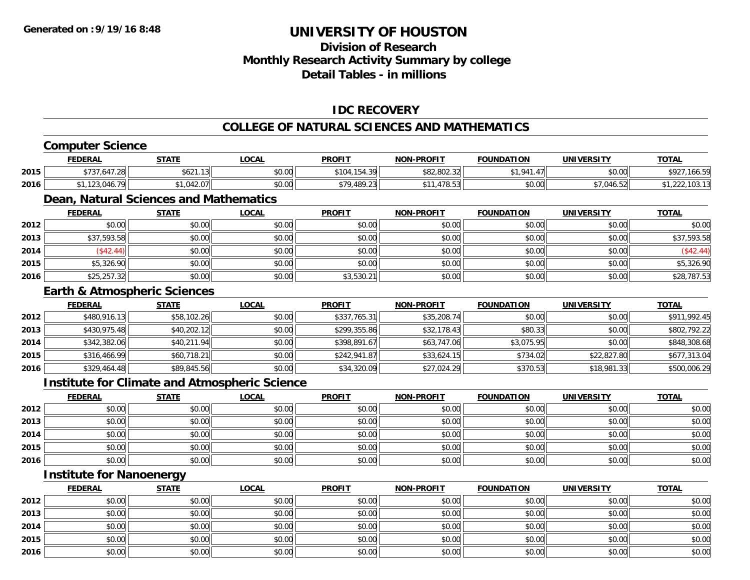## **Division of Research Monthly Research Activity Summary by college Detail Tables - in millions**

### **IDC RECOVERY**

#### **COLLEGE OF NATURAL SCIENCES AND MATHEMATICS**

|      | <b>Computer Science</b>                 |              |                                                      |               |                   |                    |                   |                |
|------|-----------------------------------------|--------------|------------------------------------------------------|---------------|-------------------|--------------------|-------------------|----------------|
|      | <b>FEDERAL</b>                          | <b>STATE</b> | <b>LOCAL</b>                                         | <b>PROFIT</b> | <b>NON-PROFIT</b> | <b>FOUNDATION</b>  | <b>UNIVERSITY</b> | <b>TOTAL</b>   |
| 2015 | \$737,647.28                            | \$621.13     | \$0.00                                               | \$104,154.39  | \$82,802.32       | \$1,941.47         | \$0.00            | \$927,166.59   |
| 2016 | \$1,123,046.79                          | \$1,042.07   | \$0.00                                               | \$79,489.23   | \$11,478.53       | \$0.00             | \$7,046.52        | \$1,222,103.13 |
|      | Dean, Natural Sciences and Mathematics  |              |                                                      |               |                   |                    |                   |                |
|      | <b>FEDERAL</b>                          | <b>STATE</b> | <b>LOCAL</b>                                         | <b>PROFIT</b> | <b>NON-PROFIT</b> | <b>FOUNDATION</b>  | <b>UNIVERSITY</b> | <b>TOTAL</b>   |
| 2012 | \$0.00                                  | \$0.00       | \$0.00                                               | \$0.00        | \$0.00            | \$0.00             | \$0.00            | \$0.00         |
| 2013 | \$37,593.58                             | \$0.00       | \$0.00                                               | \$0.00        | \$0.00            | \$0.00             | \$0.00            | \$37,593.58    |
| 2014 | (\$42.44)                               | \$0.00       | \$0.00                                               | \$0.00        | \$0.00            | \$0.00             | \$0.00            | (\$42.44)      |
| 2015 | \$5,326.90                              | \$0.00       | \$0.00                                               | \$0.00        | \$0.00            | \$0.00             | \$0.00            | \$5,326.90     |
| 2016 | \$25,257.32                             | \$0.00       | \$0.00                                               | \$3,530.21    | \$0.00            | \$0.00             | \$0.00            | \$28,787.53    |
|      | <b>Earth &amp; Atmospheric Sciences</b> |              |                                                      |               |                   |                    |                   |                |
|      | <b>FEDERAL</b>                          | <b>STATE</b> | <b>LOCAL</b>                                         | <b>PROFIT</b> | <b>NON-PROFIT</b> | <b>FOUNDATION</b>  | <b>UNIVERSITY</b> | <b>TOTAL</b>   |
| 2012 | \$480,916.13                            | \$58,102.26  | \$0.00                                               | \$337,765.31  | \$35,208.74       | \$0.00             | \$0.00            | \$911,992.45   |
| 2013 | \$430,975.48                            | \$40,202.12  | \$0.00                                               | \$299,355.86  | \$32,178.43       | \$80.33            | \$0.00            | \$802,792.22   |
| 2014 | \$342,382.06                            | \$40,211.94  | \$0.00                                               | \$398,891.67  | \$63,747.06       | \$3,075.95         | \$0.00            | \$848,308.68   |
| 2015 | \$316,466.99                            | \$60,718.21  | \$0.00                                               | \$242,941.87  | \$33,624.15       | \$734.02           | \$22,827.80       | \$677,313.04   |
| 2016 | \$329,464.48                            | \$89,845.56  | \$0.00                                               | \$34,320.09   | \$27,024.29       | \$370.53           | \$18,981.33       | \$500,006.29   |
|      |                                         |              | <b>Institute for Climate and Atmospheric Science</b> |               |                   |                    |                   |                |
|      | <b>FEDERAL</b>                          | <b>STATE</b> | <b>LOCAL</b>                                         | <b>PROFIT</b> | <b>NON-PROFIT</b> | <b>FOUNDATION</b>  | <b>UNIVERSITY</b> | <b>TOTAL</b>   |
| 2012 | \$0.00                                  | \$0.00       | \$0.00                                               | \$0.00        | \$0.00            | \$0.00             | \$0.00            | \$0.00         |
| 2013 | \$0.00                                  | \$0.00       | \$0.00                                               | \$0.00        | \$0.00            | \$0.00             | \$0.00            | \$0.00         |
| 2014 | \$0.00                                  | \$0.00       | \$0.00                                               | \$0.00        | \$0.00            | \$0.00             | \$0.00            | \$0.00         |
| 2015 | \$0.00                                  | \$0.00       | \$0.00                                               | \$0.00        | \$0.00            | \$0.00             | \$0.00            | \$0.00         |
| 2016 | \$0.00                                  | \$0.00       | \$0.00                                               | \$0.00        | \$0.00            | \$0.00             | \$0.00            | \$0.00         |
|      | <b>Institute for Nanoenergy</b>         |              |                                                      |               |                   |                    |                   |                |
|      | <b>FFBFBAL</b>                          |              | 10001                                                | <b>DDAFIT</b> | NON BROEIT        | <b>COUNIDATION</b> | 1181111FRO1T11    | <b>TOTAL</b>   |

|      | <b>FEDERAL</b> | <b>STATE</b> | <b>LOCAL</b> | <b>PROFIT</b> | <b>NON-PROFIT</b> | <b>FOUNDATION</b> | <b>UNIVERSITY</b> | <u>TOTAL</u> |
|------|----------------|--------------|--------------|---------------|-------------------|-------------------|-------------------|--------------|
| 2012 | \$0.00         | \$0.00       | \$0.00       | \$0.00        | \$0.00            | \$0.00            | \$0.00            | \$0.00       |
| 2013 | \$0.00         | \$0.00       | \$0.00       | \$0.00        | \$0.00            | \$0.00            | \$0.00            | \$0.00       |
| 2014 | \$0.00         | \$0.00       | \$0.00       | \$0.00        | \$0.00            | \$0.00            | \$0.00            | \$0.00       |
| 2015 | \$0.00         | \$0.00       | \$0.00       | \$0.00        | \$0.00            | \$0.00            | \$0.00            | \$0.00       |
| 2016 | \$0.00         | \$0.00       | \$0.00       | \$0.00        | \$0.00            | \$0.00            | \$0.00            | \$0.00       |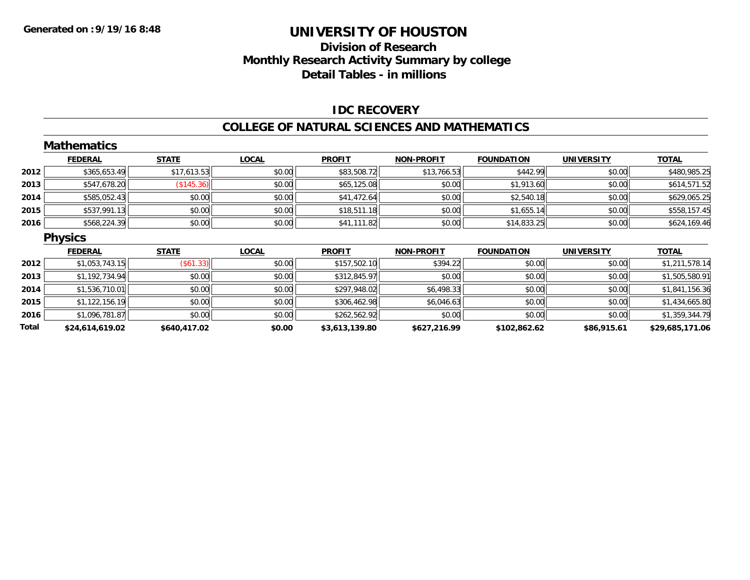## **Division of Research Monthly Research Activity Summary by college Detail Tables - in millions**

#### **IDC RECOVERY**

#### **COLLEGE OF NATURAL SCIENCES AND MATHEMATICS**

|       | <b>Mathematics</b> |                  |              |                |                   |                   |                   |                 |
|-------|--------------------|------------------|--------------|----------------|-------------------|-------------------|-------------------|-----------------|
|       | <b>FEDERAL</b>     | <b>STATE</b>     | <b>LOCAL</b> | <b>PROFIT</b>  | NON-PROFIT        | <b>FOUNDATION</b> | <b>UNIVERSITY</b> | <b>TOTAL</b>    |
| 2012  | \$365,653.49       | \$17,613.53      | \$0.00       | \$83,508.72    | \$13,766.53       | \$442.99          | \$0.00            | \$480,985.25    |
| 2013  | \$547,678.20       | (\$145.36)       | \$0.00       | \$65,125.08    | \$0.00            | \$1,913.60        | \$0.00            | \$614,571.52    |
| 2014  | \$585,052.43       | \$0.00           | \$0.00       | \$41,472.64    | \$0.00            | \$2,540.18        | \$0.00            | \$629,065.25    |
| 2015  | \$537,991.13       | \$0.00           | \$0.00       | \$18,511.18    | \$0.00            | \$1,655.14        | \$0.00            | \$558,157.45    |
| 2016  | \$568,224.39       | \$0.00           | \$0.00       | \$41,111.82    | \$0.00            | \$14,833.25       | \$0.00            | \$624,169.46    |
|       | <b>Physics</b>     |                  |              |                |                   |                   |                   |                 |
|       | <b>FEDERAL</b>     | <b>STATE</b>     | <b>LOCAL</b> | <b>PROFIT</b>  | <b>NON-PROFIT</b> | <b>FOUNDATION</b> | <b>UNIVERSITY</b> | <b>TOTAL</b>    |
| 2012  | \$1,053,743.15     | $($ \$61.33) $ $ | \$0.00       | \$157,502.10   | \$394.22          | \$0.00            | \$0.00            | \$1,211,578.14  |
| 2013  | \$1,192,734.94     | \$0.00           | \$0.00       | \$312,845.97   | \$0.00            | \$0.00            | \$0.00            | \$1,505,580.91  |
| 2014  | \$1,536,710.01     | \$0.00           | \$0.00       | \$297,948.02   | \$6,498.33        | \$0.00            | \$0.00            | \$1,841,156.36  |
| 2015  | \$1,122,156.19     | \$0.00           | \$0.00       | \$306,462.98   | \$6,046.63        | \$0.00            | \$0.00            | \$1,434,665.80  |
| 2016  | \$1,096,781.87     | \$0.00           | \$0.00       | \$262,562.92   | \$0.00            | \$0.00            | \$0.00            | \$1,359,344.79  |
| Total | \$24,614,619.02    | \$640,417.02     | \$0.00       | \$3,613,139.80 | \$627,216.99      | \$102,862.62      | \$86,915.61       | \$29,685,171.06 |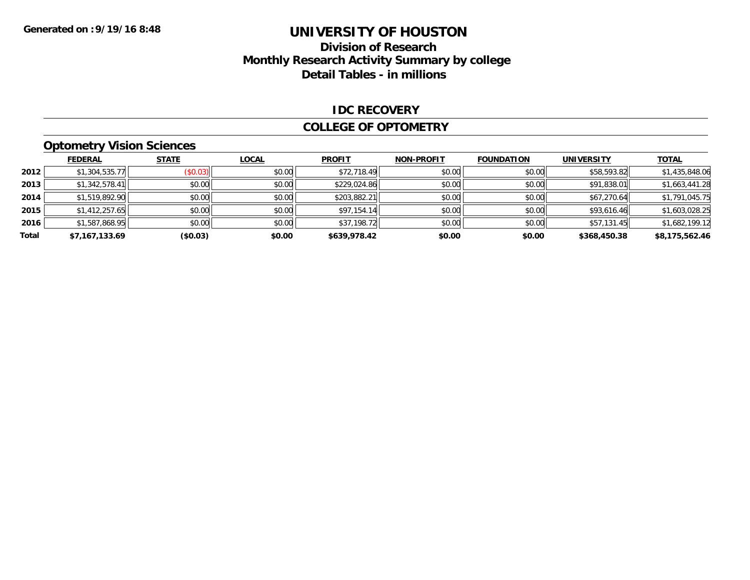### **Division of Research Monthly Research Activity Summary by college Detail Tables - in millions**

#### **IDC RECOVERY**

#### **COLLEGE OF OPTOMETRY**

## **Optometry Vision Sciences**

|       | <b>FEDERAL</b> | <b>STATE</b> | <u>LOCAL</u> | <b>PROFIT</b> | <b>NON-PROFIT</b> | <b>FOUNDATION</b> | <b>UNIVERSITY</b> | <b>TOTAL</b>   |
|-------|----------------|--------------|--------------|---------------|-------------------|-------------------|-------------------|----------------|
| 2012  | \$1,304,535.77 | (\$0.03)     | \$0.00       | \$72,718.49   | \$0.00            | \$0.00            | \$58,593.82       | \$1,435,848.06 |
| 2013  | \$1,342,578.41 | \$0.00       | \$0.00       | \$229,024.86  | \$0.00            | \$0.00            | \$91,838.01       | \$1,663,441.28 |
| 2014  | \$1,519,892.90 | \$0.00       | \$0.00       | \$203,882.21  | \$0.00            | \$0.00            | \$67,270.64       | \$1,791,045.75 |
| 2015  | \$1,412,257.65 | \$0.00       | \$0.00       | \$97,154.14   | \$0.00            | \$0.00            | \$93,616.46       | \$1,603,028.25 |
| 2016  | \$1,587,868.95 | \$0.00       | \$0.00       | \$37,198.72   | \$0.00            | \$0.00            | \$57,131.45       | \$1,682,199.12 |
| Total | \$7,167,133.69 | (\$0.03)     | \$0.00       | \$639,978.42  | \$0.00            | \$0.00            | \$368,450.38      | \$8,175,562.46 |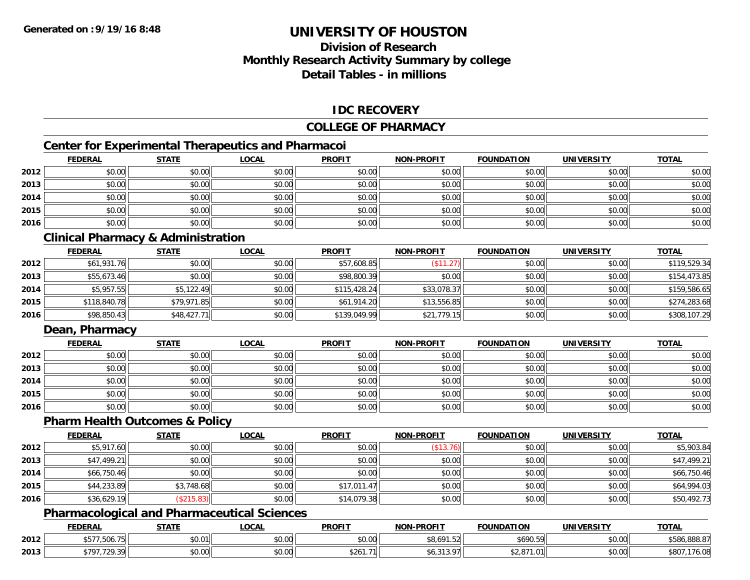## **Division of ResearchMonthly Research Activity Summary by college Detail Tables - in millions**

### **IDC RECOVERY**

#### **COLLEGE OF PHARMACY**

## **Center for Experimental Therapeutics and Pharmacoi**

|      | <b>FEDERAL</b> | <b>STATE</b> | <b>LOCAL</b> | <b>PROFIT</b> | <b>NON-PROFIT</b> | <b>FOUNDATION</b> | <b>UNIVERSITY</b> | <b>TOTAL</b> |
|------|----------------|--------------|--------------|---------------|-------------------|-------------------|-------------------|--------------|
| 2012 | \$0.00         | \$0.00       | \$0.00       | \$0.00        | \$0.00            | \$0.00            | \$0.00            | \$0.00       |
| 2013 | \$0.00         | \$0.00       | \$0.00       | \$0.00        | \$0.00            | \$0.00            | \$0.00            | \$0.00       |
| 2014 | \$0.00         | \$0.00       | \$0.00       | \$0.00        | \$0.00            | \$0.00            | \$0.00            | \$0.00       |
| 2015 | \$0.00         | \$0.00       | \$0.00       | \$0.00        | \$0.00            | \$0.00            | \$0.00            | \$0.00       |
| 2016 | \$0.00         | \$0.00       | \$0.00       | \$0.00        | \$0.00            | \$0.00            | \$0.00            | \$0.00       |

### **Clinical Pharmacy & Administration**

|      | <b>FEDERAL</b> | <u>STATE</u> | <u>LOCAL</u> | <b>PROFIT</b> | <b>NON-PROFIT</b> | <b>FOUNDATION</b> | <b>UNIVERSITY</b> | <b>TOTAL</b> |
|------|----------------|--------------|--------------|---------------|-------------------|-------------------|-------------------|--------------|
| 2012 | \$61,931.76    | \$0.00       | \$0.00       | \$57,608.85   | \$11.27           | \$0.00            | \$0.00            | \$119,529.34 |
| 2013 | \$55,673.46    | \$0.00       | \$0.00       | \$98,800.39   | \$0.00            | \$0.00            | \$0.00            | \$154,473.85 |
| 2014 | \$5,957.55     | \$5,122.49   | \$0.00       | \$115,428.24  | \$33,078.37       | \$0.00            | \$0.00            | \$159,586.65 |
| 2015 | \$118,840.78   | \$79,971.85  | \$0.00       | \$61,914.20   | \$13,556.85       | \$0.00            | \$0.00            | \$274,283.68 |
| 2016 | \$98,850.43    | \$48,427.71  | \$0.00       | \$139,049.99  | \$21,779.15       | \$0.00            | \$0.00            | \$308,107.29 |

### **Dean, Pharmacy**

|      | <b>FEDERAL</b> | <b>STATE</b> | <u>LOCAL</u> | <b>PROFIT</b> | <b>NON-PROFIT</b> | <b>FOUNDATION</b> | <b>UNIVERSITY</b> | <b>TOTAL</b> |
|------|----------------|--------------|--------------|---------------|-------------------|-------------------|-------------------|--------------|
| 2012 | \$0.00         | \$0.00       | \$0.00       | \$0.00        | \$0.00            | \$0.00            | \$0.00            | \$0.00       |
| 2013 | \$0.00         | \$0.00       | \$0.00       | \$0.00        | \$0.00            | \$0.00            | \$0.00            | \$0.00       |
| 2014 | \$0.00         | \$0.00       | \$0.00       | \$0.00        | \$0.00            | \$0.00            | \$0.00            | \$0.00       |
| 2015 | \$0.00         | \$0.00       | \$0.00       | \$0.00        | \$0.00            | \$0.00            | \$0.00            | \$0.00       |
| 2016 | \$0.00         | \$0.00       | \$0.00       | \$0.00        | \$0.00            | \$0.00            | \$0.00            | \$0.00       |

#### **Pharm Health Outcomes & Policy**

|      | <b>FEDERAL</b> | <b>STATE</b> | <u>LOCAL</u> | <b>PROFIT</b> | <b>NON-PROFIT</b> | <b>FOUNDATION</b> | <b>UNIVERSITY</b> | <b>TOTAL</b> |
|------|----------------|--------------|--------------|---------------|-------------------|-------------------|-------------------|--------------|
| 2012 | \$5,917.60     | \$0.00       | \$0.00       | \$0.00        | (\$13.76)         | \$0.00            | \$0.00            | \$5,903.84   |
| 2013 | \$47,499.21    | \$0.00       | \$0.00       | \$0.00        | \$0.00            | \$0.00            | \$0.00            | \$47,499.21  |
| 2014 | \$66,750.46    | \$0.00       | \$0.00       | \$0.00        | \$0.00            | \$0.00            | \$0.00            | \$66,750.46  |
| 2015 | \$44,233.89    | \$3,748.68   | \$0.00       | \$17,011.47   | \$0.00            | \$0.00            | \$0.00            | \$64,994.03  |
| 2016 | \$36,629.19    | \$215.83     | \$0.00       | \$14,079.38   | \$0.00            | \$0.00            | \$0.00            | \$50,492.73  |

### **Pharmacological and Pharmaceutical Sciences**

|      | <b>FEDERAL</b>             | <b>CTATE</b><br>7 I A | <b>OCAL</b>     | <b>PROFIT</b>  | <b>NON-DDOEIT</b>                    | <b>FOUNDATION</b> | UNIVERSITY                | <b>TOTAL</b>                    |
|------|----------------------------|-----------------------|-----------------|----------------|--------------------------------------|-------------------|---------------------------|---------------------------------|
| 2012 | -<br>                      | 0.04<br>ט.ט           | ሶስ ሰሰ<br>JU.UU  | ቀስ ሰሰ<br>JU.UU | $A \cap A$<br>$\sim$<br>ا∠نتا<br>.טי | \$690.59          | $\sim$ 00<br>PO.OO        | 000.07<br>$+E0.$<br>.380.888.87 |
| 2013 | 700y<br>1707<br><i>. .</i> | \$0.00                | $\sim$<br>vu.uu | - ا∣261.71∉    |                                      | n.<br>$\sim$      | $\sim$ 00<br><b>JU.UU</b> | 76.08                           |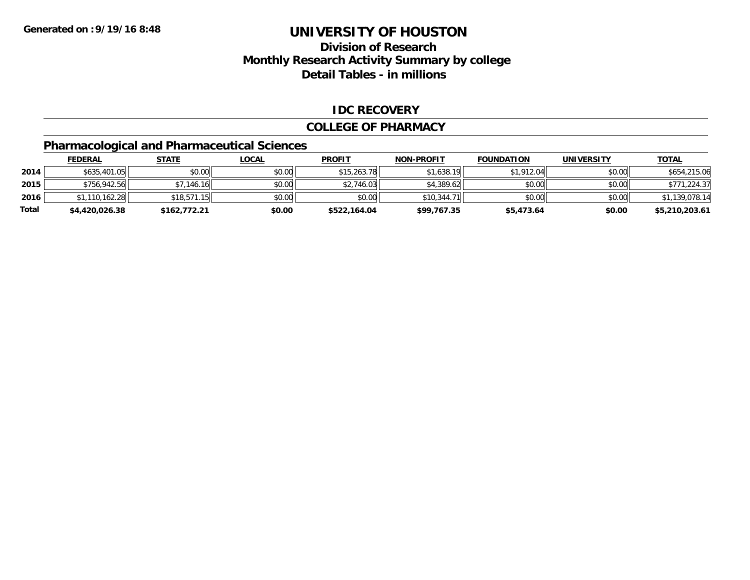## **Division of ResearchMonthly Research Activity Summary by college Detail Tables - in millions**

#### **IDC RECOVERY**

#### **COLLEGE OF PHARMACY**

## **Pharmacological and Pharmaceutical Sciences**

|       | <b>FEDERAL</b> | <u>STATE</u> | <u>LOCAL</u> | <b>PROFIT</b> | <b>NON-PROFIT</b> | <b>FOUNDATION</b> | <b>UNIVERSITY</b> | <b>TOTAL</b>   |
|-------|----------------|--------------|--------------|---------------|-------------------|-------------------|-------------------|----------------|
| 2014  | \$635,401.05   | \$0.00       | \$0.00       | \$15,263.78   | \$1,638.19        | \$1,912.04        | \$0.00            | \$654,215.06   |
| 2015  | \$756,942.56   | \$7,146.16   | \$0.00       | \$2,746.03    | \$4,389.62        | \$0.00            | \$0.00            | \$771,224.37   |
| 2016  | \$1,110,162.28 | \$18.571.15  | \$0.00       | \$0.00        | \$10.344.71       | \$0.00            | \$0.00            | \$1,139,078.14 |
| Total | \$4,420,026.38 | \$162,772.21 | \$0.00       | \$522,164.04  | \$99,767.35       | \$5,473.64        | \$0.00            | \$5,210,203.61 |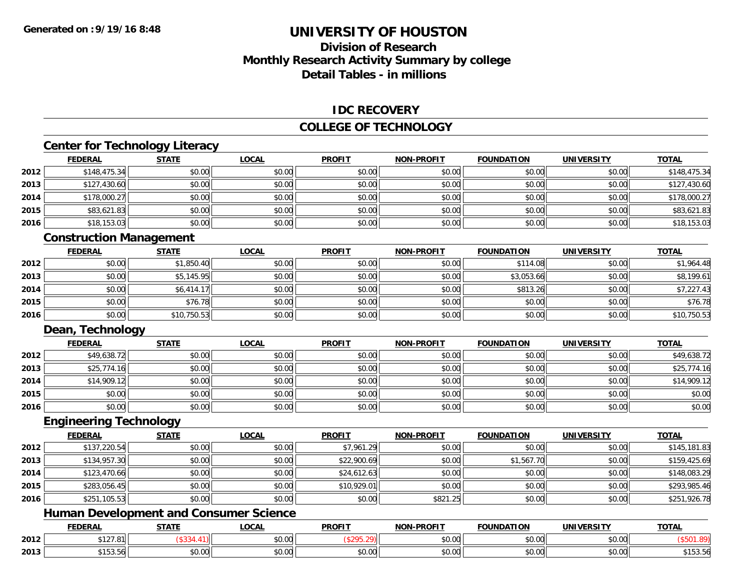## **Division of ResearchMonthly Research Activity Summary by college Detail Tables - in millions**

#### **IDC RECOVERY**

### **COLLEGE OF TECHNOLOGY**

### **Center for Technology Literacy**

|      | <b>FEDERAL</b> | <b>STATE</b> | <b>LOCAL</b> | <b>PROFIT</b> | <b>NON-PROFIT</b> | <b>FOUNDATION</b> | <b>UNIVERSITY</b> | <u>TOTAL</u> |
|------|----------------|--------------|--------------|---------------|-------------------|-------------------|-------------------|--------------|
| 2012 | \$148,475.34   | \$0.00       | \$0.00       | \$0.00        | \$0.00            | \$0.00            | \$0.00            | \$148,475.34 |
| 2013 | \$127,430.60   | \$0.00       | \$0.00       | \$0.00        | \$0.00            | \$0.00            | \$0.00            | \$127,430.60 |
| 2014 | \$178,000.27   | \$0.00       | \$0.00       | \$0.00        | \$0.00            | \$0.00            | \$0.00            | \$178,000.27 |
| 2015 | \$83,621.83    | \$0.00       | \$0.00       | \$0.00        | \$0.00            | \$0.00            | \$0.00            | \$83,621.83  |
| 2016 | \$18,153.03    | \$0.00       | \$0.00       | \$0.00        | \$0.00            | \$0.00            | \$0.00            | \$18,153.03  |

### **Construction Management**

|      | <b>FEDERAL</b> | <b>STATE</b> | <b>LOCAL</b> | <b>PROFIT</b> | NON-PROFIT | <b>FOUNDATION</b> | <b>UNIVERSITY</b> | <b>TOTAL</b> |
|------|----------------|--------------|--------------|---------------|------------|-------------------|-------------------|--------------|
| 2012 | \$0.00         | \$1,850.40   | \$0.00       | \$0.00        | \$0.00     | \$114.08          | \$0.00            | \$1,964.48   |
| 2013 | \$0.00         | \$5,145.95   | \$0.00       | \$0.00        | \$0.00     | \$3,053.66        | \$0.00            | \$8,199.61   |
| 2014 | \$0.00         | \$6,414.17   | \$0.00       | \$0.00        | \$0.00     | \$813.26          | \$0.00            | \$7,227.43   |
| 2015 | \$0.00         | \$76.78      | \$0.00       | \$0.00        | \$0.00     | \$0.00            | \$0.00            | \$76.78      |
| 2016 | \$0.00         | \$10,750.53  | \$0.00       | \$0.00        | \$0.00     | \$0.00            | \$0.00            | \$10,750.53  |

### **Dean, Technology**

|      | <b>FEDERAL</b> | <b>STATE</b> | <u>LOCAL</u> | <b>PROFIT</b> | <b>NON-PROFIT</b> | <b>FOUNDATION</b> | <b>UNIVERSITY</b> | <b>TOTAL</b> |
|------|----------------|--------------|--------------|---------------|-------------------|-------------------|-------------------|--------------|
| 2012 | \$49,638.72    | \$0.00       | \$0.00       | \$0.00        | \$0.00            | \$0.00            | \$0.00            | \$49,638.72  |
| 2013 | \$25,774.16    | \$0.00       | \$0.00       | \$0.00        | \$0.00            | \$0.00            | \$0.00            | \$25,774.16  |
| 2014 | \$14,909.12    | \$0.00       | \$0.00       | \$0.00        | \$0.00            | \$0.00            | \$0.00            | \$14,909.12  |
| 2015 | \$0.00         | \$0.00       | \$0.00       | \$0.00        | \$0.00            | \$0.00            | \$0.00            | \$0.00       |
| 2016 | \$0.00         | \$0.00       | \$0.00       | \$0.00        | \$0.00            | \$0.00            | \$0.00            | \$0.00       |

#### **Engineering Technology**

|      | <b>FEDERAL</b> | <b>STATE</b> | <b>LOCAL</b> | <b>PROFIT</b> | <b>NON-PROFIT</b> | <b>FOUNDATION</b> | <b>UNIVERSITY</b> | <b>TOTAL</b> |
|------|----------------|--------------|--------------|---------------|-------------------|-------------------|-------------------|--------------|
| 2012 | \$137,220.54   | \$0.00       | \$0.00       | \$7,961.29    | \$0.00            | \$0.00            | \$0.00            | \$145,181.83 |
| 2013 | \$134,957.30   | \$0.00       | \$0.00       | \$22,900.69   | \$0.00            | \$1,567.70        | \$0.00            | \$159,425.69 |
| 2014 | \$123,470.66   | \$0.00       | \$0.00       | \$24,612.63   | \$0.00            | \$0.00            | \$0.00            | \$148,083.29 |
| 2015 | \$283,056.45   | \$0.00       | \$0.00       | \$10,929.01   | \$0.00            | \$0.00            | \$0.00            | \$293,985.46 |
| 2016 | \$251,105.53   | \$0.00       | \$0.00       | \$0.00        | \$821.25          | \$0.00            | \$0.00            | \$251,926.78 |

## **Human Development and Consumer Science**

|      | <b>FEDERAL</b>       | 27.77                      | 0 <sup>n</sup><br>.UUAI | <b>PROFIT</b> | <b>DDOFIT</b> | <b>FOUNDATION</b> | UNIVERSITY           | <b>TOTAL</b>  |
|------|----------------------|----------------------------|-------------------------|---------------|---------------|-------------------|----------------------|---------------|
| 2012 | \$127.81             |                            | $\sim$ 00<br>pu.uu      |               | 0000<br>vv.vv | 0000<br>JU.UU     | 0.00<br><b>JU.UU</b> |               |
| 2013 | $A + C$<br>ູ່ ເປບ.ບບ | $*$ $\sim$ $\sim$<br>טט.טע | $\sim$ 00<br>, ט∪.∪ש    | \$0.00        | 0000<br>vv.vv | 0000<br>JU.UU     | 0.00<br><b>JU.UU</b> | .<br>\$103.00 |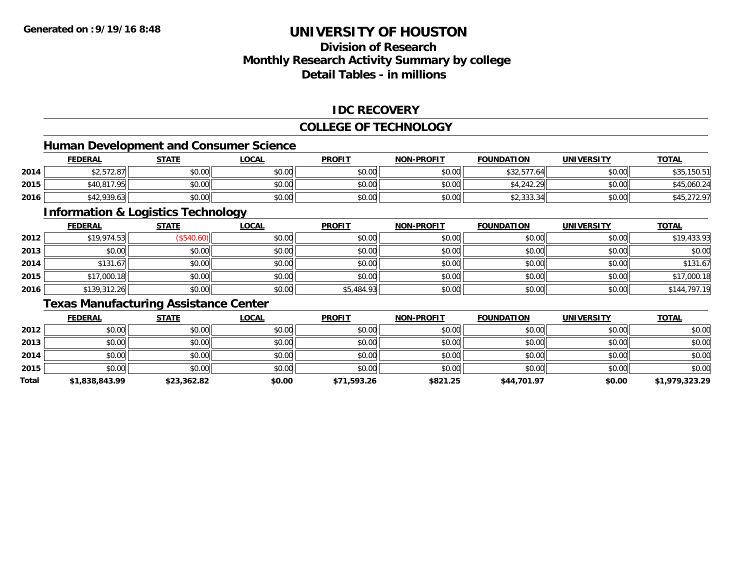## **Division of ResearchMonthly Research Activity Summary by college Detail Tables - in millions**

#### **IDC RECOVERY**

### **COLLEGE OF TECHNOLOGY**

### **Human Development and Consumer Science**

|      | <b>FEDERAL</b>     | <b>STATE</b> | <u>LOCAL</u> | <b>PROFIT</b> | <b>NON-PROFIT</b> | <b>FOUNDATION</b>  | UNIVERSITY | <b>TOTAL</b> |
|------|--------------------|--------------|--------------|---------------|-------------------|--------------------|------------|--------------|
| 2014 | 0.070<br>-2,572.87 | \$0.00       | \$0.00       | \$0.00        | \$0.00            | \$32,577.64        | \$0.00     | \$35,150.51  |
| 2015 | \$40,817.95        | \$0.00       | \$0.00       | \$0.00        | \$0.00            | \$4,242.29         | \$0.00     | \$45,060.24  |
| 2016 | \$42,939.63        | \$0.00       | \$0.00       | \$0.00        | \$0.00            | 2222<br>\$2,333.34 | \$0.00     | \$45,272.97  |

<u> 1989 - Johann Stoff, deutscher Stoffen und der Stoffen und der Stoffen und der Stoffen und der Stoffen und der</u>

## **Information & Logistics Technology**

|      | <b>FEDERAL</b> | <b>STATE</b> | <u>LOCAL</u> | <b>PROFIT</b> | <b>NON-PROFIT</b> | <b>FOUNDATION</b> | <b>UNIVERSITY</b> | <b>TOTAL</b> |
|------|----------------|--------------|--------------|---------------|-------------------|-------------------|-------------------|--------------|
| 2012 | \$19,974.53    | \$540.60     | \$0.00       | \$0.00        | \$0.00            | \$0.00            | \$0.00            | \$19,433.93  |
| 2013 | \$0.00         | \$0.00       | \$0.00       | \$0.00        | \$0.00            | \$0.00            | \$0.00            | \$0.00       |
| 2014 | \$131.67       | \$0.00       | \$0.00       | \$0.00        | \$0.00            | \$0.00            | \$0.00            | \$131.67     |
| 2015 | \$17,000.18    | \$0.00       | \$0.00       | \$0.00        | \$0.00            | \$0.00            | \$0.00            | \$17,000.18  |
| 2016 | \$139,312.26   | \$0.00       | \$0.00       | \$5,484.93    | \$0.00            | \$0.00            | \$0.00            | \$144,797.19 |

## **Texas Manufacturing Assistance Center**

|       | <b>FEDERAL</b> | <b>STATE</b> | <b>LOCAL</b> | <b>PROFIT</b> | <b>NON-PROFIT</b> | <b>FOUNDATION</b> | <b>UNIVERSITY</b> | <b>TOTAL</b>   |
|-------|----------------|--------------|--------------|---------------|-------------------|-------------------|-------------------|----------------|
| 2012  | \$0.00         | \$0.00       | \$0.00       | \$0.00        | \$0.00            | \$0.00            | \$0.00            | \$0.00         |
| 2013  | \$0.00         | \$0.00       | \$0.00       | \$0.00        | \$0.00            | \$0.00            | \$0.00            | \$0.00         |
| 2014  | \$0.00         | \$0.00       | \$0.00       | \$0.00        | \$0.00            | \$0.00            | \$0.00            | \$0.00         |
| 2015  | \$0.00         | \$0.00       | \$0.00       | \$0.00        | \$0.00            | \$0.00            | \$0.00            | \$0.00         |
| Total | \$1,838,843.99 | \$23,362.82  | \$0.00       | \$71,593.26   | \$821.25          | \$44,701.97       | \$0.00            | \$1,979,323.29 |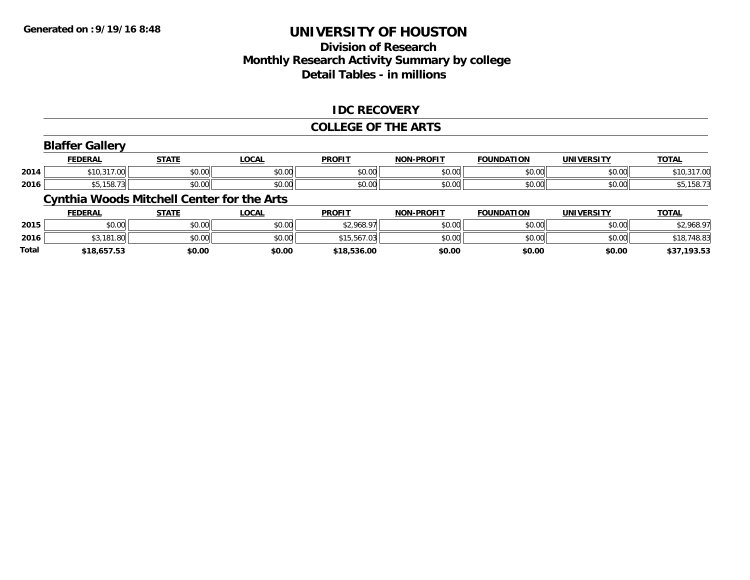## **Division of ResearchMonthly Research Activity Summary by college Detail Tables - in millions**

#### **IDC RECOVERY**

#### **COLLEGE OF THE ARTS**

### **Blaffer Gallery**

|      | <b>FEDERAL</b>                         | <b>STATE</b>     | $\bigcap_{n=1}^{\infty}$<br>.UUAI | <b>PROFIT</b>  | <b>DDOFIT</b> .<br><b>MARI</b> | <b>FOUNDATION</b><br>10N | EDCIT\<br>UNIVE    | TOTA.                 |
|------|----------------------------------------|------------------|-----------------------------------|----------------|--------------------------------|--------------------------|--------------------|-----------------------|
| 2014 | 247.00<br>* 1 O<br>w<br>$\mathbf{u}$ . | ሶስ ሰሰ<br>JU.UU   | $\sim$ $\sim$<br>vv.vv            | \$0.00         | \$0.00                         | 0000<br>JU.UU            | nn nn<br>pu.uu     | $\sim$<br>10.3<br>.uu |
| 2016 | .                                      | $\sim$ 00<br>ט.ט | $\sim$ 00<br>vv.vv                | ¢∩ ∩∩<br>,u.uu | \$0.00                         | 0000<br>JU.UU            | $\sim$ 00<br>JU.UU | 40,100.1              |

### **Cynthia Woods Mitchell Center for the Arts**

|              | <b>FEDERAL</b> | STATE  | <u>LOCAL</u> | <b>PROFIT</b> | <b>NON-PROFIT</b> | <b>FOUNDATION</b> | UNIVERSITY | <u>TOTAL</u>    |
|--------------|----------------|--------|--------------|---------------|-------------------|-------------------|------------|-----------------|
| 2015         | \$0.00         | \$0.00 | \$0.00       | \$2,968.97    | \$0.00            | \$0.00            | \$0.00     | \$2,968.97      |
| 2016         | \$3,181.80     | \$0.00 | \$0.00       | \$15.567.03   | \$0.00            | \$0.00            | \$0.00     | \$18,748.83     |
| <b>Total</b> | \$18,657.53    | \$0.00 | \$0.00       | \$18,536.00   | \$0.00            | \$0.00            | \$0.00     | 193.53,<br>\$37 |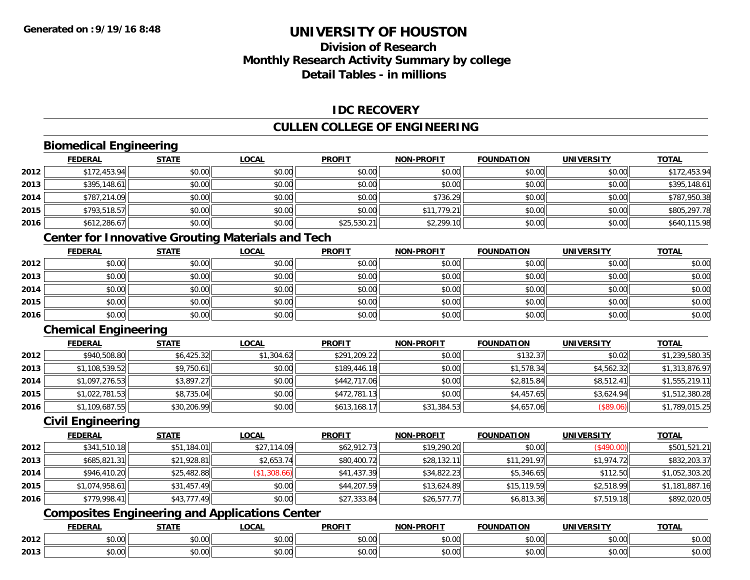## **Division of ResearchMonthly Research Activity Summary by college Detail Tables - in millions**

### **IDC RECOVERY**

### **CULLEN COLLEGE OF ENGINEERING**

## **Biomedical Engineering**

|      | <b>FEDERAL</b> | <b>STATE</b> | <b>LOCAL</b> | <b>PROFIT</b> | <b>NON-PROFIT</b> | <b>FOUNDATION</b> | <b>UNIVERSITY</b> | <b>TOTAL</b> |
|------|----------------|--------------|--------------|---------------|-------------------|-------------------|-------------------|--------------|
| 2012 | \$172,453.94   | \$0.00       | \$0.00       | \$0.00        | \$0.00            | \$0.00            | \$0.00            | \$172,453.94 |
| 2013 | \$395,148.61   | \$0.00       | \$0.00       | \$0.00        | \$0.00            | \$0.00            | \$0.00            | \$395,148.61 |
| 2014 | \$787,214.09   | \$0.00       | \$0.00       | \$0.00        | \$736.29          | \$0.00            | \$0.00            | \$787,950.38 |
| 2015 | \$793,518.57   | \$0.00       | \$0.00       | \$0.00        | \$11,779.21       | \$0.00            | \$0.00            | \$805,297.78 |
| 2016 | \$612,286.67   | \$0.00       | \$0.00       | \$25,530.21   | \$2,299.10        | \$0.00            | \$0.00            | \$640,115.98 |

## **Center for Innovative Grouting Materials and Tech**

|      | <b>FEDERAL</b> | <b>STATE</b> | <u>LOCAL</u> | <b>PROFIT</b> | <b>NON-PROFIT</b> | <b>FOUNDATION</b> | <b>UNIVERSITY</b> | <b>TOTAL</b> |
|------|----------------|--------------|--------------|---------------|-------------------|-------------------|-------------------|--------------|
| 2012 | \$0.00         | \$0.00       | \$0.00       | \$0.00        | \$0.00            | \$0.00            | \$0.00            | \$0.00       |
| 2013 | \$0.00         | \$0.00       | \$0.00       | \$0.00        | \$0.00            | \$0.00            | \$0.00            | \$0.00       |
| 2014 | \$0.00         | \$0.00       | \$0.00       | \$0.00        | \$0.00            | \$0.00            | \$0.00            | \$0.00       |
| 2015 | \$0.00         | \$0.00       | \$0.00       | \$0.00        | \$0.00            | \$0.00            | \$0.00            | \$0.00       |
| 2016 | \$0.00         | \$0.00       | \$0.00       | \$0.00        | \$0.00            | \$0.00            | \$0.00            | \$0.00       |

### **Chemical Engineering**

|      | <b>FEDERAL</b> | <b>STATE</b> | <u>LOCAL</u> | <b>PROFIT</b> | <b>NON-PROFIT</b> | <b>FOUNDATION</b> | <b>UNIVERSITY</b> | <b>TOTAL</b>   |
|------|----------------|--------------|--------------|---------------|-------------------|-------------------|-------------------|----------------|
| 2012 | \$940,508.80   | \$6,425.32   | \$1,304.62   | \$291,209.22  | \$0.00            | \$132.37          | \$0.02            | \$1,239,580.35 |
| 2013 | \$1,108,539.52 | \$9,750.61   | \$0.00       | \$189,446.18  | \$0.00            | \$1,578.34        | \$4,562.32        | \$1,313,876.97 |
| 2014 | \$1,097,276.53 | \$3,897.27   | \$0.00       | \$442,717.06  | \$0.00            | \$2,815.84        | \$8,512.41        | \$1,555,219.11 |
| 2015 | \$1,022,781.53 | \$8,735.04   | \$0.00       | \$472,781.13  | \$0.00            | \$4,457.65        | \$3,624.94        | \$1,512,380.28 |
| 2016 | \$1,109,687.55 | \$30,206.99  | \$0.00       | \$613,168.17  | \$31,384.53       | \$4,657.06        | $($ \$89.06) $ $  | \$1,789,015.25 |

### **Civil Engineering**

|      | <b>FEDERAL</b> | <b>STATE</b> | <u>LOCAL</u> | <b>PROFIT</b> | <b>NON-PROFIT</b> | <b>FOUNDATION</b> | <b>UNIVERSITY</b> | <b>TOTAL</b>   |
|------|----------------|--------------|--------------|---------------|-------------------|-------------------|-------------------|----------------|
| 2012 | \$341,510.18   | \$51,184.01  | \$27,114.09  | \$62,912.73   | \$19,290.20       | \$0.00            | (\$490.00)        | \$501,521.21   |
| 2013 | \$685,821.31   | \$21,928.81  | \$2,653.74   | \$80,400.72   | \$28,132.11       | \$11,291.97       | \$1,974.72        | \$832,203.37   |
| 2014 | \$946,410.20   | \$25,482.88  | (\$1,308.66) | \$41,437.39   | \$34,822.23       | \$5,346.65        | \$112.50          | \$1,052,303.20 |
| 2015 | \$1,074,958.61 | \$31,457.49  | \$0.00       | \$44,207.59   | \$13,624.89       | \$15,119.59       | \$2,518.99        | \$1,181,887.16 |
| 2016 | \$779,998.41   | \$43,777.49  | \$0.00       | \$27,333.84   | \$26,577.77       | \$6,813.36        | \$7,519.18        | \$892,020.05   |

## **Composites Engineering and Applications Center**

|      | DERAI  | CTATI     | .OCAL     | <b>PROFIT</b> | <b>DDOEL1</b><br><b>ארות</b> | ΓΙΟΝ    | UNIVERSITY                                   | <b>TOTAL</b> |
|------|--------|-----------|-----------|---------------|------------------------------|---------|----------------------------------------------|--------------|
| 2012 | $\sim$ | $\sim$    | $\sim$    | $\cdots$      | 0000                         | 0.00    | $\mathsf{A} \cap \mathsf{A} \cap \mathsf{A}$ | 0000         |
|      | וט.טי  | JU.UU     | vv.vv     | vu.vu         | vu.vu                        | - JU.UU | PO.OO                                        | <b>JU.UU</b> |
|      | 0.00   | $\sim$ 00 | $\sim$ 00 | $\cdots$      | 0.00                         | 0.00    | $\sim$ $\sim$                                | $\cdots$     |
| 2013 | וט.טי  | JU.L      | JU.UU     | vv.vv         | JU.UU                        | ww.uu   | <b>JU.UU</b>                                 | <b>JU.UU</b> |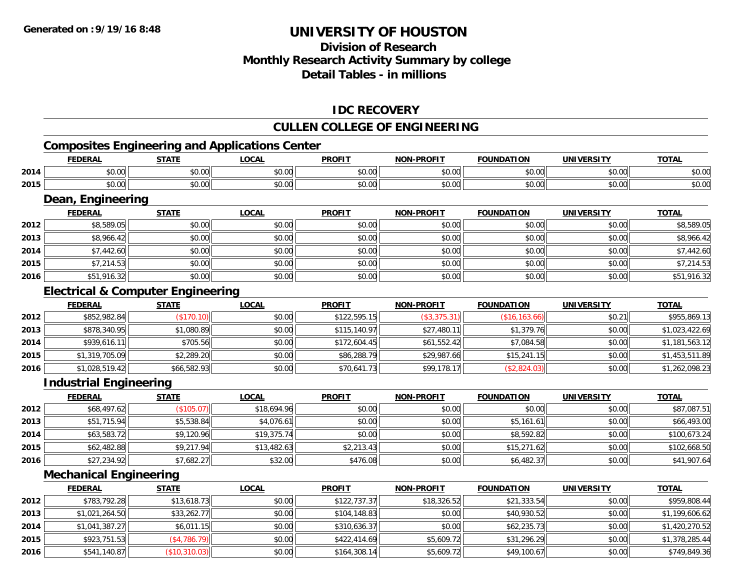## **Division of ResearchMonthly Research Activity Summary by college Detail Tables - in millions**

### **IDC RECOVERY**

### **CULLEN COLLEGE OF ENGINEERING**

## **Composites Engineering and Applications Center**

|      | <b>FEDERAL</b>               | <b>STATE</b> | <u>LOCAL</u> | <b>PROFIT</b> | <b>NON-PROFIT</b> | <b>FOUNDATION</b> | UNIVERSITY | <b>TOTAL</b> |
|------|------------------------------|--------------|--------------|---------------|-------------------|-------------------|------------|--------------|
| 2014 | \$0.00                       | \$0.00       | \$0.00       | \$0.00        | \$0.00            | \$0.00            | \$0.00     | \$0.00       |
| 2015 | \$0.00                       | \$0.00       | \$0.00       | \$0.00        | \$0.00            | \$0.00            | \$0.00     | \$0.00       |
|      | Engineering<br>Dear<br>_____ | _____        | .            | _______       | ____________      |                   |            | ____         |

|      | <u>FEDERAL</u> | <u>STATE</u> | <u>LOCAL</u> | <b>PROFIT</b> | <b>NON-PROFIT</b> | <b>FOUNDATION</b> | UNIVERSITY | <u>TOTAL</u> |
|------|----------------|--------------|--------------|---------------|-------------------|-------------------|------------|--------------|
| 2012 | \$8,589.05     | \$0.00       | \$0.00       | \$0.00        | \$0.00            | \$0.00            | \$0.00     | \$8,589.05   |
| 2013 | \$8,966.42     | \$0.00       | \$0.00       | \$0.00        | \$0.00            | \$0.00            | \$0.00     | \$8,966.42   |
| 2014 | \$7,442.60     | \$0.00       | \$0.00       | \$0.00        | \$0.00            | \$0.00            | \$0.00     | \$7,442.60   |
| 2015 | \$7,214.53     | \$0.00       | \$0.00       | \$0.00        | \$0.00            | \$0.00            | \$0.00     | \$7,214.53   |
| 2016 | \$51,916.32    | \$0.00       | \$0.00       | \$0.00        | \$0.00            | \$0.00            | \$0.00     | \$51,916.32  |

### **Electrical & Computer Engineering**

|      | <b>FEDERAL</b> | <b>STATE</b> | <b>LOCAL</b> | <b>PROFIT</b> | <b>NON-PROFIT</b> | <b>FOUNDATION</b> | <b>UNIVERSITY</b> | <b>TOTAL</b>   |
|------|----------------|--------------|--------------|---------------|-------------------|-------------------|-------------------|----------------|
| 2012 | \$852,982.84   | (\$170.10)   | \$0.00       | \$122,595.15  | (\$3,375.31)      | (\$16, 163.66)    | \$0.21            | \$955,869.13   |
| 2013 | \$878,340.95   | \$1,080.89   | \$0.00       | \$115,140.97  | \$27,480.11       | \$1,379.76        | \$0.00            | \$1,023,422.69 |
| 2014 | \$939,616.11   | \$705.56     | \$0.00       | \$172,604.45  | \$61,552.42       | \$7,084.58        | \$0.00            | \$1,181,563.12 |
| 2015 | \$1,319,705.09 | \$2,289.20   | \$0.00       | \$86,288.79   | \$29,987.66       | \$15,241.15       | \$0.00            | \$1,453,511.89 |
| 2016 | \$1,028,519.42 | \$66,582.93  | \$0.00       | \$70,641.73   | \$99,178.17       | (\$2,824.03)      | \$0.00            | \$1,262,098.23 |

### **Industrial Engineering**

|      | <b>FEDERAL</b> | <b>STATE</b> | <b>LOCAL</b> | <b>PROFIT</b> | <b>NON-PROFIT</b> | <b>FOUNDATION</b> | <b>UNIVERSITY</b> | <b>TOTAL</b> |
|------|----------------|--------------|--------------|---------------|-------------------|-------------------|-------------------|--------------|
| 2012 | \$68,497.62    | (\$105.07)   | \$18,694.96  | \$0.00        | \$0.00            | \$0.00            | \$0.00            | \$87,087.51  |
| 2013 | \$51,715.94    | \$5,538.84   | \$4,076.61   | \$0.00        | \$0.00            | \$5,161.61        | \$0.00            | \$66,493.00  |
| 2014 | \$63,583.72    | \$9,120.96   | \$19,375.74  | \$0.00        | \$0.00            | \$8,592.82        | \$0.00            | \$100,673.24 |
| 2015 | \$62,482.88    | \$9,217.94   | \$13,482.63  | \$2,213.43    | \$0.00            | \$15,271.62       | \$0.00            | \$102,668.50 |
| 2016 | \$27,234.92    | \$7,682.27   | \$32.00      | \$476.08      | \$0.00            | \$6,482.37        | \$0.00            | \$41,907.64  |

### **Mechanical Engineering**

|      | <b>FEDERAL</b> | <b>STATE</b>  | <b>LOCAL</b> | <b>PROFIT</b> | <b>NON-PROFIT</b> | <b>FOUNDATION</b> | <b>UNIVERSITY</b> | <b>TOTAL</b>   |
|------|----------------|---------------|--------------|---------------|-------------------|-------------------|-------------------|----------------|
| 2012 | \$783,792.28   | \$13,618.73   | \$0.00       | \$122.737.37  | \$18,326.52       | \$21,333.54       | \$0.00            | \$959,808.44   |
| 2013 | \$1,021,264.50 | \$33,262.77   | \$0.00       | \$104,148.83  | \$0.00            | \$40,930.52       | \$0.00            | \$1,199,606.62 |
| 2014 | \$1,041,387.27 | \$6,011.15    | \$0.00       | \$310,636.37  | \$0.00            | \$62,235.73       | \$0.00            | \$1,420,270.52 |
| 2015 | \$923,751.53   | (\$4,786.79)  | \$0.00       | \$422,414.69  | \$5,609.72        | \$31,296.29       | \$0.00            | \$1,378,285.44 |
| 2016 | \$541,140.87   | (\$10,310.03) | \$0.00       | \$164,308.14  | \$5,609.72        | \$49,100.67       | \$0.00            | \$749,849.36   |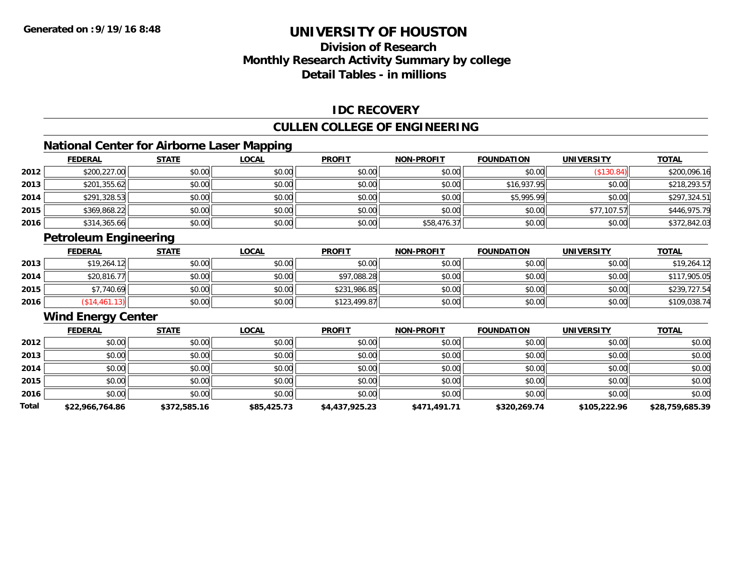## **Division of ResearchMonthly Research Activity Summary by college Detail Tables - in millions**

### **IDC RECOVERY**

### **CULLEN COLLEGE OF ENGINEERING**

### **National Center for Airborne Laser Mapping**

|      | <b>FEDERAL</b> | <b>STATE</b> | <u>LOCAL</u> | <b>PROFIT</b> | <b>NON-PROFIT</b> | <b>FOUNDATION</b> | <b>UNIVERSITY</b> | <b>TOTAL</b> |
|------|----------------|--------------|--------------|---------------|-------------------|-------------------|-------------------|--------------|
| 2012 | \$200,227.00   | \$0.00       | \$0.00       | \$0.00        | \$0.00            | \$0.00            | (\$130.84)        | \$200,096.16 |
| 2013 | \$201,355.62   | \$0.00       | \$0.00       | \$0.00        | \$0.00            | \$16,937.95       | \$0.00            | \$218,293.57 |
| 2014 | \$291,328.53   | \$0.00       | \$0.00       | \$0.00        | \$0.00            | \$5,995.99        | \$0.00            | \$297,324.51 |
| 2015 | \$369,868.22   | \$0.00       | \$0.00       | \$0.00        | \$0.00            | \$0.00            | \$77,107.57       | \$446,975.79 |
| 2016 | \$314,365.66   | \$0.00       | \$0.00       | \$0.00        | \$58,476.37       | \$0.00            | \$0.00            | \$372,842.03 |
|      |                |              |              |               |                   |                   |                   |              |

### **Petroleum Engineering**

|      | <b>FEDERAL</b> | <b>STATE</b> | <u>LOCAL</u> | <b>PROFIT</b> | <b>NON-PROFIT</b> | <b>FOUNDATION</b> | <b>UNIVERSITY</b> | <b>TOTAL</b> |
|------|----------------|--------------|--------------|---------------|-------------------|-------------------|-------------------|--------------|
| 2013 | \$19,264.12    | \$0.00       | \$0.00       | \$0.00        | \$0.00            | \$0.00            | \$0.00            | \$19,264.12  |
| 2014 | \$20,816.77    | \$0.00       | \$0.00       | \$97,088.28   | \$0.00            | \$0.00            | \$0.00            | \$117,905.05 |
| 2015 | \$7,740.69     | \$0.00       | \$0.00       | \$231,986.85  | \$0.00            | \$0.00            | \$0.00            | \$239,727.54 |
| 2016 | \$14,461.13    | \$0.00       | \$0.00       | \$123,499.87  | \$0.00            | \$0.00            | \$0.00            | \$109,038.74 |

### **Wind Energy Center**

|       | <b>FEDERAL</b>  | <b>STATE</b> | <b>LOCAL</b> | <b>PROFIT</b>  | <b>NON-PROFIT</b> | <b>FOUNDATION</b> | <b>UNIVERSITY</b> | <b>TOTAL</b>    |
|-------|-----------------|--------------|--------------|----------------|-------------------|-------------------|-------------------|-----------------|
| 2012  | \$0.00          | \$0.00       | \$0.00       | \$0.00         | \$0.00            | \$0.00            | \$0.00            | \$0.00          |
| 2013  | \$0.00          | \$0.00       | \$0.00       | \$0.00         | \$0.00            | \$0.00            | \$0.00            | \$0.00          |
| 2014  | \$0.00          | \$0.00       | \$0.00       | \$0.00         | \$0.00            | \$0.00            | \$0.00            | \$0.00          |
| 2015  | \$0.00          | \$0.00       | \$0.00       | \$0.00         | \$0.00            | \$0.00            | \$0.00            | \$0.00          |
| 2016  | \$0.00          | \$0.00       | \$0.00       | \$0.00         | \$0.00            | \$0.00            | \$0.00            | \$0.00          |
| Total | \$22,966,764.86 | \$372,585.16 | \$85,425.73  | \$4,437,925.23 | \$471,491.71      | \$320,269.74      | \$105,222.96      | \$28,759,685.39 |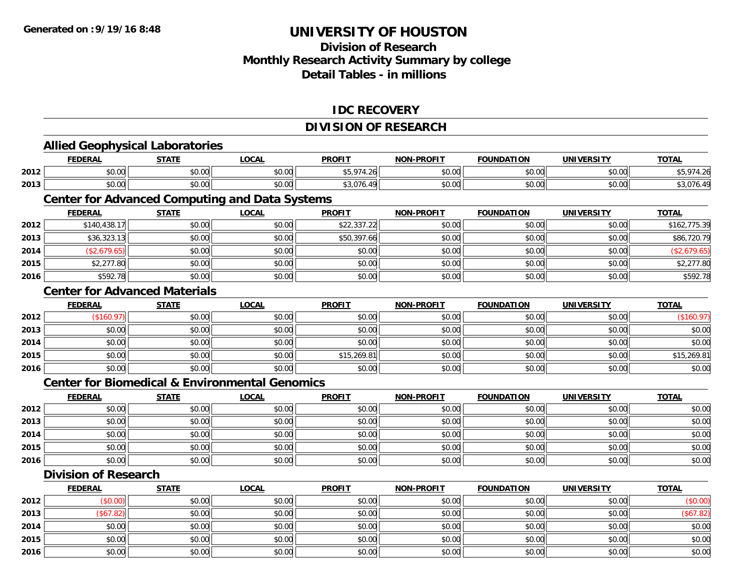## **Division of Research Monthly Research Activity Summary by college Detail Tables - in millions**

#### **IDC RECOVERY**

### **DIVISION OF RESEARCH**

|      | <b>Allied Geophysical Laboratories</b>                    |              |              |               |                   |                   |                   |              |
|------|-----------------------------------------------------------|--------------|--------------|---------------|-------------------|-------------------|-------------------|--------------|
|      | <b>FEDERAL</b>                                            | <b>STATE</b> | <b>LOCAL</b> | <b>PROFIT</b> | <b>NON-PROFIT</b> | <b>FOUNDATION</b> | <b>UNIVERSITY</b> | <b>TOTAL</b> |
| 2012 | \$0.00                                                    | \$0.00       | \$0.00       | \$5,974.26    | \$0.00            | \$0.00            | \$0.00            | \$5,974.26   |
| 2013 | \$0.00                                                    | \$0.00       | \$0.00       | \$3,076.49    | \$0.00            | \$0.00            | \$0.00            | \$3,076.49   |
|      | <b>Center for Advanced Computing and Data Systems</b>     |              |              |               |                   |                   |                   |              |
|      | <b>FEDERAL</b>                                            | <b>STATE</b> | <b>LOCAL</b> | <b>PROFIT</b> | <b>NON-PROFIT</b> | <b>FOUNDATION</b> | <b>UNIVERSITY</b> | <b>TOTAL</b> |
| 2012 | \$140,438.17                                              | \$0.00       | \$0.00       | \$22,337.22   | \$0.00            | \$0.00            | \$0.00            | \$162,775.39 |
| 2013 | \$36,323.13                                               | \$0.00       | \$0.00       | \$50,397.66   | \$0.00            | \$0.00            | \$0.00            | \$86,720.79  |
| 2014 | (\$2,679.65)                                              | \$0.00       | \$0.00       | \$0.00        | \$0.00            | \$0.00            | \$0.00            | (\$2,679.65) |
| 2015 | \$2,277.80                                                | \$0.00       | \$0.00       | \$0.00        | \$0.00            | \$0.00            | \$0.00            | \$2,277.80   |
| 2016 | \$592.78                                                  | \$0.00       | \$0.00       | \$0.00        | \$0.00            | \$0.00            | \$0.00            | \$592.78     |
|      | <b>Center for Advanced Materials</b>                      |              |              |               |                   |                   |                   |              |
|      | <b>FEDERAL</b>                                            | <b>STATE</b> | <b>LOCAL</b> | <b>PROFIT</b> | <b>NON-PROFIT</b> | <b>FOUNDATION</b> | <b>UNIVERSITY</b> | <b>TOTAL</b> |
| 2012 | (\$160.97)                                                | \$0.00       | \$0.00       | \$0.00        | \$0.00            | \$0.00            | \$0.00            | (\$160.97)   |
| 2013 | \$0.00                                                    | \$0.00       | \$0.00       | \$0.00        | \$0.00            | \$0.00            | \$0.00            | \$0.00       |
| 2014 | \$0.00                                                    | \$0.00       | \$0.00       | \$0.00        | \$0.00            | \$0.00            | \$0.00            | \$0.00       |
| 2015 | \$0.00                                                    | \$0.00       | \$0.00       | \$15,269.81   | \$0.00            | \$0.00            | \$0.00            | \$15,269.81  |
| 2016 | \$0.00                                                    | \$0.00       | \$0.00       | \$0.00        | \$0.00            | \$0.00            | \$0.00            | \$0.00       |
|      | <b>Center for Biomedical &amp; Environmental Genomics</b> |              |              |               |                   |                   |                   |              |
|      | <b>FEDERAL</b>                                            | <b>STATE</b> | <b>LOCAL</b> | <b>PROFIT</b> | <b>NON-PROFIT</b> | <b>FOUNDATION</b> | <b>UNIVERSITY</b> | <b>TOTAL</b> |
| 2012 | \$0.00                                                    | \$0.00       | \$0.00       | \$0.00        | \$0.00            | \$0.00            | \$0.00            | \$0.00       |
| 2013 | \$0.00                                                    | \$0.00       | \$0.00       | \$0.00        | \$0.00            | \$0.00            | \$0.00            | \$0.00       |
| 2014 | \$0.00                                                    | \$0.00       | \$0.00       | \$0.00        | \$0.00            | \$0.00            | \$0.00            | \$0.00       |
| 2015 | \$0.00                                                    | \$0.00       | \$0.00       | \$0.00        | \$0.00            | \$0.00            | \$0.00            | \$0.00       |
| 2016 | \$0.00                                                    | \$0.00       | \$0.00       | \$0.00        | \$0.00            | \$0.00            | \$0.00            | \$0.00       |
|      | <b>Division of Research</b>                               |              |              |               |                   |                   |                   |              |
|      | <b>FEDERAL</b>                                            | <b>STATE</b> | <b>LOCAL</b> | <b>PROFIT</b> | <b>NON-PROFIT</b> | <b>FOUNDATION</b> | <b>UNIVERSITY</b> | <b>TOTAL</b> |
| 2012 | (\$0.00)                                                  | \$0.00       | \$0.00       | \$0.00        | \$0.00            | \$0.00            | \$0.00            | (\$0.00)     |
| 2013 | (\$67.82)                                                 | \$0.00       | \$0.00       | \$0.00        | \$0.00            | \$0.00            | \$0.00            | (\$67.82)    |
| 2014 | \$0.00                                                    | \$0.00       | \$0.00       | \$0.00        | \$0.00            | \$0.00            | \$0.00            | \$0.00       |
| 2015 | \$0.00                                                    | \$0.00       | \$0.00       | \$0.00        | \$0.00            | \$0.00            | \$0.00            | \$0.00       |
| 2016 | \$0.00                                                    | \$0.00       | \$0.00       | \$0.00        | \$0.00            | \$0.00            | \$0.00            | \$0.00       |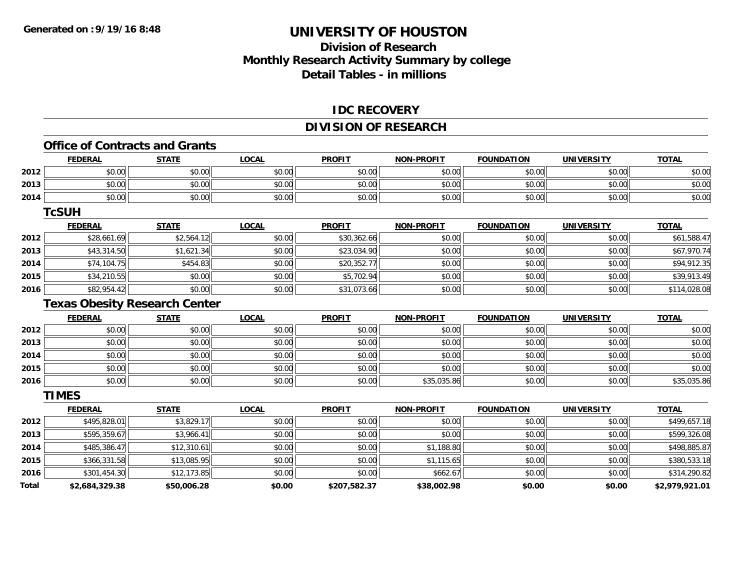## **Division of ResearchMonthly Research Activity Summary by college Detail Tables - in millions**

#### **IDC RECOVERY**

### **DIVISION OF RESEARCH**

#### **Office of Contracts and Grants**

|      | <b>FEDERAL</b> | <b>STATE</b>                         | <b>LOCAL</b> | <b>PROFIT</b> | <b>NON-PROFIT</b> | <b>FOUNDATION</b>   | <b>UNIVERSITY</b>   | <b>TOTAL</b> |
|------|----------------|--------------------------------------|--------------|---------------|-------------------|---------------------|---------------------|--------------|
| 2012 | \$0.00         | \$0.00                               | \$0.00       | \$0.00        | \$0.00            | \$0.00              | \$0.00              | \$0.00       |
| 2013 | \$0.00         | \$0.00                               | \$0.00       | \$0.00        | \$0.00            | \$0.00              | \$0.00              | \$0.00       |
| 2014 | \$0.00         | \$0.00                               | \$0.00       | \$0.00        | \$0.00            | \$0.00              | \$0.00              | \$0.00       |
|      | <b>TcSUH</b>   |                                      |              |               |                   |                     |                     |              |
|      | <b>FEDERAL</b> | <b>STATE</b>                         | <b>LOCAL</b> | <b>PROFIT</b> | <b>NON-PROFIT</b> | <b>FOUNDATION</b>   | <b>UNIVERSITY</b>   | <b>TOTAL</b> |
| 2012 | \$28,661.69    | \$2,564.12                           | \$0.00       | \$30,362.66   | \$0.00            | \$0.00              | \$0.00              | \$61,588.47  |
| 2013 | \$43,314.50    | \$1,621.34                           | \$0.00       | \$23,034.90   | \$0.00            | \$0.00              | \$0.00              | \$67,970.74  |
| 2014 | \$74,104.75    | \$454.83                             | \$0.00       | \$20,352.77   | \$0.00            | \$0.00              | \$0.00              | \$94,912.35  |
| 2015 | \$34,210.55    | \$0.00                               | \$0.00       | \$5,702.94    | \$0.00            | \$0.00              | \$0.00              | \$39,913.49  |
| 2016 | \$82,954.42    | \$0.00                               | \$0.00       | \$31,073.66   | \$0.00            | \$0.00              | \$0.00              | \$114,028.08 |
|      |                | <b>Texas Obesity Research Center</b> |              |               |                   |                     |                     |              |
|      | EENEDAI        | <b>CTATE</b>                         | 1001         | <b>DDOEIT</b> | MON DDOEIT        | <b>EQUINIDATION</b> | <b>IINIIVEDCITV</b> | <b>TOTAL</b> |

|      | F <u>EDERAL</u> | <u>STATE</u> | <u>LOCAL</u> | <b>PROFIT</b> | <b>NON-PROFIT</b> | <b>FOUNDATION</b> | UNIVERSITY | <u>TOTAL</u> |
|------|-----------------|--------------|--------------|---------------|-------------------|-------------------|------------|--------------|
| 2012 | \$0.00          | \$0.00       | \$0.00       | \$0.00        | \$0.00            | \$0.00            | \$0.00     | \$0.00       |
| 2013 | \$0.00          | \$0.00       | \$0.00       | \$0.00        | \$0.00            | \$0.00            | \$0.00     | \$0.00       |
| 2014 | \$0.00          | \$0.00       | \$0.00       | \$0.00        | \$0.00            | \$0.00            | \$0.00     | \$0.00       |
| 2015 | \$0.00          | \$0.00       | \$0.00       | \$0.00        | \$0.00            | \$0.00            | \$0.00     | \$0.00       |
| 2016 | \$0.00          | \$0.00       | \$0.00       | \$0.00        | \$35,035.86       | \$0.00            | \$0.00     | \$35,035.86  |

**TIMES**

|              | <b>FEDERAL</b> | <b>STATE</b> | <b>LOCAL</b> | <b>PROFIT</b> | <b>NON-PROFIT</b> | <b>FOUNDATION</b> | <b>UNIVERSITY</b> | <b>TOTAL</b>   |
|--------------|----------------|--------------|--------------|---------------|-------------------|-------------------|-------------------|----------------|
| 2012         | \$495,828.01   | \$3,829.17   | \$0.00       | \$0.00        | \$0.00            | \$0.00            | \$0.00            | \$499,657.18   |
| 2013         | \$595,359.67   | \$3,966.41   | \$0.00       | \$0.00        | \$0.00            | \$0.00            | \$0.00            | \$599,326.08   |
| 2014         | \$485,386.47   | \$12,310.61  | \$0.00       | \$0.00        | \$1,188.80        | \$0.00            | \$0.00            | \$498,885.87   |
| 2015         | \$366,331.58   | \$13,085.95  | \$0.00       | \$0.00        | \$1,115.65        | \$0.00            | \$0.00            | \$380,533.18   |
| 2016         | \$301,454.30   | \$12,173.85  | \$0.00       | \$0.00        | \$662.67          | \$0.00            | \$0.00            | \$314,290.82   |
| <b>Total</b> | \$2,684,329.38 | \$50,006.28  | \$0.00       | \$207,582.37  | \$38,002.98       | \$0.00            | \$0.00            | \$2,979,921.01 |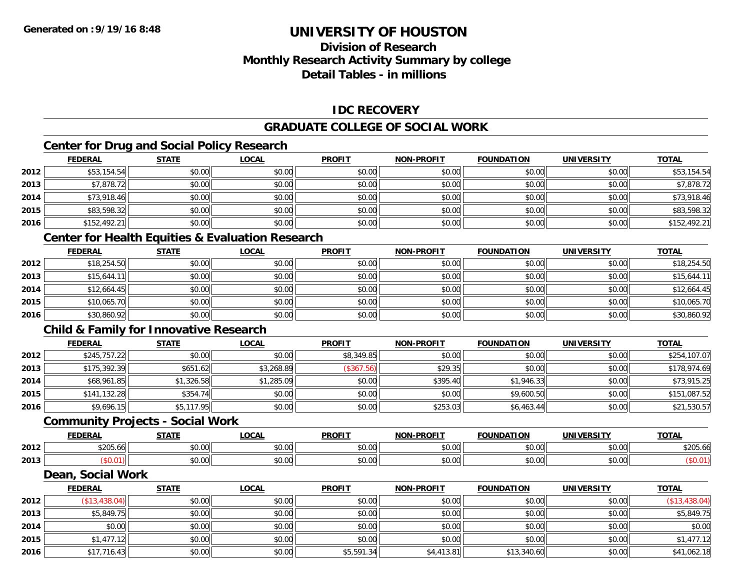## **Division of ResearchMonthly Research Activity Summary by college Detail Tables - in millions**

### **IDC RECOVERY**

### **GRADUATE COLLEGE OF SOCIAL WORK**

## **Center for Drug and Social Policy Research**

|      | <b>FEDERAL</b> | <b>STATE</b> | <b>LOCAL</b> | <b>PROFIT</b> | <b>NON-PROFIT</b> | <b>FOUNDATION</b> | <b>UNIVERSITY</b> | <b>TOTAL</b> |
|------|----------------|--------------|--------------|---------------|-------------------|-------------------|-------------------|--------------|
| 2012 | \$53,154.54    | \$0.00       | \$0.00       | \$0.00        | \$0.00            | \$0.00            | \$0.00            | \$53,154.54  |
| 2013 | \$7,878.72     | \$0.00       | \$0.00       | \$0.00        | \$0.00            | \$0.00            | \$0.00            | \$7,878.72   |
| 2014 | \$73,918.46    | \$0.00       | \$0.00       | \$0.00        | \$0.00            | \$0.00            | \$0.00            | \$73,918.46  |
| 2015 | \$83,598.32    | \$0.00       | \$0.00       | \$0.00        | \$0.00            | \$0.00            | \$0.00            | \$83,598.32  |
| 2016 | \$152,492.21   | \$0.00       | \$0.00       | \$0.00        | \$0.00            | \$0.00            | \$0.00            | \$152,492.21 |

# **Center for Health Equities & Evaluation Research**

|      | <u>FEDERAL</u> | <b>STATE</b> | <b>LOCAL</b> | <b>PROFIT</b> | <b>NON-PROFIT</b> | <b>FOUNDATION</b> | <b>UNIVERSITY</b> | <b>TOTAL</b> |
|------|----------------|--------------|--------------|---------------|-------------------|-------------------|-------------------|--------------|
| 2012 | \$18,254.50    | \$0.00       | \$0.00       | \$0.00        | \$0.00            | \$0.00            | \$0.00            | \$18,254.50  |
| 2013 | \$15.644.11    | \$0.00       | \$0.00       | \$0.00        | \$0.00            | \$0.00            | \$0.00            | \$15,644.11  |
| 2014 | \$12,664.45    | \$0.00       | \$0.00       | \$0.00        | \$0.00            | \$0.00            | \$0.00            | \$12,664.45  |
| 2015 | \$10,065.70    | \$0.00       | \$0.00       | \$0.00        | \$0.00            | \$0.00            | \$0.00            | \$10,065.70  |
| 2016 | \$30,860.92    | \$0.00       | \$0.00       | \$0.00        | \$0.00            | \$0.00            | \$0.00            | \$30,860.92  |

### **Child & Family for Innovative Research**

|      | <b>FEDERAL</b> | <b>STATE</b> | <u>LOCAL</u> | <b>PROFIT</b> | <b>NON-PROFIT</b> | <b>FOUNDATION</b> | <b>UNIVERSITY</b> | <b>TOTAL</b> |
|------|----------------|--------------|--------------|---------------|-------------------|-------------------|-------------------|--------------|
| 2012 | \$245,757.22   | \$0.00       | \$0.00       | \$8,349.85    | \$0.00            | \$0.00            | \$0.00            | \$254,107.07 |
| 2013 | \$175,392.39   | \$651.62     | \$3,268.89   | (\$367.56)    | \$29.35           | \$0.00            | \$0.00            | \$178,974.69 |
| 2014 | \$68,961.85    | \$1,326.58   | \$1,285.09   | \$0.00        | \$395.40          | \$1,946.33        | \$0.00            | \$73,915.25  |
| 2015 | \$141,132.28   | \$354.74     | \$0.00       | \$0.00        | \$0.00            | \$9,600.50        | \$0.00            | \$151,087.52 |
| 2016 | \$9,696.15     | \$5,117.95   | \$0.00       | \$0.00        | \$253.03          | \$6,463.44        | \$0.00            | \$21,530.57  |

#### **Community Projects - Social Work**

|      | <b>EEDEDA</b><br>. | C T A T C          | $\sim$<br>.UUAL   | <b>PROFIT</b> | <b>LDDOFIT</b><br>וחרות | <b>EQUINDATION</b>                                    | <b>IINIVERSITY</b> | <b>TOT</b><br>UINI |
|------|--------------------|--------------------|-------------------|---------------|-------------------------|-------------------------------------------------------|--------------------|--------------------|
| 2012 | \$205.66<br>. .    | $\sim$ 00<br>ט.טע  | $\sim$ 00<br>0.00 | 0.00<br>JU.UU | 0000<br>\$0.0t          | $\uparrow$ $\uparrow$ $\uparrow$<br>. <i>U U</i><br>՝ | $\sim$ 00<br>pu.uu | ሰ ገበሮ<br>\$205.60  |
| 2013 | vv.v               | $\sim$ 00<br>JU.UL | 0.00<br>JU.UU     | 0.00<br>JU.UU | \$0.00                  | nn nn<br>DU.UU                                        | nn nn<br>PU.UU     |                    |

#### **Dean, Social Work**

|      | <b>FEDERAL</b> | <b>STATE</b> | <b>LOCAL</b> | <b>PROFIT</b> | <b>NON-PROFIT</b> | <b>FOUNDATION</b> | <b>UNIVERSITY</b> | <b>TOTAL</b>  |
|------|----------------|--------------|--------------|---------------|-------------------|-------------------|-------------------|---------------|
| 2012 | (\$13,438.04)  | \$0.00       | \$0.00       | \$0.00        | \$0.00            | \$0.00            | \$0.00            | (\$13,438.04) |
| 2013 | \$5,849.75     | \$0.00       | \$0.00       | \$0.00        | \$0.00            | \$0.00            | \$0.00            | \$5,849.75    |
| 2014 | \$0.00         | \$0.00       | \$0.00       | \$0.00        | \$0.00            | \$0.00            | \$0.00            | \$0.00        |
| 2015 | \$1,477.12     | \$0.00       | \$0.00       | \$0.00        | \$0.00            | \$0.00            | \$0.00            | \$1,477.12    |
| 2016 | \$17,716.43    | \$0.00       | \$0.00       | \$5,591.34    | \$4,413.81        | \$13,340.60       | \$0.00            | \$41,062.18   |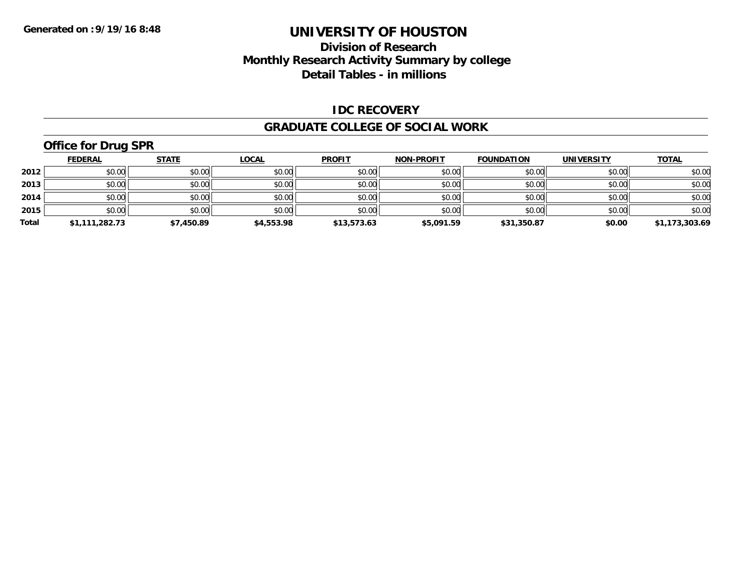## **Division of Research Monthly Research Activity Summary by college Detail Tables - in millions**

#### **IDC RECOVERY**

#### **GRADUATE COLLEGE OF SOCIAL WORK**

# **Office for Drug SPR**

|       | <b>FEDERAL</b> | <u>STATE</u> | <b>LOCAL</b> | <b>PROFIT</b> | <b>NON-PROFIT</b> | <b>FOUNDATION</b> | <b>UNIVERSITY</b> | <u>TOTAL</u>   |
|-------|----------------|--------------|--------------|---------------|-------------------|-------------------|-------------------|----------------|
| 2012  | \$0.00         | \$0.00       | \$0.00       | \$0.00        | \$0.00            | \$0.00            | \$0.00            | \$0.00         |
| 2013  | \$0.00         | \$0.00       | \$0.00       | \$0.00        | \$0.00            | \$0.00            | \$0.00            | \$0.00         |
| 2014  | \$0.00         | \$0.00       | \$0.00       | \$0.00        | \$0.00            | \$0.00            | \$0.00            | \$0.00         |
| 2015  | \$0.00         | \$0.00       | \$0.00       | \$0.00        | \$0.00            | \$0.00            | \$0.00            | \$0.00         |
| Total | \$1,111,282.73 | \$7,450.89   | \$4,553.98   | \$13,573.63   | \$5,091.59        | \$31,350.87       | \$0.00            | \$1,173,303.69 |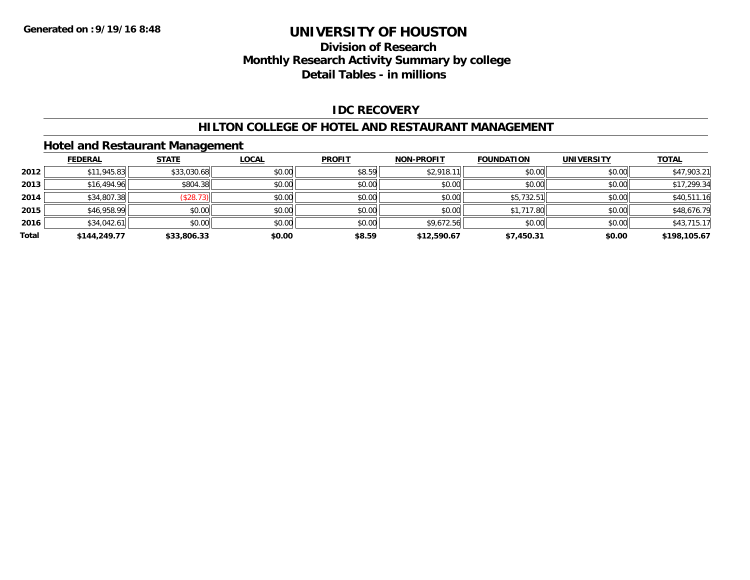## **Division of Research Monthly Research Activity Summary by college Detail Tables - in millions**

### **IDC RECOVERY**

#### **HILTON COLLEGE OF HOTEL AND RESTAURANT MANAGEMENT**

#### **Hotel and Restaurant Management**

|       | <b>FEDERAL</b> | <b>STATE</b> | <b>LOCAL</b> | <b>PROFIT</b> | <b>NON-PROFIT</b> | <b>FOUNDATION</b> | <b>UNIVERSITY</b> | <u>TOTAL</u> |
|-------|----------------|--------------|--------------|---------------|-------------------|-------------------|-------------------|--------------|
| 2012  | \$11,945.83    | \$33,030.68  | \$0.00       | \$8.59        | \$2,918.11        | \$0.00            | \$0.00            | \$47,903.21  |
| 2013  | \$16,494.96    | \$804.38     | \$0.00       | \$0.00        | \$0.00            | \$0.00            | \$0.00            | \$17,299.34  |
| 2014  | \$34,807.38    | (\$28.73)    | \$0.00       | \$0.00        | \$0.00            | \$5,732.51        | \$0.00            | \$40,511.16  |
| 2015  | \$46,958.99    | \$0.00       | \$0.00       | \$0.00        | \$0.00            | \$1,717.80        | \$0.00            | \$48,676.79  |
| 2016  | \$34,042.61    | \$0.00       | \$0.00       | \$0.00        | \$9,672.56        | \$0.00            | \$0.00            | \$43,715.17  |
| Total | \$144,249.77   | \$33,806.33  | \$0.00       | \$8.59        | \$12,590.67       | \$7,450.31        | \$0.00            | \$198,105.67 |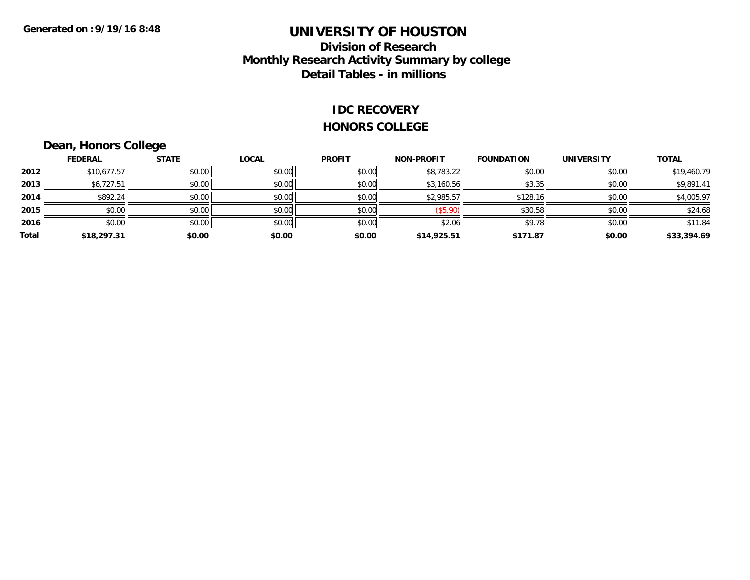## **Division of Research Monthly Research Activity Summary by college Detail Tables - in millions**

#### **IDC RECOVERY**

#### **HONORS COLLEGE**

# **Dean, Honors College**

|       | <b>FEDERAL</b> | <b>STATE</b> | <b>LOCAL</b> | <b>PROFIT</b> | <b>NON-PROFIT</b> | <b>FOUNDATION</b> | <b>UNIVERSITY</b> | <b>TOTAL</b> |
|-------|----------------|--------------|--------------|---------------|-------------------|-------------------|-------------------|--------------|
| 2012  | \$10,677.57    | \$0.00       | \$0.00       | \$0.00        | \$8,783.22        | \$0.00            | \$0.00            | \$19,460.79  |
| 2013  | \$6,727.51     | \$0.00       | \$0.00       | \$0.00        | \$3,160.56        | \$3.35            | \$0.00            | \$9,891.41   |
| 2014  | \$892.24       | \$0.00       | \$0.00       | \$0.00        | \$2,985.57        | \$128.16          | \$0.00            | \$4,005.97   |
| 2015  | \$0.00         | \$0.00       | \$0.00       | \$0.00        | (\$5.90)          | \$30.58           | \$0.00            | \$24.68      |
| 2016  | \$0.00         | \$0.00       | \$0.00       | \$0.00        | \$2.06            | \$9.78            | \$0.00            | \$11.84      |
| Total | \$18,297.31    | \$0.00       | \$0.00       | \$0.00        | \$14,925.51       | \$171.87          | \$0.00            | \$33,394.69  |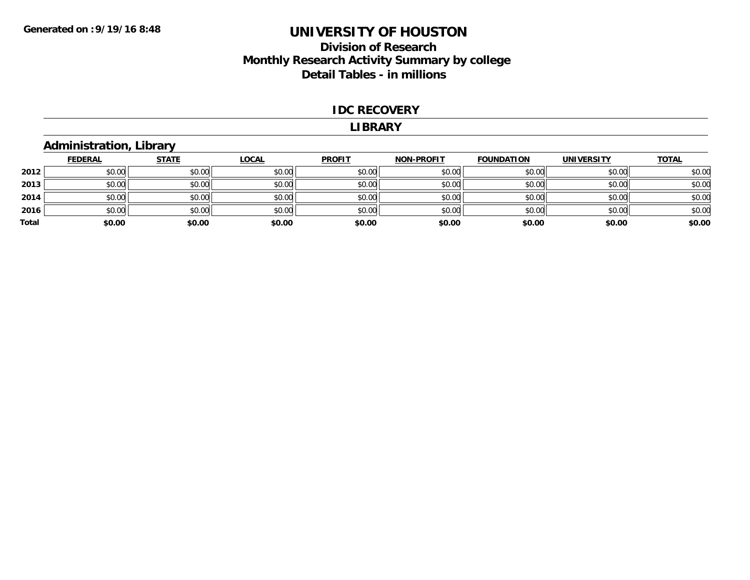## **Division of Research Monthly Research Activity Summary by college Detail Tables - in millions**

#### **IDC RECOVERY**

#### **LIBRARY**

## **Administration, Library**

|       | <b>FEDERAL</b> | <b>STATE</b> | <b>LOCAL</b> | <b>PROFIT</b> | <b>NON-PROFIT</b> | <b>FOUNDATION</b> | <b>UNIVERSITY</b> | <b>TOTAL</b> |
|-------|----------------|--------------|--------------|---------------|-------------------|-------------------|-------------------|--------------|
| 2012  | \$0.00         | \$0.00       | \$0.00       | \$0.00        | \$0.00            | \$0.00            | \$0.00            | \$0.00       |
| 2013  | \$0.00         | \$0.00       | \$0.00       | \$0.00        | \$0.00            | \$0.00            | \$0.00            | \$0.00       |
| 2014  | \$0.00         | \$0.00       | \$0.00       | \$0.00        | \$0.00            | \$0.00            | \$0.00            | \$0.00       |
| 2016  | \$0.00         | \$0.00       | \$0.00       | \$0.00        | \$0.00            | \$0.00            | \$0.00            | \$0.00       |
| Total | \$0.00         | \$0.00       | \$0.00       | \$0.00        | \$0.00            | \$0.00            | \$0.00            | \$0.00       |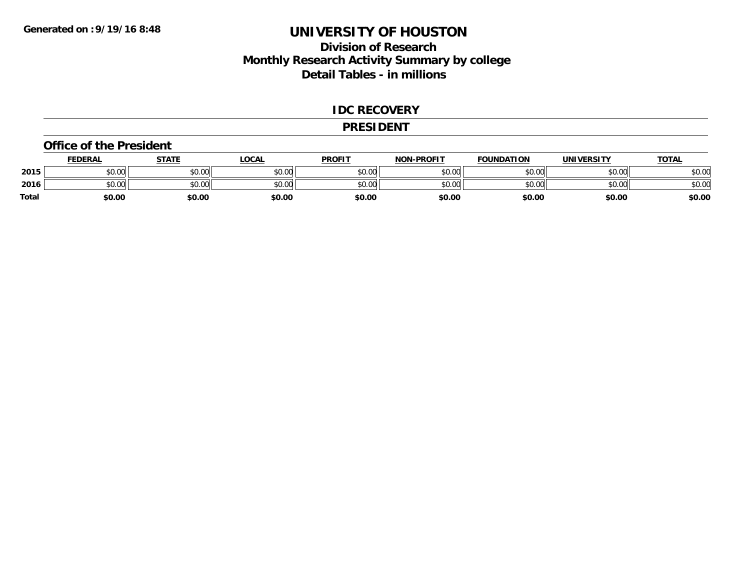### **Division of Research Monthly Research Activity Summary by college Detail Tables - in millions**

#### **IDC RECOVERY**

#### **PRESIDENT**

#### **Office of the President**

|       | <b>FEDERAL</b>        | <b>STATE</b>                                   | LOCAL  | <b>PROFIT</b> | <b>NON-PROFIT</b> | <b>FOUNDATION</b> | <b>UNIVERSITY</b> | <u> ΤΟΤΑL</u> |
|-------|-----------------------|------------------------------------------------|--------|---------------|-------------------|-------------------|-------------------|---------------|
| 2015  | <b>CO ON</b><br>90.UU | $\mathfrak{c} \cap \mathfrak{c} \cap$<br>JU.UU | \$0.00 | \$0.00        | \$0.00            | \$0.00            | \$0.00            | \$0.00        |
| 2016  | \$0.00                | $\mathfrak{c} \cap \mathfrak{c} \cap$<br>JU.UU | \$0.00 | \$0.00        | \$0.00            | \$0.00            | \$0.00            | \$0.00        |
| Total | \$0.00                | \$0.00                                         | \$0.00 | \$0.00        | \$0.00            | \$0.00            | \$0.00            | \$0.00        |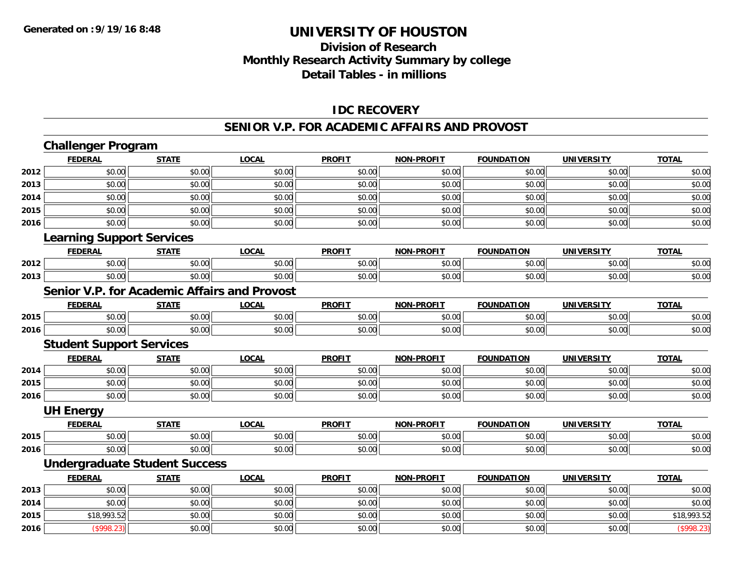## **Division of ResearchMonthly Research Activity Summary by college Detail Tables - in millions**

#### **IDC RECOVERY**

#### **SENIOR V.P. FOR ACADEMIC AFFAIRS AND PROVOST**

|      | <b>Challenger Program</b>        |                                              |              |               |                   |                   |                   |              |
|------|----------------------------------|----------------------------------------------|--------------|---------------|-------------------|-------------------|-------------------|--------------|
|      | <b>FEDERAL</b>                   | <b>STATE</b>                                 | <b>LOCAL</b> | <b>PROFIT</b> | <b>NON-PROFIT</b> | <b>FOUNDATION</b> | <b>UNIVERSITY</b> | <b>TOTAL</b> |
| 2012 | \$0.00                           | \$0.00                                       | \$0.00       | \$0.00        | \$0.00            | \$0.00            | \$0.00            | \$0.00       |
| 2013 | \$0.00                           | \$0.00                                       | \$0.00       | \$0.00        | \$0.00            | \$0.00            | \$0.00            | \$0.00       |
| 2014 | \$0.00                           | \$0.00                                       | \$0.00       | \$0.00        | \$0.00            | \$0.00            | \$0.00            | \$0.00       |
| 2015 | \$0.00                           | \$0.00                                       | \$0.00       | \$0.00        | \$0.00            | \$0.00            | \$0.00            | \$0.00       |
| 2016 | \$0.00                           | \$0.00                                       | \$0.00       | \$0.00        | \$0.00            | \$0.00            | \$0.00            | \$0.00       |
|      | <b>Learning Support Services</b> |                                              |              |               |                   |                   |                   |              |
|      | <b>FEDERAL</b>                   | <b>STATE</b>                                 | <b>LOCAL</b> | <b>PROFIT</b> | <b>NON-PROFIT</b> | <b>FOUNDATION</b> | <b>UNIVERSITY</b> | <b>TOTAL</b> |
| 2012 | \$0.00                           | \$0.00                                       | \$0.00       | \$0.00        | \$0.00            | \$0.00            | \$0.00            | \$0.00       |
| 2013 | \$0.00                           | \$0.00                                       | \$0.00       | \$0.00        | \$0.00            | \$0.00            | \$0.00            | \$0.00       |
|      |                                  | Senior V.P. for Academic Affairs and Provost |              |               |                   |                   |                   |              |
|      | <b>FEDERAL</b>                   | <b>STATE</b>                                 | <b>LOCAL</b> | <b>PROFIT</b> | <b>NON-PROFIT</b> | <b>FOUNDATION</b> | <b>UNIVERSITY</b> | <b>TOTAL</b> |
| 2015 | \$0.00                           | \$0.00                                       | \$0.00       | \$0.00        | \$0.00            | \$0.00            | \$0.00            | \$0.00       |
| 2016 | \$0.00                           | \$0.00                                       | \$0.00       | \$0.00        | \$0.00            | \$0.00            | \$0.00            | \$0.00       |
|      | <b>Student Support Services</b>  |                                              |              |               |                   |                   |                   |              |
|      | <b>FEDERAL</b>                   | <b>STATE</b>                                 | <b>LOCAL</b> | <b>PROFIT</b> | <b>NON-PROFIT</b> | <b>FOUNDATION</b> | <b>UNIVERSITY</b> | <b>TOTAL</b> |
| 2014 | \$0.00                           | \$0.00                                       | \$0.00       | \$0.00        | \$0.00            | \$0.00            | \$0.00            | \$0.00       |
| 2015 | \$0.00                           | \$0.00                                       | \$0.00       | \$0.00        | \$0.00            | \$0.00            | \$0.00            | \$0.00       |
| 2016 | \$0.00                           | \$0.00                                       | \$0.00       | \$0.00        | \$0.00            | \$0.00            | \$0.00            | \$0.00       |
|      | <b>UH Energy</b>                 |                                              |              |               |                   |                   |                   |              |
|      | <b>FEDERAL</b>                   | <b>STATE</b>                                 | <b>LOCAL</b> | <b>PROFIT</b> | <b>NON-PROFIT</b> | <b>FOUNDATION</b> | <b>UNIVERSITY</b> | <b>TOTAL</b> |
| 2015 | \$0.00                           | \$0.00                                       | \$0.00       | \$0.00        | \$0.00            | \$0.00            | \$0.00            | \$0.00       |
| 2016 | \$0.00                           | \$0.00                                       | \$0.00       | \$0.00        | \$0.00            | \$0.00            | \$0.00            | \$0.00       |
|      |                                  | <b>Undergraduate Student Success</b>         |              |               |                   |                   |                   |              |
|      | <b>FEDERAL</b>                   | <b>STATE</b>                                 | <b>LOCAL</b> | <b>PROFIT</b> | <b>NON-PROFIT</b> | <b>FOUNDATION</b> | <b>UNIVERSITY</b> | <b>TOTAL</b> |
| 2013 | \$0.00                           | \$0.00                                       | \$0.00       | \$0.00        | \$0.00            | \$0.00            | \$0.00            | \$0.00       |
| 2014 | \$0.00                           | \$0.00                                       | \$0.00       | \$0.00        | \$0.00            | \$0.00            | \$0.00            | \$0.00       |
| 2015 | \$18,993.52                      | \$0.00                                       | \$0.00       | \$0.00        | \$0.00            | \$0.00            | \$0.00            | \$18,993.52  |
| 2016 | (\$998.23)                       | \$0.00                                       | \$0.00       | \$0.00        | \$0.00            | \$0.00            | \$0.00            | (\$998.23)   |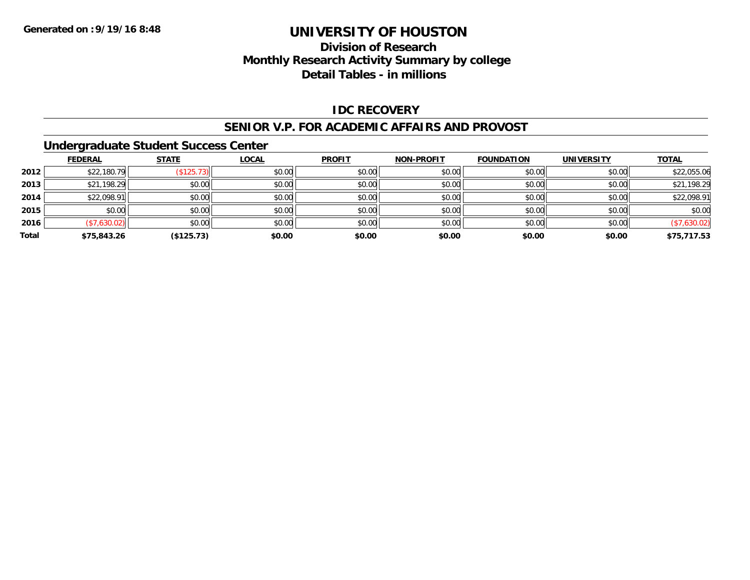## **Division of ResearchMonthly Research Activity Summary by college Detail Tables - in millions**

#### **IDC RECOVERY**

#### **SENIOR V.P. FOR ACADEMIC AFFAIRS AND PROVOST**

#### **Undergraduate Student Success Center**

|       | <b>FEDERAL</b> | <b>STATE</b> | <b>LOCAL</b> | <b>PROFIT</b> | <b>NON-PROFIT</b> | <b>FOUNDATION</b> | <b>UNIVERSITY</b> | <b>TOTAL</b> |
|-------|----------------|--------------|--------------|---------------|-------------------|-------------------|-------------------|--------------|
| 2012  | \$22,180.79    | (\$125.73)   | \$0.00       | \$0.00        | \$0.00            | \$0.00            | \$0.00            | \$22,055.06  |
| 2013  | \$21,198.29    | \$0.00       | \$0.00       | \$0.00        | \$0.00            | \$0.00            | \$0.00            | \$21,198.29  |
| 2014  | \$22,098.91    | \$0.00       | \$0.00       | \$0.00        | \$0.00            | \$0.00            | \$0.00            | \$22,098.91  |
| 2015  | \$0.00         | \$0.00       | \$0.00       | \$0.00        | \$0.00            | \$0.00            | \$0.00            | \$0.00       |
| 2016  | (\$7,630.02)   | \$0.00       | \$0.00       | \$0.00        | \$0.00            | \$0.00            | \$0.00            | (\$7,630.02) |
| Total | \$75,843.26    | (\$125.73)   | \$0.00       | \$0.00        | \$0.00            | \$0.00            | \$0.00            | \$75,717.53  |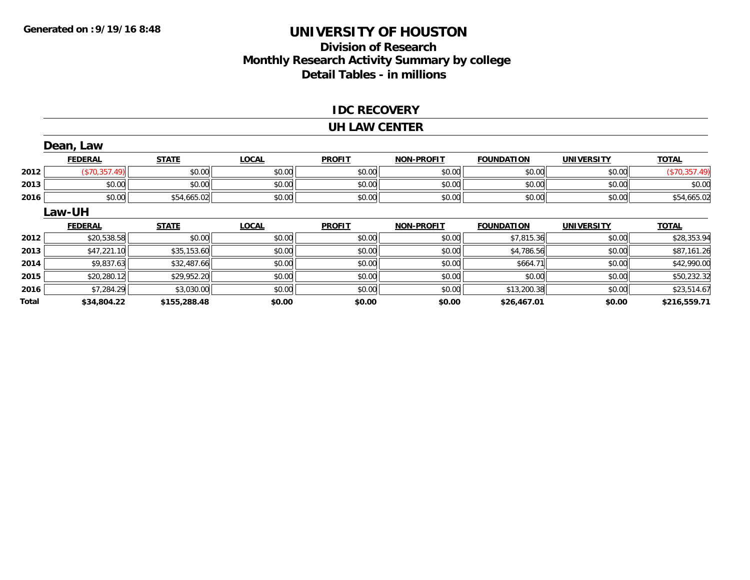### **Division of Research Monthly Research Activity Summary by college Detail Tables - in millions**

#### **IDC RECOVERY**

#### **UH LAW CENTER**

| Dean, Law |                |              |              |               |                   |                   |                   |               |
|-----------|----------------|--------------|--------------|---------------|-------------------|-------------------|-------------------|---------------|
|           | <b>FEDERAL</b> | <b>STATE</b> | <b>LOCAL</b> | <b>PROFIT</b> | <b>NON-PROFIT</b> | <b>FOUNDATION</b> | <b>UNIVERSITY</b> | <b>TOTAL</b>  |
| 2012      | (\$70,357.49)  | \$0.00       | \$0.00       | \$0.00        | \$0.00            | \$0.00            | \$0.00            | (\$70,357.49) |
| 2013      | \$0.00         | \$0.00       | \$0.00       | \$0.00        | \$0.00            | \$0.00            | \$0.00            | \$0.00        |
| 2016      | \$0.00         | \$54,665.02  | \$0.00       | \$0.00        | \$0.00            | \$0.00            | \$0.00            | \$54,665.02   |
|           | <b>Law-UH</b>  |              |              |               |                   |                   |                   |               |
|           | <b>FEDERAL</b> | <b>STATE</b> | <b>LOCAL</b> | <b>PROFIT</b> | <b>NON-PROFIT</b> | <b>FOUNDATION</b> | <b>UNIVERSITY</b> | <b>TOTAL</b>  |
| 2012      | \$20,538.58    | \$0.00       | \$0.00       | \$0.00        | \$0.00            | \$7,815.36        | \$0.00            | \$28,353.94   |
| 2013      | \$47,221.10    | \$35,153.60  | \$0.00       | \$0.00        | \$0.00            | \$4,786.56        | \$0.00            | \$87,161.26   |
| 2014      | \$9,837.63     | \$32,487.66  | \$0.00       | \$0.00        | \$0.00            | \$664.71          | \$0.00            | \$42,990.00   |
| 2015      | \$20,280.12    | \$29,952.20  | \$0.00       | \$0.00        | \$0.00            | \$0.00            | \$0.00            | \$50,232.32   |
| 2016      | \$7,284.29     | \$3,030.00   | \$0.00       | \$0.00        | \$0.00            | \$13,200.38       | \$0.00            | \$23,514.67   |
| Total     | \$34,804.22    | \$155,288.48 | \$0.00       | \$0.00        | \$0.00            | \$26,467.01       | \$0.00            | \$216,559.71  |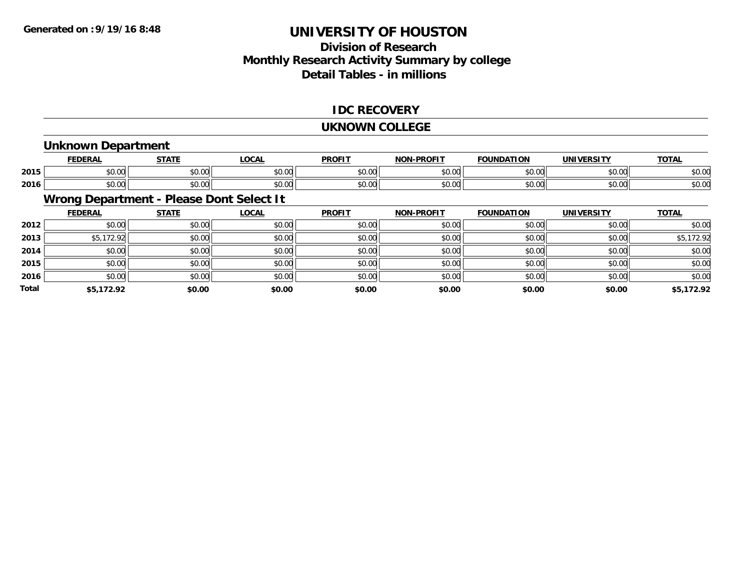## **Division of ResearchMonthly Research Activity Summary by college Detail Tables - in millions**

#### **IDC RECOVERY**

#### **UKNOWN COLLEGE**

### **Unknown Department**

|      | <b>FEDERAL</b>            | <b>CTATE</b><br>,,,,, | <b>OCAL</b> | <b>PROFIT</b>           | -PROFIT<br><b>NON</b> | <b>FOUNDATION</b> | UNIVERSITY | <b>TOTAL</b> |
|------|---------------------------|-----------------------|-------------|-------------------------|-----------------------|-------------------|------------|--------------|
| 2015 | $\sim$<br>$\sim$<br>₽∪.∪∪ | 0000<br>vu.vu         | \$0.00      | 0000<br>JU.UL           | 0000<br>vv.vv         | \$0.00            | \$0.00     | \$0.00       |
| 2016 | ሖ ∩<br>$\sim$<br>JU.UU    | 0000<br>JU.UU         | \$0.00      | 0 <sup>0</sup><br>JU.UU | 0000<br>vu.vu         | \$0.00            | \$0.00     | \$0.00       |

## **Wrong Department - Please Dont Select It**

|              | <b>FEDERAL</b> | <b>STATE</b> | <u>LOCAL</u> | <b>PROFIT</b> | <b>NON-PROFIT</b> | <b>FOUNDATION</b> | <b>UNIVERSITY</b> | <b>TOTAL</b> |
|--------------|----------------|--------------|--------------|---------------|-------------------|-------------------|-------------------|--------------|
| 2012         | \$0.00         | \$0.00       | \$0.00       | \$0.00        | \$0.00            | \$0.00            | \$0.00            | \$0.00       |
| 2013         | \$5,172.92     | \$0.00       | \$0.00       | \$0.00        | \$0.00            | \$0.00            | \$0.00            | \$5,172.92   |
| 2014         | \$0.00         | \$0.00       | \$0.00       | \$0.00        | \$0.00            | \$0.00            | \$0.00            | \$0.00       |
| 2015         | \$0.00         | \$0.00       | \$0.00       | \$0.00        | \$0.00            | \$0.00            | \$0.00            | \$0.00       |
| 2016         | \$0.00         | \$0.00       | \$0.00       | \$0.00        | \$0.00            | \$0.00            | \$0.00            | \$0.00       |
| <b>Total</b> | \$5,172.92     | \$0.00       | \$0.00       | \$0.00        | \$0.00            | \$0.00            | \$0.00            | \$5,172.92   |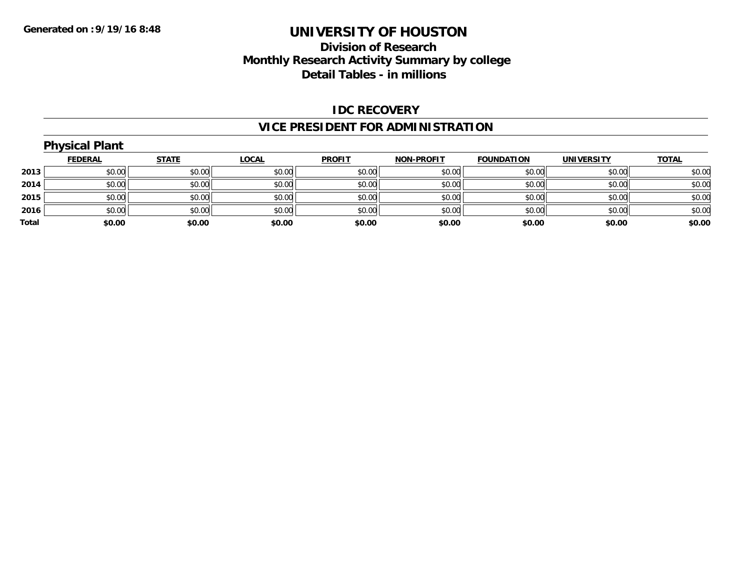## **Division of ResearchMonthly Research Activity Summary by college Detail Tables - in millions**

#### **IDC RECOVERY**

### **VICE PRESIDENT FOR ADMINISTRATION**

#### **Physical Plant FEDERAL STATE LOCAL PROFIT NON-PROFIT FOUNDATION UNIVERSITY TOTALTOTAL 2013** $\textbf{3} \mid \textbf{3} \mid \textbf{5} \mid \textbf{5} \mid \textbf{6} \mid \textbf{7} \mid \textbf{8} \mid \textbf{1} \mid \textbf{1} \mid \textbf{1} \mid \textbf{1} \mid \textbf{1} \mid \textbf{1} \mid \textbf{1} \mid \textbf{1} \mid \textbf{1} \mid \textbf{1} \mid \textbf{1} \mid \textbf{1} \mid \textbf{1} \mid \textbf{1} \mid \textbf{1} \mid \textbf{1} \mid \textbf{1} \mid \textbf{1} \mid \textbf{1} \mid \textbf{1} \mid \textbf{$ **2014**4 \$0.00 \$0.00 \$0.00 \$0.00 \$0.00 \$0.00 \$0.00 \$0.00 \$0.00 \$0.00 \$0.00 \$0.00 \$0.00 \$0.00 \$0.00 \$0.00 \$0.00 \$0.00 **2015** \$0.00 \$0.00 \$0.00 \$0.00 \$0.00 \$0.00 \$0.00 \$0.00 **2016** \$0.00 \$0.00 \$0.00 \$0.00 \$0.00 \$0.00 \$0.00 \$0.00 **Total \$0.00\$0.00 \$0.00 \$0.00 \$0.00 \$0.00 \$0.00 \$0.00**